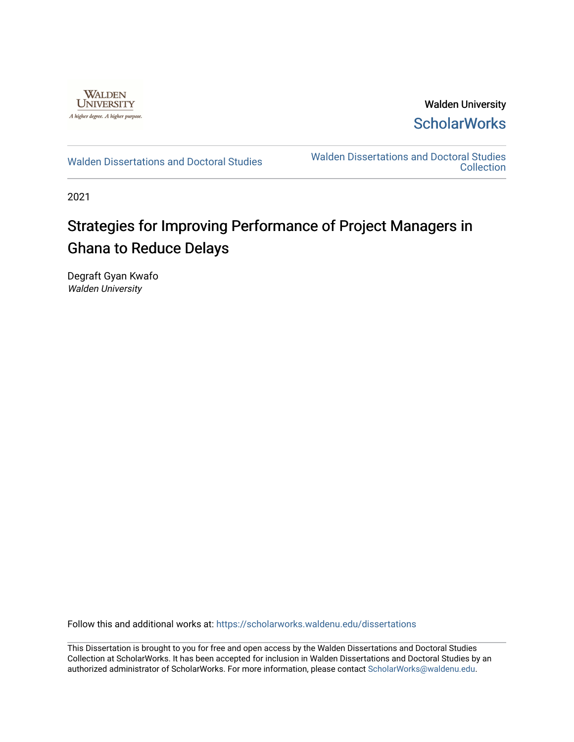

Walden University **ScholarWorks** 

[Walden Dissertations and Doctoral Studies](https://scholarworks.waldenu.edu/dissertations) Walden Dissertations and Doctoral Studies **Collection** 

2021

# Strategies for Improving Performance of Project Managers in Ghana to Reduce Delays

Degraft Gyan Kwafo Walden University

Follow this and additional works at: [https://scholarworks.waldenu.edu/dissertations](https://scholarworks.waldenu.edu/dissertations?utm_source=scholarworks.waldenu.edu%2Fdissertations%2F10934&utm_medium=PDF&utm_campaign=PDFCoverPages)

This Dissertation is brought to you for free and open access by the Walden Dissertations and Doctoral Studies Collection at ScholarWorks. It has been accepted for inclusion in Walden Dissertations and Doctoral Studies by an authorized administrator of ScholarWorks. For more information, please contact [ScholarWorks@waldenu.edu](mailto:ScholarWorks@waldenu.edu).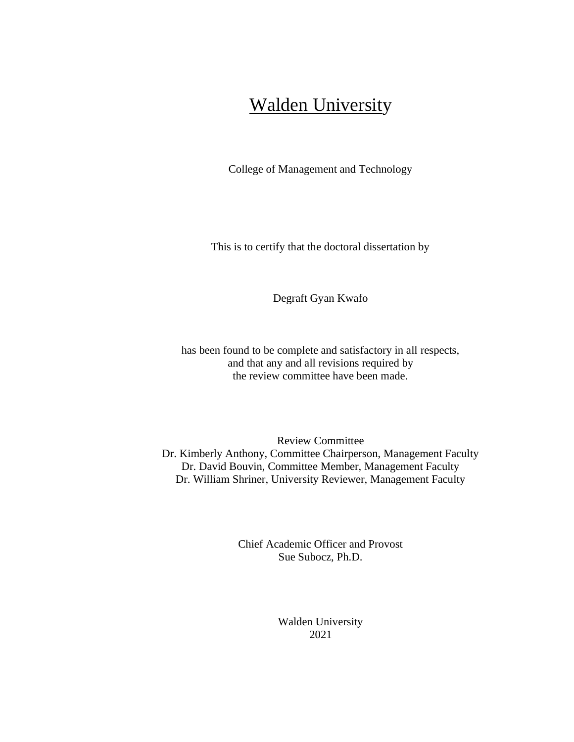# Walden University

College of Management and Technology

This is to certify that the doctoral dissertation by

Degraft Gyan Kwafo

has been found to be complete and satisfactory in all respects, and that any and all revisions required by the review committee have been made.

Review Committee Dr. Kimberly Anthony, Committee Chairperson, Management Faculty Dr. David Bouvin, Committee Member, Management Faculty Dr. William Shriner, University Reviewer, Management Faculty

> Chief Academic Officer and Provost Sue Subocz, Ph.D.

> > Walden University 2021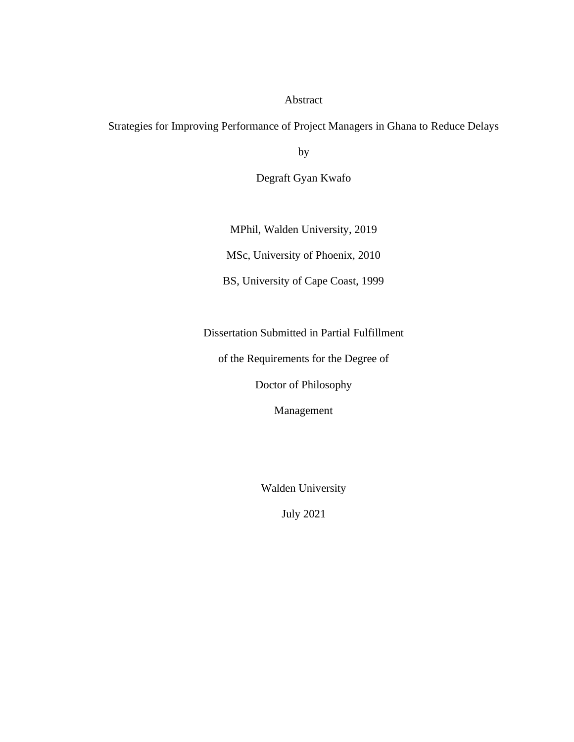# Abstract

Strategies for Improving Performance of Project Managers in Ghana to Reduce Delays

by

Degraft Gyan Kwafo

MPhil, Walden University, 2019

MSc, University of Phoenix, 2010

BS, University of Cape Coast, 1999

Dissertation Submitted in Partial Fulfillment

of the Requirements for the Degree of

Doctor of Philosophy

Management

Walden University

July 2021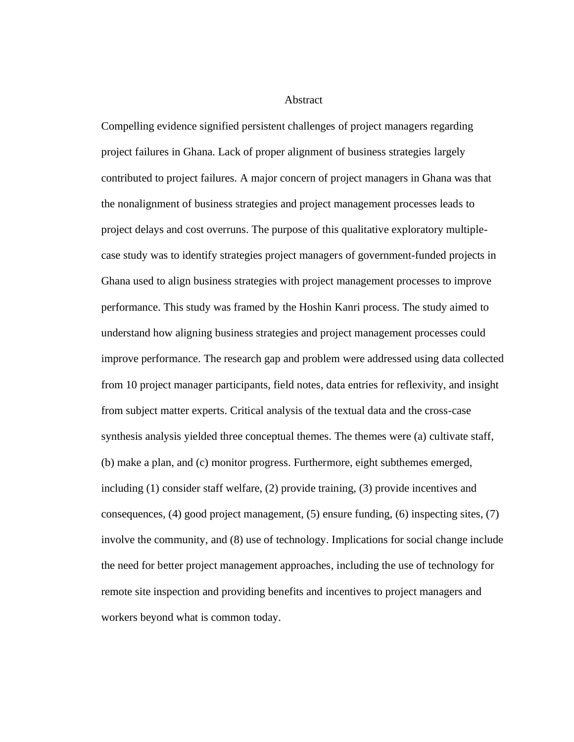Abstract

Compelling evidence signified persistent challenges of project managers regarding project failures in Ghana. Lack of proper alignment of business strategies largely contributed to project failures. A major concern of project managers in Ghana was that the nonalignment of business strategies and project management processes leads to project delays and cost overruns. The purpose of this qualitative exploratory multiplecase study was to identify strategies project managers of government-funded projects in Ghana used to align business strategies with project management processes to improve performance. This study was framed by the Hoshin Kanri process. The study aimed to understand how aligning business strategies and project management processes could improve performance. The research gap and problem were addressed using data collected from 10 project manager participants, field notes, data entries for reflexivity, and insight from subject matter experts. Critical analysis of the textual data and the cross-case synthesis analysis yielded three conceptual themes. The themes were (a) cultivate staff, (b) make a plan, and (c) monitor progress. Furthermore, eight subthemes emerged, including (1) consider staff welfare, (2) provide training, (3) provide incentives and consequences, (4) good project management, (5) ensure funding, (6) inspecting sites, (7) involve the community, and (8) use of technology. Implications for social change include the need for better project management approaches, including the use of technology for remote site inspection and providing benefits and incentives to project managers and workers beyond what is common today.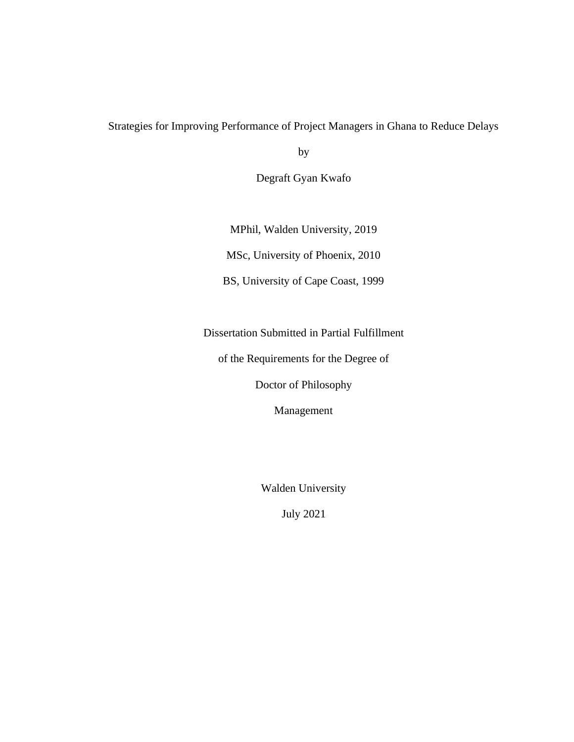# Strategies for Improving Performance of Project Managers in Ghana to Reduce Delays

by

Degraft Gyan Kwafo

MPhil, Walden University, 2019

MSc, University of Phoenix, 2010

BS, University of Cape Coast, 1999

Dissertation Submitted in Partial Fulfillment

of the Requirements for the Degree of

Doctor of Philosophy

Management

Walden University

July 2021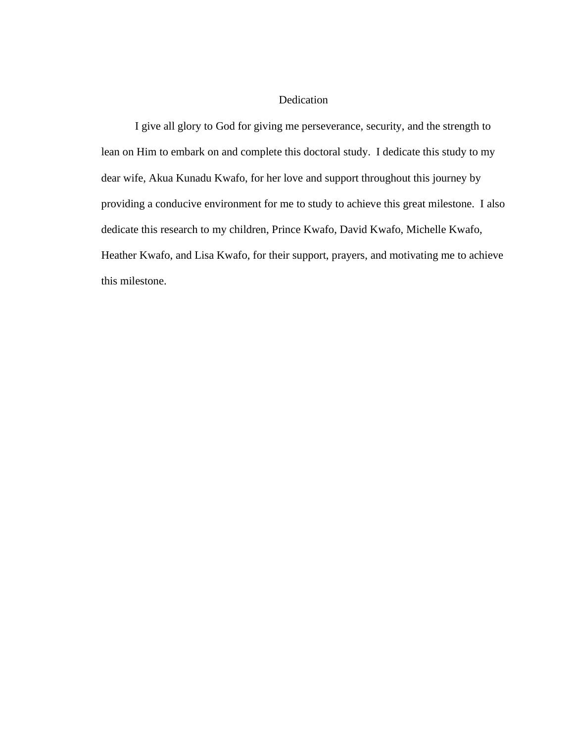# Dedication

I give all glory to God for giving me perseverance, security, and the strength to lean on Him to embark on and complete this doctoral study. I dedicate this study to my dear wife, Akua Kunadu Kwafo, for her love and support throughout this journey by providing a conducive environment for me to study to achieve this great milestone. I also dedicate this research to my children, Prince Kwafo, David Kwafo, Michelle Kwafo, Heather Kwafo, and Lisa Kwafo, for their support, prayers, and motivating me to achieve this milestone.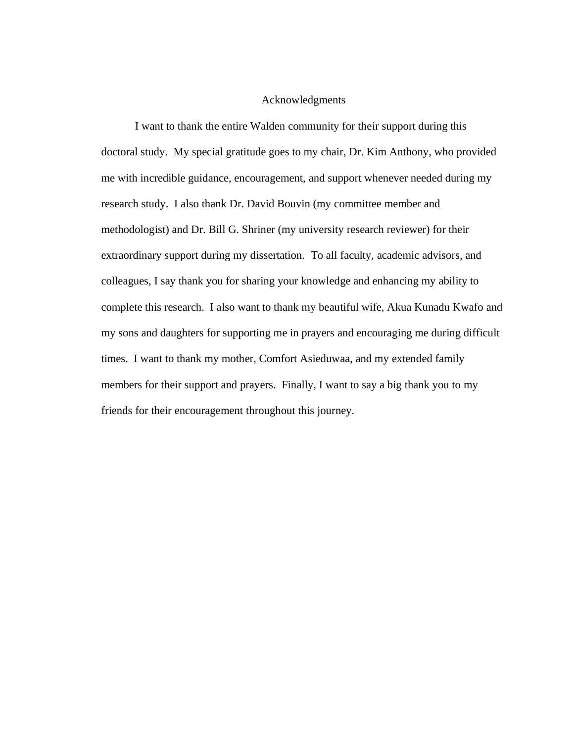# Acknowledgments

I want to thank the entire Walden community for their support during this doctoral study. My special gratitude goes to my chair, Dr. Kim Anthony, who provided me with incredible guidance, encouragement, and support whenever needed during my research study. I also thank Dr. David Bouvin (my committee member and methodologist) and Dr. Bill G. Shriner (my university research reviewer) for their extraordinary support during my dissertation. To all faculty, academic advisors, and colleagues, I say thank you for sharing your knowledge and enhancing my ability to complete this research. I also want to thank my beautiful wife, Akua Kunadu Kwafo and my sons and daughters for supporting me in prayers and encouraging me during difficult times. I want to thank my mother, Comfort Asieduwaa, and my extended family members for their support and prayers. Finally, I want to say a big thank you to my friends for their encouragement throughout this journey.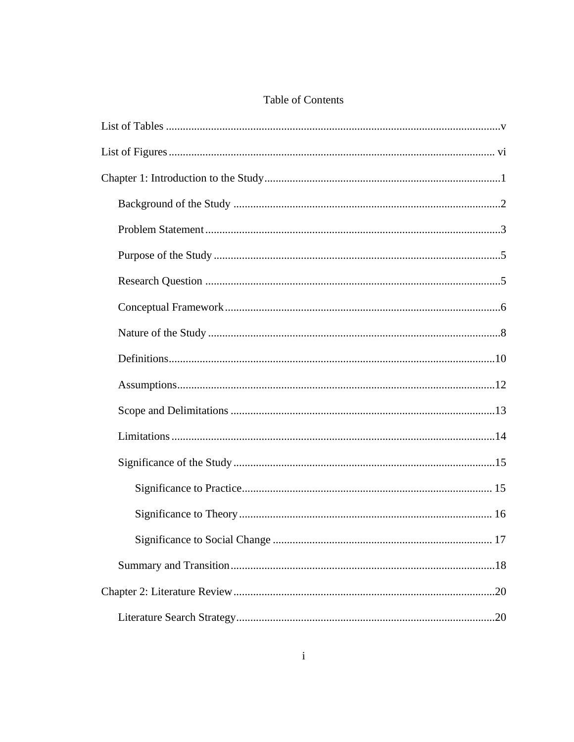# Table of Contents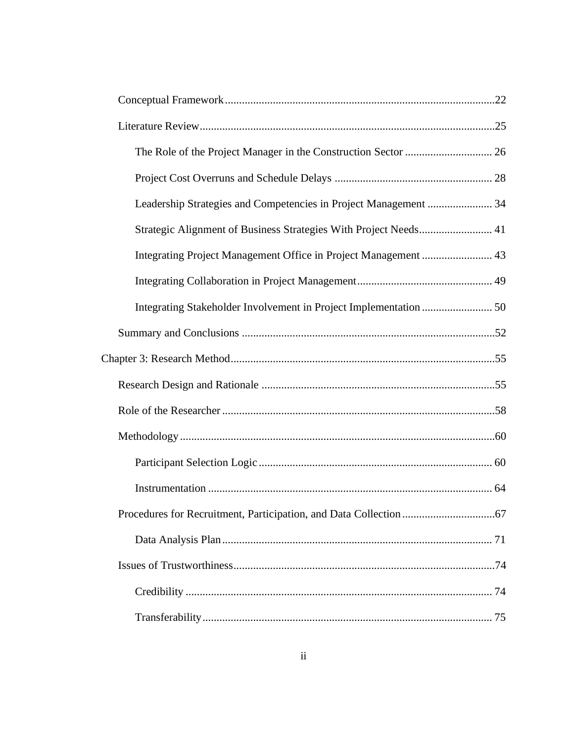| Leadership Strategies and Competencies in Project Management  34 |  |
|------------------------------------------------------------------|--|
| Strategic Alignment of Business Strategies With Project Needs 41 |  |
|                                                                  |  |
|                                                                  |  |
|                                                                  |  |
|                                                                  |  |
|                                                                  |  |
|                                                                  |  |
|                                                                  |  |
|                                                                  |  |
|                                                                  |  |
|                                                                  |  |
|                                                                  |  |
|                                                                  |  |
|                                                                  |  |
|                                                                  |  |
|                                                                  |  |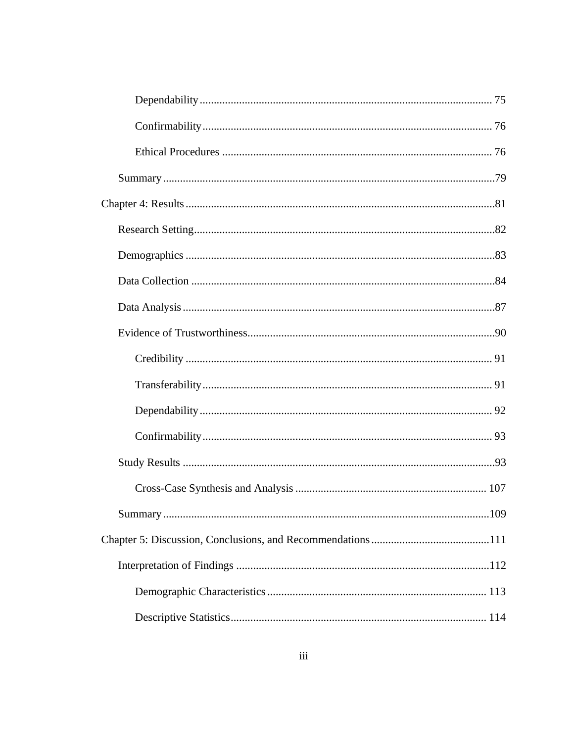| .01 .01 .01 .01 .02.1 .02.1 .02.1 .02.1 .02.1 .02.1 .02.1 .02.1 .02.1 .02.1 .02.1 .02.1 .02.1 .02.1 .02.1 .02. |  |
|----------------------------------------------------------------------------------------------------------------|--|
|                                                                                                                |  |
|                                                                                                                |  |
|                                                                                                                |  |
|                                                                                                                |  |
|                                                                                                                |  |
|                                                                                                                |  |
|                                                                                                                |  |
|                                                                                                                |  |
|                                                                                                                |  |
|                                                                                                                |  |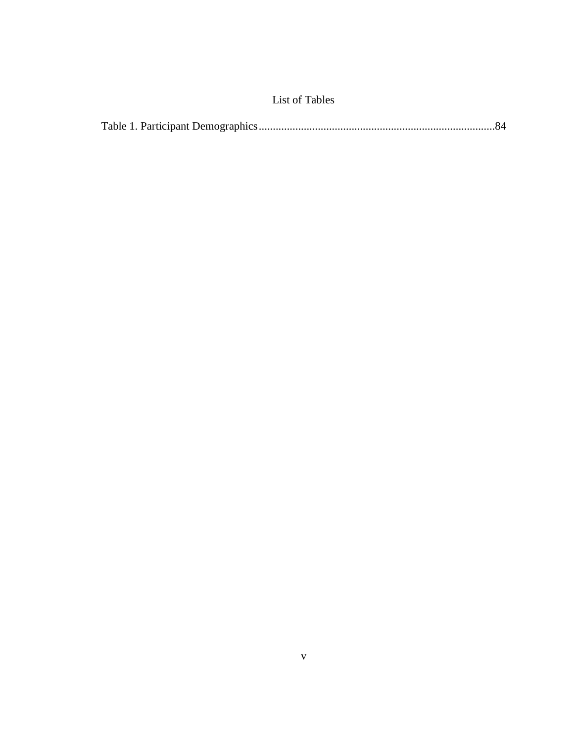# List of Tables

<span id="page-11-0"></span>

|--|--|--|--|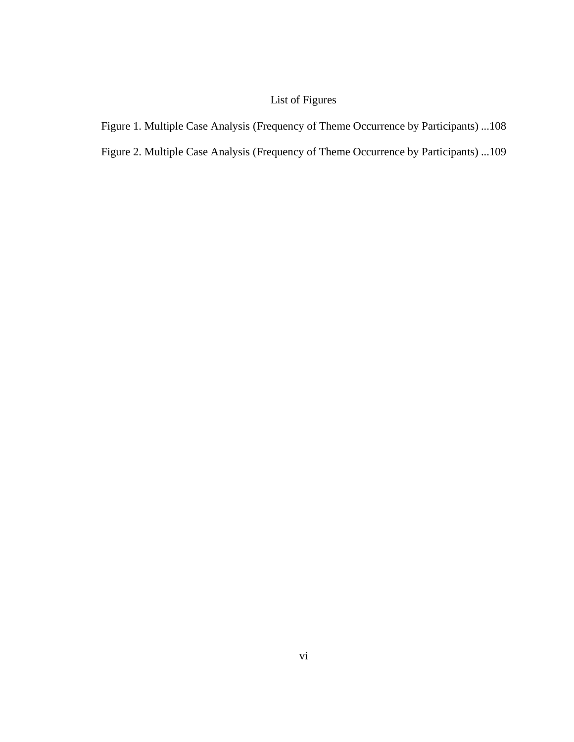# List of Figures

<span id="page-12-0"></span>Figure 1. Multiple Case Analysis (Frequency of Theme Occurrence by Participants) ...108

Figure 2. Multiple Case Analysis (Frequency of Theme Occurrence by Participants) ...109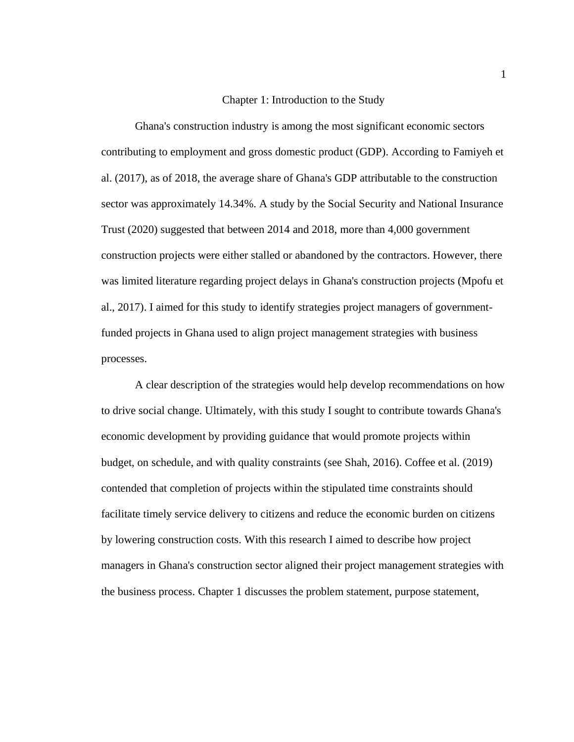## Chapter 1: Introduction to the Study

<span id="page-13-0"></span>Ghana's construction industry is among the most significant economic sectors contributing to employment and gross domestic product (GDP). According to Famiyeh et al. (2017), as of 2018, the average share of Ghana's GDP attributable to the construction sector was approximately 14.34%. A study by the Social Security and National Insurance Trust (2020) suggested that between 2014 and 2018, more than 4,000 government construction projects were either stalled or abandoned by the contractors. However, there was limited literature regarding project delays in Ghana's construction projects (Mpofu et al., 2017). I aimed for this study to identify strategies project managers of governmentfunded projects in Ghana used to align project management strategies with business processes.

A clear description of the strategies would help develop recommendations on how to drive social change. Ultimately, with this study I sought to contribute towards Ghana's economic development by providing guidance that would promote projects within budget, on schedule, and with quality constraints (see Shah, 2016). Coffee et al. (2019) contended that completion of projects within the stipulated time constraints should facilitate timely service delivery to citizens and reduce the economic burden on citizens by lowering construction costs. With this research I aimed to describe how project managers in Ghana's construction sector aligned their project management strategies with the business process. Chapter 1 discusses the problem statement, purpose statement,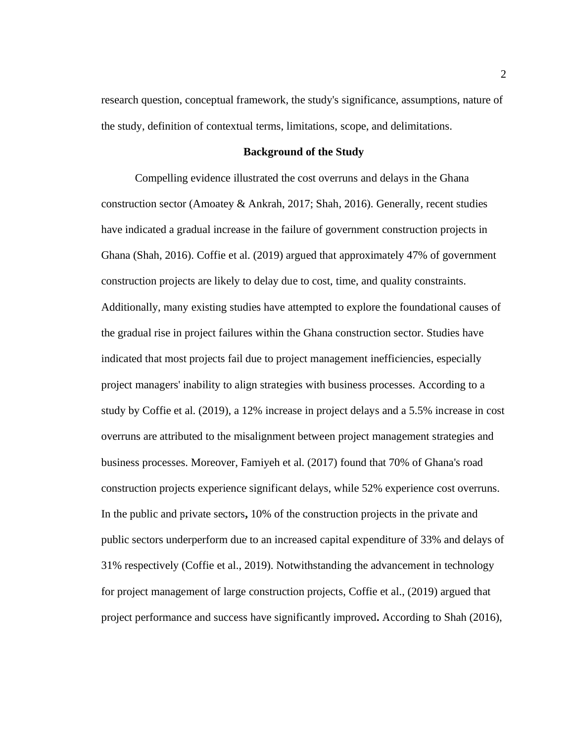research question, conceptual framework, the study's significance, assumptions, nature of the study, definition of contextual terms, limitations, scope, and delimitations.

#### **Background of the Study**

<span id="page-14-0"></span>Compelling evidence illustrated the cost overruns and delays in the Ghana construction sector (Amoatey & Ankrah, 2017; Shah, 2016). Generally, recent studies have indicated a gradual increase in the failure of government construction projects in Ghana (Shah, 2016). Coffie et al. (2019) argued that approximately 47% of government construction projects are likely to delay due to cost, time, and quality constraints. Additionally, many existing studies have attempted to explore the foundational causes of the gradual rise in project failures within the Ghana construction sector. Studies have indicated that most projects fail due to project management inefficiencies, especially project managers' inability to align strategies with business processes. According to a study by Coffie et al. (2019), a 12% increase in project delays and a 5.5% increase in cost overruns are attributed to the misalignment between project management strategies and business processes. Moreover, Famiyeh et al. (2017) found that 70% of Ghana's road construction projects experience significant delays, while 52% experience cost overruns. In the public and private sectors**,** 10% of the construction projects in the private and public sectors underperform due to an increased capital expenditure of 33% and delays of 31% respectively (Coffie et al., 2019). Notwithstanding the advancement in technology for project management of large construction projects, Coffie et al., (2019) argued that project performance and success have significantly improved**.** According to Shah (2016),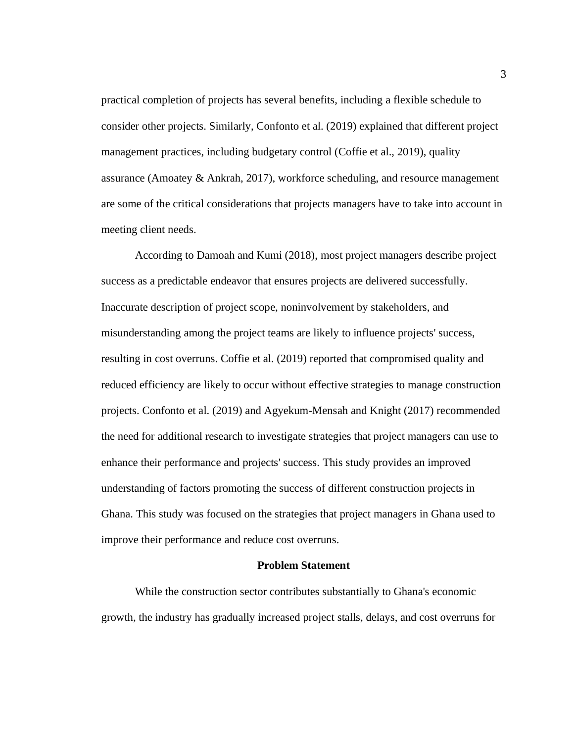practical completion of projects has several benefits, including a flexible schedule to consider other projects. Similarly, Confonto et al. (2019) explained that different project management practices, including budgetary control (Coffie et al., 2019), quality assurance (Amoatey & Ankrah, 2017), workforce scheduling, and resource management are some of the critical considerations that projects managers have to take into account in meeting client needs.

According to Damoah and Kumi (2018), most project managers describe project success as a predictable endeavor that ensures projects are delivered successfully. Inaccurate description of project scope, noninvolvement by stakeholders, and misunderstanding among the project teams are likely to influence projects' success, resulting in cost overruns. Coffie et al. (2019) reported that compromised quality and reduced efficiency are likely to occur without effective strategies to manage construction projects. Confonto et al. (2019) and Agyekum-Mensah and Knight (2017) recommended the need for additional research to investigate strategies that project managers can use to enhance their performance and projects' success. This study provides an improved understanding of factors promoting the success of different construction projects in Ghana. This study was focused on the strategies that project managers in Ghana used to improve their performance and reduce cost overruns.

## **Problem Statement**

<span id="page-15-0"></span>While the construction sector contributes substantially to Ghana's economic growth, the industry has gradually increased project stalls, delays, and cost overruns for

3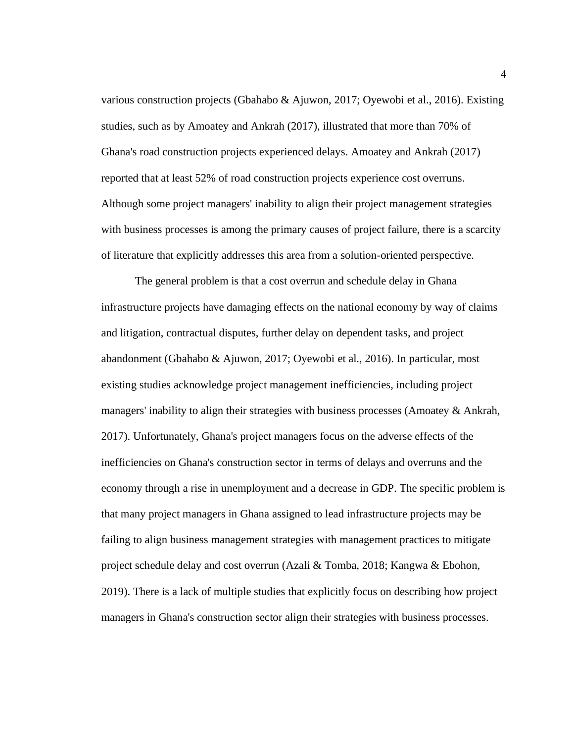various construction projects (Gbahabo & Ajuwon, 2017; Oyewobi et al., 2016). Existing studies, such as by Amoatey and Ankrah (2017), illustrated that more than 70% of Ghana's road construction projects experienced delays. Amoatey and Ankrah (2017) reported that at least 52% of road construction projects experience cost overruns. Although some project managers' inability to align their project management strategies with business processes is among the primary causes of project failure, there is a scarcity of literature that explicitly addresses this area from a solution-oriented perspective.

The general problem is that a cost overrun and schedule delay in Ghana infrastructure projects have damaging effects on the national economy by way of claims and litigation, contractual disputes, further delay on dependent tasks, and project abandonment (Gbahabo & Ajuwon, 2017; Oyewobi et al., 2016). In particular, most existing studies acknowledge project management inefficiencies, including project managers' inability to align their strategies with business processes (Amoatey & Ankrah, 2017). Unfortunately, Ghana's project managers focus on the adverse effects of the inefficiencies on Ghana's construction sector in terms of delays and overruns and the economy through a rise in unemployment and a decrease in GDP. The specific problem is that many project managers in Ghana assigned to lead infrastructure projects may be failing to align business management strategies with management practices to mitigate project schedule delay and cost overrun (Azali & Tomba, 2018; Kangwa & Ebohon, 2019). There is a lack of multiple studies that explicitly focus on describing how project managers in Ghana's construction sector align their strategies with business processes.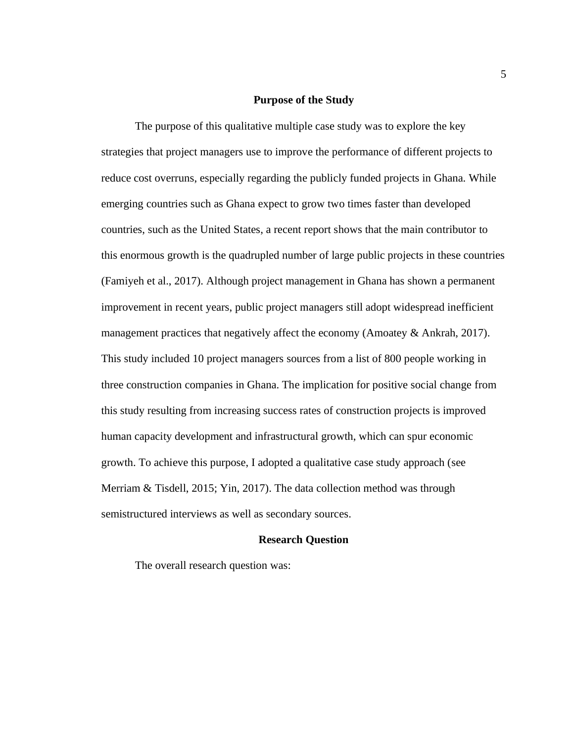#### **Purpose of the Study**

<span id="page-17-0"></span>The purpose of this qualitative multiple case study was to explore the key strategies that project managers use to improve the performance of different projects to reduce cost overruns, especially regarding the publicly funded projects in Ghana. While emerging countries such as Ghana expect to grow two times faster than developed countries, such as the United States, a recent report shows that the main contributor to this enormous growth is the quadrupled number of large public projects in these countries (Famiyeh et al., 2017). Although project management in Ghana has shown a permanent improvement in recent years, public project managers still adopt widespread inefficient management practices that negatively affect the economy (Amoatey & Ankrah, 2017). This study included 10 project managers sources from a list of 800 people working in three construction companies in Ghana. The implication for positive social change from this study resulting from increasing success rates of construction projects is improved human capacity development and infrastructural growth, which can spur economic growth. To achieve this purpose, I adopted a qualitative case study approach (see Merriam & Tisdell, 2015; Yin, 2017). The data collection method was through semistructured interviews as well as secondary sources.

## **Research Question**

<span id="page-17-1"></span>The overall research question was: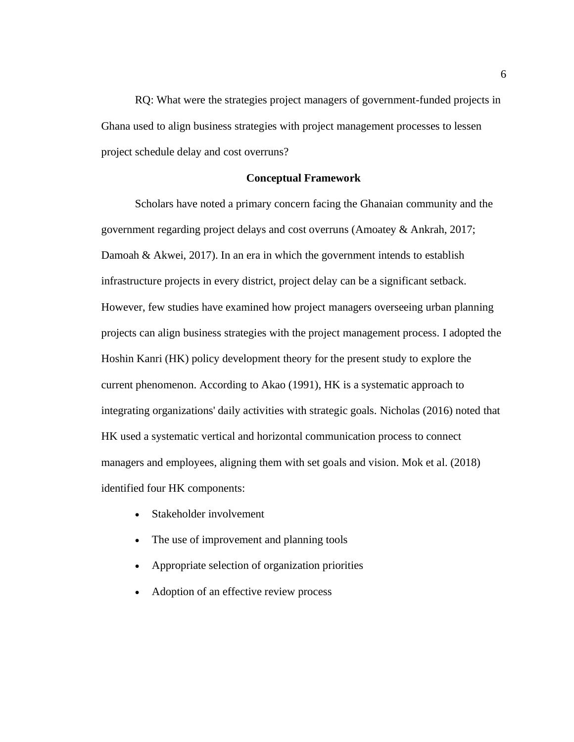RQ: What were the strategies project managers of government-funded projects in Ghana used to align business strategies with project management processes to lessen project schedule delay and cost overruns?

## **Conceptual Framework**

<span id="page-18-0"></span>Scholars have noted a primary concern facing the Ghanaian community and the government regarding project delays and cost overruns (Amoatey & Ankrah, 2017; Damoah & Akwei, 2017). In an era in which the government intends to establish infrastructure projects in every district, project delay can be a significant setback. However, few studies have examined how project managers overseeing urban planning projects can align business strategies with the project management process. I adopted the Hoshin Kanri (HK) policy development theory for the present study to explore the current phenomenon. According to Akao (1991), HK is a systematic approach to integrating organizations' daily activities with strategic goals. Nicholas (2016) noted that HK used a systematic vertical and horizontal communication process to connect managers and employees, aligning them with set goals and vision. Mok et al. (2018) identified four HK components:

- Stakeholder involvement
- The use of improvement and planning tools
- Appropriate selection of organization priorities
- Adoption of an effective review process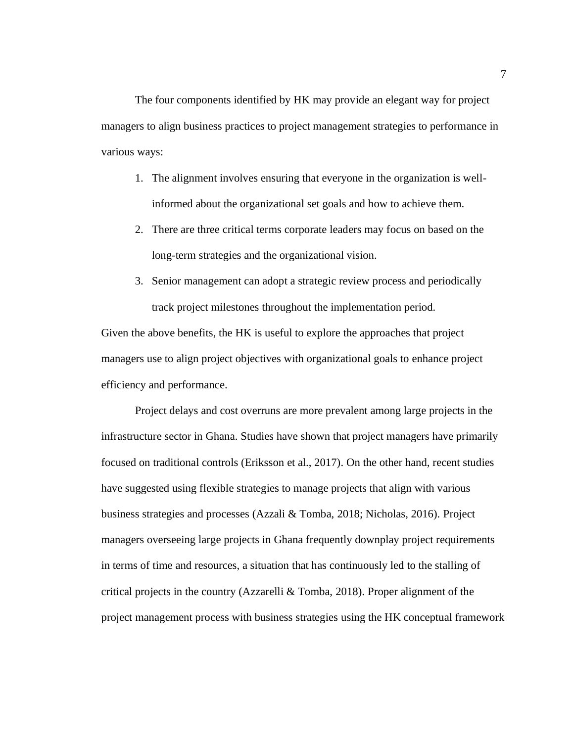The four components identified by HK may provide an elegant way for project managers to align business practices to project management strategies to performance in various ways:

- 1. The alignment involves ensuring that everyone in the organization is wellinformed about the organizational set goals and how to achieve them.
- 2. There are three critical terms corporate leaders may focus on based on the long-term strategies and the organizational vision.
- 3. Senior management can adopt a strategic review process and periodically track project milestones throughout the implementation period.

Given the above benefits, the HK is useful to explore the approaches that project managers use to align project objectives with organizational goals to enhance project efficiency and performance.

Project delays and cost overruns are more prevalent among large projects in the infrastructure sector in Ghana. Studies have shown that project managers have primarily focused on traditional controls (Eriksson et al., 2017). On the other hand, recent studies have suggested using flexible strategies to manage projects that align with various business strategies and processes (Azzali & Tomba, 2018; Nicholas, 2016). Project managers overseeing large projects in Ghana frequently downplay project requirements in terms of time and resources, a situation that has continuously led to the stalling of critical projects in the country (Azzarelli & Tomba, 2018). Proper alignment of the project management process with business strategies using the HK conceptual framework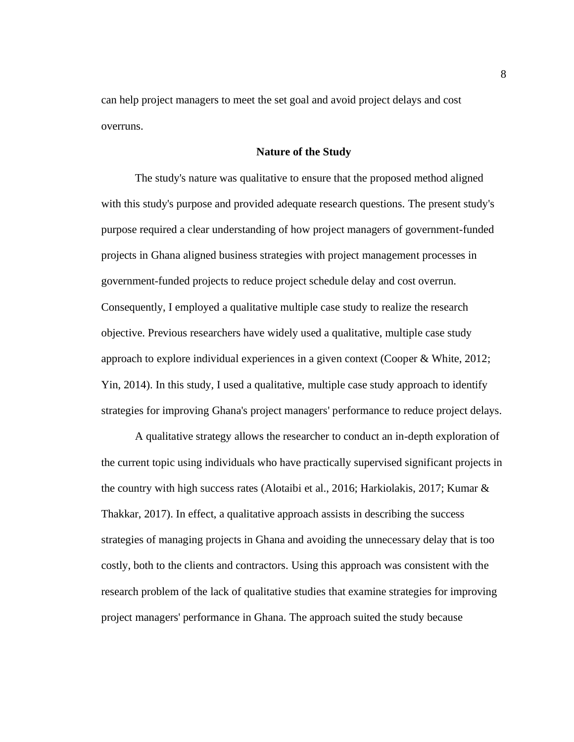can help project managers to meet the set goal and avoid project delays and cost overruns.

## **Nature of the Study**

<span id="page-20-0"></span>The study's nature was qualitative to ensure that the proposed method aligned with this study's purpose and provided adequate research questions. The present study's purpose required a clear understanding of how project managers of government-funded projects in Ghana aligned business strategies with project management processes in government-funded projects to reduce project schedule delay and cost overrun. Consequently, I employed a qualitative multiple case study to realize the research objective. Previous researchers have widely used a qualitative, multiple case study approach to explore individual experiences in a given context (Cooper & White, 2012; Yin, 2014). In this study, I used a qualitative, multiple case study approach to identify strategies for improving Ghana's project managers' performance to reduce project delays.

A qualitative strategy allows the researcher to conduct an in-depth exploration of the current topic using individuals who have practically supervised significant projects in the country with high success rates (Alotaibi et al., 2016; Harkiolakis, 2017; Kumar & Thakkar, 2017). In effect, a qualitative approach assists in describing the success strategies of managing projects in Ghana and avoiding the unnecessary delay that is too costly, both to the clients and contractors. Using this approach was consistent with the research problem of the lack of qualitative studies that examine strategies for improving project managers' performance in Ghana. The approach suited the study because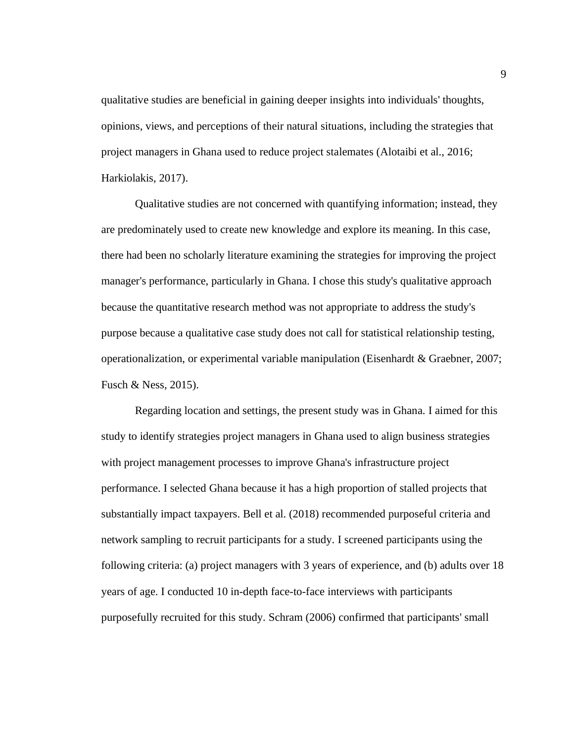qualitative studies are beneficial in gaining deeper insights into individuals' thoughts, opinions, views, and perceptions of their natural situations, including the strategies that project managers in Ghana used to reduce project stalemates (Alotaibi et al., 2016; Harkiolakis, 2017).

Qualitative studies are not concerned with quantifying information; instead, they are predominately used to create new knowledge and explore its meaning. In this case, there had been no scholarly literature examining the strategies for improving the project manager's performance, particularly in Ghana. I chose this study's qualitative approach because the quantitative research method was not appropriate to address the study's purpose because a qualitative case study does not call for statistical relationship testing, operationalization, or experimental variable manipulation (Eisenhardt & Graebner, 2007; Fusch & Ness, 2015).

Regarding location and settings, the present study was in Ghana. I aimed for this study to identify strategies project managers in Ghana used to align business strategies with project management processes to improve Ghana's infrastructure project performance. I selected Ghana because it has a high proportion of stalled projects that substantially impact taxpayers. Bell et al. (2018) recommended purposeful criteria and network sampling to recruit participants for a study. I screened participants using the following criteria: (a) project managers with 3 years of experience, and (b) adults over 18 years of age. I conducted 10 in-depth face-to-face interviews with participants purposefully recruited for this study. Schram (2006) confirmed that participants' small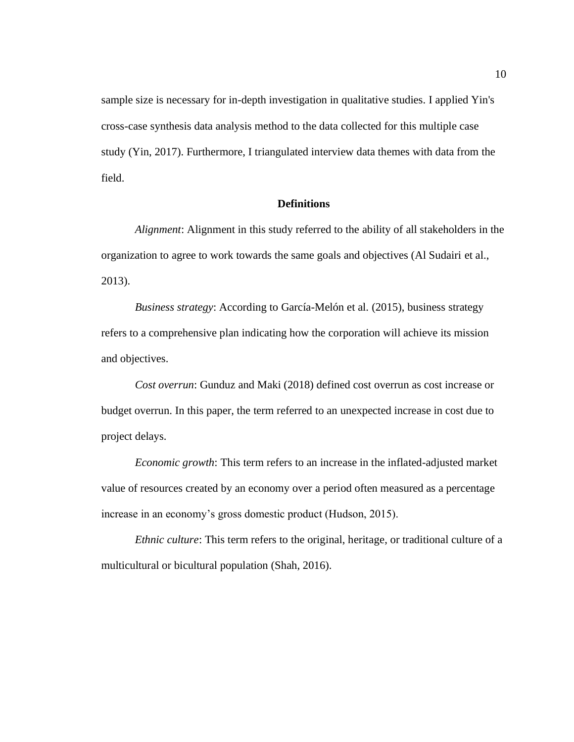sample size is necessary for in-depth investigation in qualitative studies. I applied Yin's cross-case synthesis data analysis method to the data collected for this multiple case study (Yin, 2017). Furthermore, I triangulated interview data themes with data from the field.

# **Definitions**

<span id="page-22-0"></span>*Alignment*: Alignment in this study referred to the ability of all stakeholders in the organization to agree to work towards the same goals and objectives (Al Sudairi et al., 2013).

*Business strategy*: According to García-Melón et al. (2015), business strategy refers to a comprehensive plan indicating how the corporation will achieve its mission and objectives.

*Cost overrun*: Gunduz and Maki (2018) defined cost overrun as cost increase or budget overrun. In this paper, the term referred to an unexpected increase in cost due to project delays.

*Economic growth*: This term refers to an increase in the inflated-adjusted market value of resources created by an economy over a period often measured as a percentage increase in an economy's gross domestic product (Hudson, 2015).

*Ethnic culture*: This term refers to the original, heritage, or traditional culture of a multicultural or bicultural population (Shah, 2016).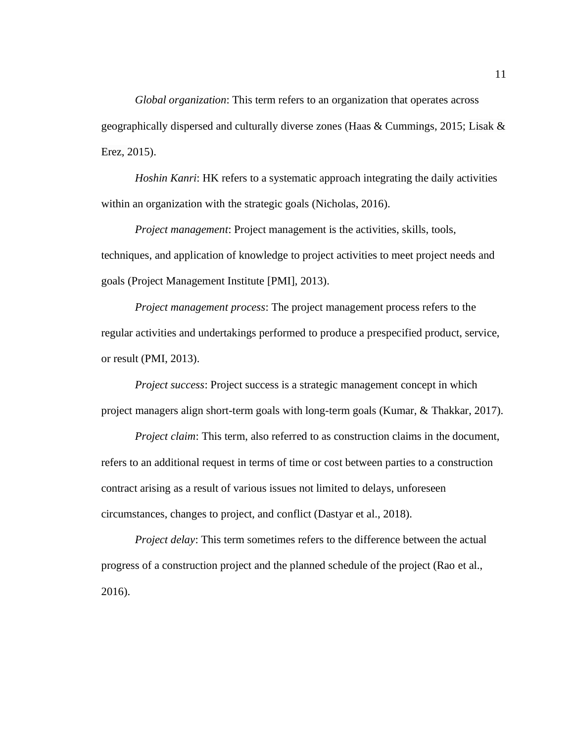*Global organization*: This term refers to an organization that operates across geographically dispersed and culturally diverse zones (Haas & Cummings, 2015; Lisak & Erez, 2015).

*Hoshin Kanri*: HK refers to a systematic approach integrating the daily activities within an organization with the strategic goals (Nicholas, 2016).

*Project management*: Project management is the activities, skills, tools, techniques, and application of knowledge to project activities to meet project needs and goals (Project Management Institute [PMI], 2013).

*Project management process*: The project management process refers to the regular activities and undertakings performed to produce a prespecified product, service, or result (PMI, 2013).

*Project success*: Project success is a strategic management concept in which project managers align short-term goals with long-term goals (Kumar, & Thakkar, 2017).

*Project claim*: This term, also referred to as construction claims in the document, refers to an additional request in terms of time or cost between parties to a construction contract arising as a result of various issues not limited to delays, unforeseen circumstances, changes to project, and conflict (Dastyar et al., 2018).

*Project delay:* This term sometimes refers to the difference between the actual progress of a construction project and the planned schedule of the project (Rao et al., 2016).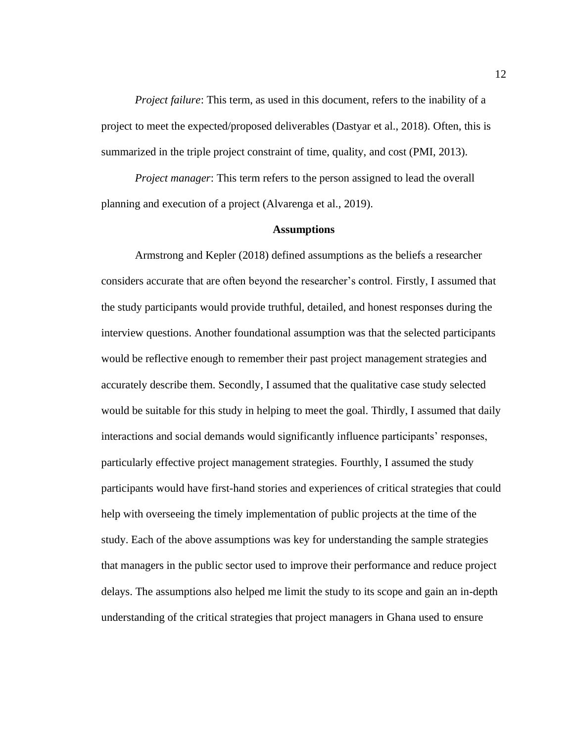*Project failure:* This term, as used in this document, refers to the inability of a project to meet the expected/proposed deliverables (Dastyar et al., 2018). Often, this is summarized in the triple project constraint of time, quality, and cost (PMI, 2013).

*Project manager*: This term refers to the person assigned to lead the overall planning and execution of a project (Alvarenga et al., 2019).

#### **Assumptions**

<span id="page-24-0"></span>Armstrong and Kepler (2018) defined assumptions as the beliefs a researcher considers accurate that are often beyond the researcher's control. Firstly, I assumed that the study participants would provide truthful, detailed, and honest responses during the interview questions. Another foundational assumption was that the selected participants would be reflective enough to remember their past project management strategies and accurately describe them. Secondly, I assumed that the qualitative case study selected would be suitable for this study in helping to meet the goal. Thirdly, I assumed that daily interactions and social demands would significantly influence participants' responses, particularly effective project management strategies. Fourthly, I assumed the study participants would have first-hand stories and experiences of critical strategies that could help with overseeing the timely implementation of public projects at the time of the study. Each of the above assumptions was key for understanding the sample strategies that managers in the public sector used to improve their performance and reduce project delays. The assumptions also helped me limit the study to its scope and gain an in-depth understanding of the critical strategies that project managers in Ghana used to ensure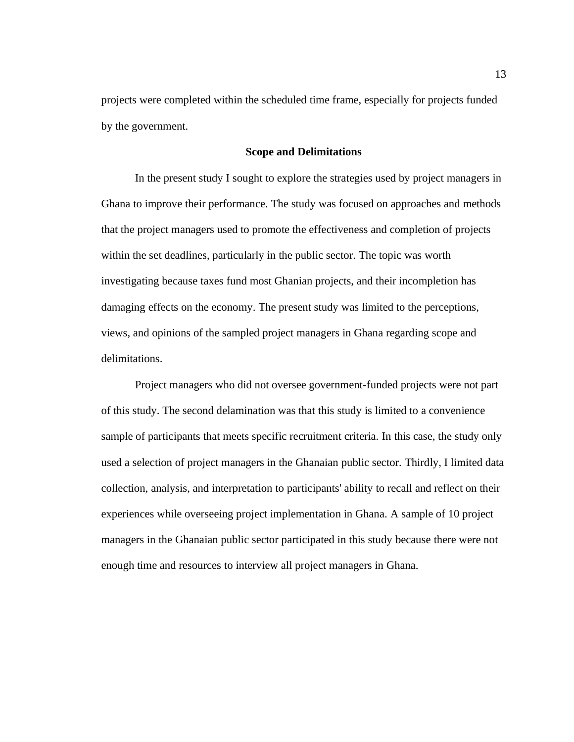projects were completed within the scheduled time frame, especially for projects funded by the government.

## **Scope and Delimitations**

<span id="page-25-0"></span>In the present study I sought to explore the strategies used by project managers in Ghana to improve their performance. The study was focused on approaches and methods that the project managers used to promote the effectiveness and completion of projects within the set deadlines, particularly in the public sector. The topic was worth investigating because taxes fund most Ghanian projects, and their incompletion has damaging effects on the economy. The present study was limited to the perceptions, views, and opinions of the sampled project managers in Ghana regarding scope and delimitations.

Project managers who did not oversee government-funded projects were not part of this study. The second delamination was that this study is limited to a convenience sample of participants that meets specific recruitment criteria. In this case, the study only used a selection of project managers in the Ghanaian public sector. Thirdly, I limited data collection, analysis, and interpretation to participants' ability to recall and reflect on their experiences while overseeing project implementation in Ghana. A sample of 10 project managers in the Ghanaian public sector participated in this study because there were not enough time and resources to interview all project managers in Ghana.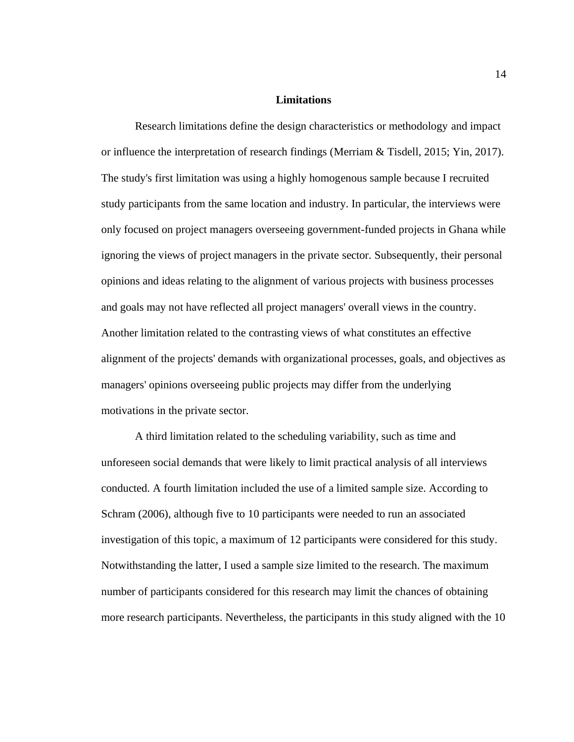#### **Limitations**

<span id="page-26-0"></span>Research limitations define the design characteristics or methodology and impact or influence the interpretation of research findings (Merriam & Tisdell, 2015; Yin, 2017). The study's first limitation was using a highly homogenous sample because I recruited study participants from the same location and industry. In particular, the interviews were only focused on project managers overseeing government-funded projects in Ghana while ignoring the views of project managers in the private sector. Subsequently, their personal opinions and ideas relating to the alignment of various projects with business processes and goals may not have reflected all project managers' overall views in the country. Another limitation related to the contrasting views of what constitutes an effective alignment of the projects' demands with organizational processes, goals, and objectives as managers' opinions overseeing public projects may differ from the underlying motivations in the private sector.

A third limitation related to the scheduling variability, such as time and unforeseen social demands that were likely to limit practical analysis of all interviews conducted. A fourth limitation included the use of a limited sample size. According to Schram (2006), although five to 10 participants were needed to run an associated investigation of this topic, a maximum of 12 participants were considered for this study. Notwithstanding the latter, I used a sample size limited to the research. The maximum number of participants considered for this research may limit the chances of obtaining more research participants. Nevertheless, the participants in this study aligned with the 10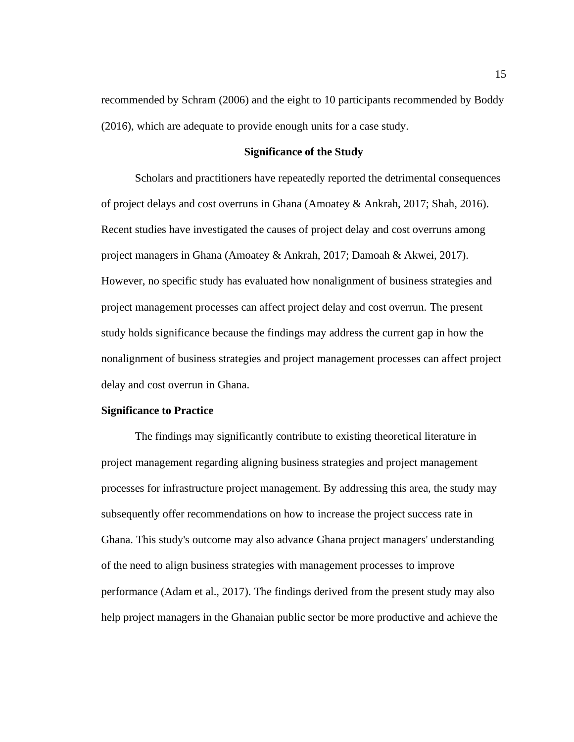recommended by Schram (2006) and the eight to 10 participants recommended by Boddy (2016), which are adequate to provide enough units for a case study.

# **Significance of the Study**

<span id="page-27-0"></span>Scholars and practitioners have repeatedly reported the detrimental consequences of project delays and cost overruns in Ghana (Amoatey & Ankrah, 2017; Shah, 2016). Recent studies have investigated the causes of project delay and cost overruns among project managers in Ghana (Amoatey & Ankrah, 2017; Damoah & Akwei, 2017). However, no specific study has evaluated how nonalignment of business strategies and project management processes can affect project delay and cost overrun. The present study holds significance because the findings may address the current gap in how the nonalignment of business strategies and project management processes can affect project delay and cost overrun in Ghana.

#### <span id="page-27-1"></span>**Significance to Practice**

The findings may significantly contribute to existing theoretical literature in project management regarding aligning business strategies and project management processes for infrastructure project management. By addressing this area, the study may subsequently offer recommendations on how to increase the project success rate in Ghana. This study's outcome may also advance Ghana project managers' understanding of the need to align business strategies with management processes to improve performance (Adam et al., 2017). The findings derived from the present study may also help project managers in the Ghanaian public sector be more productive and achieve the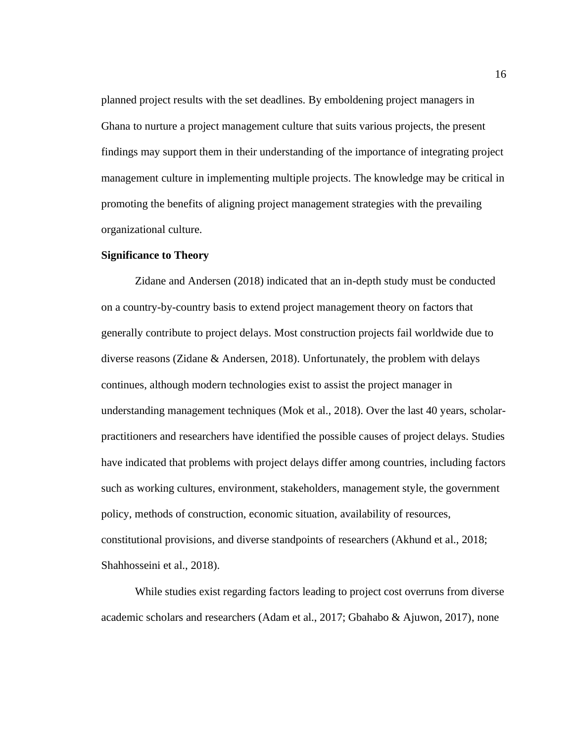planned project results with the set deadlines. By emboldening project managers in Ghana to nurture a project management culture that suits various projects, the present findings may support them in their understanding of the importance of integrating project management culture in implementing multiple projects. The knowledge may be critical in promoting the benefits of aligning project management strategies with the prevailing organizational culture.

#### <span id="page-28-0"></span>**Significance to Theory**

Zidane and Andersen (2018) indicated that an in-depth study must be conducted on a country-by-country basis to extend project management theory on factors that generally contribute to project delays. Most construction projects fail worldwide due to diverse reasons (Zidane  $\&$  Andersen, 2018). Unfortunately, the problem with delays continues, although modern technologies exist to assist the project manager in understanding management techniques (Mok et al., 2018). Over the last 40 years, scholarpractitioners and researchers have identified the possible causes of project delays. Studies have indicated that problems with project delays differ among countries, including factors such as working cultures, environment, stakeholders, management style, the government policy, methods of construction, economic situation, availability of resources, constitutional provisions, and diverse standpoints of researchers (Akhund et al., 2018; Shahhosseini et al., 2018).

While studies exist regarding factors leading to project cost overruns from diverse academic scholars and researchers (Adam et al., 2017; Gbahabo & Ajuwon, 2017), none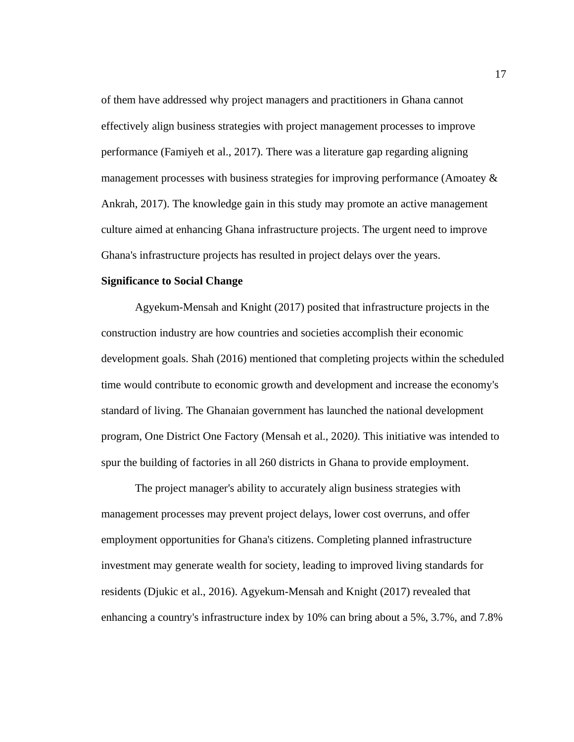of them have addressed why project managers and practitioners in Ghana cannot effectively align business strategies with project management processes to improve performance (Famiyeh et al., 2017). There was a literature gap regarding aligning management processes with business strategies for improving performance (Amoatey  $\&$ Ankrah, 2017). The knowledge gain in this study may promote an active management culture aimed at enhancing Ghana infrastructure projects. The urgent need to improve Ghana's infrastructure projects has resulted in project delays over the years.

#### <span id="page-29-0"></span>**Significance to Social Change**

Agyekum-Mensah and Knight (2017) posited that infrastructure projects in the construction industry are how countries and societies accomplish their economic development goals. Shah (2016) mentioned that completing projects within the scheduled time would contribute to economic growth and development and increase the economy's standard of living. The Ghanaian government has launched the national development program, One District One Factory (Mensah et al., 2020*).* This initiative was intended to spur the building of factories in all 260 districts in Ghana to provide employment.

The project manager's ability to accurately align business strategies with management processes may prevent project delays, lower cost overruns, and offer employment opportunities for Ghana's citizens. Completing planned infrastructure investment may generate wealth for society, leading to improved living standards for residents (Djukic et al., 2016). Agyekum-Mensah and Knight (2017) revealed that enhancing a country's infrastructure index by 10% can bring about a 5%, 3.7%, and 7.8%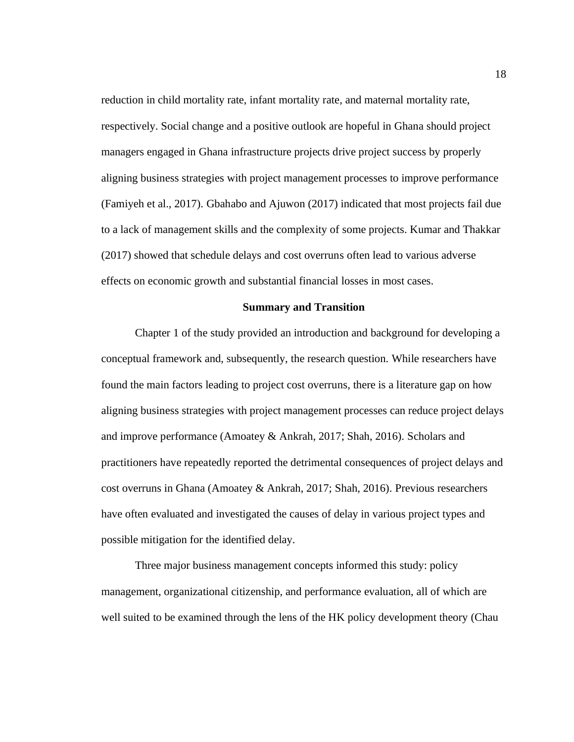reduction in child mortality rate, infant mortality rate, and maternal mortality rate, respectively. Social change and a positive outlook are hopeful in Ghana should project managers engaged in Ghana infrastructure projects drive project success by properly aligning business strategies with project management processes to improve performance (Famiyeh et al., 2017). Gbahabo and Ajuwon (2017) indicated that most projects fail due to a lack of management skills and the complexity of some projects. Kumar and Thakkar (2017) showed that schedule delays and cost overruns often lead to various adverse effects on economic growth and substantial financial losses in most cases.

#### **Summary and Transition**

<span id="page-30-0"></span>Chapter 1 of the study provided an introduction and background for developing a conceptual framework and, subsequently, the research question. While researchers have found the main factors leading to project cost overruns, there is a literature gap on how aligning business strategies with project management processes can reduce project delays and improve performance (Amoatey & Ankrah, 2017; Shah, 2016). Scholars and practitioners have repeatedly reported the detrimental consequences of project delays and cost overruns in Ghana (Amoatey & Ankrah, 2017; Shah, 2016). Previous researchers have often evaluated and investigated the causes of delay in various project types and possible mitigation for the identified delay.

Three major business management concepts informed this study: policy management, organizational citizenship, and performance evaluation, all of which are well suited to be examined through the lens of the HK policy development theory (Chau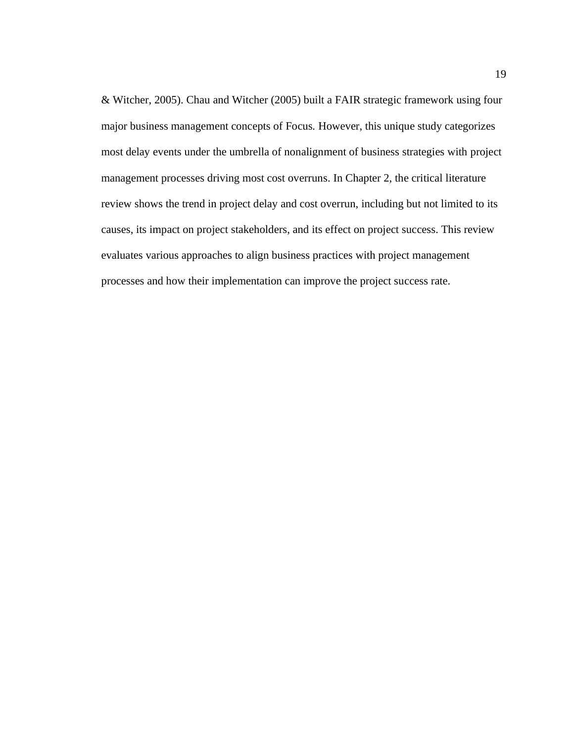& Witcher, 2005). Chau and Witcher (2005) built a FAIR strategic framework using four major business management concepts of Focus*.* However, this unique study categorizes most delay events under the umbrella of nonalignment of business strategies with project management processes driving most cost overruns. In Chapter 2, the critical literature review shows the trend in project delay and cost overrun, including but not limited to its causes, its impact on project stakeholders, and its effect on project success. This review evaluates various approaches to align business practices with project management processes and how their implementation can improve the project success rate.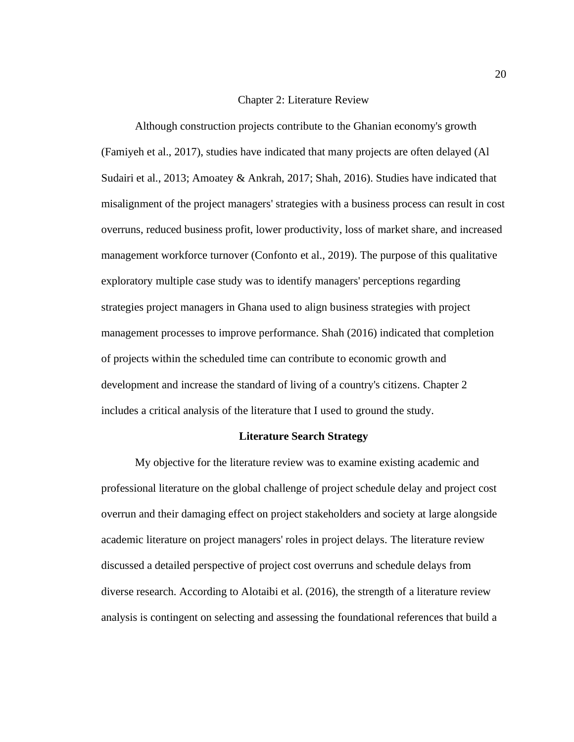#### Chapter 2: Literature Review

<span id="page-32-0"></span>Although construction projects contribute to the Ghanian economy's growth (Famiyeh et al., 2017), studies have indicated that many projects are often delayed (Al Sudairi et al., 2013; Amoatey & Ankrah, 2017; Shah, 2016). Studies have indicated that misalignment of the project managers' strategies with a business process can result in cost overruns, reduced business profit, lower productivity, loss of market share, and increased management workforce turnover (Confonto et al., 2019). The purpose of this qualitative exploratory multiple case study was to identify managers' perceptions regarding strategies project managers in Ghana used to align business strategies with project management processes to improve performance. Shah (2016) indicated that completion of projects within the scheduled time can contribute to economic growth and development and increase the standard of living of a country's citizens. Chapter 2 includes a critical analysis of the literature that I used to ground the study.

#### **Literature Search Strategy**

<span id="page-32-1"></span>My objective for the literature review was to examine existing academic and professional literature on the global challenge of project schedule delay and project cost overrun and their damaging effect on project stakeholders and society at large alongside academic literature on project managers' roles in project delays. The literature review discussed a detailed perspective of project cost overruns and schedule delays from diverse research. According to Alotaibi et al. (2016), the strength of a literature review analysis is contingent on selecting and assessing the foundational references that build a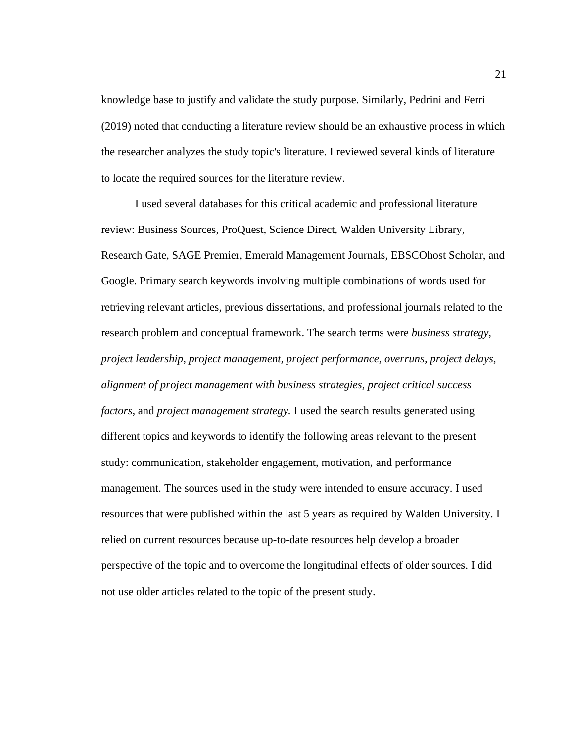knowledge base to justify and validate the study purpose. Similarly, Pedrini and Ferri (2019) noted that conducting a literature review should be an exhaustive process in which the researcher analyzes the study topic's literature. I reviewed several kinds of literature to locate the required sources for the literature review.

I used several databases for this critical academic and professional literature review: Business Sources, ProQuest, Science Direct, Walden University Library, Research Gate, SAGE Premier, Emerald Management Journals, EBSCOhost Scholar, and Google. Primary search keywords involving multiple combinations of words used for retrieving relevant articles, previous dissertations, and professional journals related to the research problem and conceptual framework. The search terms were *business strategy, project leadership, project management, project performance, overruns, project delays, alignment of project management with business strategies, project critical success factors,* and *project management strategy.* I used the search results generated using different topics and keywords to identify the following areas relevant to the present study: communication, stakeholder engagement, motivation, and performance management. The sources used in the study were intended to ensure accuracy. I used resources that were published within the last 5 years as required by Walden University. I relied on current resources because up-to-date resources help develop a broader perspective of the topic and to overcome the longitudinal effects of older sources. I did not use older articles related to the topic of the present study.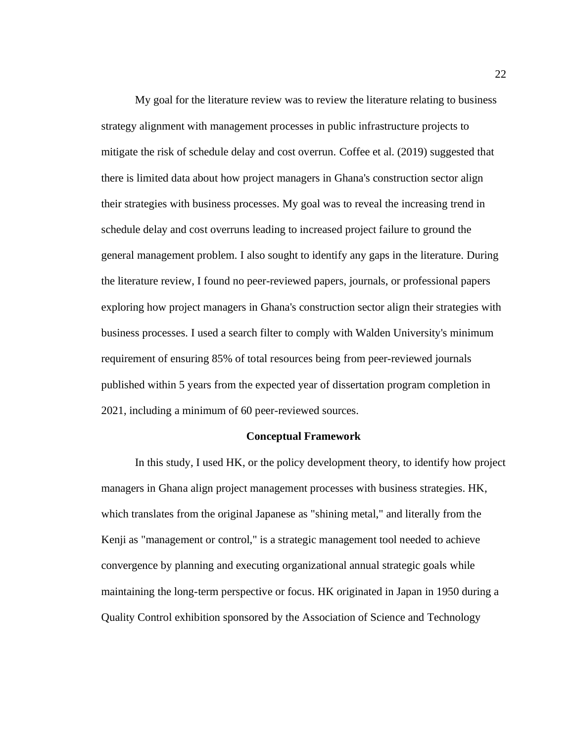My goal for the literature review was to review the literature relating to business strategy alignment with management processes in public infrastructure projects to mitigate the risk of schedule delay and cost overrun. Coffee et al. (2019) suggested that there is limited data about how project managers in Ghana's construction sector align their strategies with business processes. My goal was to reveal the increasing trend in schedule delay and cost overruns leading to increased project failure to ground the general management problem. I also sought to identify any gaps in the literature. During the literature review, I found no peer-reviewed papers, journals, or professional papers exploring how project managers in Ghana's construction sector align their strategies with business processes. I used a search filter to comply with Walden University's minimum requirement of ensuring 85% of total resources being from peer-reviewed journals published within 5 years from the expected year of dissertation program completion in 2021, including a minimum of 60 peer-reviewed sources.

#### **Conceptual Framework**

<span id="page-34-0"></span>In this study, I used HK, or the policy development theory, to identify how project managers in Ghana align project management processes with business strategies. HK, which translates from the original Japanese as "shining metal," and literally from the Kenji as "management or control," is a strategic management tool needed to achieve convergence by planning and executing organizational annual strategic goals while maintaining the long-term perspective or focus. HK originated in Japan in 1950 during a Quality Control exhibition sponsored by the Association of Science and Technology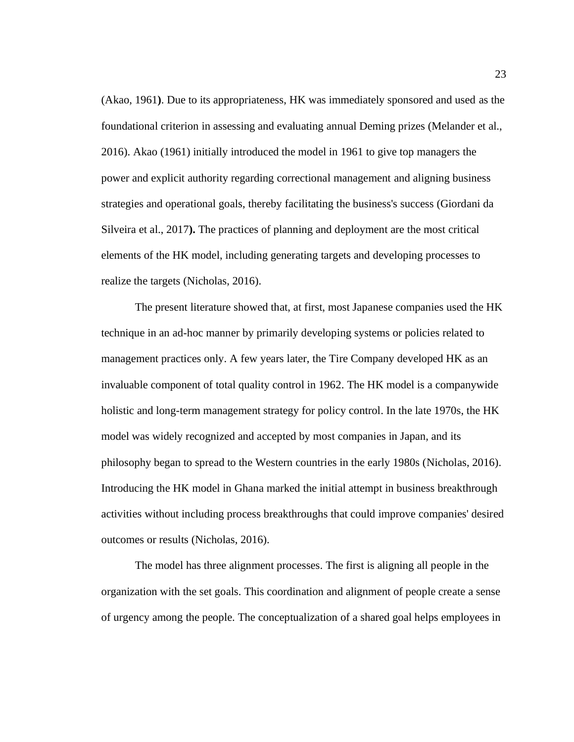(Akao, 1961**)**. Due to its appropriateness, HK was immediately sponsored and used as the foundational criterion in assessing and evaluating annual Deming prizes (Melander et al., 2016). Akao (1961) initially introduced the model in 1961 to give top managers the power and explicit authority regarding correctional management and aligning business strategies and operational goals, thereby facilitating the business's success (Giordani da Silveira et al., 2017**).** The practices of planning and deployment are the most critical elements of the HK model, including generating targets and developing processes to realize the targets (Nicholas, 2016).

The present literature showed that, at first, most Japanese companies used the HK technique in an ad-hoc manner by primarily developing systems or policies related to management practices only. A few years later, the Tire Company developed HK as an invaluable component of total quality control in 1962. The HK model is a companywide holistic and long-term management strategy for policy control. In the late 1970s, the HK model was widely recognized and accepted by most companies in Japan, and its philosophy began to spread to the Western countries in the early 1980s (Nicholas, 2016). Introducing the HK model in Ghana marked the initial attempt in business breakthrough activities without including process breakthroughs that could improve companies' desired outcomes or results (Nicholas, 2016).

The model has three alignment processes. The first is aligning all people in the organization with the set goals. This coordination and alignment of people create a sense of urgency among the people. The conceptualization of a shared goal helps employees in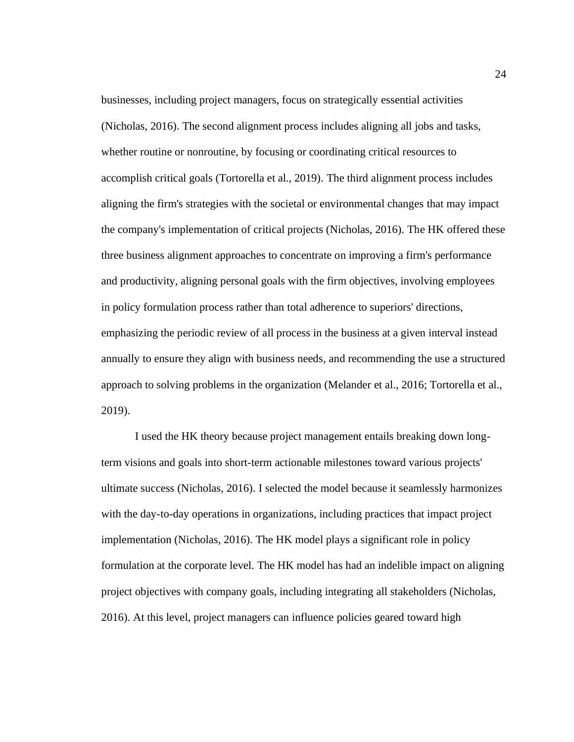businesses, including project managers, focus on strategically essential activities (Nicholas, 2016). The second alignment process includes aligning all jobs and tasks, whether routine or nonroutine, by focusing or coordinating critical resources to accomplish critical goals (Tortorella et al., 2019). The third alignment process includes aligning the firm's strategies with the societal or environmental changes that may impact the company's implementation of critical projects (Nicholas, 2016). The HK offered these three business alignment approaches to concentrate on improving a firm's performance and productivity, aligning personal goals with the firm objectives, involving employees in policy formulation process rather than total adherence to superiors' directions, emphasizing the periodic review of all process in the business at a given interval instead annually to ensure they align with business needs, and recommending the use a structured approach to solving problems in the organization (Melander et al., 2016; Tortorella et al., 2019).

I used the HK theory because project management entails breaking down longterm visions and goals into short-term actionable milestones toward various projects' ultimate success (Nicholas, 2016). I selected the model because it seamlessly harmonizes with the day-to-day operations in organizations, including practices that impact project implementation (Nicholas, 2016). The HK model plays a significant role in policy formulation at the corporate level. The HK model has had an indelible impact on aligning project objectives with company goals, including integrating all stakeholders (Nicholas, 2016). At this level, project managers can influence policies geared toward high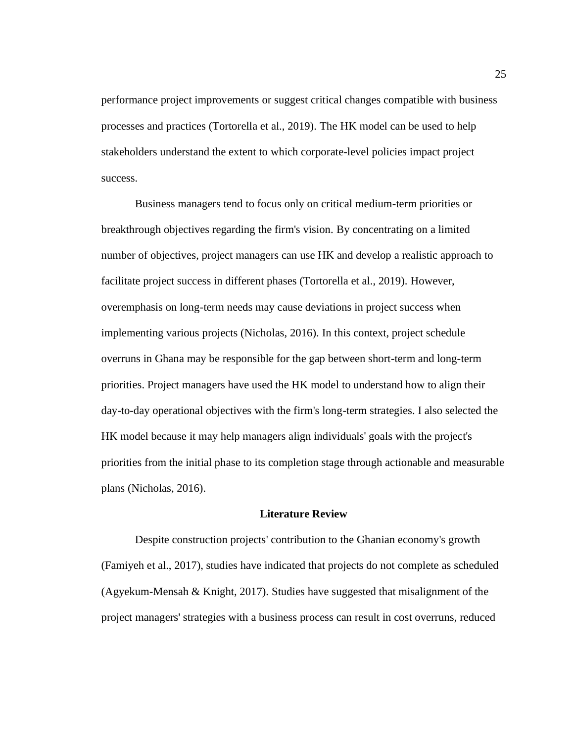performance project improvements or suggest critical changes compatible with business processes and practices (Tortorella et al., 2019). The HK model can be used to help stakeholders understand the extent to which corporate-level policies impact project success.

Business managers tend to focus only on critical medium-term priorities or breakthrough objectives regarding the firm's vision. By concentrating on a limited number of objectives, project managers can use HK and develop a realistic approach to facilitate project success in different phases (Tortorella et al., 2019). However, overemphasis on long-term needs may cause deviations in project success when implementing various projects (Nicholas, 2016). In this context, project schedule overruns in Ghana may be responsible for the gap between short-term and long-term priorities. Project managers have used the HK model to understand how to align their day-to-day operational objectives with the firm's long-term strategies. I also selected the HK model because it may help managers align individuals' goals with the project's priorities from the initial phase to its completion stage through actionable and measurable plans (Nicholas, 2016).

### **Literature Review**

Despite construction projects' contribution to the Ghanian economy's growth (Famiyeh et al., 2017), studies have indicated that projects do not complete as scheduled (Agyekum-Mensah & Knight, 2017). Studies have suggested that misalignment of the project managers' strategies with a business process can result in cost overruns, reduced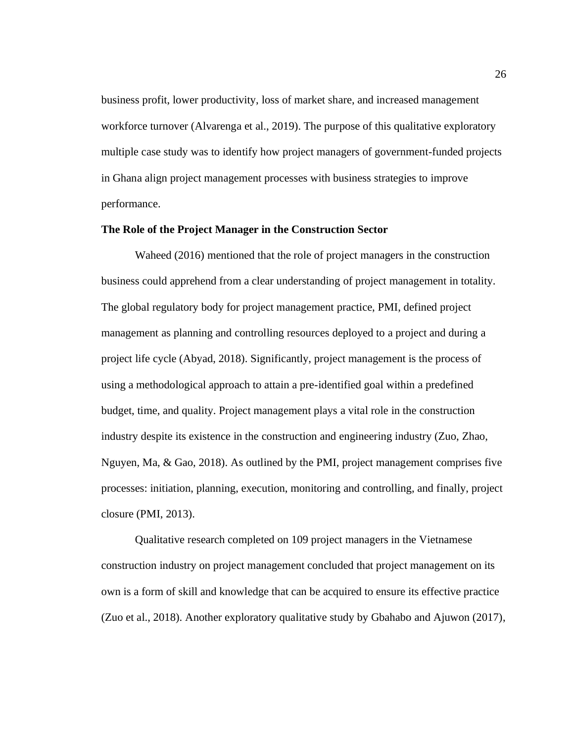business profit, lower productivity, loss of market share, and increased management workforce turnover (Alvarenga et al., 2019). The purpose of this qualitative exploratory multiple case study was to identify how project managers of government-funded projects in Ghana align project management processes with business strategies to improve performance.

# **The Role of the Project Manager in the Construction Sector**

Waheed (2016) mentioned that the role of project managers in the construction business could apprehend from a clear understanding of project management in totality. The global regulatory body for project management practice, PMI, defined project management as planning and controlling resources deployed to a project and during a project life cycle (Abyad, 2018). Significantly, project management is the process of using a methodological approach to attain a pre-identified goal within a predefined budget, time, and quality. Project management plays a vital role in the construction industry despite its existence in the construction and engineering industry (Zuo, Zhao, Nguyen, Ma, & Gao, 2018). As outlined by the PMI, project management comprises five processes: initiation, planning, execution, monitoring and controlling, and finally, project closure (PMI, 2013).

Qualitative research completed on 109 project managers in the Vietnamese construction industry on project management concluded that project management on its own is a form of skill and knowledge that can be acquired to ensure its effective practice (Zuo et al., 2018). Another exploratory qualitative study by Gbahabo and Ajuwon (2017),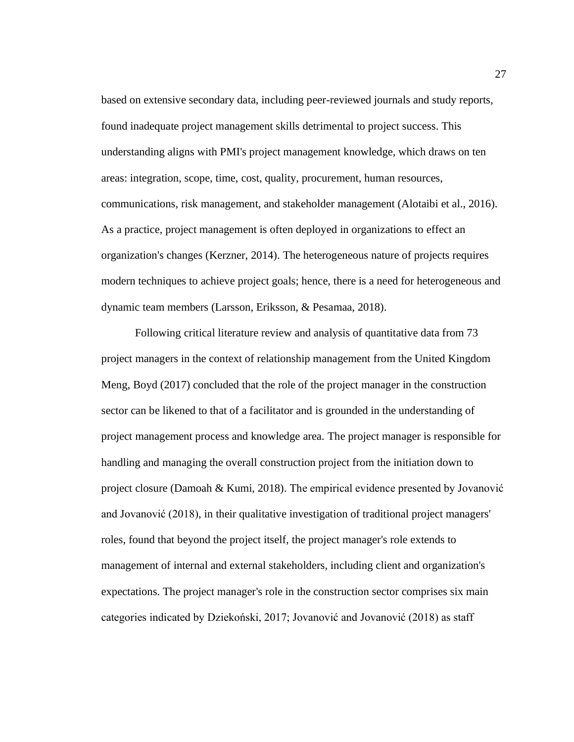based on extensive secondary data, including peer-reviewed journals and study reports, found inadequate project management skills detrimental to project success. This understanding aligns with PMI's project management knowledge, which draws on ten areas: integration, scope, time, cost, quality, procurement, human resources, communications, risk management, and stakeholder management (Alotaibi et al., 2016). As a practice, project management is often deployed in organizations to effect an organization's changes (Kerzner, 2014). The heterogeneous nature of projects requires modern techniques to achieve project goals; hence, there is a need for heterogeneous and dynamic team members (Larsson, Eriksson, & Pesamaa, 2018).

Following critical literature review and analysis of quantitative data from 73 project managers in the context of relationship management from the United Kingdom Meng, Boyd (2017) concluded that the role of the project manager in the construction sector can be likened to that of a facilitator and is grounded in the understanding of project management process and knowledge area. The project manager is responsible for handling and managing the overall construction project from the initiation down to project closure (Damoah & Kumi, 2018). The empirical evidence presented by Jovanović and Jovanović (2018), in their qualitative investigation of traditional project managers' roles, found that beyond the project itself, the project manager's role extends to management of internal and external stakeholders, including client and organization's expectations. The project manager's role in the construction sector comprises six main categories indicated by Dziekoński, 2017; Jovanović and Jovanović (2018) as staff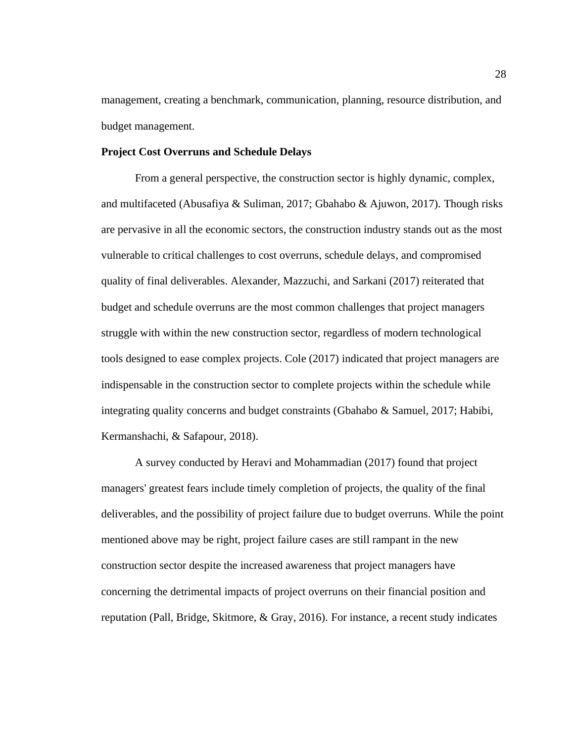management, creating a benchmark, communication, planning, resource distribution, and budget management.

# **Project Cost Overruns and Schedule Delays**

From a general perspective, the construction sector is highly dynamic, complex, and multifaceted (Abusafiya & Suliman, 2017; Gbahabo & Ajuwon, 2017). Though risks are pervasive in all the economic sectors, the construction industry stands out as the most vulnerable to critical challenges to cost overruns, schedule delays, and compromised quality of final deliverables. Alexander, Mazzuchi, and Sarkani (2017) reiterated that budget and schedule overruns are the most common challenges that project managers struggle with within the new construction sector, regardless of modern technological tools designed to ease complex projects. Cole (2017) indicated that project managers are indispensable in the construction sector to complete projects within the schedule while integrating quality concerns and budget constraints (Gbahabo & Samuel, 2017; Habibi, Kermanshachi, & Safapour, 2018).

A survey conducted by Heravi and Mohammadian (2017) found that project managers' greatest fears include timely completion of projects, the quality of the final deliverables, and the possibility of project failure due to budget overruns. While the point mentioned above may be right, project failure cases are still rampant in the new construction sector despite the increased awareness that project managers have concerning the detrimental impacts of project overruns on their financial position and reputation (Pall, Bridge, Skitmore, & Gray, 2016). For instance, a recent study indicates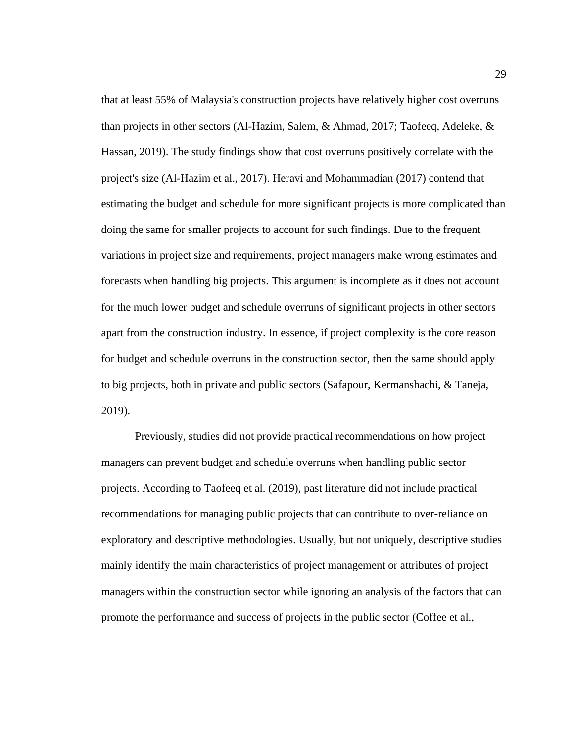that at least 55% of Malaysia's construction projects have relatively higher cost overruns than projects in other sectors (Al-Hazim, Salem, & Ahmad, 2017; Taofeeq, Adeleke, & Hassan, 2019). The study findings show that cost overruns positively correlate with the project's size (Al-Hazim et al., 2017). Heravi and Mohammadian (2017) contend that estimating the budget and schedule for more significant projects is more complicated than doing the same for smaller projects to account for such findings. Due to the frequent variations in project size and requirements, project managers make wrong estimates and forecasts when handling big projects. This argument is incomplete as it does not account for the much lower budget and schedule overruns of significant projects in other sectors apart from the construction industry. In essence, if project complexity is the core reason for budget and schedule overruns in the construction sector, then the same should apply to big projects, both in private and public sectors (Safapour, Kermanshachi, & Taneja, 2019).

Previously, studies did not provide practical recommendations on how project managers can prevent budget and schedule overruns when handling public sector projects. According to Taofeeq et al. (2019), past literature did not include practical recommendations for managing public projects that can contribute to over-reliance on exploratory and descriptive methodologies. Usually, but not uniquely, descriptive studies mainly identify the main characteristics of project management or attributes of project managers within the construction sector while ignoring an analysis of the factors that can promote the performance and success of projects in the public sector (Coffee et al.,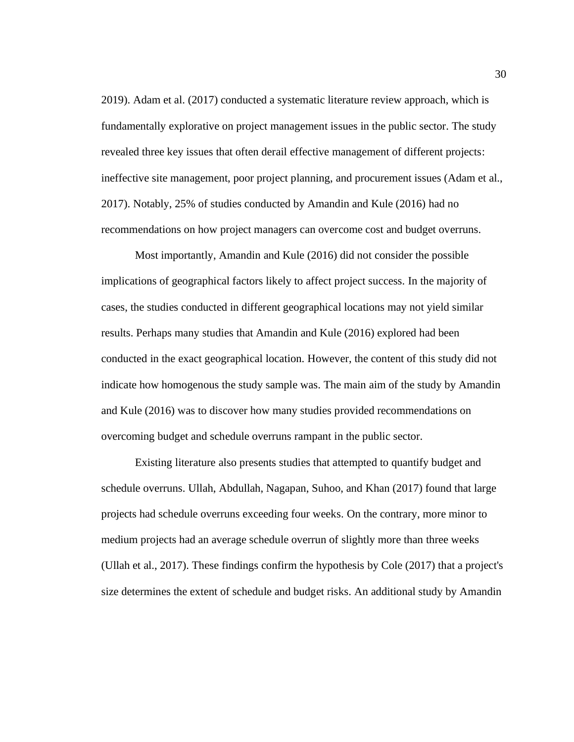2019). Adam et al. (2017) conducted a systematic literature review approach, which is fundamentally explorative on project management issues in the public sector. The study revealed three key issues that often derail effective management of different projects: ineffective site management, poor project planning, and procurement issues (Adam et al., 2017). Notably, 25% of studies conducted by Amandin and Kule (2016) had no recommendations on how project managers can overcome cost and budget overruns.

Most importantly, Amandin and Kule (2016) did not consider the possible implications of geographical factors likely to affect project success. In the majority of cases, the studies conducted in different geographical locations may not yield similar results. Perhaps many studies that Amandin and Kule (2016) explored had been conducted in the exact geographical location. However, the content of this study did not indicate how homogenous the study sample was. The main aim of the study by Amandin and Kule (2016) was to discover how many studies provided recommendations on overcoming budget and schedule overruns rampant in the public sector.

Existing literature also presents studies that attempted to quantify budget and schedule overruns. Ullah, Abdullah, Nagapan, Suhoo, and Khan (2017) found that large projects had schedule overruns exceeding four weeks. On the contrary, more minor to medium projects had an average schedule overrun of slightly more than three weeks (Ullah et al., 2017). These findings confirm the hypothesis by Cole (2017) that a project's size determines the extent of schedule and budget risks. An additional study by Amandin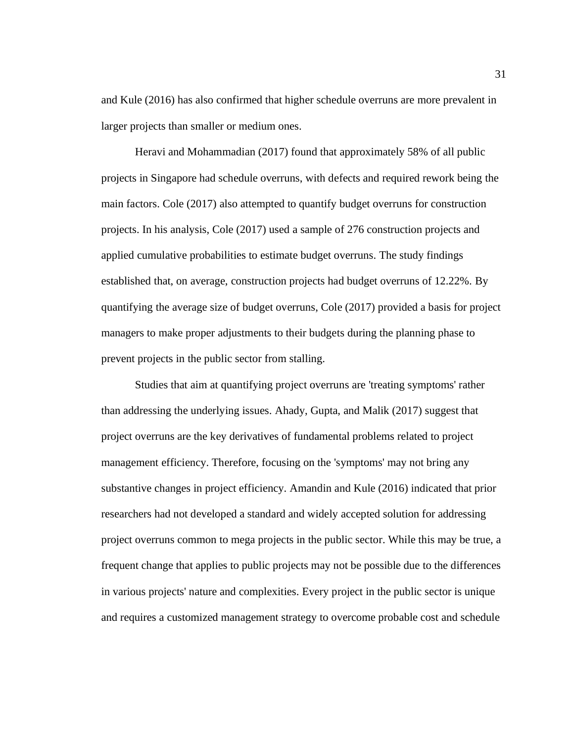and Kule (2016) has also confirmed that higher schedule overruns are more prevalent in larger projects than smaller or medium ones.

Heravi and Mohammadian (2017) found that approximately 58% of all public projects in Singapore had schedule overruns, with defects and required rework being the main factors. Cole (2017) also attempted to quantify budget overruns for construction projects. In his analysis, Cole (2017) used a sample of 276 construction projects and applied cumulative probabilities to estimate budget overruns. The study findings established that, on average, construction projects had budget overruns of 12.22%. By quantifying the average size of budget overruns, Cole (2017) provided a basis for project managers to make proper adjustments to their budgets during the planning phase to prevent projects in the public sector from stalling.

Studies that aim at quantifying project overruns are 'treating symptoms' rather than addressing the underlying issues. Ahady, Gupta, and Malik (2017) suggest that project overruns are the key derivatives of fundamental problems related to project management efficiency. Therefore, focusing on the 'symptoms' may not bring any substantive changes in project efficiency. Amandin and Kule (2016) indicated that prior researchers had not developed a standard and widely accepted solution for addressing project overruns common to mega projects in the public sector. While this may be true, a frequent change that applies to public projects may not be possible due to the differences in various projects' nature and complexities. Every project in the public sector is unique and requires a customized management strategy to overcome probable cost and schedule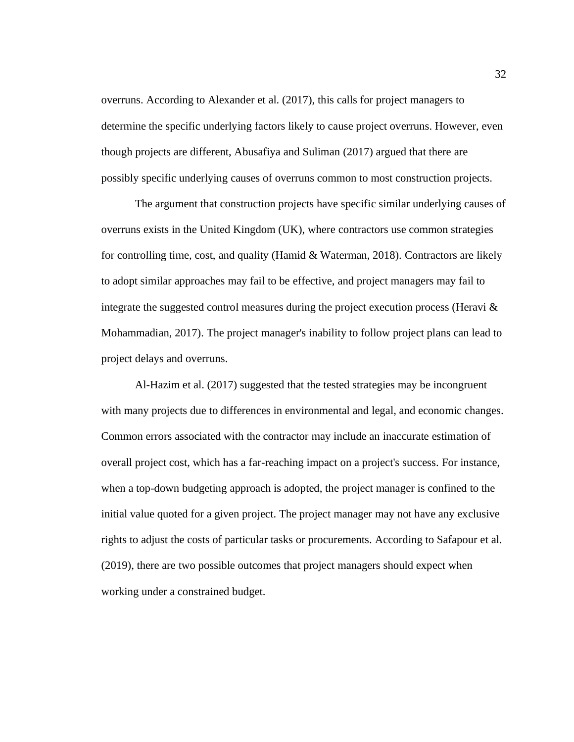overruns. According to Alexander et al. (2017), this calls for project managers to determine the specific underlying factors likely to cause project overruns. However, even though projects are different, Abusafiya and Suliman (2017) argued that there are possibly specific underlying causes of overruns common to most construction projects.

The argument that construction projects have specific similar underlying causes of overruns exists in the United Kingdom (UK), where contractors use common strategies for controlling time, cost, and quality (Hamid & Waterman, 2018). Contractors are likely to adopt similar approaches may fail to be effective, and project managers may fail to integrate the suggested control measures during the project execution process (Heravi  $\&$ Mohammadian, 2017). The project manager's inability to follow project plans can lead to project delays and overruns.

Al-Hazim et al. (2017) suggested that the tested strategies may be incongruent with many projects due to differences in environmental and legal, and economic changes. Common errors associated with the contractor may include an inaccurate estimation of overall project cost, which has a far-reaching impact on a project's success. For instance, when a top-down budgeting approach is adopted, the project manager is confined to the initial value quoted for a given project. The project manager may not have any exclusive rights to adjust the costs of particular tasks or procurements. According to Safapour et al. (2019), there are two possible outcomes that project managers should expect when working under a constrained budget.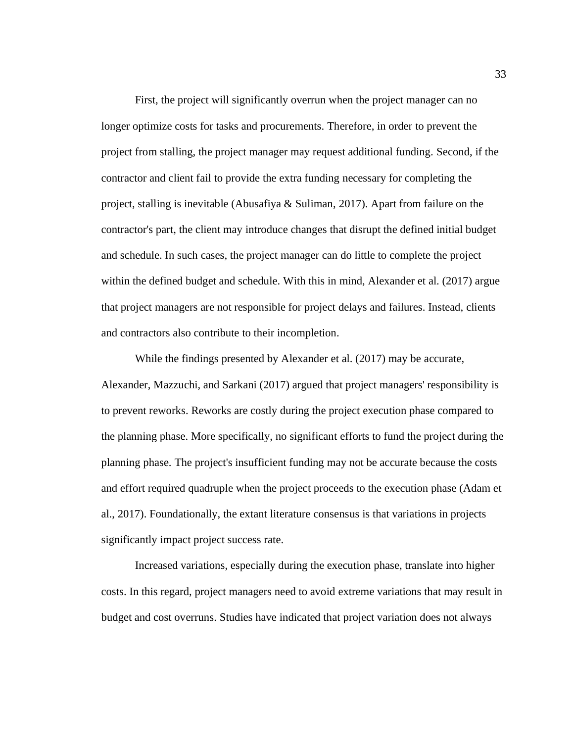First, the project will significantly overrun when the project manager can no longer optimize costs for tasks and procurements. Therefore, in order to prevent the project from stalling, the project manager may request additional funding. Second, if the contractor and client fail to provide the extra funding necessary for completing the project, stalling is inevitable (Abusafiya & Suliman, 2017). Apart from failure on the contractor's part, the client may introduce changes that disrupt the defined initial budget and schedule. In such cases, the project manager can do little to complete the project within the defined budget and schedule. With this in mind, Alexander et al. (2017) argue that project managers are not responsible for project delays and failures. Instead, clients and contractors also contribute to their incompletion.

While the findings presented by Alexander et al. (2017) may be accurate, Alexander, Mazzuchi, and Sarkani (2017) argued that project managers' responsibility is to prevent reworks. Reworks are costly during the project execution phase compared to the planning phase. More specifically, no significant efforts to fund the project during the planning phase. The project's insufficient funding may not be accurate because the costs and effort required quadruple when the project proceeds to the execution phase (Adam et al., 2017). Foundationally, the extant literature consensus is that variations in projects significantly impact project success rate.

Increased variations, especially during the execution phase, translate into higher costs. In this regard, project managers need to avoid extreme variations that may result in budget and cost overruns. Studies have indicated that project variation does not always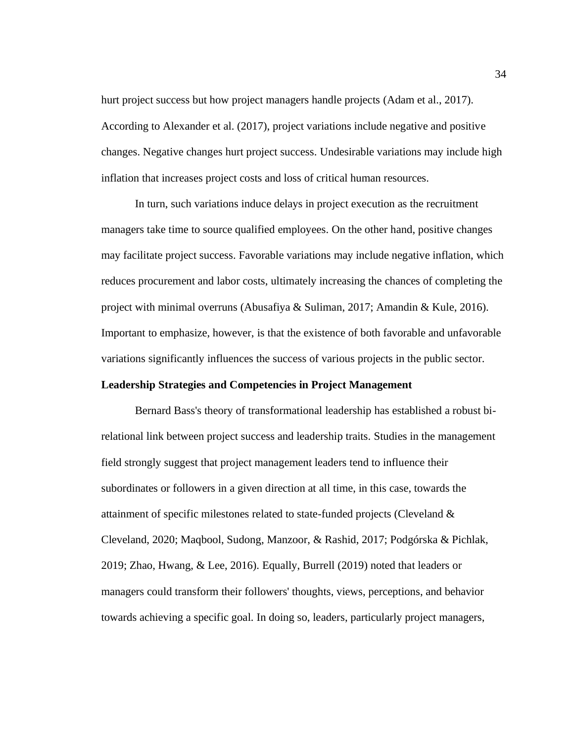hurt project success but how project managers handle projects (Adam et al., 2017). According to Alexander et al. (2017), project variations include negative and positive changes. Negative changes hurt project success. Undesirable variations may include high inflation that increases project costs and loss of critical human resources.

In turn, such variations induce delays in project execution as the recruitment managers take time to source qualified employees. On the other hand, positive changes may facilitate project success. Favorable variations may include negative inflation, which reduces procurement and labor costs, ultimately increasing the chances of completing the project with minimal overruns (Abusafiya & Suliman, 2017; Amandin & Kule, 2016). Important to emphasize, however, is that the existence of both favorable and unfavorable variations significantly influences the success of various projects in the public sector.

## **Leadership Strategies and Competencies in Project Management**

Bernard Bass's theory of transformational leadership has established a robust birelational link between project success and leadership traits. Studies in the management field strongly suggest that project management leaders tend to influence their subordinates or followers in a given direction at all time, in this case, towards the attainment of specific milestones related to state-funded projects (Cleveland & Cleveland, 2020; Maqbool, Sudong, Manzoor, & Rashid, 2017; Podgórska & Pichlak, 2019; Zhao, Hwang, & Lee, 2016). Equally, Burrell (2019) noted that leaders or managers could transform their followers' thoughts, views, perceptions, and behavior towards achieving a specific goal. In doing so, leaders, particularly project managers,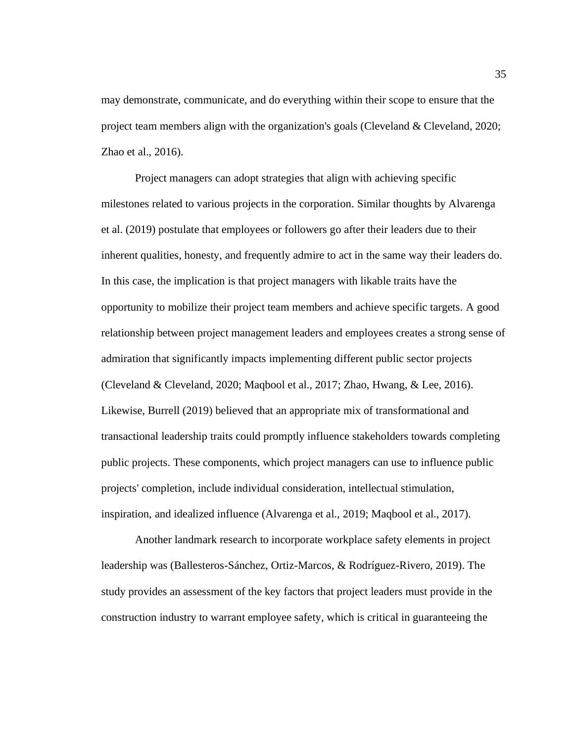may demonstrate, communicate, and do everything within their scope to ensure that the project team members align with the organization's goals (Cleveland & Cleveland, 2020; Zhao et al., 2016).

Project managers can adopt strategies that align with achieving specific milestones related to various projects in the corporation. Similar thoughts by Alvarenga et al. (2019) postulate that employees or followers go after their leaders due to their inherent qualities, honesty, and frequently admire to act in the same way their leaders do. In this case, the implication is that project managers with likable traits have the opportunity to mobilize their project team members and achieve specific targets. A good relationship between project management leaders and employees creates a strong sense of admiration that significantly impacts implementing different public sector projects (Cleveland & Cleveland, 2020; Maqbool et al., 2017; Zhao, Hwang, & Lee, 2016). Likewise, Burrell (2019) believed that an appropriate mix of transformational and transactional leadership traits could promptly influence stakeholders towards completing public projects. These components, which project managers can use to influence public projects' completion, include individual consideration, intellectual stimulation, inspiration, and idealized influence (Alvarenga et al., 2019; Maqbool et al., 2017).

Another landmark research to incorporate workplace safety elements in project leadership was (Ballesteros-Sánchez, Ortiz-Marcos, & Rodríguez-Rivero, 2019). The study provides an assessment of the key factors that project leaders must provide in the construction industry to warrant employee safety, which is critical in guaranteeing the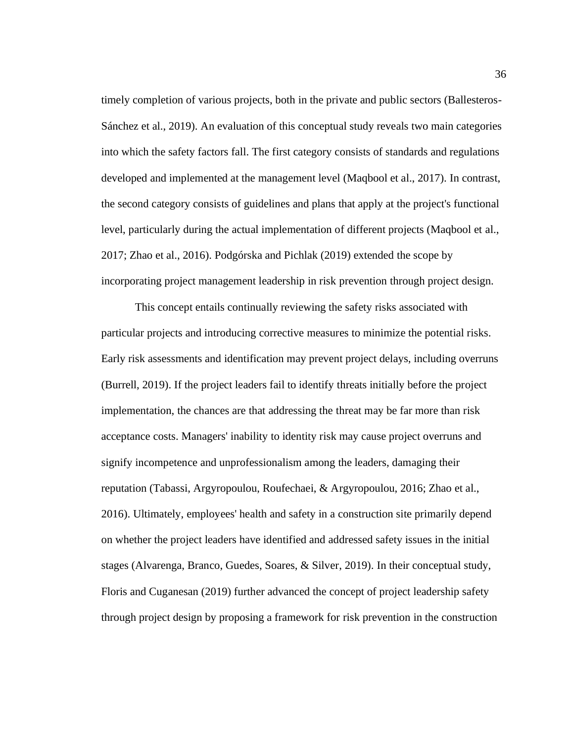timely completion of various projects, both in the private and public sectors (Ballesteros-Sánchez et al., 2019). An evaluation of this conceptual study reveals two main categories into which the safety factors fall. The first category consists of standards and regulations developed and implemented at the management level (Maqbool et al., 2017). In contrast, the second category consists of guidelines and plans that apply at the project's functional level, particularly during the actual implementation of different projects (Maqbool et al., 2017; Zhao et al., 2016). Podgórska and Pichlak (2019) extended the scope by incorporating project management leadership in risk prevention through project design.

This concept entails continually reviewing the safety risks associated with particular projects and introducing corrective measures to minimize the potential risks. Early risk assessments and identification may prevent project delays, including overruns (Burrell, 2019). If the project leaders fail to identify threats initially before the project implementation, the chances are that addressing the threat may be far more than risk acceptance costs. Managers' inability to identity risk may cause project overruns and signify incompetence and unprofessionalism among the leaders, damaging their reputation (Tabassi, Argyropoulou, Roufechaei, & Argyropoulou, 2016; Zhao et al., 2016). Ultimately, employees' health and safety in a construction site primarily depend on whether the project leaders have identified and addressed safety issues in the initial stages (Alvarenga, Branco, Guedes, Soares, & Silver, 2019). In their conceptual study, Floris and Cuganesan (2019) further advanced the concept of project leadership safety through project design by proposing a framework for risk prevention in the construction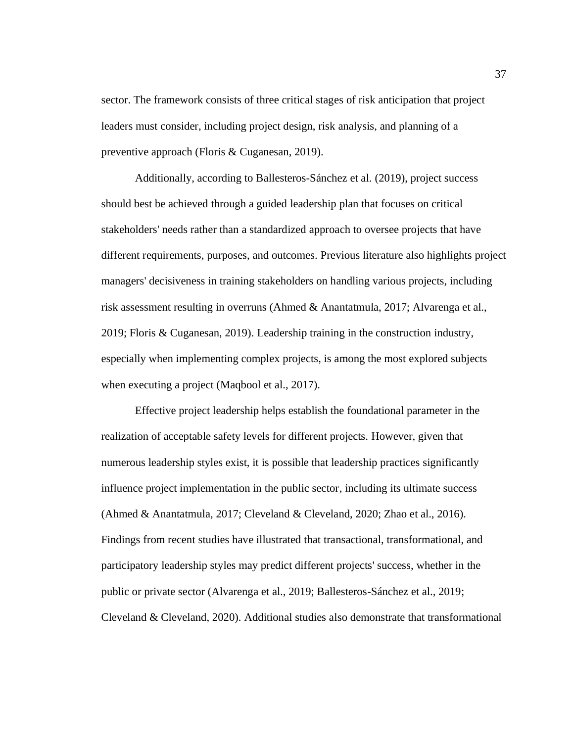sector. The framework consists of three critical stages of risk anticipation that project leaders must consider, including project design, risk analysis, and planning of a preventive approach (Floris & Cuganesan, 2019).

Additionally, according to Ballesteros-Sánchez et al. (2019), project success should best be achieved through a guided leadership plan that focuses on critical stakeholders' needs rather than a standardized approach to oversee projects that have different requirements, purposes, and outcomes. Previous literature also highlights project managers' decisiveness in training stakeholders on handling various projects, including risk assessment resulting in overruns (Ahmed & Anantatmula, 2017; Alvarenga et al., 2019; Floris & Cuganesan, 2019). Leadership training in the construction industry, especially when implementing complex projects, is among the most explored subjects when executing a project (Maqbool et al., 2017).

Effective project leadership helps establish the foundational parameter in the realization of acceptable safety levels for different projects. However, given that numerous leadership styles exist, it is possible that leadership practices significantly influence project implementation in the public sector, including its ultimate success (Ahmed & Anantatmula, 2017; Cleveland & Cleveland, 2020; Zhao et al., 2016). Findings from recent studies have illustrated that transactional, transformational, and participatory leadership styles may predict different projects' success, whether in the public or private sector (Alvarenga et al., 2019; Ballesteros-Sánchez et al., 2019; Cleveland & Cleveland, 2020). Additional studies also demonstrate that transformational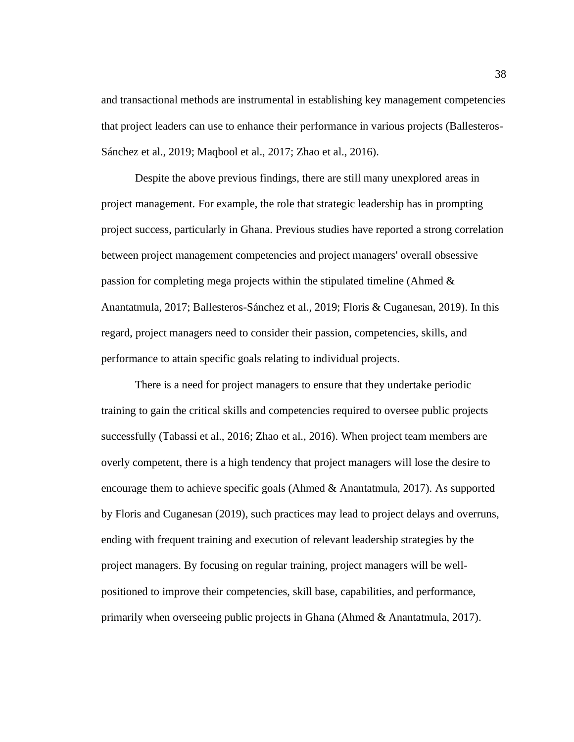and transactional methods are instrumental in establishing key management competencies that project leaders can use to enhance their performance in various projects (Ballesteros-Sánchez et al., 2019; Maqbool et al., 2017; Zhao et al., 2016).

Despite the above previous findings, there are still many unexplored areas in project management. For example, the role that strategic leadership has in prompting project success, particularly in Ghana. Previous studies have reported a strong correlation between project management competencies and project managers' overall obsessive passion for completing mega projects within the stipulated timeline (Ahmed & Anantatmula, 2017; Ballesteros-Sánchez et al., 2019; Floris & Cuganesan, 2019). In this regard, project managers need to consider their passion, competencies, skills, and performance to attain specific goals relating to individual projects.

There is a need for project managers to ensure that they undertake periodic training to gain the critical skills and competencies required to oversee public projects successfully (Tabassi et al., 2016; Zhao et al., 2016). When project team members are overly competent, there is a high tendency that project managers will lose the desire to encourage them to achieve specific goals (Ahmed & Anantatmula, 2017). As supported by Floris and Cuganesan (2019), such practices may lead to project delays and overruns, ending with frequent training and execution of relevant leadership strategies by the project managers. By focusing on regular training, project managers will be wellpositioned to improve their competencies, skill base, capabilities, and performance, primarily when overseeing public projects in Ghana (Ahmed & Anantatmula, 2017).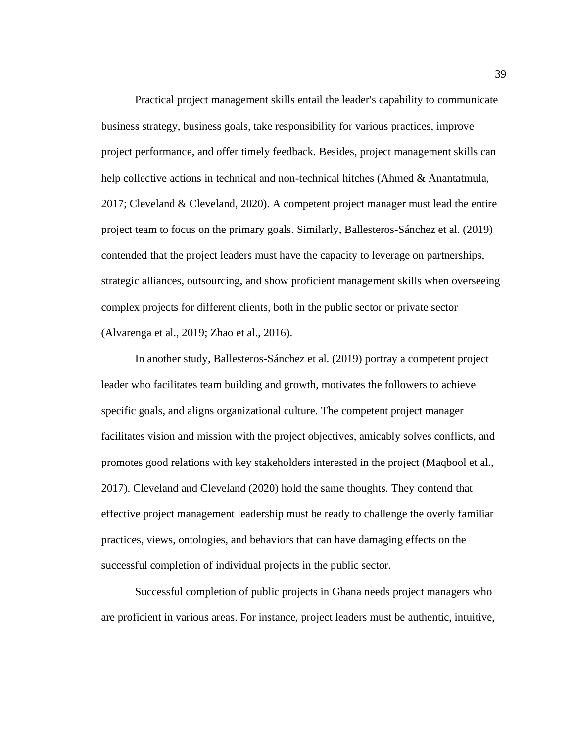Practical project management skills entail the leader's capability to communicate business strategy, business goals, take responsibility for various practices, improve project performance, and offer timely feedback. Besides, project management skills can help collective actions in technical and non-technical hitches (Ahmed & Anantatmula, 2017; Cleveland & Cleveland, 2020). A competent project manager must lead the entire project team to focus on the primary goals. Similarly, Ballesteros-Sánchez et al. (2019) contended that the project leaders must have the capacity to leverage on partnerships, strategic alliances, outsourcing, and show proficient management skills when overseeing complex projects for different clients, both in the public sector or private sector (Alvarenga et al., 2019; Zhao et al., 2016).

In another study, Ballesteros-Sánchez et al. (2019) portray a competent project leader who facilitates team building and growth, motivates the followers to achieve specific goals, and aligns organizational culture. The competent project manager facilitates vision and mission with the project objectives, amicably solves conflicts, and promotes good relations with key stakeholders interested in the project (Maqbool et al., 2017). Cleveland and Cleveland (2020) hold the same thoughts. They contend that effective project management leadership must be ready to challenge the overly familiar practices, views, ontologies, and behaviors that can have damaging effects on the successful completion of individual projects in the public sector.

Successful completion of public projects in Ghana needs project managers who are proficient in various areas. For instance, project leaders must be authentic, intuitive,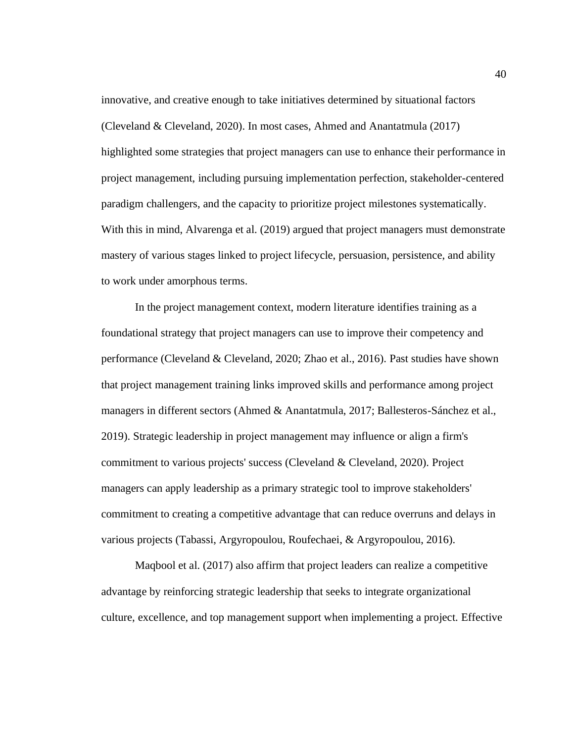innovative, and creative enough to take initiatives determined by situational factors (Cleveland & Cleveland, 2020). In most cases, Ahmed and Anantatmula (2017) highlighted some strategies that project managers can use to enhance their performance in project management, including pursuing implementation perfection, stakeholder-centered paradigm challengers, and the capacity to prioritize project milestones systematically. With this in mind, Alvarenga et al. (2019) argued that project managers must demonstrate mastery of various stages linked to project lifecycle, persuasion, persistence, and ability to work under amorphous terms.

In the project management context, modern literature identifies training as a foundational strategy that project managers can use to improve their competency and performance (Cleveland & Cleveland, 2020; Zhao et al., 2016). Past studies have shown that project management training links improved skills and performance among project managers in different sectors (Ahmed & Anantatmula, 2017; Ballesteros-Sánchez et al., 2019). Strategic leadership in project management may influence or align a firm's commitment to various projects' success (Cleveland & Cleveland, 2020). Project managers can apply leadership as a primary strategic tool to improve stakeholders' commitment to creating a competitive advantage that can reduce overruns and delays in various projects (Tabassi, Argyropoulou, Roufechaei, & Argyropoulou, 2016).

Maqbool et al. (2017) also affirm that project leaders can realize a competitive advantage by reinforcing strategic leadership that seeks to integrate organizational culture, excellence, and top management support when implementing a project. Effective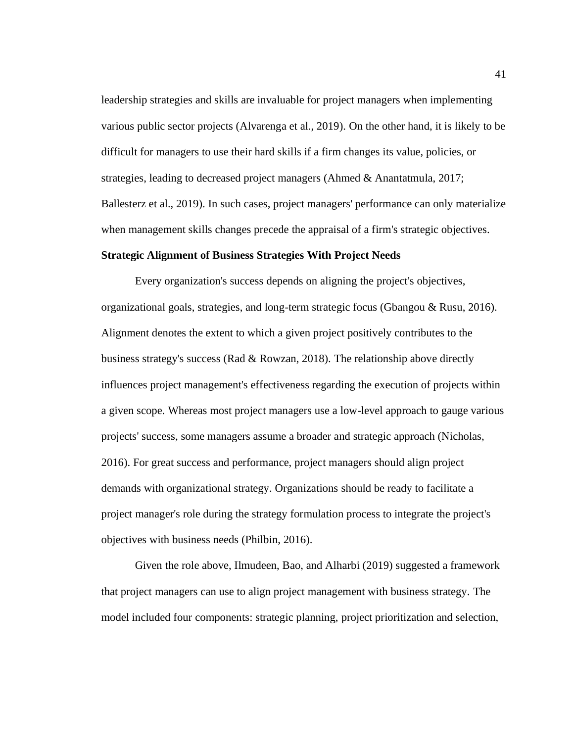leadership strategies and skills are invaluable for project managers when implementing various public sector projects (Alvarenga et al., 2019). On the other hand, it is likely to be difficult for managers to use their hard skills if a firm changes its value, policies, or strategies, leading to decreased project managers (Ahmed & Anantatmula, 2017; Ballesterz et al., 2019). In such cases, project managers' performance can only materialize when management skills changes precede the appraisal of a firm's strategic objectives.

# **Strategic Alignment of Business Strategies With Project Needs**

Every organization's success depends on aligning the project's objectives, organizational goals, strategies, and long-term strategic focus (Gbangou & Rusu, 2016). Alignment denotes the extent to which a given project positively contributes to the business strategy's success (Rad & Rowzan, 2018). The relationship above directly influences project management's effectiveness regarding the execution of projects within a given scope. Whereas most project managers use a low-level approach to gauge various projects' success, some managers assume a broader and strategic approach (Nicholas, 2016). For great success and performance, project managers should align project demands with organizational strategy. Organizations should be ready to facilitate a project manager's role during the strategy formulation process to integrate the project's objectives with business needs (Philbin, 2016).

Given the role above, Ilmudeen, Bao, and Alharbi (2019) suggested a framework that project managers can use to align project management with business strategy. The model included four components: strategic planning, project prioritization and selection,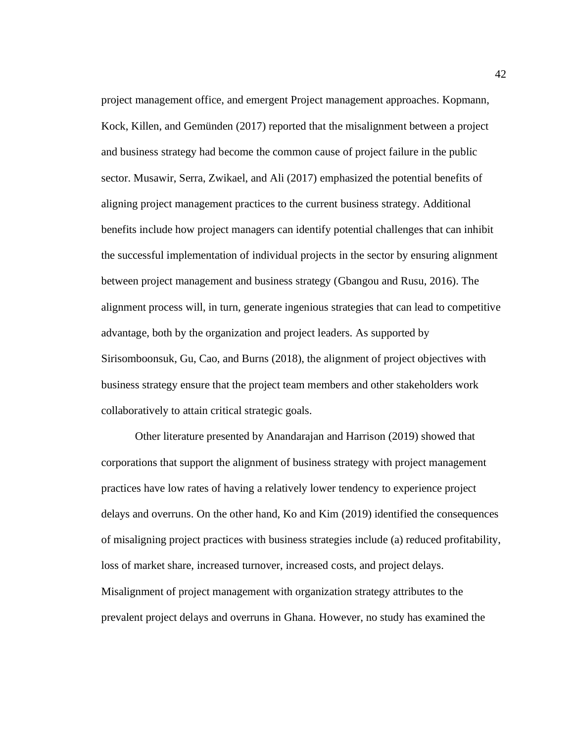project management office, and emergent Project management approaches. Kopmann, Kock, Killen, and Gemünden (2017) reported that the misalignment between a project and business strategy had become the common cause of project failure in the public sector. Musawir, Serra, Zwikael, and Ali (2017) emphasized the potential benefits of aligning project management practices to the current business strategy. Additional benefits include how project managers can identify potential challenges that can inhibit the successful implementation of individual projects in the sector by ensuring alignment between project management and business strategy (Gbangou and Rusu, 2016). The alignment process will, in turn, generate ingenious strategies that can lead to competitive advantage, both by the organization and project leaders. As supported by Sirisomboonsuk, Gu, Cao, and Burns (2018), the alignment of project objectives with business strategy ensure that the project team members and other stakeholders work collaboratively to attain critical strategic goals.

Other literature presented by Anandarajan and Harrison (2019) showed that corporations that support the alignment of business strategy with project management practices have low rates of having a relatively lower tendency to experience project delays and overruns. On the other hand, Ko and Kim (2019) identified the consequences of misaligning project practices with business strategies include (a) reduced profitability, loss of market share, increased turnover, increased costs, and project delays. Misalignment of project management with organization strategy attributes to the prevalent project delays and overruns in Ghana. However, no study has examined the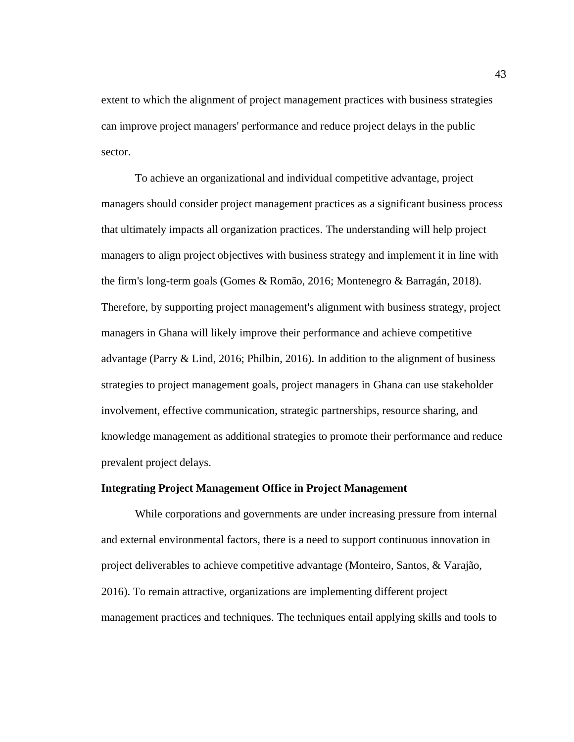extent to which the alignment of project management practices with business strategies can improve project managers' performance and reduce project delays in the public sector.

To achieve an organizational and individual competitive advantage, project managers should consider project management practices as a significant business process that ultimately impacts all organization practices. The understanding will help project managers to align project objectives with business strategy and implement it in line with the firm's long-term goals (Gomes & Romão, 2016; Montenegro & Barragán, 2018). Therefore, by supporting project management's alignment with business strategy, project managers in Ghana will likely improve their performance and achieve competitive advantage (Parry & Lind, 2016; Philbin, 2016). In addition to the alignment of business strategies to project management goals, project managers in Ghana can use stakeholder involvement, effective communication, strategic partnerships, resource sharing, and knowledge management as additional strategies to promote their performance and reduce prevalent project delays.

# **Integrating Project Management Office in Project Management**

While corporations and governments are under increasing pressure from internal and external environmental factors, there is a need to support continuous innovation in project deliverables to achieve competitive advantage (Monteiro, Santos, & Varajão, 2016). To remain attractive, organizations are implementing different project management practices and techniques. The techniques entail applying skills and tools to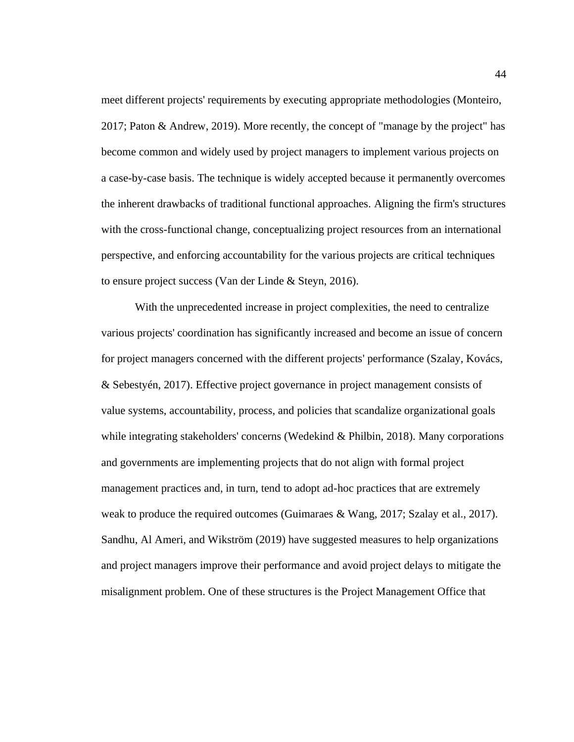meet different projects' requirements by executing appropriate methodologies (Monteiro, 2017; Paton & Andrew, 2019). More recently, the concept of "manage by the project" has become common and widely used by project managers to implement various projects on a case-by-case basis. The technique is widely accepted because it permanently overcomes the inherent drawbacks of traditional functional approaches. Aligning the firm's structures with the cross-functional change, conceptualizing project resources from an international perspective, and enforcing accountability for the various projects are critical techniques to ensure project success (Van der Linde & Steyn, 2016).

With the unprecedented increase in project complexities, the need to centralize various projects' coordination has significantly increased and become an issue of concern for project managers concerned with the different projects' performance (Szalay, Kovács, & Sebestyén, 2017). Effective project governance in project management consists of value systems, accountability, process, and policies that scandalize organizational goals while integrating stakeholders' concerns (Wedekind & Philbin, 2018). Many corporations and governments are implementing projects that do not align with formal project management practices and, in turn, tend to adopt ad-hoc practices that are extremely weak to produce the required outcomes (Guimaraes & Wang, 2017; Szalay et al., 2017). Sandhu, Al Ameri, and Wikström (2019) have suggested measures to help organizations and project managers improve their performance and avoid project delays to mitigate the misalignment problem. One of these structures is the Project Management Office that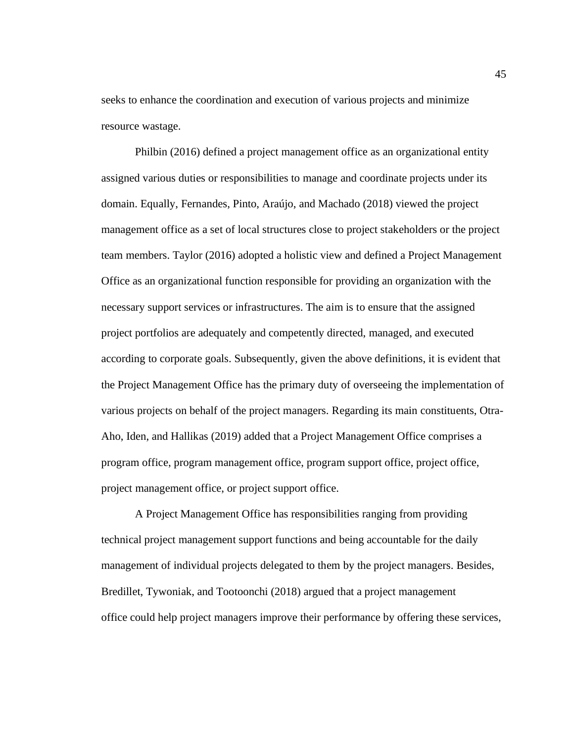seeks to enhance the coordination and execution of various projects and minimize resource wastage.

Philbin (2016) defined a project management office as an organizational entity assigned various duties or responsibilities to manage and coordinate projects under its domain. Equally, Fernandes, Pinto, Araújo, and Machado (2018) viewed the project management office as a set of local structures close to project stakeholders or the project team members. Taylor (2016) adopted a holistic view and defined a Project Management Office as an organizational function responsible for providing an organization with the necessary support services or infrastructures. The aim is to ensure that the assigned project portfolios are adequately and competently directed, managed, and executed according to corporate goals. Subsequently, given the above definitions, it is evident that the Project Management Office has the primary duty of overseeing the implementation of various projects on behalf of the project managers. Regarding its main constituents, Otra-Aho, Iden, and Hallikas (2019) added that a Project Management Office comprises a program office, program management office, program support office, project office, project management office, or project support office.

A Project Management Office has responsibilities ranging from providing technical project management support functions and being accountable for the daily management of individual projects delegated to them by the project managers. Besides, Bredillet, Tywoniak, and Tootoonchi (2018) argued that a project management office could help project managers improve their performance by offering these services,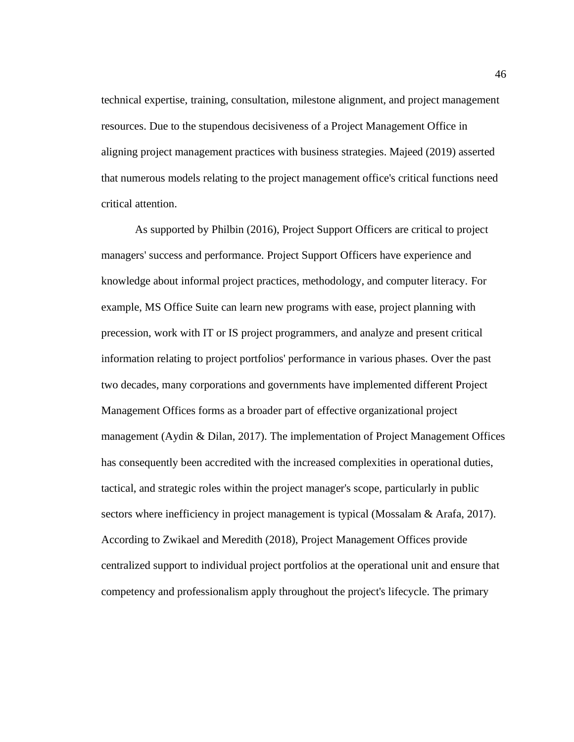technical expertise, training, consultation, milestone alignment, and project management resources. Due to the stupendous decisiveness of a Project Management Office in aligning project management practices with business strategies. Majeed (2019) asserted that numerous models relating to the project management office's critical functions need critical attention.

As supported by Philbin (2016), Project Support Officers are critical to project managers' success and performance. Project Support Officers have experience and knowledge about informal project practices, methodology, and computer literacy. For example, MS Office Suite can learn new programs with ease, project planning with precession, work with IT or IS project programmers, and analyze and present critical information relating to project portfolios' performance in various phases. Over the past two decades, many corporations and governments have implemented different Project Management Offices forms as a broader part of effective organizational project management (Aydin & Dilan, 2017). The implementation of Project Management Offices has consequently been accredited with the increased complexities in operational duties, tactical, and strategic roles within the project manager's scope, particularly in public sectors where inefficiency in project management is typical (Mossalam & Arafa, 2017). According to Zwikael and Meredith (2018), Project Management Offices provide centralized support to individual project portfolios at the operational unit and ensure that competency and professionalism apply throughout the project's lifecycle. The primary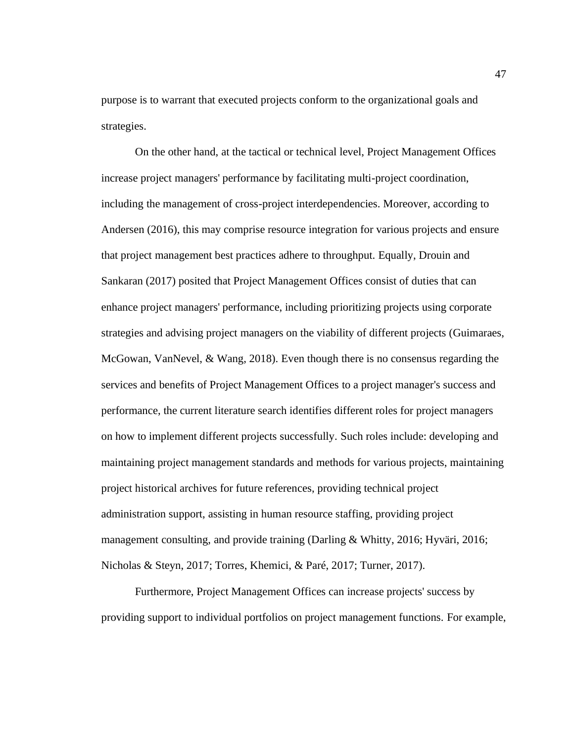purpose is to warrant that executed projects conform to the organizational goals and strategies.

On the other hand, at the tactical or technical level, Project Management Offices increase project managers' performance by facilitating multi-project coordination, including the management of cross-project interdependencies. Moreover, according to Andersen (2016), this may comprise resource integration for various projects and ensure that project management best practices adhere to throughput. Equally, Drouin and Sankaran (2017) posited that Project Management Offices consist of duties that can enhance project managers' performance, including prioritizing projects using corporate strategies and advising project managers on the viability of different projects (Guimaraes, McGowan, VanNevel, & Wang, 2018). Even though there is no consensus regarding the services and benefits of Project Management Offices to a project manager's success and performance, the current literature search identifies different roles for project managers on how to implement different projects successfully. Such roles include: developing and maintaining project management standards and methods for various projects, maintaining project historical archives for future references, providing technical project administration support, assisting in human resource staffing, providing project management consulting, and provide training (Darling & Whitty, 2016; Hyväri, 2016; Nicholas & Steyn, 2017; Torres, Khemici, & Paré, 2017; Turner, 2017).

Furthermore, Project Management Offices can increase projects' success by providing support to individual portfolios on project management functions. For example,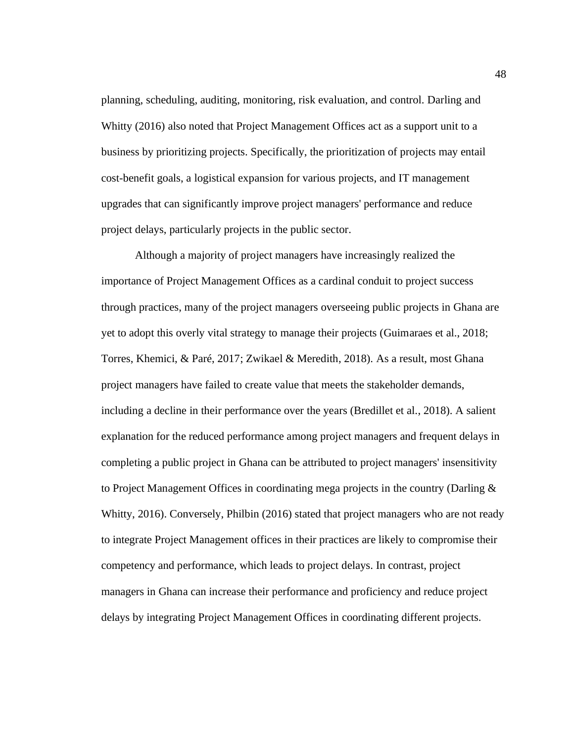planning, scheduling, auditing, monitoring, risk evaluation, and control. Darling and Whitty (2016) also noted that Project Management Offices act as a support unit to a business by prioritizing projects. Specifically, the prioritization of projects may entail cost-benefit goals, a logistical expansion for various projects, and IT management upgrades that can significantly improve project managers' performance and reduce project delays, particularly projects in the public sector.

Although a majority of project managers have increasingly realized the importance of Project Management Offices as a cardinal conduit to project success through practices, many of the project managers overseeing public projects in Ghana are yet to adopt this overly vital strategy to manage their projects (Guimaraes et al., 2018; Torres, Khemici, & Paré, 2017; Zwikael & Meredith, 2018). As a result, most Ghana project managers have failed to create value that meets the stakeholder demands, including a decline in their performance over the years (Bredillet et al., 2018). A salient explanation for the reduced performance among project managers and frequent delays in completing a public project in Ghana can be attributed to project managers' insensitivity to Project Management Offices in coordinating mega projects in the country (Darling & Whitty, 2016). Conversely, Philbin (2016) stated that project managers who are not ready to integrate Project Management offices in their practices are likely to compromise their competency and performance, which leads to project delays. In contrast, project managers in Ghana can increase their performance and proficiency and reduce project delays by integrating Project Management Offices in coordinating different projects.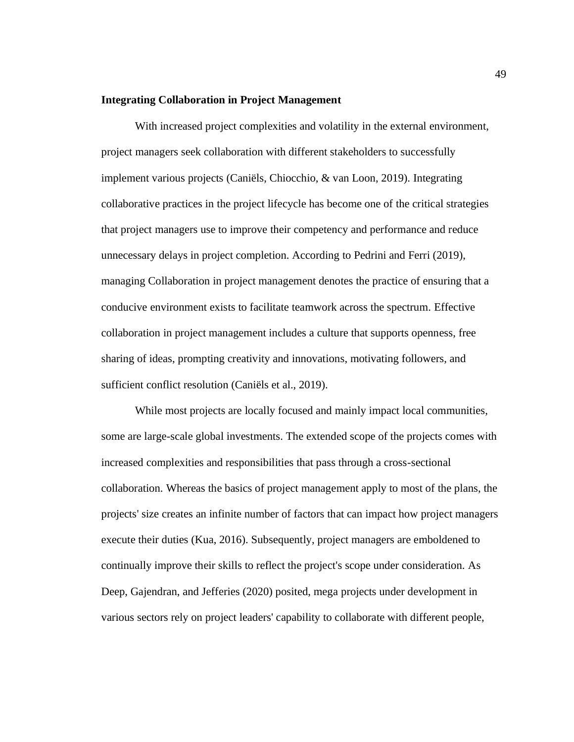## **Integrating Collaboration in Project Management**

With increased project complexities and volatility in the external environment, project managers seek collaboration with different stakeholders to successfully implement various projects (Caniëls, Chiocchio, & van Loon, 2019). Integrating collaborative practices in the project lifecycle has become one of the critical strategies that project managers use to improve their competency and performance and reduce unnecessary delays in project completion. According to Pedrini and Ferri (2019), managing Collaboration in project management denotes the practice of ensuring that a conducive environment exists to facilitate teamwork across the spectrum. Effective collaboration in project management includes a culture that supports openness, free sharing of ideas, prompting creativity and innovations, motivating followers, and sufficient conflict resolution (Caniëls et al., 2019).

While most projects are locally focused and mainly impact local communities, some are large-scale global investments. The extended scope of the projects comes with increased complexities and responsibilities that pass through a cross-sectional collaboration. Whereas the basics of project management apply to most of the plans, the projects' size creates an infinite number of factors that can impact how project managers execute their duties (Kua, 2016). Subsequently, project managers are emboldened to continually improve their skills to reflect the project's scope under consideration. As Deep, Gajendran, and Jefferies (2020) posited, mega projects under development in various sectors rely on project leaders' capability to collaborate with different people,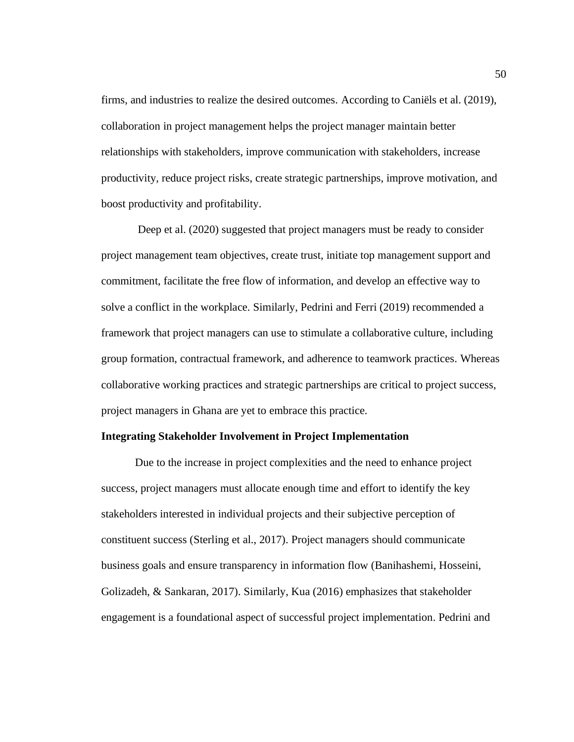firms, and industries to realize the desired outcomes. According to Caniëls et al. (2019), collaboration in project management helps the project manager maintain better relationships with stakeholders, improve communication with stakeholders, increase productivity, reduce project risks, create strategic partnerships, improve motivation, and boost productivity and profitability.

Deep et al. (2020) suggested that project managers must be ready to consider project management team objectives, create trust, initiate top management support and commitment, facilitate the free flow of information, and develop an effective way to solve a conflict in the workplace. Similarly, Pedrini and Ferri (2019) recommended a framework that project managers can use to stimulate a collaborative culture, including group formation, contractual framework, and adherence to teamwork practices. Whereas collaborative working practices and strategic partnerships are critical to project success, project managers in Ghana are yet to embrace this practice.

#### **Integrating Stakeholder Involvement in Project Implementation**

Due to the increase in project complexities and the need to enhance project success, project managers must allocate enough time and effort to identify the key stakeholders interested in individual projects and their subjective perception of constituent success (Sterling et al., 2017). Project managers should communicate business goals and ensure transparency in information flow (Banihashemi, Hosseini, Golizadeh, & Sankaran, 2017). Similarly, Kua (2016) emphasizes that stakeholder engagement is a foundational aspect of successful project implementation. Pedrini and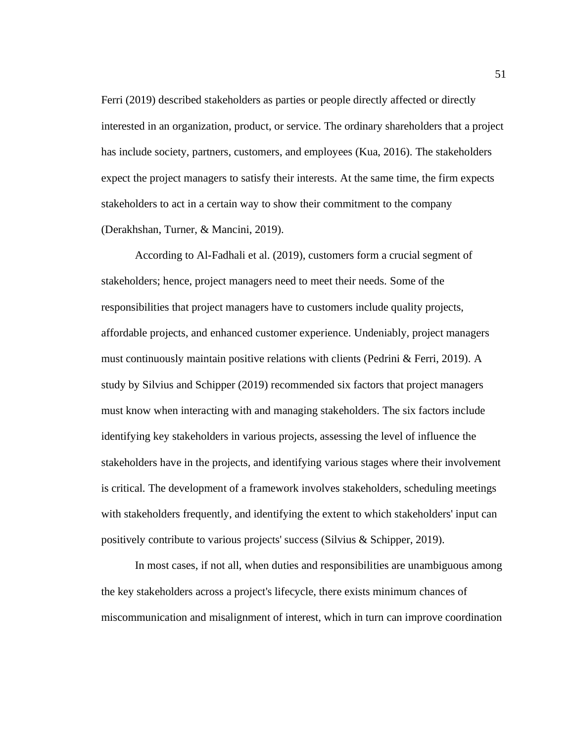Ferri (2019) described stakeholders as parties or people directly affected or directly interested in an organization, product, or service. The ordinary shareholders that a project has include society, partners, customers, and employees (Kua, 2016). The stakeholders expect the project managers to satisfy their interests. At the same time, the firm expects stakeholders to act in a certain way to show their commitment to the company (Derakhshan, Turner, & Mancini, 2019).

According to Al-Fadhali et al. (2019), customers form a crucial segment of stakeholders; hence, project managers need to meet their needs. Some of the responsibilities that project managers have to customers include quality projects, affordable projects, and enhanced customer experience. Undeniably, project managers must continuously maintain positive relations with clients (Pedrini & Ferri, 2019). A study by Silvius and Schipper (2019) recommended six factors that project managers must know when interacting with and managing stakeholders. The six factors include identifying key stakeholders in various projects, assessing the level of influence the stakeholders have in the projects, and identifying various stages where their involvement is critical. The development of a framework involves stakeholders, scheduling meetings with stakeholders frequently, and identifying the extent to which stakeholders' input can positively contribute to various projects' success (Silvius & Schipper, 2019).

In most cases, if not all, when duties and responsibilities are unambiguous among the key stakeholders across a project's lifecycle, there exists minimum chances of miscommunication and misalignment of interest, which in turn can improve coordination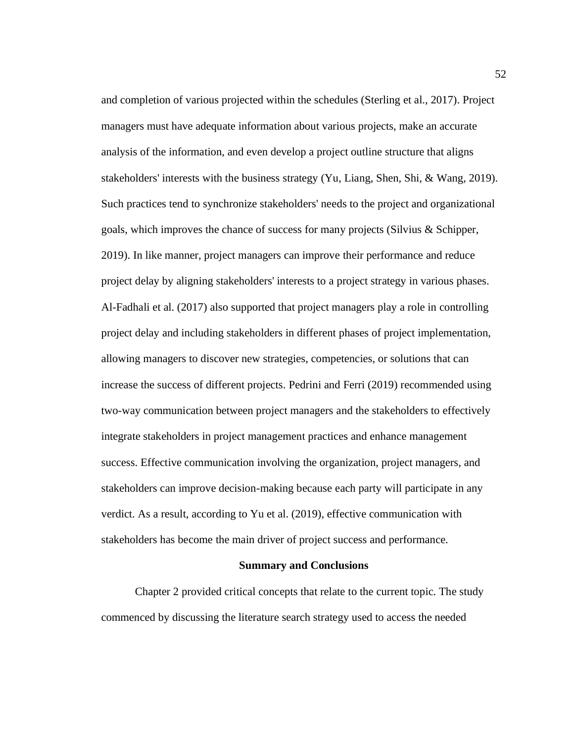and completion of various projected within the schedules (Sterling et al., 2017). Project managers must have adequate information about various projects, make an accurate analysis of the information, and even develop a project outline structure that aligns stakeholders' interests with the business strategy (Yu, Liang, Shen, Shi,  $\&$  Wang, 2019). Such practices tend to synchronize stakeholders' needs to the project and organizational goals, which improves the chance of success for many projects (Silvius & Schipper, 2019). In like manner, project managers can improve their performance and reduce project delay by aligning stakeholders' interests to a project strategy in various phases. Al-Fadhali et al. (2017) also supported that project managers play a role in controlling project delay and including stakeholders in different phases of project implementation, allowing managers to discover new strategies, competencies, or solutions that can increase the success of different projects. Pedrini and Ferri (2019) recommended using two-way communication between project managers and the stakeholders to effectively integrate stakeholders in project management practices and enhance management success. Effective communication involving the organization, project managers, and stakeholders can improve decision-making because each party will participate in any verdict. As a result, according to Yu et al. (2019), effective communication with stakeholders has become the main driver of project success and performance.

#### **Summary and Conclusions**

Chapter 2 provided critical concepts that relate to the current topic. The study commenced by discussing the literature search strategy used to access the needed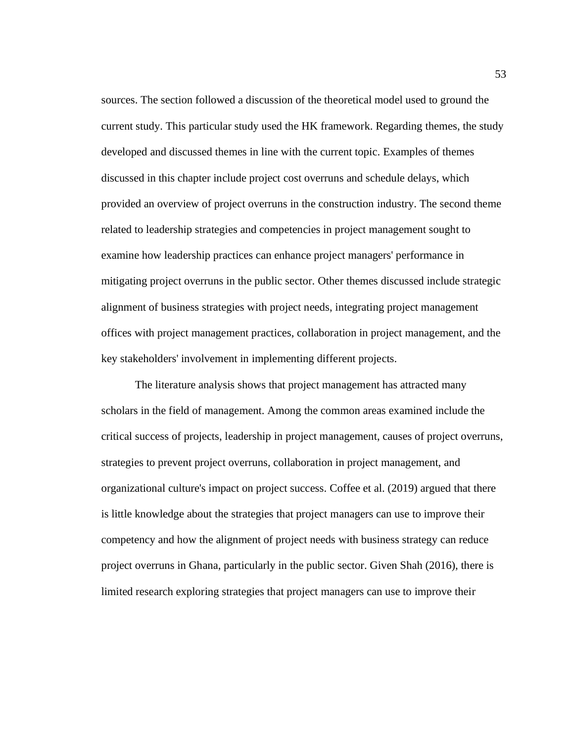sources. The section followed a discussion of the theoretical model used to ground the current study. This particular study used the HK framework. Regarding themes, the study developed and discussed themes in line with the current topic. Examples of themes discussed in this chapter include project cost overruns and schedule delays, which provided an overview of project overruns in the construction industry. The second theme related to leadership strategies and competencies in project management sought to examine how leadership practices can enhance project managers' performance in mitigating project overruns in the public sector. Other themes discussed include strategic alignment of business strategies with project needs, integrating project management offices with project management practices, collaboration in project management, and the key stakeholders' involvement in implementing different projects.

The literature analysis shows that project management has attracted many scholars in the field of management. Among the common areas examined include the critical success of projects, leadership in project management, causes of project overruns, strategies to prevent project overruns, collaboration in project management, and organizational culture's impact on project success. Coffee et al. (2019) argued that there is little knowledge about the strategies that project managers can use to improve their competency and how the alignment of project needs with business strategy can reduce project overruns in Ghana, particularly in the public sector. Given Shah (2016), there is limited research exploring strategies that project managers can use to improve their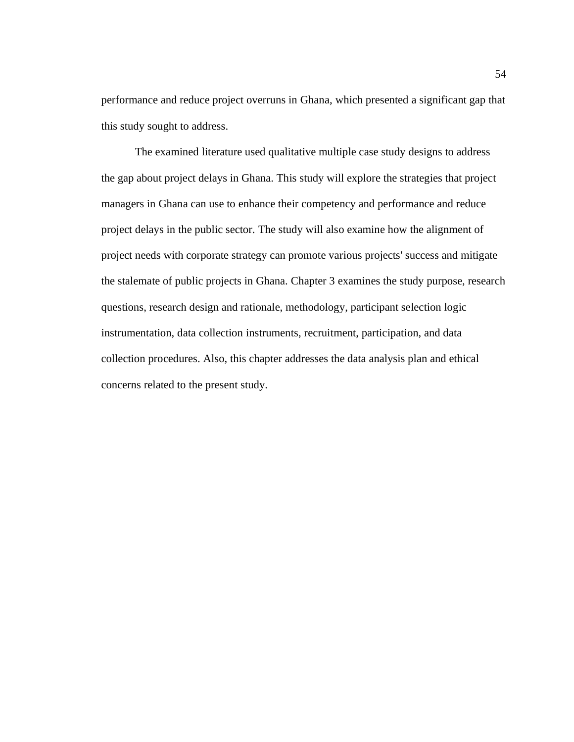performance and reduce project overruns in Ghana, which presented a significant gap that this study sought to address.

The examined literature used qualitative multiple case study designs to address the gap about project delays in Ghana. This study will explore the strategies that project managers in Ghana can use to enhance their competency and performance and reduce project delays in the public sector. The study will also examine how the alignment of project needs with corporate strategy can promote various projects' success and mitigate the stalemate of public projects in Ghana. Chapter 3 examines the study purpose, research questions, research design and rationale, methodology, participant selection logic instrumentation, data collection instruments, recruitment, participation, and data collection procedures. Also, this chapter addresses the data analysis plan and ethical concerns related to the present study.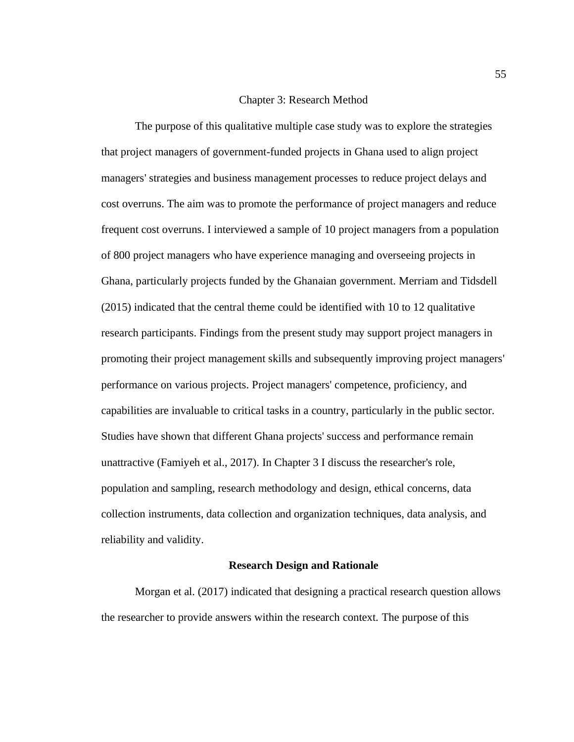# Chapter 3: Research Method

The purpose of this qualitative multiple case study was to explore the strategies that project managers of government-funded projects in Ghana used to align project managers' strategies and business management processes to reduce project delays and cost overruns. The aim was to promote the performance of project managers and reduce frequent cost overruns. I interviewed a sample of 10 project managers from a population of 800 project managers who have experience managing and overseeing projects in Ghana, particularly projects funded by the Ghanaian government. Merriam and Tidsdell (2015) indicated that the central theme could be identified with 10 to 12 qualitative research participants. Findings from the present study may support project managers in promoting their project management skills and subsequently improving project managers' performance on various projects. Project managers' competence, proficiency, and capabilities are invaluable to critical tasks in a country, particularly in the public sector. Studies have shown that different Ghana projects' success and performance remain unattractive (Famiyeh et al., 2017). In Chapter 3 I discuss the researcher's role, population and sampling, research methodology and design, ethical concerns, data collection instruments, data collection and organization techniques, data analysis, and reliability and validity.

#### **Research Design and Rationale**

Morgan et al. (2017) indicated that designing a practical research question allows the researcher to provide answers within the research context. The purpose of this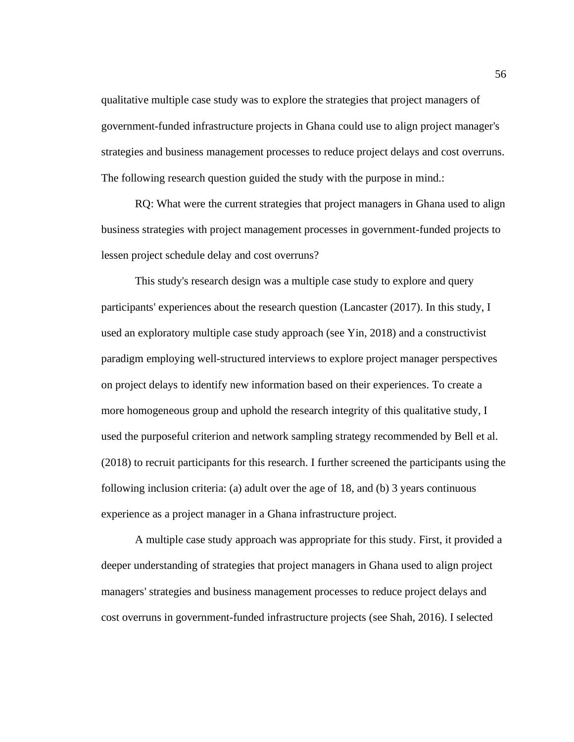qualitative multiple case study was to explore the strategies that project managers of government-funded infrastructure projects in Ghana could use to align project manager's strategies and business management processes to reduce project delays and cost overruns. The following research question guided the study with the purpose in mind.:

RQ: What were the current strategies that project managers in Ghana used to align business strategies with project management processes in government-funded projects to lessen project schedule delay and cost overruns?

This study's research design was a multiple case study to explore and query participants' experiences about the research question (Lancaster (2017). In this study, I used an exploratory multiple case study approach (see Yin, 2018) and a constructivist paradigm employing well-structured interviews to explore project manager perspectives on project delays to identify new information based on their experiences. To create a more homogeneous group and uphold the research integrity of this qualitative study, I used the purposeful criterion and network sampling strategy recommended by Bell et al. (2018) to recruit participants for this research. I further screened the participants using the following inclusion criteria: (a) adult over the age of 18, and (b) 3 years continuous experience as a project manager in a Ghana infrastructure project.

A multiple case study approach was appropriate for this study. First, it provided a deeper understanding of strategies that project managers in Ghana used to align project managers' strategies and business management processes to reduce project delays and cost overruns in government-funded infrastructure projects (see Shah, 2016). I selected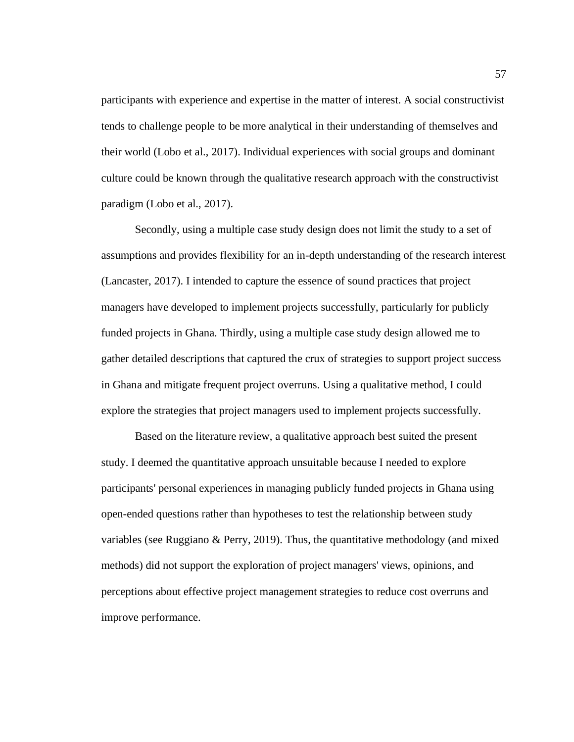participants with experience and expertise in the matter of interest. A social constructivist tends to challenge people to be more analytical in their understanding of themselves and their world (Lobo et al., 2017). Individual experiences with social groups and dominant culture could be known through the qualitative research approach with the constructivist paradigm (Lobo et al., 2017).

Secondly, using a multiple case study design does not limit the study to a set of assumptions and provides flexibility for an in-depth understanding of the research interest (Lancaster, 2017). I intended to capture the essence of sound practices that project managers have developed to implement projects successfully, particularly for publicly funded projects in Ghana. Thirdly, using a multiple case study design allowed me to gather detailed descriptions that captured the crux of strategies to support project success in Ghana and mitigate frequent project overruns. Using a qualitative method, I could explore the strategies that project managers used to implement projects successfully.

Based on the literature review, a qualitative approach best suited the present study. I deemed the quantitative approach unsuitable because I needed to explore participants' personal experiences in managing publicly funded projects in Ghana using open-ended questions rather than hypotheses to test the relationship between study variables (see Ruggiano & Perry, 2019). Thus, the quantitative methodology (and mixed methods) did not support the exploration of project managers' views, opinions, and perceptions about effective project management strategies to reduce cost overruns and improve performance.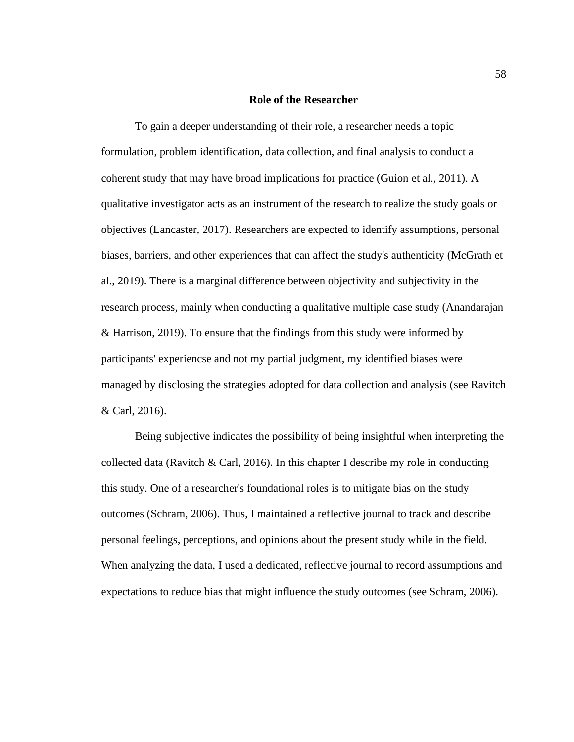#### **Role of the Researcher**

To gain a deeper understanding of their role, a researcher needs a topic formulation, problem identification, data collection, and final analysis to conduct a coherent study that may have broad implications for practice (Guion et al., 2011). A qualitative investigator acts as an instrument of the research to realize the study goals or objectives (Lancaster, 2017). Researchers are expected to identify assumptions, personal biases, barriers, and other experiences that can affect the study's authenticity (McGrath et al., 2019). There is a marginal difference between objectivity and subjectivity in the research process, mainly when conducting a qualitative multiple case study (Anandarajan & Harrison, 2019). To ensure that the findings from this study were informed by participants' experiencse and not my partial judgment, my identified biases were managed by disclosing the strategies adopted for data collection and analysis (see Ravitch & Carl, 2016).

Being subjective indicates the possibility of being insightful when interpreting the collected data (Ravitch & Carl, 2016). In this chapter I describe my role in conducting this study. One of a researcher's foundational roles is to mitigate bias on the study outcomes (Schram, 2006). Thus, I maintained a reflective journal to track and describe personal feelings, perceptions, and opinions about the present study while in the field. When analyzing the data, I used a dedicated, reflective journal to record assumptions and expectations to reduce bias that might influence the study outcomes (see Schram, 2006).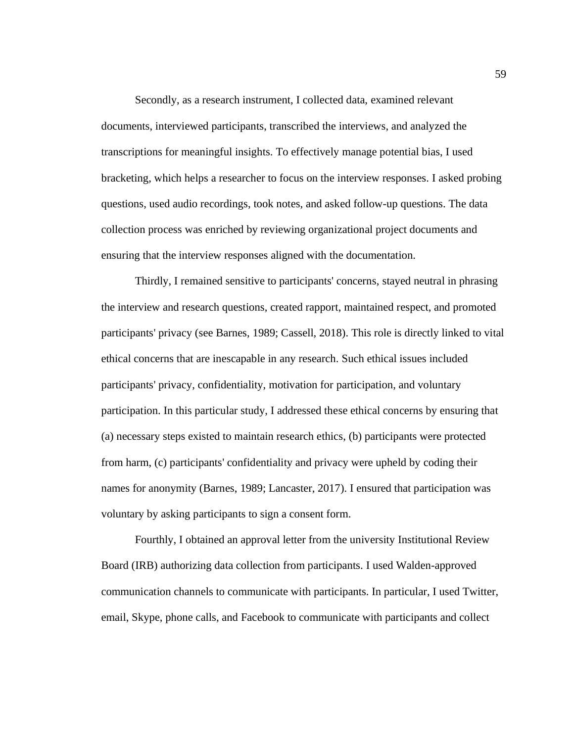Secondly, as a research instrument, I collected data, examined relevant documents, interviewed participants, transcribed the interviews, and analyzed the transcriptions for meaningful insights. To effectively manage potential bias, I used bracketing, which helps a researcher to focus on the interview responses. I asked probing questions, used audio recordings, took notes, and asked follow-up questions. The data collection process was enriched by reviewing organizational project documents and ensuring that the interview responses aligned with the documentation.

Thirdly, I remained sensitive to participants' concerns, stayed neutral in phrasing the interview and research questions, created rapport, maintained respect, and promoted participants' privacy (see Barnes, 1989; Cassell, 2018). This role is directly linked to vital ethical concerns that are inescapable in any research. Such ethical issues included participants' privacy, confidentiality, motivation for participation, and voluntary participation. In this particular study, I addressed these ethical concerns by ensuring that (a) necessary steps existed to maintain research ethics, (b) participants were protected from harm, (c) participants' confidentiality and privacy were upheld by coding their names for anonymity (Barnes, 1989; Lancaster, 2017). I ensured that participation was voluntary by asking participants to sign a consent form.

Fourthly, I obtained an approval letter from the university Institutional Review Board (IRB) authorizing data collection from participants. I used Walden-approved communication channels to communicate with participants. In particular, I used Twitter, email, Skype, phone calls, and Facebook to communicate with participants and collect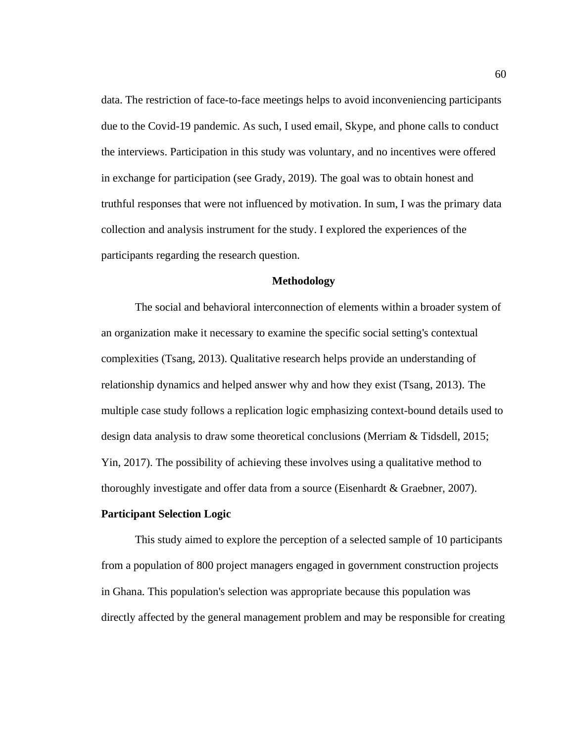data. The restriction of face-to-face meetings helps to avoid inconveniencing participants due to the Covid-19 pandemic. As such, I used email, Skype, and phone calls to conduct the interviews. Participation in this study was voluntary, and no incentives were offered in exchange for participation (see Grady, 2019). The goal was to obtain honest and truthful responses that were not influenced by motivation. In sum, I was the primary data collection and analysis instrument for the study. I explored the experiences of the participants regarding the research question.

#### **Methodology**

The social and behavioral interconnection of elements within a broader system of an organization make it necessary to examine the specific social setting's contextual complexities (Tsang, 2013). Qualitative research helps provide an understanding of relationship dynamics and helped answer why and how they exist (Tsang, 2013). The multiple case study follows a replication logic emphasizing context-bound details used to design data analysis to draw some theoretical conclusions (Merriam & Tidsdell, 2015; Yin, 2017). The possibility of achieving these involves using a qualitative method to thoroughly investigate and offer data from a source (Eisenhardt & Graebner, 2007).

## **Participant Selection Logic**

This study aimed to explore the perception of a selected sample of 10 participants from a population of 800 project managers engaged in government construction projects in Ghana. This population's selection was appropriate because this population was directly affected by the general management problem and may be responsible for creating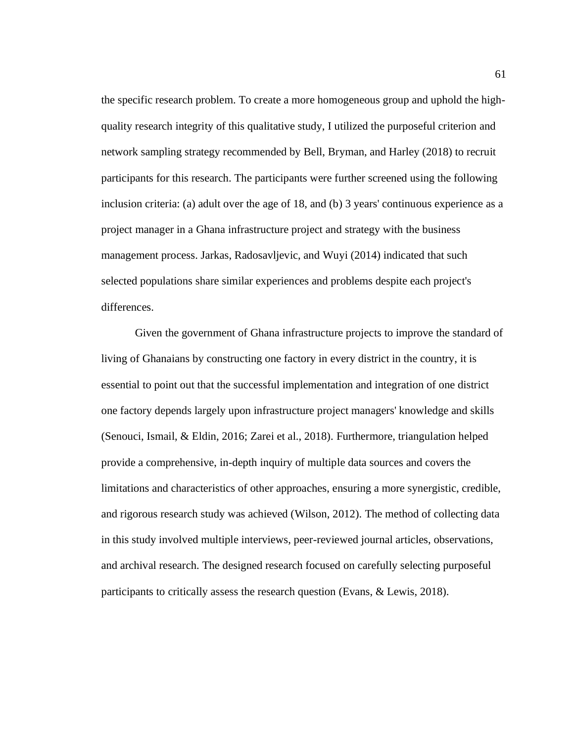the specific research problem. To create a more homogeneous group and uphold the highquality research integrity of this qualitative study, I utilized the purposeful criterion and network sampling strategy recommended by Bell, Bryman, and Harley (2018) to recruit participants for this research. The participants were further screened using the following inclusion criteria: (a) adult over the age of 18, and (b) 3 years' continuous experience as a project manager in a Ghana infrastructure project and strategy with the business management process. Jarkas, Radosavljevic, and Wuyi (2014) indicated that such selected populations share similar experiences and problems despite each project's differences.

Given the government of Ghana infrastructure projects to improve the standard of living of Ghanaians by constructing one factory in every district in the country, it is essential to point out that the successful implementation and integration of one district one factory depends largely upon infrastructure project managers' knowledge and skills (Senouci, Ismail, & Eldin, 2016; Zarei et al., 2018). Furthermore, triangulation helped provide a comprehensive, in-depth inquiry of multiple data sources and covers the limitations and characteristics of other approaches, ensuring a more synergistic, credible, and rigorous research study was achieved (Wilson, 2012). The method of collecting data in this study involved multiple interviews, peer-reviewed journal articles, observations, and archival research. The designed research focused on carefully selecting purposeful participants to critically assess the research question (Evans, & Lewis, 2018).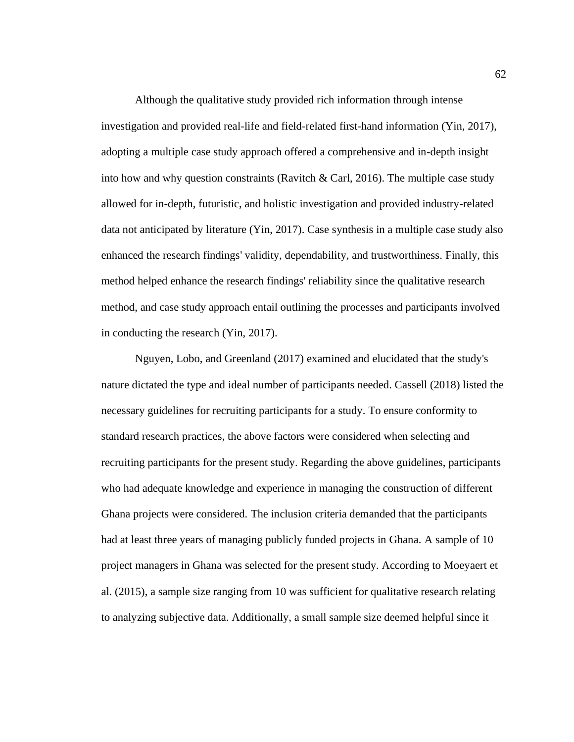Although the qualitative study provided rich information through intense investigation and provided real-life and field-related first-hand information (Yin, 2017), adopting a multiple case study approach offered a comprehensive and in-depth insight into how and why question constraints (Ravitch  $\&$  Carl, 2016). The multiple case study allowed for in-depth, futuristic, and holistic investigation and provided industry-related data not anticipated by literature (Yin, 2017). Case synthesis in a multiple case study also enhanced the research findings' validity, dependability, and trustworthiness. Finally, this method helped enhance the research findings' reliability since the qualitative research method, and case study approach entail outlining the processes and participants involved in conducting the research (Yin, 2017).

Nguyen, Lobo, and Greenland (2017) examined and elucidated that the study's nature dictated the type and ideal number of participants needed. Cassell (2018) listed the necessary guidelines for recruiting participants for a study. To ensure conformity to standard research practices, the above factors were considered when selecting and recruiting participants for the present study. Regarding the above guidelines, participants who had adequate knowledge and experience in managing the construction of different Ghana projects were considered. The inclusion criteria demanded that the participants had at least three years of managing publicly funded projects in Ghana. A sample of 10 project managers in Ghana was selected for the present study. According to Moeyaert et al. (2015), a sample size ranging from 10 was sufficient for qualitative research relating to analyzing subjective data. Additionally, a small sample size deemed helpful since it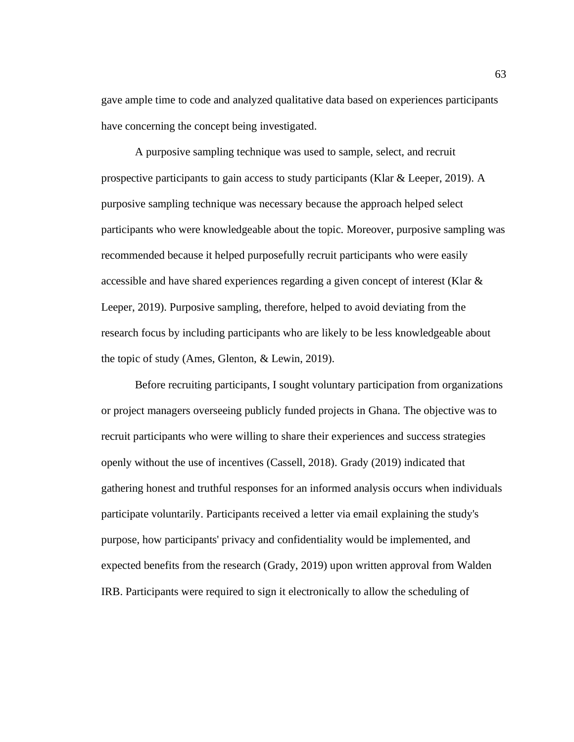gave ample time to code and analyzed qualitative data based on experiences participants have concerning the concept being investigated.

A purposive sampling technique was used to sample, select, and recruit prospective participants to gain access to study participants (Klar & Leeper, 2019). A purposive sampling technique was necessary because the approach helped select participants who were knowledgeable about the topic. Moreover, purposive sampling was recommended because it helped purposefully recruit participants who were easily accessible and have shared experiences regarding a given concept of interest (Klar & Leeper, 2019). Purposive sampling, therefore, helped to avoid deviating from the research focus by including participants who are likely to be less knowledgeable about the topic of study (Ames, Glenton, & Lewin, 2019).

Before recruiting participants, I sought voluntary participation from organizations or project managers overseeing publicly funded projects in Ghana. The objective was to recruit participants who were willing to share their experiences and success strategies openly without the use of incentives (Cassell, 2018). Grady (2019) indicated that gathering honest and truthful responses for an informed analysis occurs when individuals participate voluntarily. Participants received a letter via email explaining the study's purpose, how participants' privacy and confidentiality would be implemented, and expected benefits from the research (Grady, 2019) upon written approval from Walden IRB. Participants were required to sign it electronically to allow the scheduling of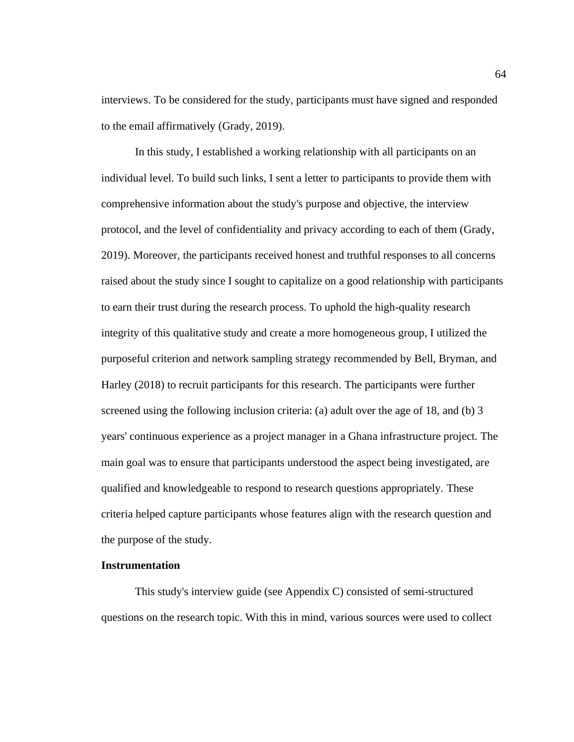interviews. To be considered for the study, participants must have signed and responded to the email affirmatively (Grady, 2019).

In this study, I established a working relationship with all participants on an individual level. To build such links, I sent a letter to participants to provide them with comprehensive information about the study's purpose and objective, the interview protocol, and the level of confidentiality and privacy according to each of them (Grady, 2019). Moreover, the participants received honest and truthful responses to all concerns raised about the study since I sought to capitalize on a good relationship with participants to earn their trust during the research process. To uphold the high-quality research integrity of this qualitative study and create a more homogeneous group, I utilized the purposeful criterion and network sampling strategy recommended by Bell, Bryman, and Harley (2018) to recruit participants for this research. The participants were further screened using the following inclusion criteria: (a) adult over the age of 18, and (b) 3 years' continuous experience as a project manager in a Ghana infrastructure project. The main goal was to ensure that participants understood the aspect being investigated, are qualified and knowledgeable to respond to research questions appropriately. These criteria helped capture participants whose features align with the research question and the purpose of the study.

### **Instrumentation**

This study's interview guide (see Appendix C) consisted of semi-structured questions on the research topic. With this in mind, various sources were used to collect

64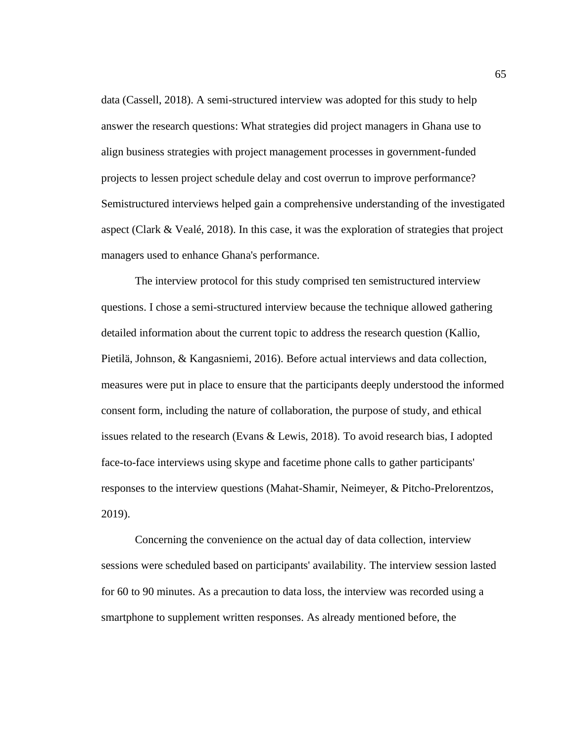data (Cassell, 2018). A semi-structured interview was adopted for this study to help answer the research questions: What strategies did project managers in Ghana use to align business strategies with project management processes in government-funded projects to lessen project schedule delay and cost overrun to improve performance? Semistructured interviews helped gain a comprehensive understanding of the investigated aspect (Clark & Vealé, 2018). In this case, it was the exploration of strategies that project managers used to enhance Ghana's performance.

The interview protocol for this study comprised ten semistructured interview questions. I chose a semi-structured interview because the technique allowed gathering detailed information about the current topic to address the research question (Kallio, Pietilä, Johnson, & Kangasniemi, 2016). Before actual interviews and data collection, measures were put in place to ensure that the participants deeply understood the informed consent form, including the nature of collaboration, the purpose of study, and ethical issues related to the research (Evans & Lewis, 2018). To avoid research bias, I adopted face-to-face interviews using skype and facetime phone calls to gather participants' responses to the interview questions (Mahat-Shamir, Neimeyer, & Pitcho-Prelorentzos, 2019).

Concerning the convenience on the actual day of data collection, interview sessions were scheduled based on participants' availability. The interview session lasted for 60 to 90 minutes. As a precaution to data loss, the interview was recorded using a smartphone to supplement written responses. As already mentioned before, the

65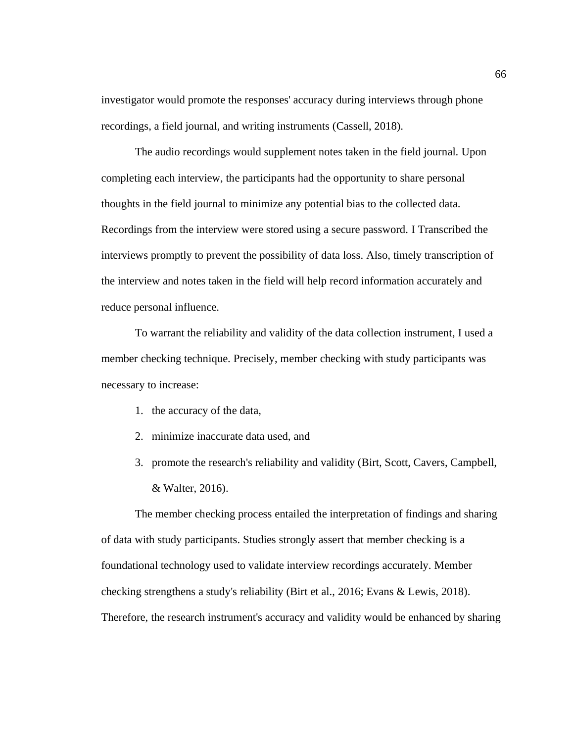investigator would promote the responses' accuracy during interviews through phone recordings, a field journal, and writing instruments (Cassell, 2018).

The audio recordings would supplement notes taken in the field journal. Upon completing each interview, the participants had the opportunity to share personal thoughts in the field journal to minimize any potential bias to the collected data. Recordings from the interview were stored using a secure password. I Transcribed the interviews promptly to prevent the possibility of data loss. Also, timely transcription of the interview and notes taken in the field will help record information accurately and reduce personal influence.

To warrant the reliability and validity of the data collection instrument, I used a member checking technique. Precisely, member checking with study participants was necessary to increase:

- 1. the accuracy of the data,
- 2. minimize inaccurate data used, and
- 3. promote the research's reliability and validity (Birt, Scott, Cavers, Campbell, & Walter, 2016).

The member checking process entailed the interpretation of findings and sharing of data with study participants. Studies strongly assert that member checking is a foundational technology used to validate interview recordings accurately. Member checking strengthens a study's reliability (Birt et al., 2016; Evans & Lewis, 2018). Therefore, the research instrument's accuracy and validity would be enhanced by sharing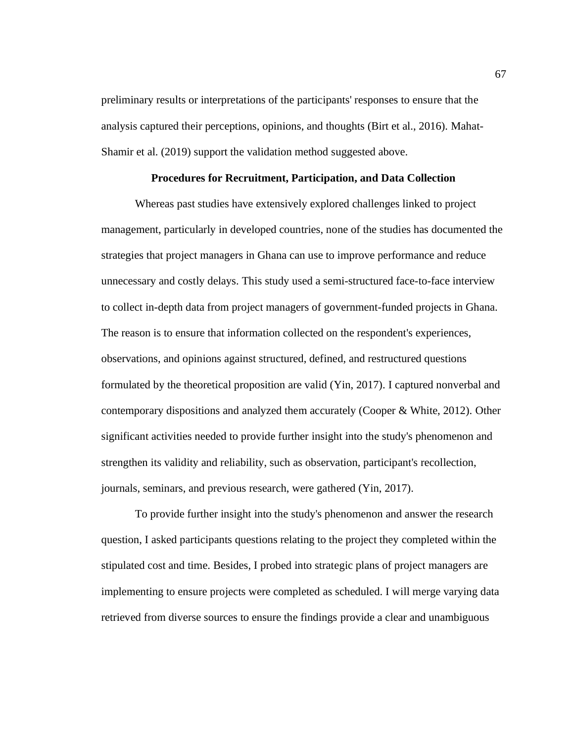preliminary results or interpretations of the participants' responses to ensure that the analysis captured their perceptions, opinions, and thoughts (Birt et al., 2016). Mahat-Shamir et al. (2019) support the validation method suggested above.

## **Procedures for Recruitment, Participation, and Data Collection**

Whereas past studies have extensively explored challenges linked to project management, particularly in developed countries, none of the studies has documented the strategies that project managers in Ghana can use to improve performance and reduce unnecessary and costly delays. This study used a semi-structured face-to-face interview to collect in-depth data from project managers of government-funded projects in Ghana. The reason is to ensure that information collected on the respondent's experiences, observations, and opinions against structured, defined, and restructured questions formulated by the theoretical proposition are valid (Yin, 2017). I captured nonverbal and contemporary dispositions and analyzed them accurately (Cooper & White, 2012). Other significant activities needed to provide further insight into the study's phenomenon and strengthen its validity and reliability, such as observation, participant's recollection, journals, seminars, and previous research, were gathered (Yin, 2017).

To provide further insight into the study's phenomenon and answer the research question, I asked participants questions relating to the project they completed within the stipulated cost and time. Besides, I probed into strategic plans of project managers are implementing to ensure projects were completed as scheduled. I will merge varying data retrieved from diverse sources to ensure the findings provide a clear and unambiguous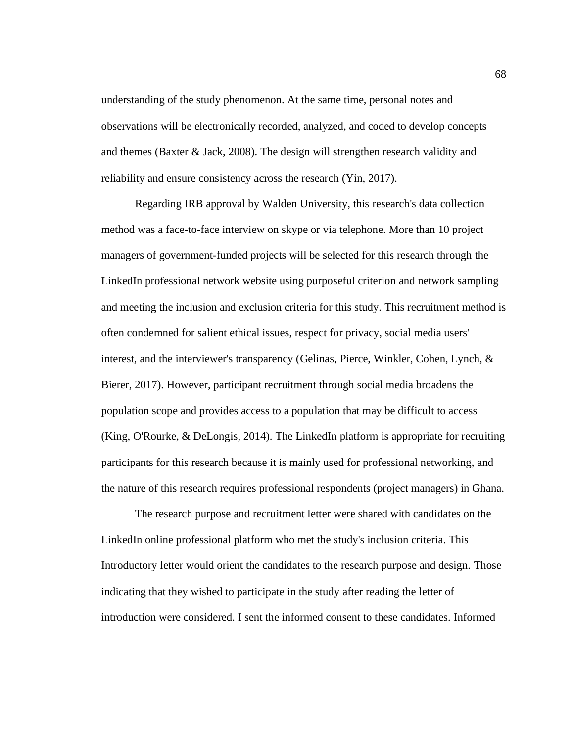understanding of the study phenomenon. At the same time, personal notes and observations will be electronically recorded, analyzed, and coded to develop concepts and themes (Baxter & Jack, 2008). The design will strengthen research validity and reliability and ensure consistency across the research (Yin, 2017).

Regarding IRB approval by Walden University, this research's data collection method was a face-to-face interview on skype or via telephone. More than 10 project managers of government-funded projects will be selected for this research through the LinkedIn professional network website using purposeful criterion and network sampling and meeting the inclusion and exclusion criteria for this study. This recruitment method is often condemned for salient ethical issues, respect for privacy, social media users' interest, and the interviewer's transparency (Gelinas, Pierce, Winkler, Cohen, Lynch, & Bierer, 2017). However, participant recruitment through social media broadens the population scope and provides access to a population that may be difficult to access (King, O'Rourke, & DeLongis, 2014). The LinkedIn platform is appropriate for recruiting participants for this research because it is mainly used for professional networking, and the nature of this research requires professional respondents (project managers) in Ghana.

The research purpose and recruitment letter were shared with candidates on the LinkedIn online professional platform who met the study's inclusion criteria. This Introductory letter would orient the candidates to the research purpose and design. Those indicating that they wished to participate in the study after reading the letter of introduction were considered. I sent the informed consent to these candidates. Informed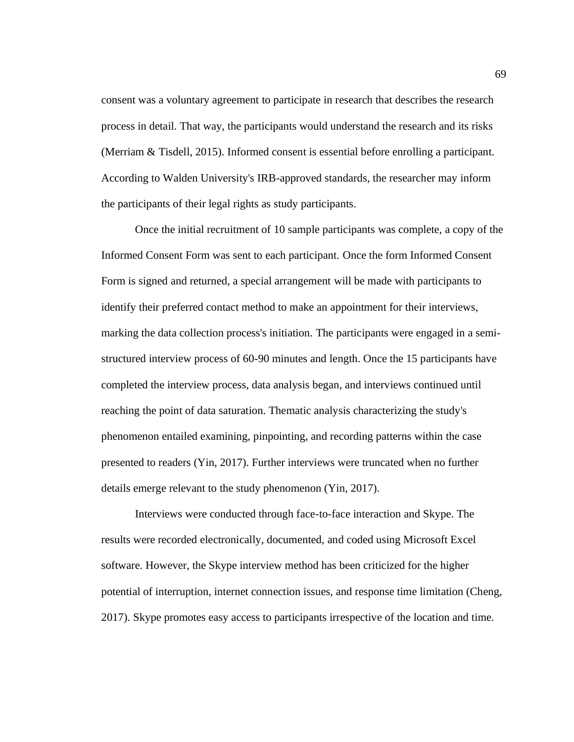consent was a voluntary agreement to participate in research that describes the research process in detail. That way, the participants would understand the research and its risks (Merriam & Tisdell, 2015). Informed consent is essential before enrolling a participant. According to Walden University's IRB-approved standards, the researcher may inform the participants of their legal rights as study participants.

Once the initial recruitment of 10 sample participants was complete, a copy of the Informed Consent Form was sent to each participant. Once the form Informed Consent Form is signed and returned, a special arrangement will be made with participants to identify their preferred contact method to make an appointment for their interviews, marking the data collection process's initiation. The participants were engaged in a semistructured interview process of 60-90 minutes and length. Once the 15 participants have completed the interview process, data analysis began, and interviews continued until reaching the point of data saturation. Thematic analysis characterizing the study's phenomenon entailed examining, pinpointing, and recording patterns within the case presented to readers (Yin, 2017). Further interviews were truncated when no further details emerge relevant to the study phenomenon (Yin, 2017).

Interviews were conducted through face-to-face interaction and Skype. The results were recorded electronically, documented, and coded using Microsoft Excel software. However, the Skype interview method has been criticized for the higher potential of interruption, internet connection issues, and response time limitation (Cheng, 2017). Skype promotes easy access to participants irrespective of the location and time.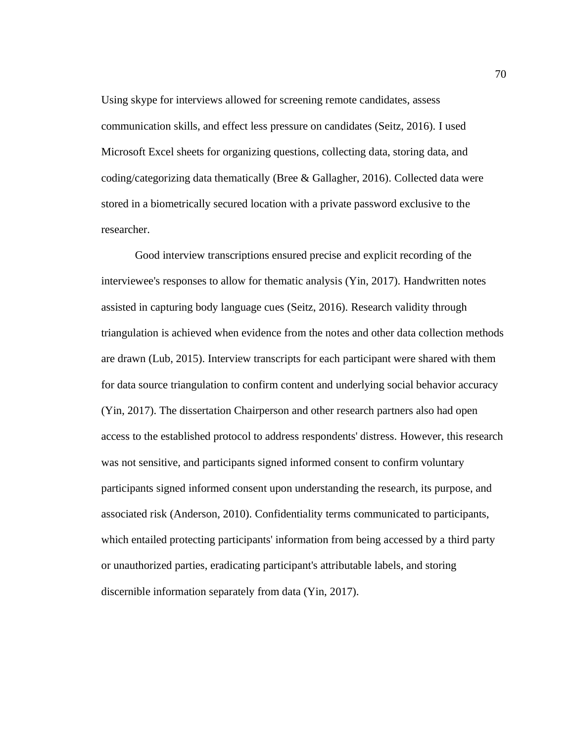Using skype for interviews allowed for screening remote candidates, assess communication skills, and effect less pressure on candidates (Seitz, 2016). I used Microsoft Excel sheets for organizing questions, collecting data, storing data, and coding/categorizing data thematically (Bree & Gallagher, 2016). Collected data were stored in a biometrically secured location with a private password exclusive to the researcher.

Good interview transcriptions ensured precise and explicit recording of the interviewee's responses to allow for thematic analysis (Yin, 2017). Handwritten notes assisted in capturing body language cues (Seitz, 2016). Research validity through triangulation is achieved when evidence from the notes and other data collection methods are drawn (Lub, 2015). Interview transcripts for each participant were shared with them for data source triangulation to confirm content and underlying social behavior accuracy (Yin, 2017). The dissertation Chairperson and other research partners also had open access to the established protocol to address respondents' distress. However, this research was not sensitive, and participants signed informed consent to confirm voluntary participants signed informed consent upon understanding the research, its purpose, and associated risk (Anderson, 2010). Confidentiality terms communicated to participants, which entailed protecting participants' information from being accessed by a third party or unauthorized parties, eradicating participant's attributable labels, and storing discernible information separately from data (Yin, 2017).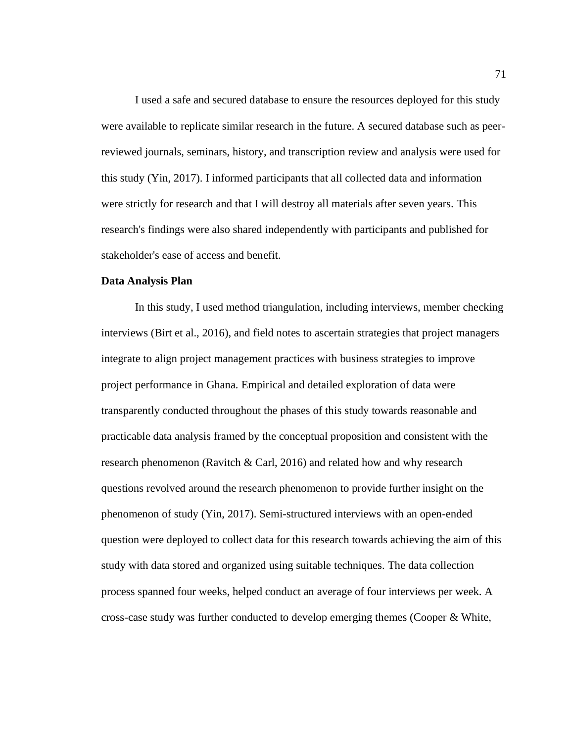I used a safe and secured database to ensure the resources deployed for this study were available to replicate similar research in the future. A secured database such as peerreviewed journals, seminars, history, and transcription review and analysis were used for this study (Yin, 2017). I informed participants that all collected data and information were strictly for research and that I will destroy all materials after seven years. This research's findings were also shared independently with participants and published for stakeholder's ease of access and benefit.

## **Data Analysis Plan**

In this study, I used method triangulation, including interviews, member checking interviews (Birt et al., 2016), and field notes to ascertain strategies that project managers integrate to align project management practices with business strategies to improve project performance in Ghana. Empirical and detailed exploration of data were transparently conducted throughout the phases of this study towards reasonable and practicable data analysis framed by the conceptual proposition and consistent with the research phenomenon (Ravitch & Carl, 2016) and related how and why research questions revolved around the research phenomenon to provide further insight on the phenomenon of study (Yin, 2017). Semi-structured interviews with an open-ended question were deployed to collect data for this research towards achieving the aim of this study with data stored and organized using suitable techniques. The data collection process spanned four weeks, helped conduct an average of four interviews per week. A cross-case study was further conducted to develop emerging themes (Cooper & White,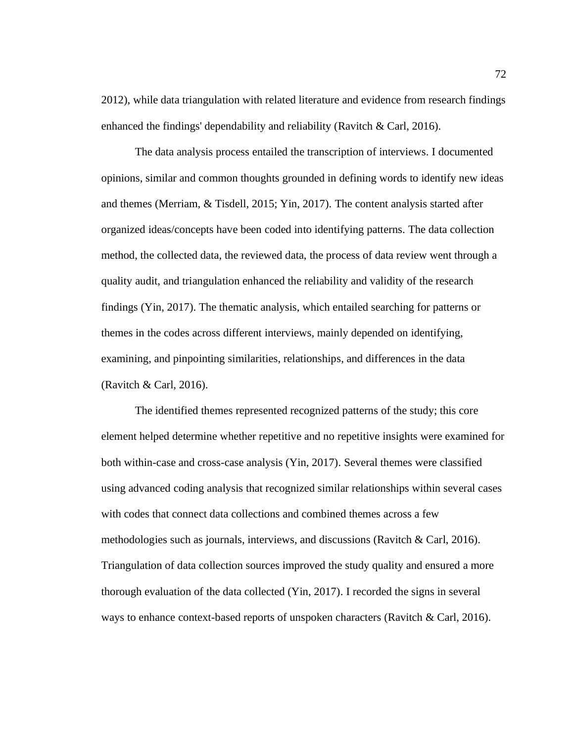2012), while data triangulation with related literature and evidence from research findings enhanced the findings' dependability and reliability (Ravitch & Carl, 2016).

The data analysis process entailed the transcription of interviews. I documented opinions, similar and common thoughts grounded in defining words to identify new ideas and themes (Merriam, & Tisdell, 2015; Yin, 2017). The content analysis started after organized ideas/concepts have been coded into identifying patterns. The data collection method, the collected data, the reviewed data, the process of data review went through a quality audit, and triangulation enhanced the reliability and validity of the research findings (Yin, 2017). The thematic analysis, which entailed searching for patterns or themes in the codes across different interviews, mainly depended on identifying, examining, and pinpointing similarities, relationships, and differences in the data (Ravitch & Carl, 2016).

The identified themes represented recognized patterns of the study; this core element helped determine whether repetitive and no repetitive insights were examined for both within-case and cross-case analysis (Yin, 2017). Several themes were classified using advanced coding analysis that recognized similar relationships within several cases with codes that connect data collections and combined themes across a few methodologies such as journals, interviews, and discussions (Ravitch & Carl, 2016). Triangulation of data collection sources improved the study quality and ensured a more thorough evaluation of the data collected (Yin, 2017). I recorded the signs in several ways to enhance context-based reports of unspoken characters (Ravitch & Carl, 2016).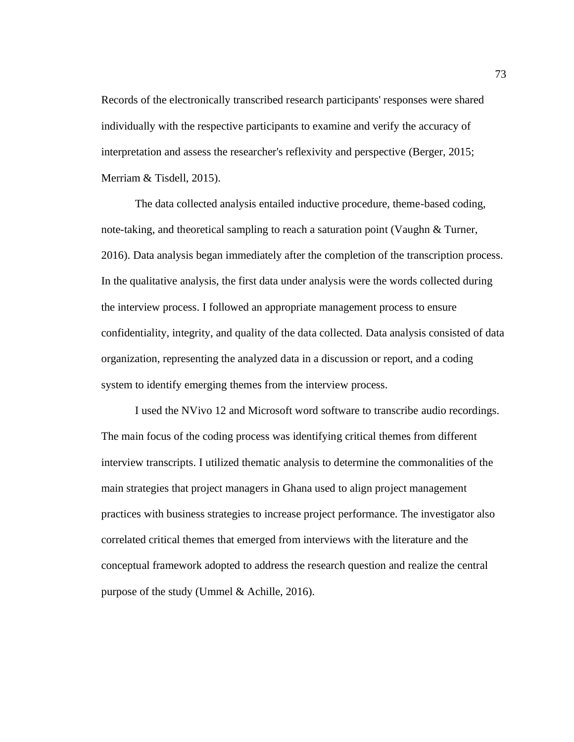Records of the electronically transcribed research participants' responses were shared individually with the respective participants to examine and verify the accuracy of interpretation and assess the researcher's reflexivity and perspective (Berger, 2015; Merriam & Tisdell, 2015).

The data collected analysis entailed inductive procedure, theme-based coding, note-taking, and theoretical sampling to reach a saturation point (Vaughn & Turner, 2016). Data analysis began immediately after the completion of the transcription process. In the qualitative analysis, the first data under analysis were the words collected during the interview process. I followed an appropriate management process to ensure confidentiality, integrity, and quality of the data collected. Data analysis consisted of data organization, representing the analyzed data in a discussion or report, and a coding system to identify emerging themes from the interview process.

I used the NVivo 12 and Microsoft word software to transcribe audio recordings. The main focus of the coding process was identifying critical themes from different interview transcripts. I utilized thematic analysis to determine the commonalities of the main strategies that project managers in Ghana used to align project management practices with business strategies to increase project performance. The investigator also correlated critical themes that emerged from interviews with the literature and the conceptual framework adopted to address the research question and realize the central purpose of the study (Ummel & Achille, 2016).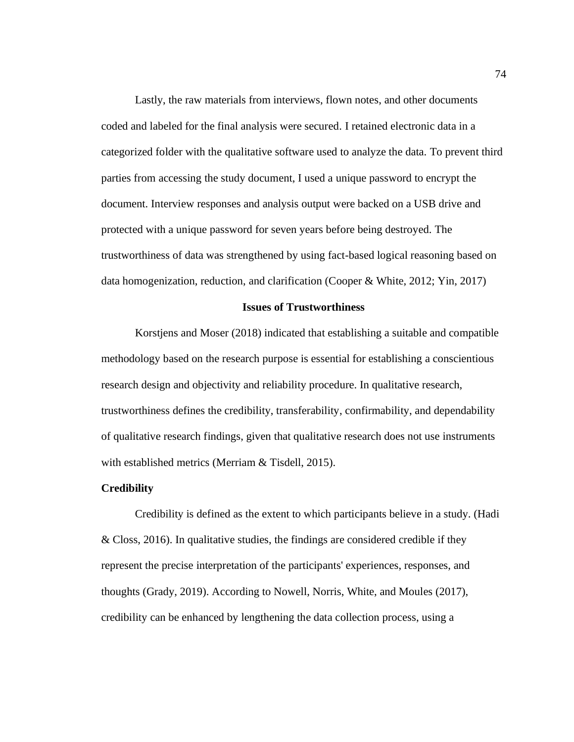Lastly, the raw materials from interviews, flown notes, and other documents coded and labeled for the final analysis were secured. I retained electronic data in a categorized folder with the qualitative software used to analyze the data. To prevent third parties from accessing the study document, I used a unique password to encrypt the document. Interview responses and analysis output were backed on a USB drive and protected with a unique password for seven years before being destroyed. The trustworthiness of data was strengthened by using fact-based logical reasoning based on data homogenization, reduction, and clarification (Cooper & White, 2012; Yin, 2017)

#### **Issues of Trustworthiness**

Korstjens and Moser (2018) indicated that establishing a suitable and compatible methodology based on the research purpose is essential for establishing a conscientious research design and objectivity and reliability procedure. In qualitative research, trustworthiness defines the credibility, transferability, confirmability, and dependability of qualitative research findings, given that qualitative research does not use instruments with established metrics (Merriam & Tisdell, 2015).

#### **Credibility**

Credibility is defined as the extent to which participants believe in a study. (Hadi & Closs, 2016). In qualitative studies, the findings are considered credible if they represent the precise interpretation of the participants' experiences, responses, and thoughts (Grady, 2019). According to Nowell, Norris, White, and Moules (2017), credibility can be enhanced by lengthening the data collection process, using a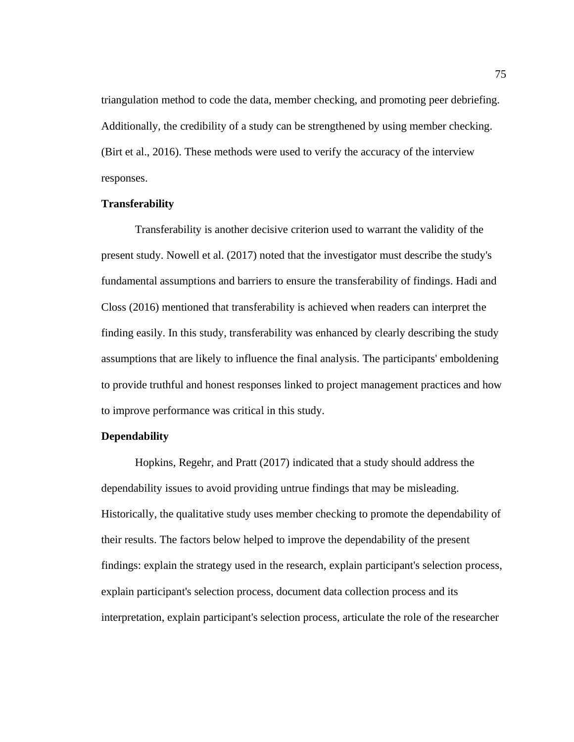triangulation method to code the data, member checking, and promoting peer debriefing. Additionally, the credibility of a study can be strengthened by using member checking. (Birt et al., 2016). These methods were used to verify the accuracy of the interview responses.

## **Transferability**

Transferability is another decisive criterion used to warrant the validity of the present study. Nowell et al. (2017) noted that the investigator must describe the study's fundamental assumptions and barriers to ensure the transferability of findings. Hadi and Closs (2016) mentioned that transferability is achieved when readers can interpret the finding easily. In this study, transferability was enhanced by clearly describing the study assumptions that are likely to influence the final analysis. The participants' emboldening to provide truthful and honest responses linked to project management practices and how to improve performance was critical in this study.

## **Dependability**

Hopkins, Regehr, and Pratt (2017) indicated that a study should address the dependability issues to avoid providing untrue findings that may be misleading. Historically, the qualitative study uses member checking to promote the dependability of their results. The factors below helped to improve the dependability of the present findings: explain the strategy used in the research, explain participant's selection process, explain participant's selection process, document data collection process and its interpretation, explain participant's selection process, articulate the role of the researcher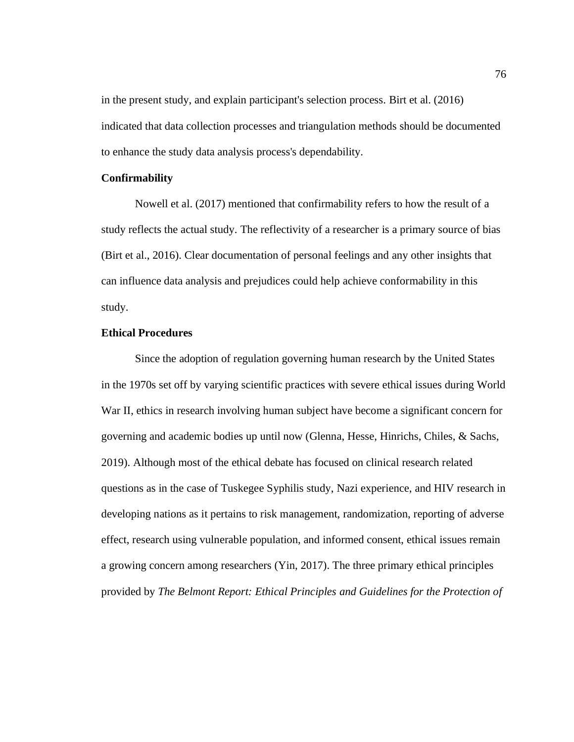in the present study, and explain participant's selection process. Birt et al. (2016) indicated that data collection processes and triangulation methods should be documented to enhance the study data analysis process's dependability.

## **Confirmability**

Nowell et al. (2017) mentioned that confirmability refers to how the result of a study reflects the actual study. The reflectivity of a researcher is a primary source of bias (Birt et al., 2016). Clear documentation of personal feelings and any other insights that can influence data analysis and prejudices could help achieve conformability in this study.

## **Ethical Procedures**

Since the adoption of regulation governing human research by the United States in the 1970s set off by varying scientific practices with severe ethical issues during World War II, ethics in research involving human subject have become a significant concern for governing and academic bodies up until now (Glenna, Hesse, Hinrichs, Chiles, & Sachs, 2019). Although most of the ethical debate has focused on clinical research related questions as in the case of Tuskegee Syphilis study, Nazi experience, and HIV research in developing nations as it pertains to risk management, randomization, reporting of adverse effect, research using vulnerable population, and informed consent, ethical issues remain a growing concern among researchers (Yin, 2017). The three primary ethical principles provided by *The Belmont Report: Ethical Principles and Guidelines for the Protection of*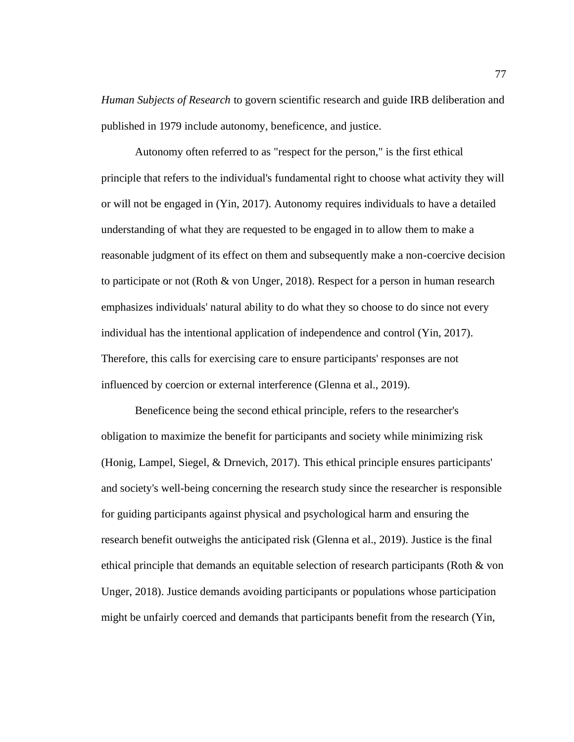*Human Subjects of Research* to govern scientific research and guide IRB deliberation and published in 1979 include autonomy, beneficence, and justice.

Autonomy often referred to as "respect for the person," is the first ethical principle that refers to the individual's fundamental right to choose what activity they will or will not be engaged in (Yin, 2017). Autonomy requires individuals to have a detailed understanding of what they are requested to be engaged in to allow them to make a reasonable judgment of its effect on them and subsequently make a non-coercive decision to participate or not (Roth & von Unger, 2018). Respect for a person in human research emphasizes individuals' natural ability to do what they so choose to do since not every individual has the intentional application of independence and control (Yin, 2017). Therefore, this calls for exercising care to ensure participants' responses are not influenced by coercion or external interference (Glenna et al., 2019).

Beneficence being the second ethical principle, refers to the researcher's obligation to maximize the benefit for participants and society while minimizing risk (Honig, Lampel, Siegel, & Drnevich, 2017). This ethical principle ensures participants' and society's well-being concerning the research study since the researcher is responsible for guiding participants against physical and psychological harm and ensuring the research benefit outweighs the anticipated risk (Glenna et al., 2019). Justice is the final ethical principle that demands an equitable selection of research participants (Roth & von Unger, 2018). Justice demands avoiding participants or populations whose participation might be unfairly coerced and demands that participants benefit from the research (Yin,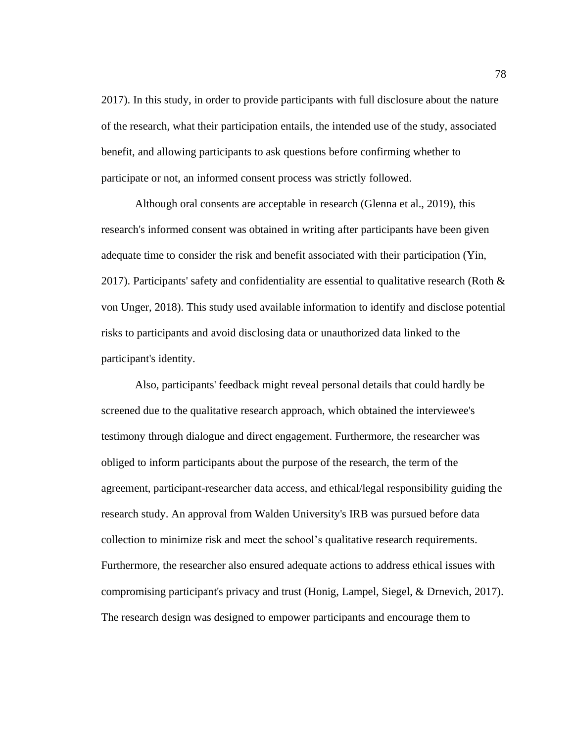2017). In this study, in order to provide participants with full disclosure about the nature of the research, what their participation entails, the intended use of the study, associated benefit, and allowing participants to ask questions before confirming whether to participate or not, an informed consent process was strictly followed.

Although oral consents are acceptable in research (Glenna et al., 2019), this research's informed consent was obtained in writing after participants have been given adequate time to consider the risk and benefit associated with their participation (Yin, 2017). Participants' safety and confidentiality are essential to qualitative research (Roth  $\&$ von Unger, 2018). This study used available information to identify and disclose potential risks to participants and avoid disclosing data or unauthorized data linked to the participant's identity.

Also, participants' feedback might reveal personal details that could hardly be screened due to the qualitative research approach, which obtained the interviewee's testimony through dialogue and direct engagement. Furthermore, the researcher was obliged to inform participants about the purpose of the research, the term of the agreement, participant-researcher data access, and ethical/legal responsibility guiding the research study. An approval from Walden University's IRB was pursued before data collection to minimize risk and meet the school's qualitative research requirements. Furthermore, the researcher also ensured adequate actions to address ethical issues with compromising participant's privacy and trust (Honig, Lampel, Siegel, & Drnevich, 2017). The research design was designed to empower participants and encourage them to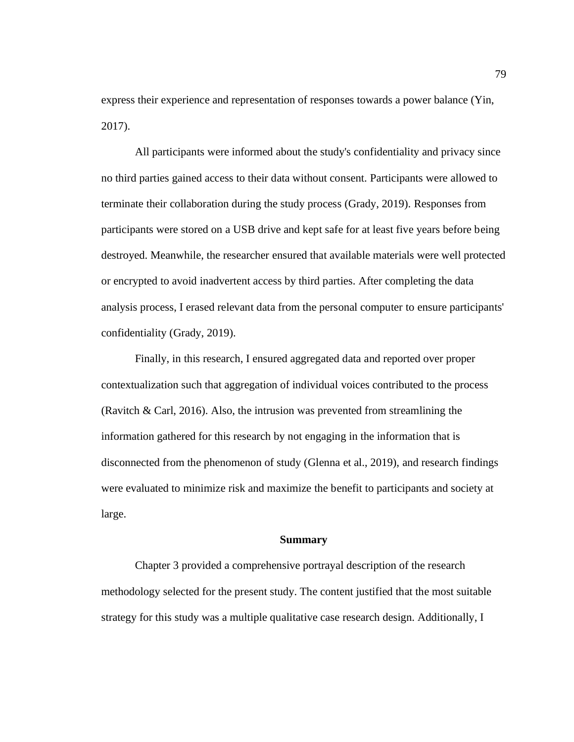express their experience and representation of responses towards a power balance (Yin, 2017).

All participants were informed about the study's confidentiality and privacy since no third parties gained access to their data without consent. Participants were allowed to terminate their collaboration during the study process (Grady, 2019). Responses from participants were stored on a USB drive and kept safe for at least five years before being destroyed. Meanwhile, the researcher ensured that available materials were well protected or encrypted to avoid inadvertent access by third parties. After completing the data analysis process, I erased relevant data from the personal computer to ensure participants' confidentiality (Grady, 2019).

Finally, in this research, I ensured aggregated data and reported over proper contextualization such that aggregation of individual voices contributed to the process (Ravitch & Carl, 2016). Also, the intrusion was prevented from streamlining the information gathered for this research by not engaging in the information that is disconnected from the phenomenon of study (Glenna et al., 2019), and research findings were evaluated to minimize risk and maximize the benefit to participants and society at large.

## **Summary**

Chapter 3 provided a comprehensive portrayal description of the research methodology selected for the present study. The content justified that the most suitable strategy for this study was a multiple qualitative case research design. Additionally, I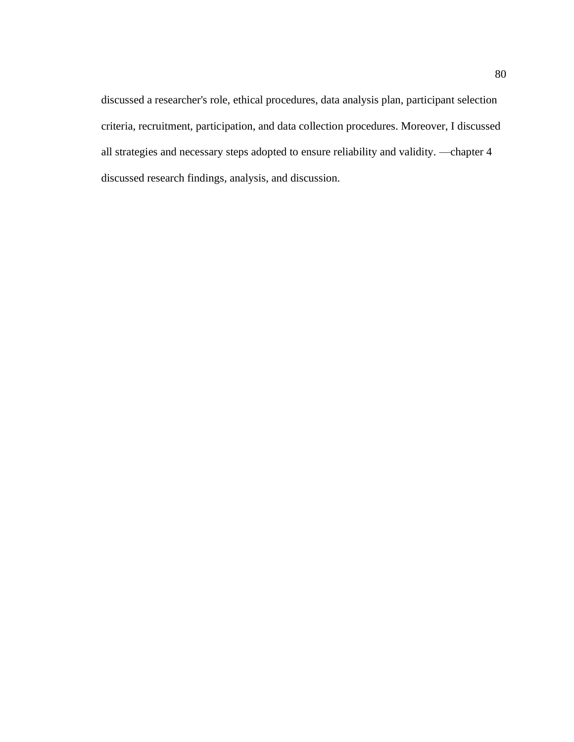discussed a researcher's role, ethical procedures, data analysis plan, participant selection criteria, recruitment, participation, and data collection procedures. Moreover, I discussed all strategies and necessary steps adopted to ensure reliability and validity. —chapter 4 discussed research findings, analysis, and discussion.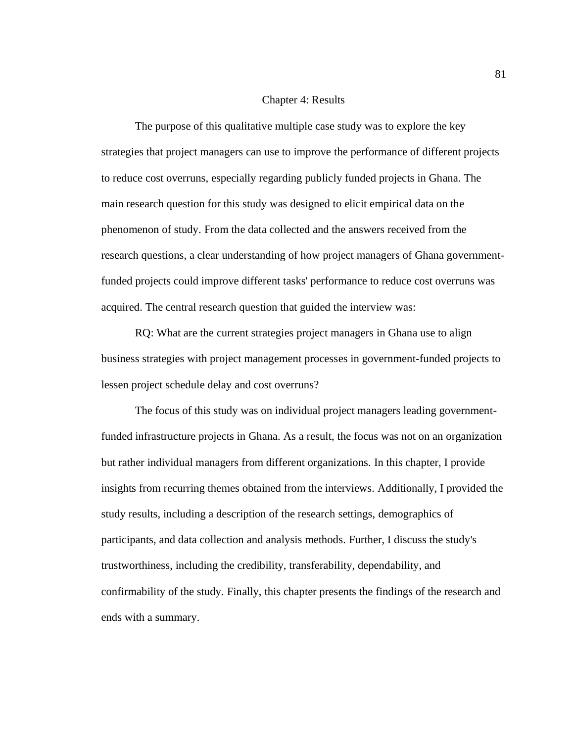## Chapter 4: Results

The purpose of this qualitative multiple case study was to explore the key strategies that project managers can use to improve the performance of different projects to reduce cost overruns, especially regarding publicly funded projects in Ghana. The main research question for this study was designed to elicit empirical data on the phenomenon of study. From the data collected and the answers received from the research questions, a clear understanding of how project managers of Ghana governmentfunded projects could improve different tasks' performance to reduce cost overruns was acquired. The central research question that guided the interview was:

RQ: What are the current strategies project managers in Ghana use to align business strategies with project management processes in government-funded projects to lessen project schedule delay and cost overruns?

The focus of this study was on individual project managers leading governmentfunded infrastructure projects in Ghana. As a result, the focus was not on an organization but rather individual managers from different organizations. In this chapter, I provide insights from recurring themes obtained from the interviews. Additionally, I provided the study results, including a description of the research settings, demographics of participants, and data collection and analysis methods. Further, I discuss the study's trustworthiness, including the credibility, transferability, dependability, and confirmability of the study. Finally, this chapter presents the findings of the research and ends with a summary.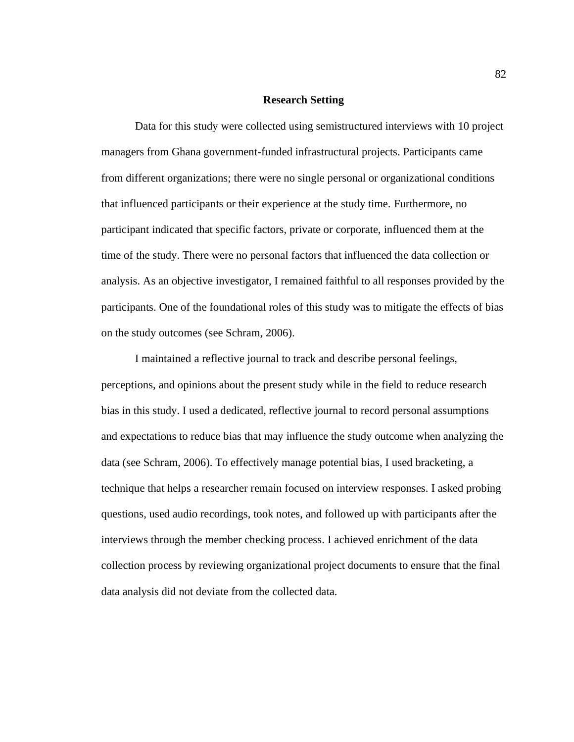## **Research Setting**

Data for this study were collected using semistructured interviews with 10 project managers from Ghana government-funded infrastructural projects. Participants came from different organizations; there were no single personal or organizational conditions that influenced participants or their experience at the study time. Furthermore, no participant indicated that specific factors, private or corporate, influenced them at the time of the study. There were no personal factors that influenced the data collection or analysis. As an objective investigator, I remained faithful to all responses provided by the participants. One of the foundational roles of this study was to mitigate the effects of bias on the study outcomes (see Schram, 2006).

I maintained a reflective journal to track and describe personal feelings, perceptions, and opinions about the present study while in the field to reduce research bias in this study. I used a dedicated, reflective journal to record personal assumptions and expectations to reduce bias that may influence the study outcome when analyzing the data (see Schram, 2006). To effectively manage potential bias, I used bracketing, a technique that helps a researcher remain focused on interview responses. I asked probing questions, used audio recordings, took notes, and followed up with participants after the interviews through the member checking process. I achieved enrichment of the data collection process by reviewing organizational project documents to ensure that the final data analysis did not deviate from the collected data.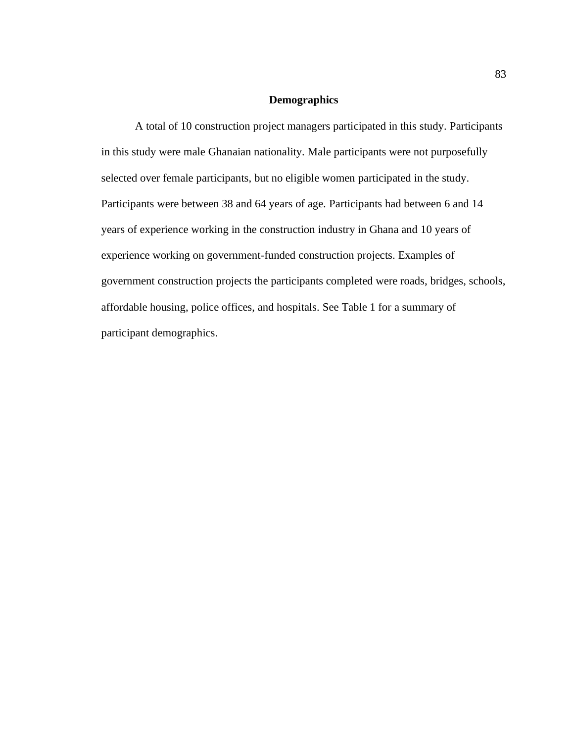# **Demographics**

A total of 10 construction project managers participated in this study. Participants in this study were male Ghanaian nationality. Male participants were not purposefully selected over female participants, but no eligible women participated in the study. Participants were between 38 and 64 years of age. Participants had between 6 and 14 years of experience working in the construction industry in Ghana and 10 years of experience working on government-funded construction projects. Examples of government construction projects the participants completed were roads, bridges, schools, affordable housing, police offices, and hospitals. See Table 1 for a summary of participant demographics.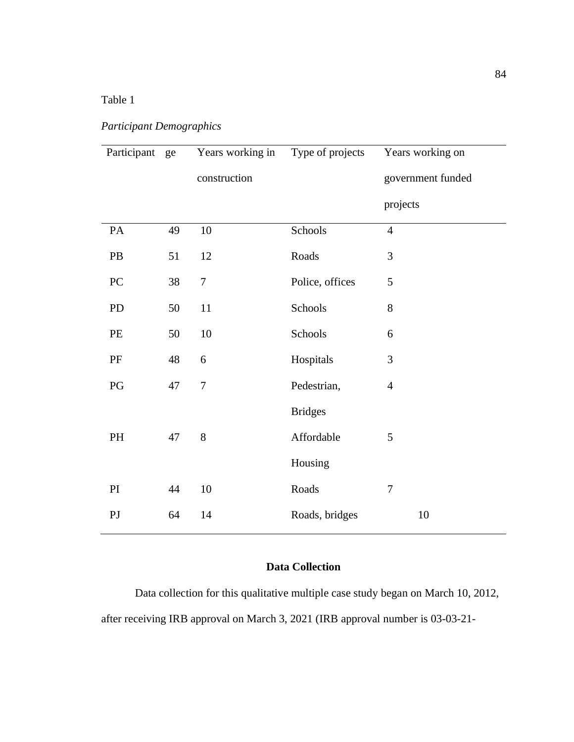# Table 1

# *Participant Demographics*

| Participant ge |    | Years working in | Type of projects | Years working on  |
|----------------|----|------------------|------------------|-------------------|
|                |    | construction     |                  | government funded |
|                |    |                  |                  | projects          |
| PA             | 49 | 10               | Schools          | $\overline{4}$    |
| PB             | 51 | 12               | Roads            | 3                 |
| PC             | 38 | $\overline{7}$   | Police, offices  | 5                 |
| <b>PD</b>      | 50 | 11               | Schools          | 8                 |
| PE             | 50 | 10               | Schools          | 6                 |
| PF             | 48 | 6                | Hospitals        | 3                 |
| PG             | 47 | $\overline{7}$   | Pedestrian,      | $\overline{4}$    |
|                |    |                  | <b>Bridges</b>   |                   |
| PH             | 47 | 8                | Affordable       | 5                 |
|                |    |                  | Housing          |                   |
| PI             | 44 | $10\,$           | Roads            | $\overline{7}$    |
| P <sub>J</sub> | 64 | 14               | Roads, bridges   | 10                |

# **Data Collection**

Data collection for this qualitative multiple case study began on March 10, 2012, after receiving IRB approval on March 3, 2021 (IRB approval number is 03-03-21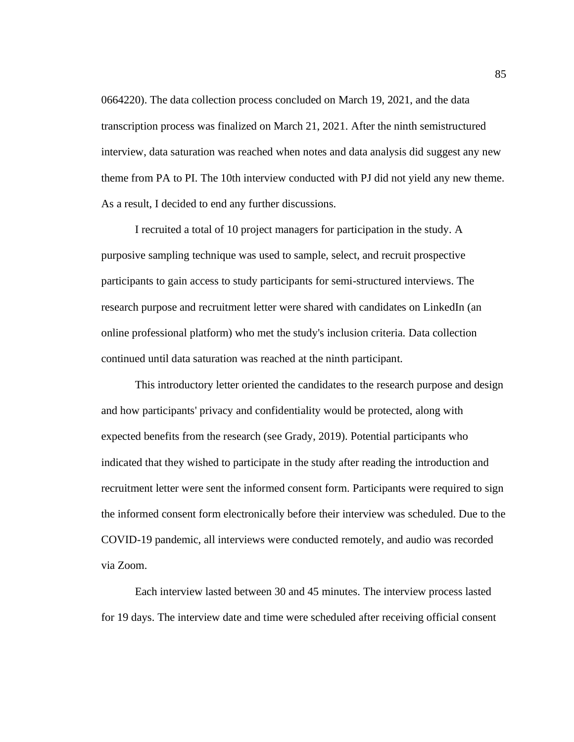0664220). The data collection process concluded on March 19, 2021, and the data transcription process was finalized on March 21, 2021. After the ninth semistructured interview, data saturation was reached when notes and data analysis did suggest any new theme from PA to PI. The 10th interview conducted with PJ did not yield any new theme. As a result, I decided to end any further discussions.

I recruited a total of 10 project managers for participation in the study. A purposive sampling technique was used to sample, select, and recruit prospective participants to gain access to study participants for semi-structured interviews. The research purpose and recruitment letter were shared with candidates on LinkedIn (an online professional platform) who met the study's inclusion criteria. Data collection continued until data saturation was reached at the ninth participant.

This introductory letter oriented the candidates to the research purpose and design and how participants' privacy and confidentiality would be protected, along with expected benefits from the research (see Grady, 2019). Potential participants who indicated that they wished to participate in the study after reading the introduction and recruitment letter were sent the informed consent form. Participants were required to sign the informed consent form electronically before their interview was scheduled. Due to the COVID-19 pandemic, all interviews were conducted remotely, and audio was recorded via Zoom.

Each interview lasted between 30 and 45 minutes. The interview process lasted for 19 days. The interview date and time were scheduled after receiving official consent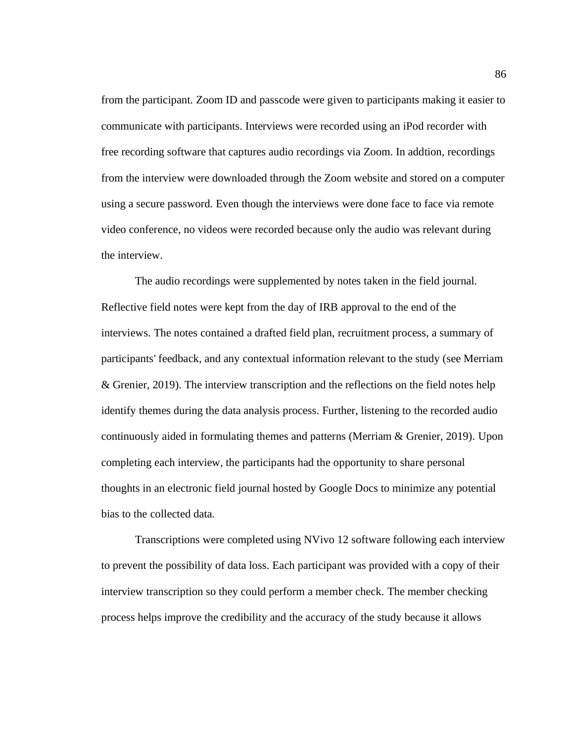from the participant. Zoom ID and passcode were given to participants making it easier to communicate with participants. Interviews were recorded using an iPod recorder with free recording software that captures audio recordings via Zoom. In addtion, recordings from the interview were downloaded through the Zoom website and stored on a computer using a secure password. Even though the interviews were done face to face via remote video conference, no videos were recorded because only the audio was relevant during the interview.

The audio recordings were supplemented by notes taken in the field journal. Reflective field notes were kept from the day of IRB approval to the end of the interviews. The notes contained a drafted field plan, recruitment process, a summary of participants' feedback, and any contextual information relevant to the study (see Merriam & Grenier, 2019). The interview transcription and the reflections on the field notes help identify themes during the data analysis process. Further, listening to the recorded audio continuously aided in formulating themes and patterns (Merriam & Grenier, 2019). Upon completing each interview, the participants had the opportunity to share personal thoughts in an electronic field journal hosted by Google Docs to minimize any potential bias to the collected data.

Transcriptions were completed using NVivo 12 software following each interview to prevent the possibility of data loss. Each participant was provided with a copy of their interview transcription so they could perform a member check. The member checking process helps improve the credibility and the accuracy of the study because it allows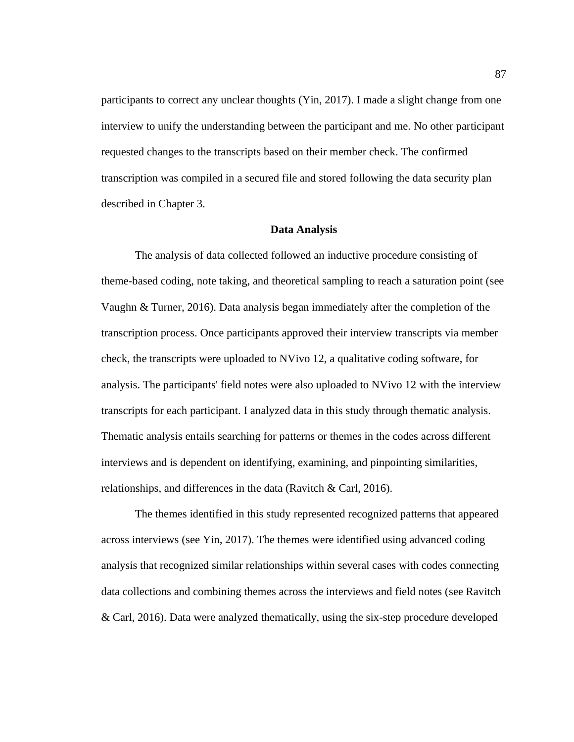participants to correct any unclear thoughts (Yin, 2017). I made a slight change from one interview to unify the understanding between the participant and me. No other participant requested changes to the transcripts based on their member check. The confirmed transcription was compiled in a secured file and stored following the data security plan described in Chapter 3.

#### **Data Analysis**

The analysis of data collected followed an inductive procedure consisting of theme-based coding, note taking, and theoretical sampling to reach a saturation point (see Vaughn & Turner, 2016). Data analysis began immediately after the completion of the transcription process. Once participants approved their interview transcripts via member check, the transcripts were uploaded to NVivo 12, a qualitative coding software, for analysis. The participants' field notes were also uploaded to NVivo 12 with the interview transcripts for each participant. I analyzed data in this study through thematic analysis. Thematic analysis entails searching for patterns or themes in the codes across different interviews and is dependent on identifying, examining, and pinpointing similarities, relationships, and differences in the data (Ravitch  $& Carl, 2016$ ).

The themes identified in this study represented recognized patterns that appeared across interviews (see Yin, 2017). The themes were identified using advanced coding analysis that recognized similar relationships within several cases with codes connecting data collections and combining themes across the interviews and field notes (see Ravitch & Carl, 2016). Data were analyzed thematically, using the six-step procedure developed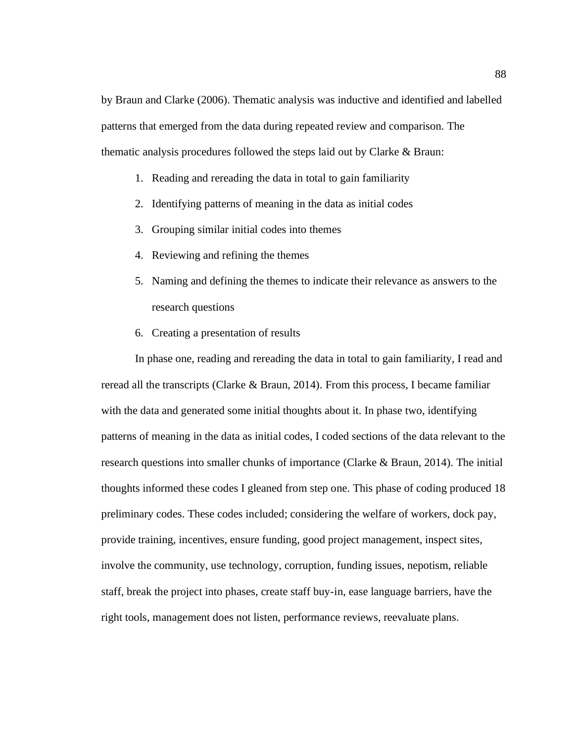by Braun and Clarke (2006). Thematic analysis was inductive and identified and labelled patterns that emerged from the data during repeated review and comparison. The thematic analysis procedures followed the steps laid out by Clarke & Braun:

- 1. Reading and rereading the data in total to gain familiarity
- 2. Identifying patterns of meaning in the data as initial codes
- 3. Grouping similar initial codes into themes
- 4. Reviewing and refining the themes
- 5. Naming and defining the themes to indicate their relevance as answers to the research questions
- 6. Creating a presentation of results

In phase one, reading and rereading the data in total to gain familiarity, I read and reread all the transcripts (Clarke & Braun, 2014). From this process, I became familiar with the data and generated some initial thoughts about it. In phase two, identifying patterns of meaning in the data as initial codes, I coded sections of the data relevant to the research questions into smaller chunks of importance (Clarke & Braun, 2014). The initial thoughts informed these codes I gleaned from step one. This phase of coding produced 18 preliminary codes. These codes included; considering the welfare of workers, dock pay, provide training, incentives, ensure funding, good project management, inspect sites, involve the community, use technology, corruption, funding issues, nepotism, reliable staff, break the project into phases, create staff buy-in, ease language barriers, have the right tools, management does not listen, performance reviews, reevaluate plans.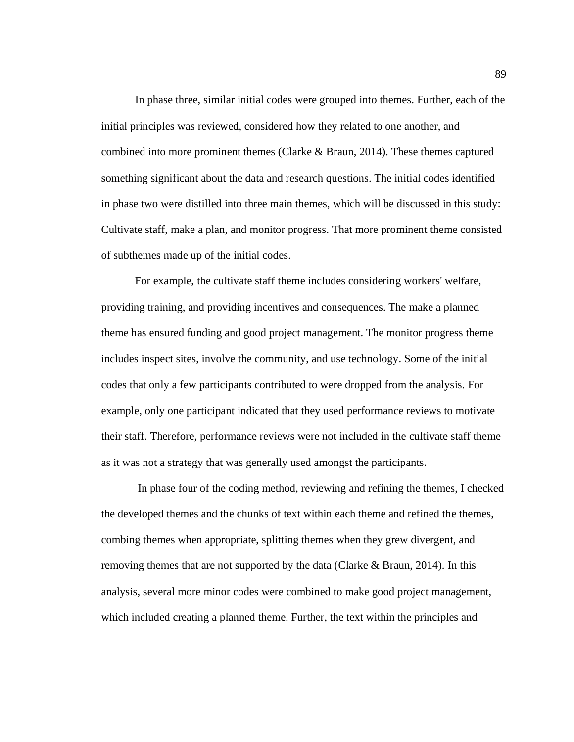In phase three, similar initial codes were grouped into themes. Further, each of the initial principles was reviewed, considered how they related to one another, and combined into more prominent themes (Clarke & Braun, 2014). These themes captured something significant about the data and research questions. The initial codes identified in phase two were distilled into three main themes, which will be discussed in this study: Cultivate staff, make a plan, and monitor progress. That more prominent theme consisted of subthemes made up of the initial codes.

For example, the cultivate staff theme includes considering workers' welfare, providing training, and providing incentives and consequences. The make a planned theme has ensured funding and good project management. The monitor progress theme includes inspect sites, involve the community, and use technology. Some of the initial codes that only a few participants contributed to were dropped from the analysis. For example, only one participant indicated that they used performance reviews to motivate their staff. Therefore, performance reviews were not included in the cultivate staff theme as it was not a strategy that was generally used amongst the participants.

In phase four of the coding method, reviewing and refining the themes, I checked the developed themes and the chunks of text within each theme and refined the themes, combing themes when appropriate, splitting themes when they grew divergent, and removing themes that are not supported by the data (Clarke & Braun, 2014). In this analysis, several more minor codes were combined to make good project management, which included creating a planned theme. Further, the text within the principles and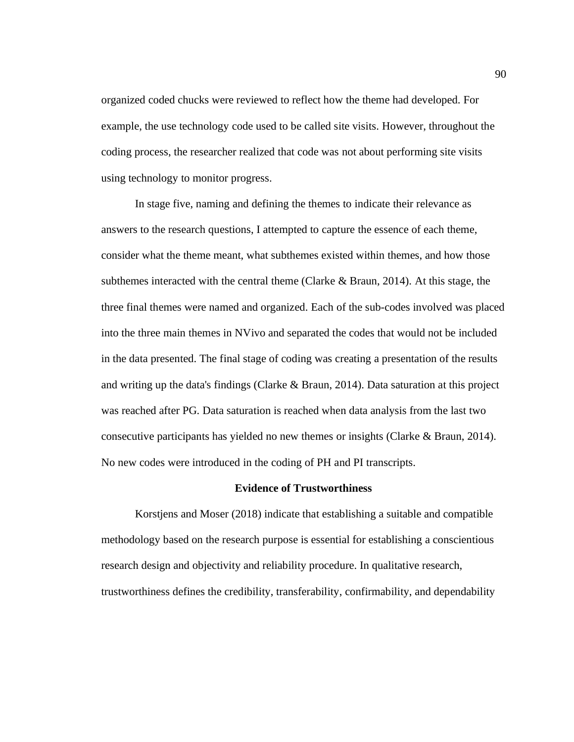organized coded chucks were reviewed to reflect how the theme had developed. For example, the use technology code used to be called site visits. However, throughout the coding process, the researcher realized that code was not about performing site visits using technology to monitor progress.

In stage five, naming and defining the themes to indicate their relevance as answers to the research questions, I attempted to capture the essence of each theme, consider what the theme meant, what subthemes existed within themes, and how those subthemes interacted with the central theme (Clarke  $\&$  Braun, 2014). At this stage, the three final themes were named and organized. Each of the sub-codes involved was placed into the three main themes in NVivo and separated the codes that would not be included in the data presented. The final stage of coding was creating a presentation of the results and writing up the data's findings (Clarke  $\&$  Braun, 2014). Data saturation at this project was reached after PG. Data saturation is reached when data analysis from the last two consecutive participants has yielded no new themes or insights (Clarke & Braun, 2014). No new codes were introduced in the coding of PH and PI transcripts.

## **Evidence of Trustworthiness**

Korstjens and Moser (2018) indicate that establishing a suitable and compatible methodology based on the research purpose is essential for establishing a conscientious research design and objectivity and reliability procedure. In qualitative research, trustworthiness defines the credibility, transferability, confirmability, and dependability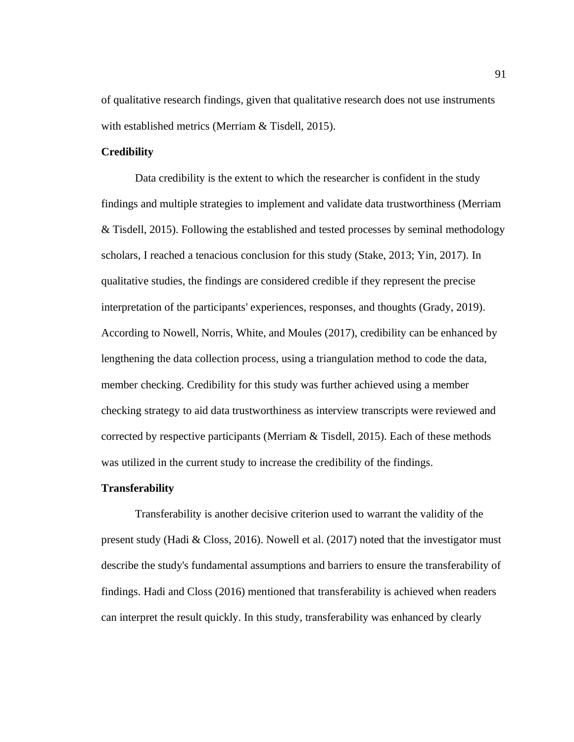of qualitative research findings, given that qualitative research does not use instruments with established metrics (Merriam & Tisdell, 2015).

# **Credibility**

Data credibility is the extent to which the researcher is confident in the study findings and multiple strategies to implement and validate data trustworthiness (Merriam & Tisdell, 2015). Following the established and tested processes by seminal methodology scholars, I reached a tenacious conclusion for this study (Stake, 2013; Yin, 2017). In qualitative studies, the findings are considered credible if they represent the precise interpretation of the participants' experiences, responses, and thoughts (Grady, 2019). According to Nowell, Norris, White, and Moules (2017), credibility can be enhanced by lengthening the data collection process, using a triangulation method to code the data, member checking. Credibility for this study was further achieved using a member checking strategy to aid data trustworthiness as interview transcripts were reviewed and corrected by respective participants (Merriam  $\&$  Tisdell, 2015). Each of these methods was utilized in the current study to increase the credibility of the findings.

#### **Transferability**

Transferability is another decisive criterion used to warrant the validity of the present study (Hadi & Closs, 2016). Nowell et al. (2017) noted that the investigator must describe the study's fundamental assumptions and barriers to ensure the transferability of findings. Hadi and Closs (2016) mentioned that transferability is achieved when readers can interpret the result quickly. In this study, transferability was enhanced by clearly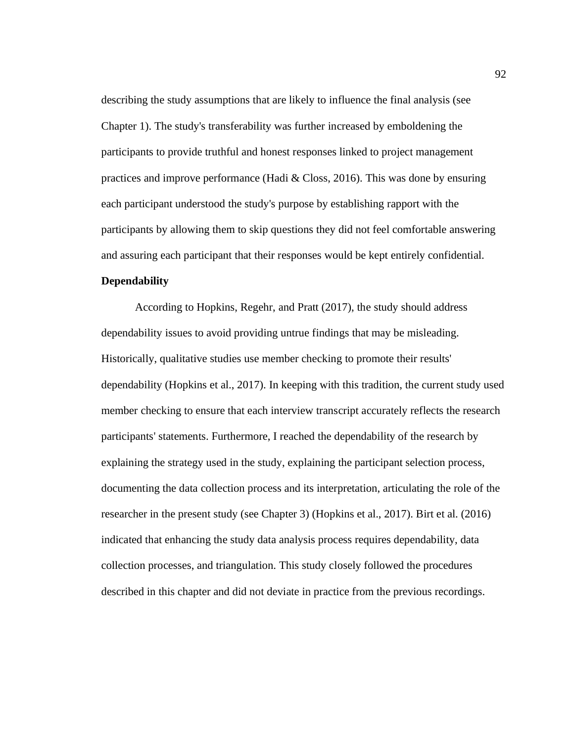describing the study assumptions that are likely to influence the final analysis (see Chapter 1). The study's transferability was further increased by emboldening the participants to provide truthful and honest responses linked to project management practices and improve performance (Hadi  $& Class, 2016$ ). This was done by ensuring each participant understood the study's purpose by establishing rapport with the participants by allowing them to skip questions they did not feel comfortable answering and assuring each participant that their responses would be kept entirely confidential. **Dependability**

According to Hopkins, Regehr, and Pratt (2017), the study should address dependability issues to avoid providing untrue findings that may be misleading. Historically, qualitative studies use member checking to promote their results' dependability (Hopkins et al., 2017). In keeping with this tradition, the current study used member checking to ensure that each interview transcript accurately reflects the research participants' statements. Furthermore, I reached the dependability of the research by explaining the strategy used in the study, explaining the participant selection process, documenting the data collection process and its interpretation, articulating the role of the researcher in the present study (see Chapter 3) (Hopkins et al., 2017). Birt et al. (2016) indicated that enhancing the study data analysis process requires dependability, data collection processes, and triangulation. This study closely followed the procedures described in this chapter and did not deviate in practice from the previous recordings.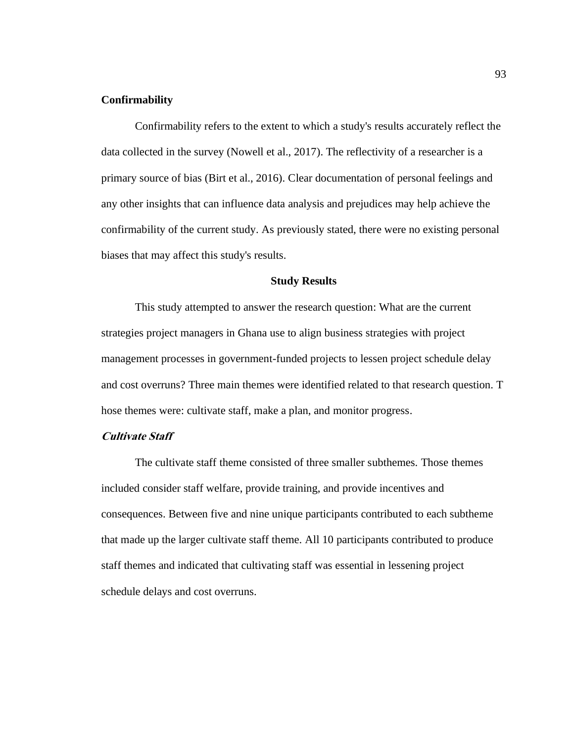## **Confirmability**

Confirmability refers to the extent to which a study's results accurately reflect the data collected in the survey (Nowell et al., 2017). The reflectivity of a researcher is a primary source of bias (Birt et al., 2016). Clear documentation of personal feelings and any other insights that can influence data analysis and prejudices may help achieve the confirmability of the current study. As previously stated, there were no existing personal biases that may affect this study's results.

# **Study Results**

This study attempted to answer the research question: What are the current strategies project managers in Ghana use to align business strategies with project management processes in government-funded projects to lessen project schedule delay and cost overruns? Three main themes were identified related to that research question. T hose themes were: cultivate staff, make a plan, and monitor progress.

## **Cultivate Staff**

The cultivate staff theme consisted of three smaller subthemes. Those themes included consider staff welfare, provide training, and provide incentives and consequences. Between five and nine unique participants contributed to each subtheme that made up the larger cultivate staff theme. All 10 participants contributed to produce staff themes and indicated that cultivating staff was essential in lessening project schedule delays and cost overruns.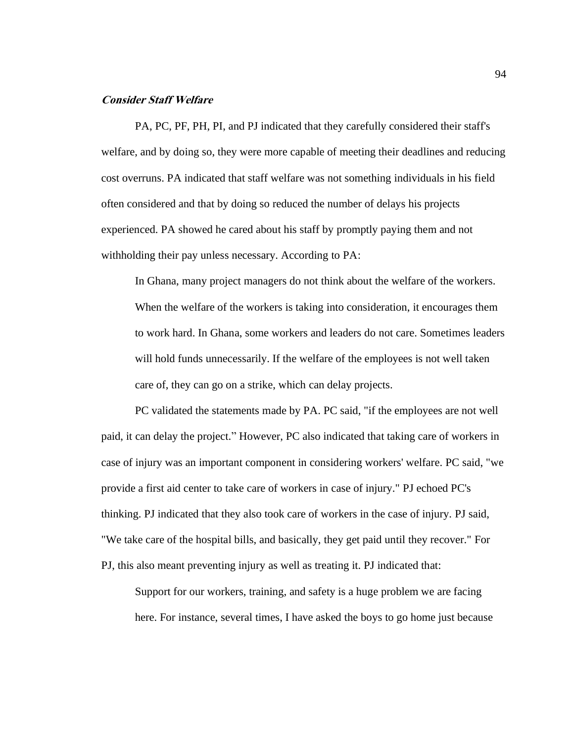## **Consider Staff Welfare**

PA, PC, PF, PH, PI, and PJ indicated that they carefully considered their staff's welfare, and by doing so, they were more capable of meeting their deadlines and reducing cost overruns. PA indicated that staff welfare was not something individuals in his field often considered and that by doing so reduced the number of delays his projects experienced. PA showed he cared about his staff by promptly paying them and not withholding their pay unless necessary. According to PA:

In Ghana, many project managers do not think about the welfare of the workers. When the welfare of the workers is taking into consideration, it encourages them to work hard. In Ghana, some workers and leaders do not care. Sometimes leaders will hold funds unnecessarily. If the welfare of the employees is not well taken care of, they can go on a strike, which can delay projects.

PC validated the statements made by PA. PC said, "if the employees are not well paid, it can delay the project." However, PC also indicated that taking care of workers in case of injury was an important component in considering workers' welfare. PC said, "we provide a first aid center to take care of workers in case of injury." PJ echoed PC's thinking. PJ indicated that they also took care of workers in the case of injury. PJ said, "We take care of the hospital bills, and basically, they get paid until they recover." For PJ, this also meant preventing injury as well as treating it. PJ indicated that:

Support for our workers, training, and safety is a huge problem we are facing here. For instance, several times, I have asked the boys to go home just because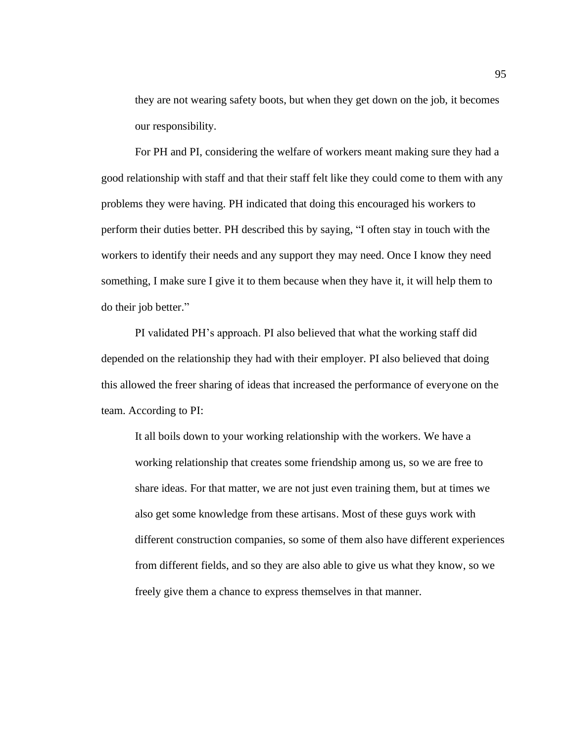they are not wearing safety boots, but when they get down on the job, it becomes our responsibility.

For PH and PI, considering the welfare of workers meant making sure they had a good relationship with staff and that their staff felt like they could come to them with any problems they were having. PH indicated that doing this encouraged his workers to perform their duties better. PH described this by saying, "I often stay in touch with the workers to identify their needs and any support they may need. Once I know they need something, I make sure I give it to them because when they have it, it will help them to do their job better."

PI validated PH's approach. PI also believed that what the working staff did depended on the relationship they had with their employer. PI also believed that doing this allowed the freer sharing of ideas that increased the performance of everyone on the team. According to PI:

It all boils down to your working relationship with the workers. We have a working relationship that creates some friendship among us, so we are free to share ideas. For that matter, we are not just even training them, but at times we also get some knowledge from these artisans. Most of these guys work with different construction companies, so some of them also have different experiences from different fields, and so they are also able to give us what they know, so we freely give them a chance to express themselves in that manner.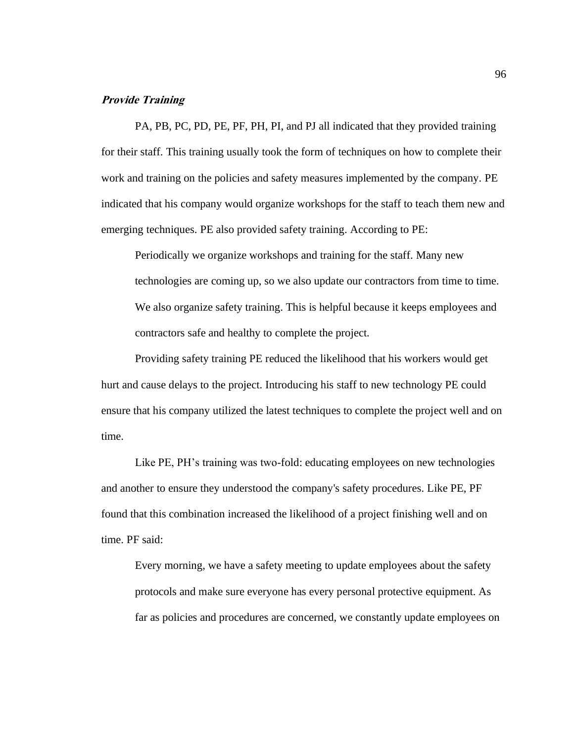# **Provide Training**

PA, PB, PC, PD, PE, PF, PH, PI, and PJ all indicated that they provided training for their staff. This training usually took the form of techniques on how to complete their work and training on the policies and safety measures implemented by the company. PE indicated that his company would organize workshops for the staff to teach them new and emerging techniques. PE also provided safety training. According to PE:

Periodically we organize workshops and training for the staff. Many new technologies are coming up, so we also update our contractors from time to time. We also organize safety training. This is helpful because it keeps employees and contractors safe and healthy to complete the project.

Providing safety training PE reduced the likelihood that his workers would get hurt and cause delays to the project. Introducing his staff to new technology PE could ensure that his company utilized the latest techniques to complete the project well and on time.

Like PE, PH's training was two-fold: educating employees on new technologies and another to ensure they understood the company's safety procedures. Like PE, PF found that this combination increased the likelihood of a project finishing well and on time. PF said:

Every morning, we have a safety meeting to update employees about the safety protocols and make sure everyone has every personal protective equipment. As far as policies and procedures are concerned, we constantly update employees on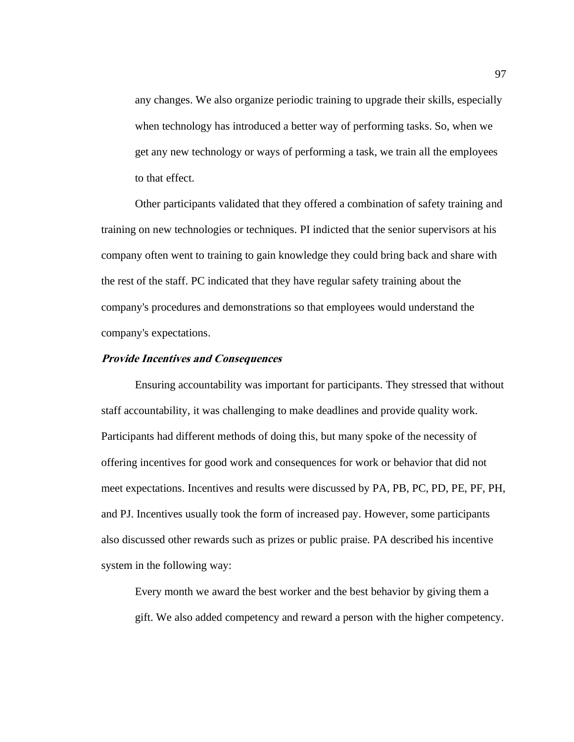any changes. We also organize periodic training to upgrade their skills, especially when technology has introduced a better way of performing tasks. So, when we get any new technology or ways of performing a task, we train all the employees to that effect.

Other participants validated that they offered a combination of safety training and training on new technologies or techniques. PI indicted that the senior supervisors at his company often went to training to gain knowledge they could bring back and share with the rest of the staff. PC indicated that they have regular safety training about the company's procedures and demonstrations so that employees would understand the company's expectations.

#### **Provide Incentives and Consequences**

Ensuring accountability was important for participants. They stressed that without staff accountability, it was challenging to make deadlines and provide quality work. Participants had different methods of doing this, but many spoke of the necessity of offering incentives for good work and consequences for work or behavior that did not meet expectations. Incentives and results were discussed by PA, PB, PC, PD, PE, PF, PH, and PJ. Incentives usually took the form of increased pay. However, some participants also discussed other rewards such as prizes or public praise. PA described his incentive system in the following way:

Every month we award the best worker and the best behavior by giving them a gift. We also added competency and reward a person with the higher competency.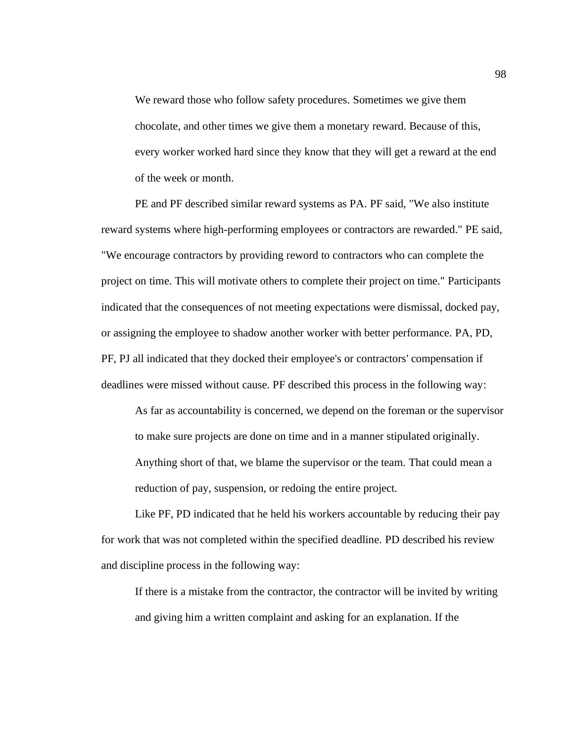We reward those who follow safety procedures. Sometimes we give them chocolate, and other times we give them a monetary reward. Because of this, every worker worked hard since they know that they will get a reward at the end of the week or month.

PE and PF described similar reward systems as PA. PF said, "We also institute reward systems where high-performing employees or contractors are rewarded." PE said, "We encourage contractors by providing reword to contractors who can complete the project on time. This will motivate others to complete their project on time." Participants indicated that the consequences of not meeting expectations were dismissal, docked pay, or assigning the employee to shadow another worker with better performance. PA, PD, PF, PJ all indicated that they docked their employee's or contractors' compensation if deadlines were missed without cause. PF described this process in the following way:

As far as accountability is concerned, we depend on the foreman or the supervisor to make sure projects are done on time and in a manner stipulated originally. Anything short of that, we blame the supervisor or the team. That could mean a reduction of pay, suspension, or redoing the entire project.

Like PF, PD indicated that he held his workers accountable by reducing their pay for work that was not completed within the specified deadline. PD described his review and discipline process in the following way:

If there is a mistake from the contractor, the contractor will be invited by writing and giving him a written complaint and asking for an explanation. If the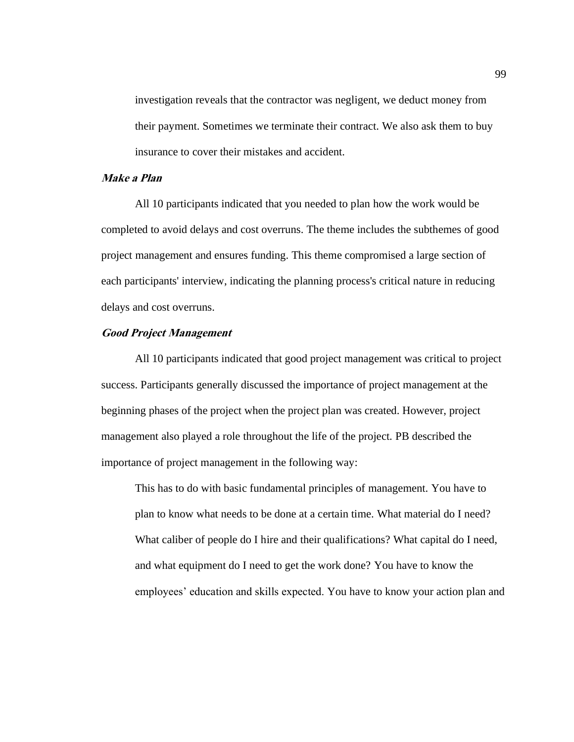investigation reveals that the contractor was negligent, we deduct money from their payment. Sometimes we terminate their contract. We also ask them to buy insurance to cover their mistakes and accident.

# **Make a Plan**

All 10 participants indicated that you needed to plan how the work would be completed to avoid delays and cost overruns. The theme includes the subthemes of good project management and ensures funding. This theme compromised a large section of each participants' interview, indicating the planning process's critical nature in reducing delays and cost overruns.

#### **Good Project Management**

All 10 participants indicated that good project management was critical to project success. Participants generally discussed the importance of project management at the beginning phases of the project when the project plan was created. However, project management also played a role throughout the life of the project. PB described the importance of project management in the following way:

This has to do with basic fundamental principles of management. You have to plan to know what needs to be done at a certain time. What material do I need? What caliber of people do I hire and their qualifications? What capital do I need, and what equipment do I need to get the work done? You have to know the employees' education and skills expected. You have to know your action plan and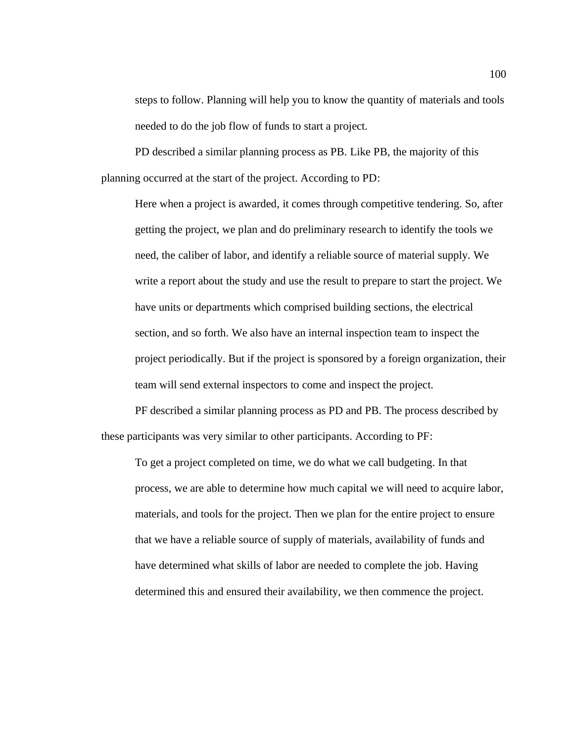steps to follow. Planning will help you to know the quantity of materials and tools needed to do the job flow of funds to start a project.

PD described a similar planning process as PB. Like PB, the majority of this planning occurred at the start of the project. According to PD:

Here when a project is awarded, it comes through competitive tendering. So, after getting the project, we plan and do preliminary research to identify the tools we need, the caliber of labor, and identify a reliable source of material supply. We write a report about the study and use the result to prepare to start the project. We have units or departments which comprised building sections, the electrical section, and so forth. We also have an internal inspection team to inspect the project periodically. But if the project is sponsored by a foreign organization, their team will send external inspectors to come and inspect the project.

PF described a similar planning process as PD and PB. The process described by these participants was very similar to other participants. According to PF:

To get a project completed on time, we do what we call budgeting. In that process, we are able to determine how much capital we will need to acquire labor, materials, and tools for the project. Then we plan for the entire project to ensure that we have a reliable source of supply of materials, availability of funds and have determined what skills of labor are needed to complete the job. Having determined this and ensured their availability, we then commence the project.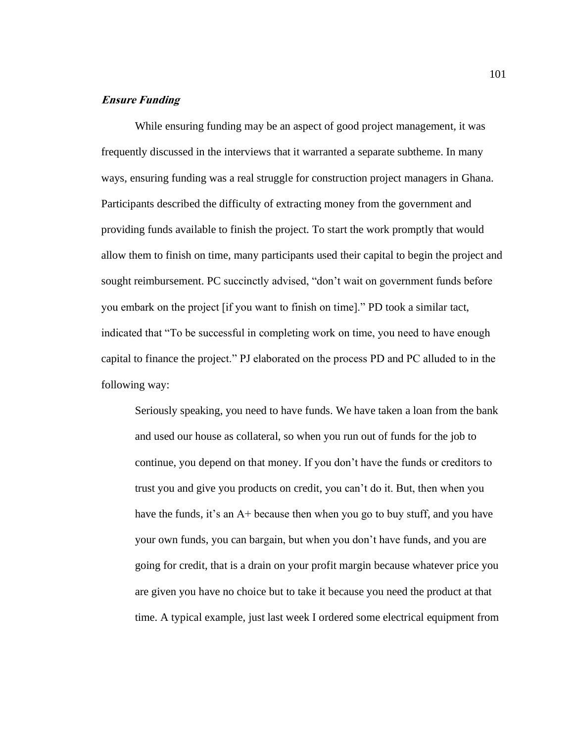# **Ensure Funding**

While ensuring funding may be an aspect of good project management, it was frequently discussed in the interviews that it warranted a separate subtheme. In many ways, ensuring funding was a real struggle for construction project managers in Ghana. Participants described the difficulty of extracting money from the government and providing funds available to finish the project. To start the work promptly that would allow them to finish on time, many participants used their capital to begin the project and sought reimbursement. PC succinctly advised, "don't wait on government funds before you embark on the project [if you want to finish on time]." PD took a similar tact, indicated that "To be successful in completing work on time, you need to have enough capital to finance the project." PJ elaborated on the process PD and PC alluded to in the following way:

Seriously speaking, you need to have funds. We have taken a loan from the bank and used our house as collateral, so when you run out of funds for the job to continue, you depend on that money. If you don't have the funds or creditors to trust you and give you products on credit, you can't do it. But, then when you have the funds, it's an A+ because then when you go to buy stuff, and you have your own funds, you can bargain, but when you don't have funds, and you are going for credit, that is a drain on your profit margin because whatever price you are given you have no choice but to take it because you need the product at that time. A typical example, just last week I ordered some electrical equipment from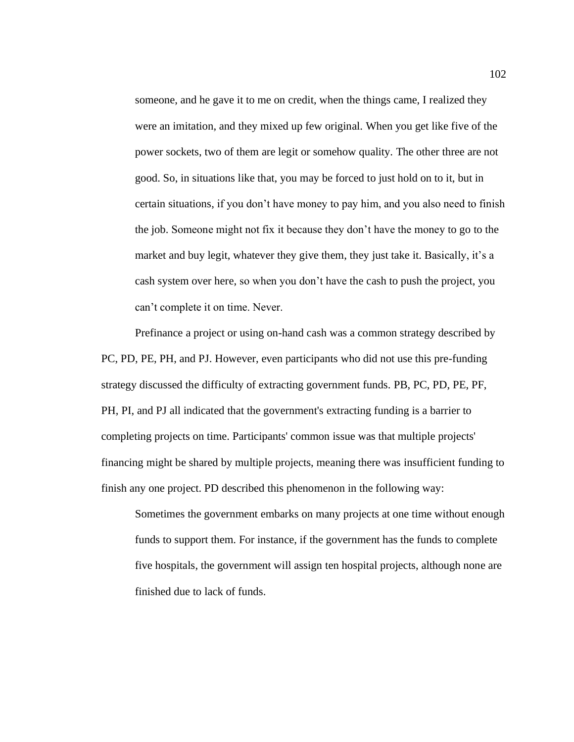someone, and he gave it to me on credit, when the things came, I realized they were an imitation, and they mixed up few original. When you get like five of the power sockets, two of them are legit or somehow quality. The other three are not good. So, in situations like that, you may be forced to just hold on to it, but in certain situations, if you don't have money to pay him, and you also need to finish the job. Someone might not fix it because they don't have the money to go to the market and buy legit, whatever they give them, they just take it. Basically, it's a cash system over here, so when you don't have the cash to push the project, you can't complete it on time. Never.

Prefinance a project or using on-hand cash was a common strategy described by PC, PD, PE, PH, and PJ. However, even participants who did not use this pre-funding strategy discussed the difficulty of extracting government funds. PB, PC, PD, PE, PF, PH, PI, and PJ all indicated that the government's extracting funding is a barrier to completing projects on time. Participants' common issue was that multiple projects' financing might be shared by multiple projects, meaning there was insufficient funding to finish any one project. PD described this phenomenon in the following way:

Sometimes the government embarks on many projects at one time without enough funds to support them. For instance, if the government has the funds to complete five hospitals, the government will assign ten hospital projects, although none are finished due to lack of funds.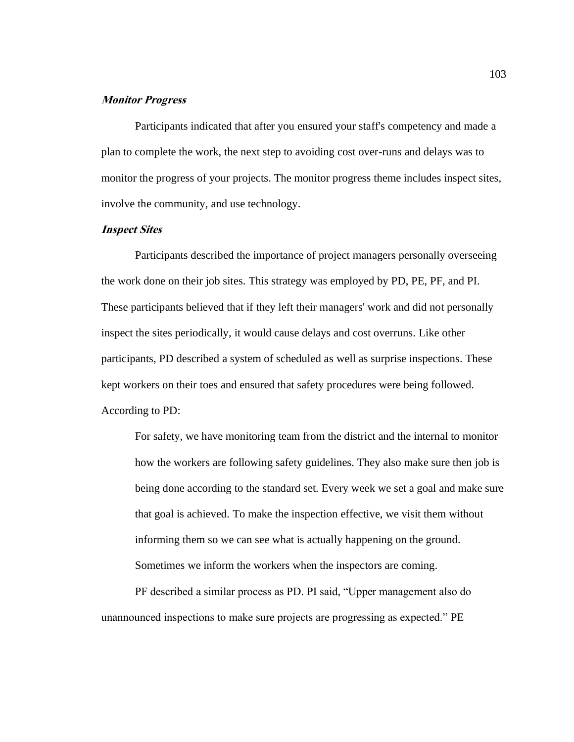# **Monitor Progress**

Participants indicated that after you ensured your staff's competency and made a plan to complete the work, the next step to avoiding cost over-runs and delays was to monitor the progress of your projects. The monitor progress theme includes inspect sites, involve the community, and use technology.

## **Inspect Sites**

Participants described the importance of project managers personally overseeing the work done on their job sites. This strategy was employed by PD, PE, PF, and PI. These participants believed that if they left their managers' work and did not personally inspect the sites periodically, it would cause delays and cost overruns. Like other participants, PD described a system of scheduled as well as surprise inspections. These kept workers on their toes and ensured that safety procedures were being followed. According to PD:

For safety, we have monitoring team from the district and the internal to monitor how the workers are following safety guidelines. They also make sure then job is being done according to the standard set. Every week we set a goal and make sure that goal is achieved. To make the inspection effective, we visit them without informing them so we can see what is actually happening on the ground. Sometimes we inform the workers when the inspectors are coming.

PF described a similar process as PD. PI said, "Upper management also do unannounced inspections to make sure projects are progressing as expected." PE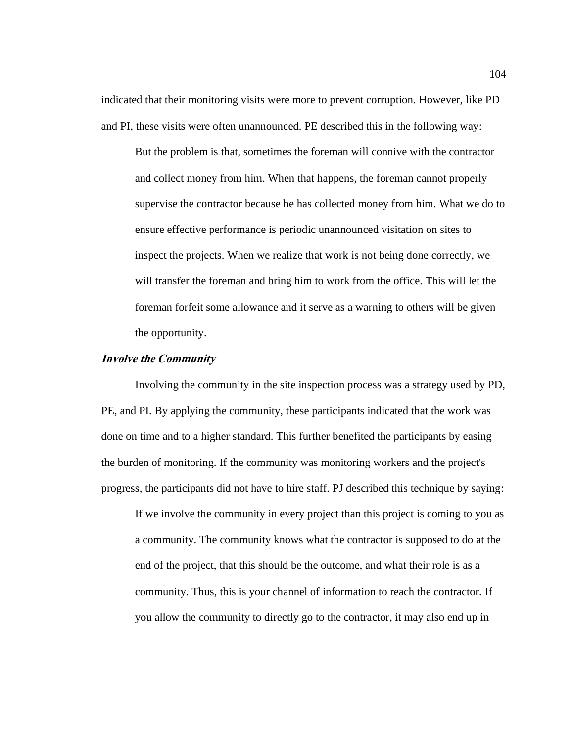indicated that their monitoring visits were more to prevent corruption. However, like PD and PI, these visits were often unannounced. PE described this in the following way:

But the problem is that, sometimes the foreman will connive with the contractor and collect money from him. When that happens, the foreman cannot properly supervise the contractor because he has collected money from him. What we do to ensure effective performance is periodic unannounced visitation on sites to inspect the projects. When we realize that work is not being done correctly, we will transfer the foreman and bring him to work from the office. This will let the foreman forfeit some allowance and it serve as a warning to others will be given the opportunity.

#### **Involve the Community**

Involving the community in the site inspection process was a strategy used by PD, PE, and PI. By applying the community, these participants indicated that the work was done on time and to a higher standard. This further benefited the participants by easing the burden of monitoring. If the community was monitoring workers and the project's progress, the participants did not have to hire staff. PJ described this technique by saying:

If we involve the community in every project than this project is coming to you as a community. The community knows what the contractor is supposed to do at the end of the project, that this should be the outcome, and what their role is as a community. Thus, this is your channel of information to reach the contractor. If you allow the community to directly go to the contractor, it may also end up in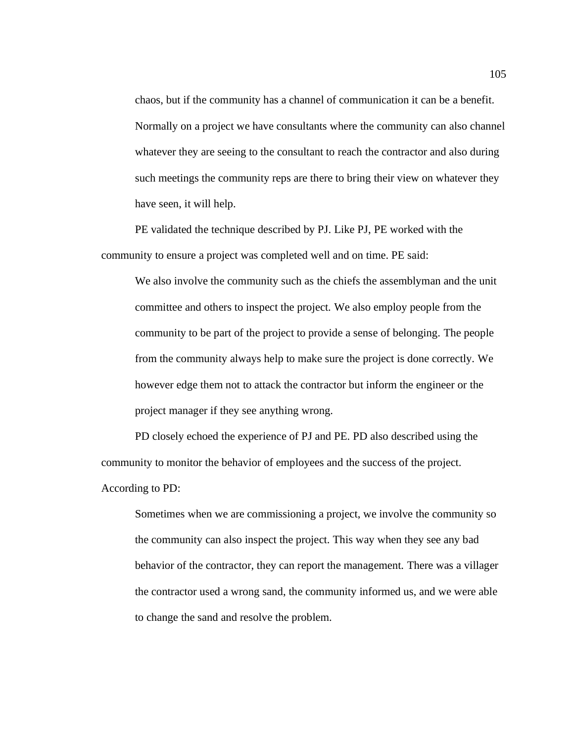chaos, but if the community has a channel of communication it can be a benefit. Normally on a project we have consultants where the community can also channel whatever they are seeing to the consultant to reach the contractor and also during such meetings the community reps are there to bring their view on whatever they have seen, it will help.

PE validated the technique described by PJ. Like PJ, PE worked with the community to ensure a project was completed well and on time. PE said:

We also involve the community such as the chiefs the assemblyman and the unit committee and others to inspect the project. We also employ people from the community to be part of the project to provide a sense of belonging. The people from the community always help to make sure the project is done correctly. We however edge them not to attack the contractor but inform the engineer or the project manager if they see anything wrong.

PD closely echoed the experience of PJ and PE. PD also described using the community to monitor the behavior of employees and the success of the project. According to PD:

Sometimes when we are commissioning a project, we involve the community so the community can also inspect the project. This way when they see any bad behavior of the contractor, they can report the management. There was a villager the contractor used a wrong sand, the community informed us, and we were able to change the sand and resolve the problem.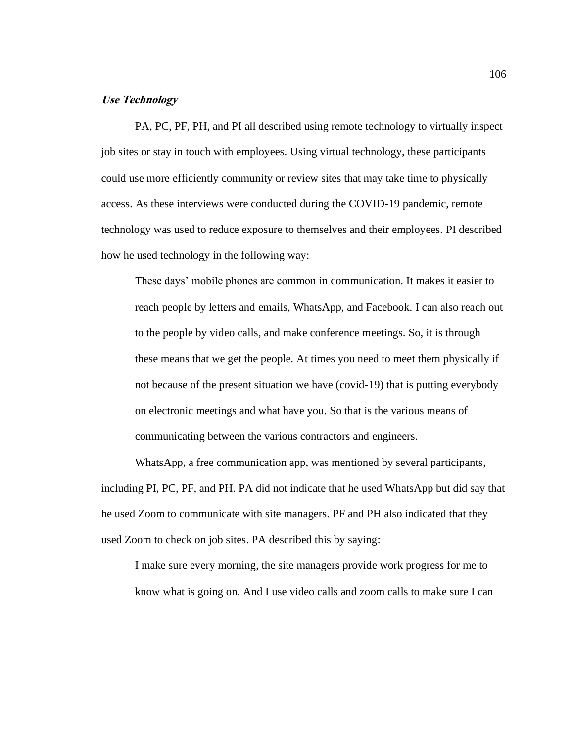# **Use Technology**

PA, PC, PF, PH, and PI all described using remote technology to virtually inspect job sites or stay in touch with employees. Using virtual technology, these participants could use more efficiently community or review sites that may take time to physically access. As these interviews were conducted during the COVID-19 pandemic, remote technology was used to reduce exposure to themselves and their employees. PI described how he used technology in the following way:

These days' mobile phones are common in communication. It makes it easier to reach people by letters and emails, WhatsApp, and Facebook. I can also reach out to the people by video calls, and make conference meetings. So, it is through these means that we get the people. At times you need to meet them physically if not because of the present situation we have (covid-19) that is putting everybody on electronic meetings and what have you. So that is the various means of communicating between the various contractors and engineers.

WhatsApp, a free communication app, was mentioned by several participants, including PI, PC, PF, and PH. PA did not indicate that he used WhatsApp but did say that he used Zoom to communicate with site managers. PF and PH also indicated that they used Zoom to check on job sites. PA described this by saying:

I make sure every morning, the site managers provide work progress for me to know what is going on. And I use video calls and zoom calls to make sure I can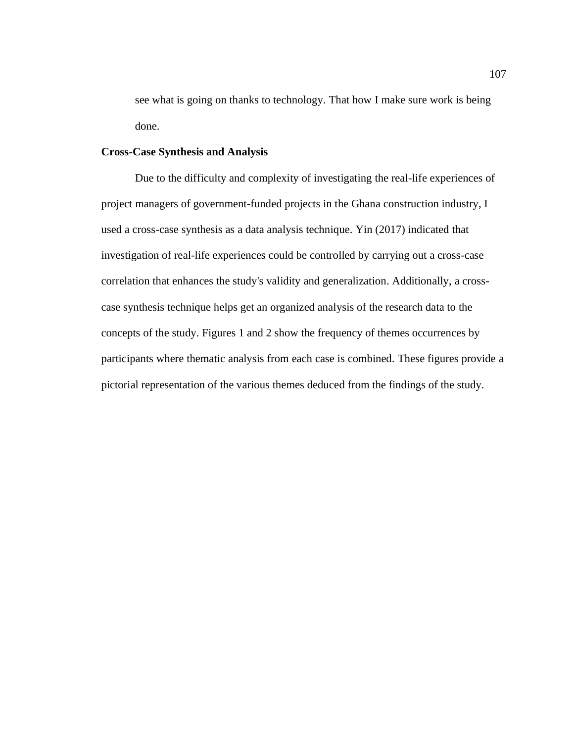see what is going on thanks to technology. That how I make sure work is being done.

## **Cross-Case Synthesis and Analysis**

Due to the difficulty and complexity of investigating the real-life experiences of project managers of government-funded projects in the Ghana construction industry, I used a cross-case synthesis as a data analysis technique. Yin (2017) indicated that investigation of real-life experiences could be controlled by carrying out a cross-case correlation that enhances the study's validity and generalization. Additionally, a crosscase synthesis technique helps get an organized analysis of the research data to the concepts of the study. Figures 1 and 2 show the frequency of themes occurrences by participants where thematic analysis from each case is combined. These figures provide a pictorial representation of the various themes deduced from the findings of the study.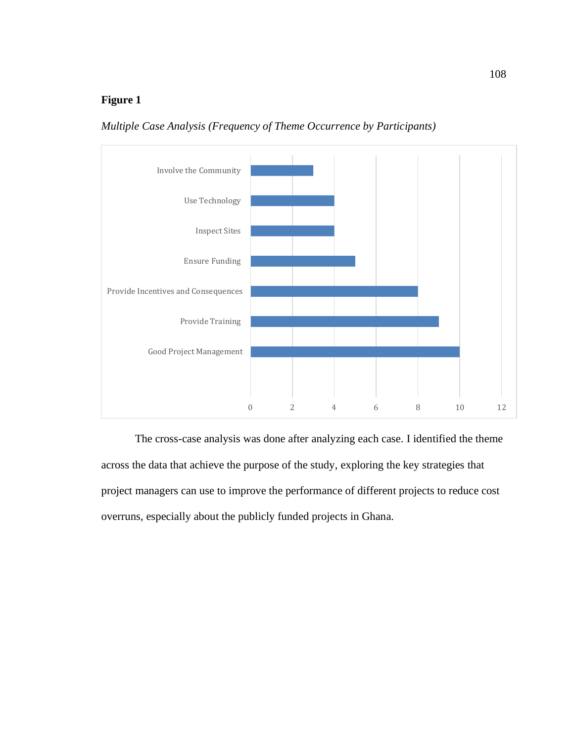# **Figure 1**

*Multiple Case Analysis (Frequency of Theme Occurrence by Participants)*



The cross-case analysis was done after analyzing each case. I identified the theme across the data that achieve the purpose of the study, exploring the key strategies that project managers can use to improve the performance of different projects to reduce cost overruns, especially about the publicly funded projects in Ghana.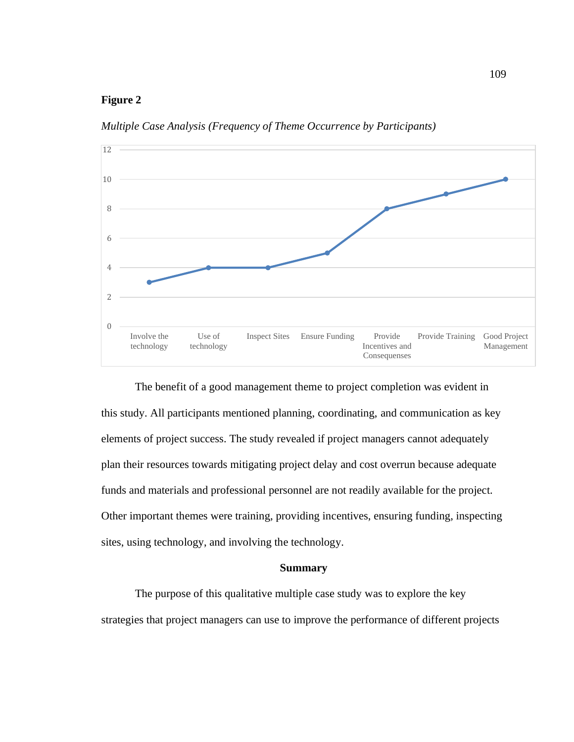# **Figure 2**

*Multiple Case Analysis (Frequency of Theme Occurrence by Participants)*



The benefit of a good management theme to project completion was evident in this study. All participants mentioned planning, coordinating, and communication as key elements of project success. The study revealed if project managers cannot adequately plan their resources towards mitigating project delay and cost overrun because adequate funds and materials and professional personnel are not readily available for the project. Other important themes were training, providing incentives, ensuring funding, inspecting sites, using technology, and involving the technology.

### **Summary**

The purpose of this qualitative multiple case study was to explore the key strategies that project managers can use to improve the performance of different projects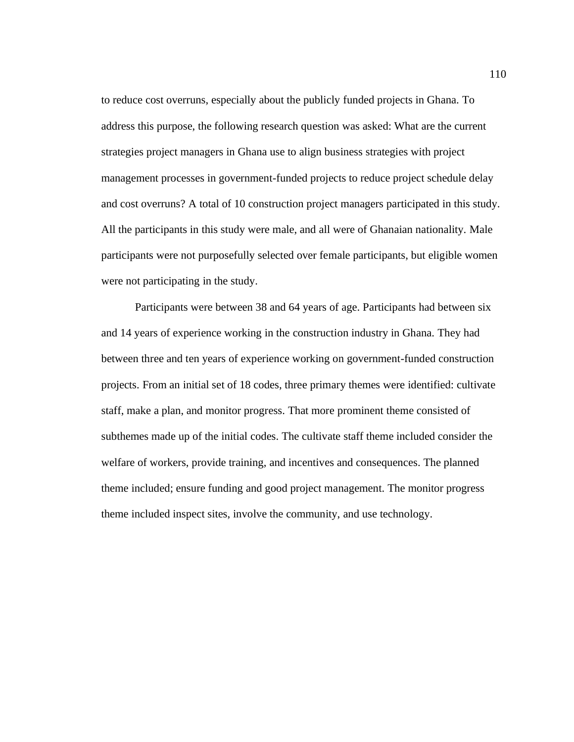to reduce cost overruns, especially about the publicly funded projects in Ghana. To address this purpose, the following research question was asked: What are the current strategies project managers in Ghana use to align business strategies with project management processes in government-funded projects to reduce project schedule delay and cost overruns? A total of 10 construction project managers participated in this study. All the participants in this study were male, and all were of Ghanaian nationality. Male participants were not purposefully selected over female participants, but eligible women were not participating in the study.

Participants were between 38 and 64 years of age. Participants had between six and 14 years of experience working in the construction industry in Ghana. They had between three and ten years of experience working on government-funded construction projects. From an initial set of 18 codes, three primary themes were identified: cultivate staff, make a plan, and monitor progress. That more prominent theme consisted of subthemes made up of the initial codes. The cultivate staff theme included consider the welfare of workers, provide training, and incentives and consequences. The planned theme included; ensure funding and good project management. The monitor progress theme included inspect sites, involve the community, and use technology.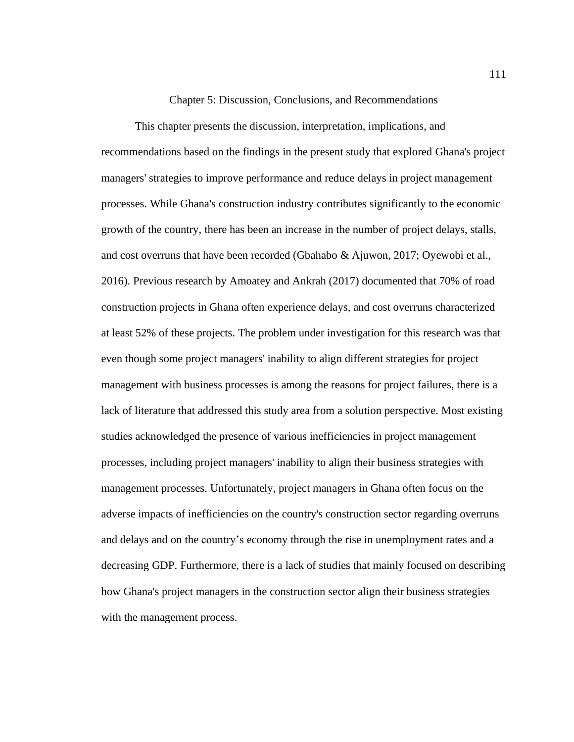## Chapter 5: Discussion, Conclusions, and Recommendations

This chapter presents the discussion, interpretation, implications, and recommendations based on the findings in the present study that explored Ghana's project managers' strategies to improve performance and reduce delays in project management processes. While Ghana's construction industry contributes significantly to the economic growth of the country, there has been an increase in the number of project delays, stalls, and cost overruns that have been recorded (Gbahabo & Ajuwon, 2017; Oyewobi et al., 2016). Previous research by Amoatey and Ankrah (2017) documented that 70% of road construction projects in Ghana often experience delays, and cost overruns characterized at least 52% of these projects. The problem under investigation for this research was that even though some project managers' inability to align different strategies for project management with business processes is among the reasons for project failures, there is a lack of literature that addressed this study area from a solution perspective. Most existing studies acknowledged the presence of various inefficiencies in project management processes, including project managers' inability to align their business strategies with management processes. Unfortunately, project managers in Ghana often focus on the adverse impacts of inefficiencies on the country's construction sector regarding overruns and delays and on the country's economy through the rise in unemployment rates and a decreasing GDP. Furthermore, there is a lack of studies that mainly focused on describing how Ghana's project managers in the construction sector align their business strategies with the management process.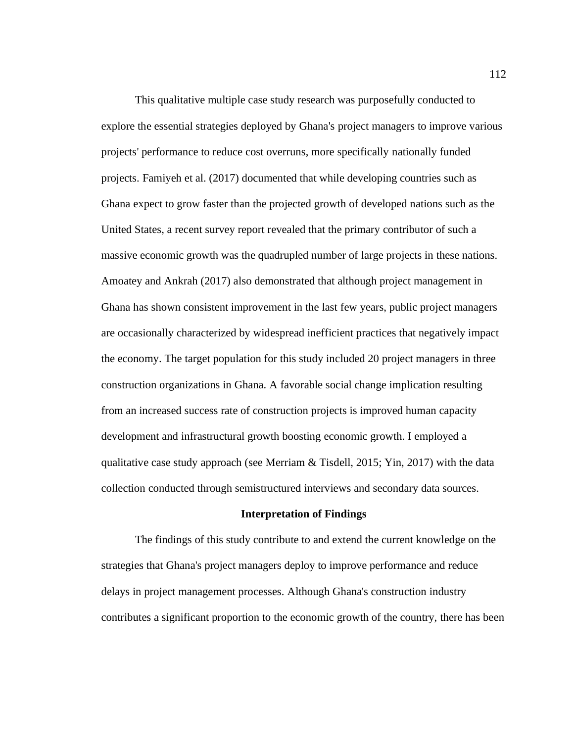This qualitative multiple case study research was purposefully conducted to explore the essential strategies deployed by Ghana's project managers to improve various projects' performance to reduce cost overruns, more specifically nationally funded projects. Famiyeh et al. (2017) documented that while developing countries such as Ghana expect to grow faster than the projected growth of developed nations such as the United States, a recent survey report revealed that the primary contributor of such a massive economic growth was the quadrupled number of large projects in these nations. Amoatey and Ankrah (2017) also demonstrated that although project management in Ghana has shown consistent improvement in the last few years, public project managers are occasionally characterized by widespread inefficient practices that negatively impact the economy. The target population for this study included 20 project managers in three construction organizations in Ghana. A favorable social change implication resulting from an increased success rate of construction projects is improved human capacity development and infrastructural growth boosting economic growth. I employed a qualitative case study approach (see Merriam  $\&$  Tisdell, 2015; Yin, 2017) with the data collection conducted through semistructured interviews and secondary data sources.

#### **Interpretation of Findings**

The findings of this study contribute to and extend the current knowledge on the strategies that Ghana's project managers deploy to improve performance and reduce delays in project management processes. Although Ghana's construction industry contributes a significant proportion to the economic growth of the country, there has been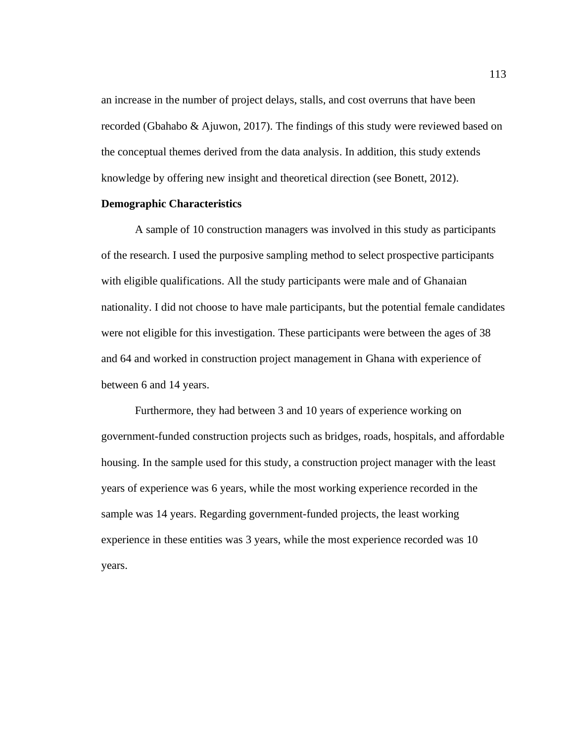an increase in the number of project delays, stalls, and cost overruns that have been recorded (Gbahabo & Ajuwon, 2017). The findings of this study were reviewed based on the conceptual themes derived from the data analysis. In addition, this study extends knowledge by offering new insight and theoretical direction (see Bonett, 2012).

# **Demographic Characteristics**

A sample of 10 construction managers was involved in this study as participants of the research. I used the purposive sampling method to select prospective participants with eligible qualifications. All the study participants were male and of Ghanaian nationality. I did not choose to have male participants, but the potential female candidates were not eligible for this investigation. These participants were between the ages of 38 and 64 and worked in construction project management in Ghana with experience of between 6 and 14 years.

Furthermore, they had between 3 and 10 years of experience working on government-funded construction projects such as bridges, roads, hospitals, and affordable housing. In the sample used for this study, a construction project manager with the least years of experience was 6 years, while the most working experience recorded in the sample was 14 years. Regarding government-funded projects, the least working experience in these entities was 3 years, while the most experience recorded was 10 years.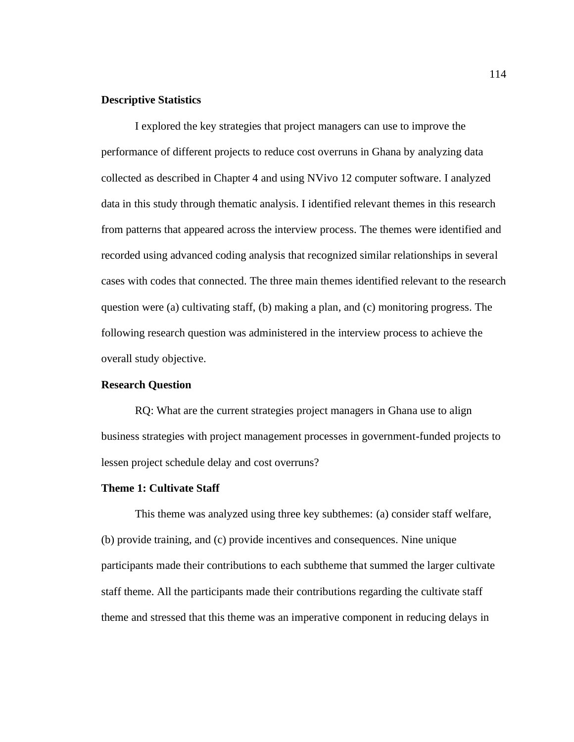## **Descriptive Statistics**

I explored the key strategies that project managers can use to improve the performance of different projects to reduce cost overruns in Ghana by analyzing data collected as described in Chapter 4 and using NVivo 12 computer software. I analyzed data in this study through thematic analysis. I identified relevant themes in this research from patterns that appeared across the interview process. The themes were identified and recorded using advanced coding analysis that recognized similar relationships in several cases with codes that connected. The three main themes identified relevant to the research question were (a) cultivating staff, (b) making a plan, and (c) monitoring progress. The following research question was administered in the interview process to achieve the overall study objective.

## **Research Question**

RQ: What are the current strategies project managers in Ghana use to align business strategies with project management processes in government-funded projects to lessen project schedule delay and cost overruns?

## **Theme 1: Cultivate Staff**

This theme was analyzed using three key subthemes: (a) consider staff welfare, (b) provide training, and (c) provide incentives and consequences. Nine unique participants made their contributions to each subtheme that summed the larger cultivate staff theme. All the participants made their contributions regarding the cultivate staff theme and stressed that this theme was an imperative component in reducing delays in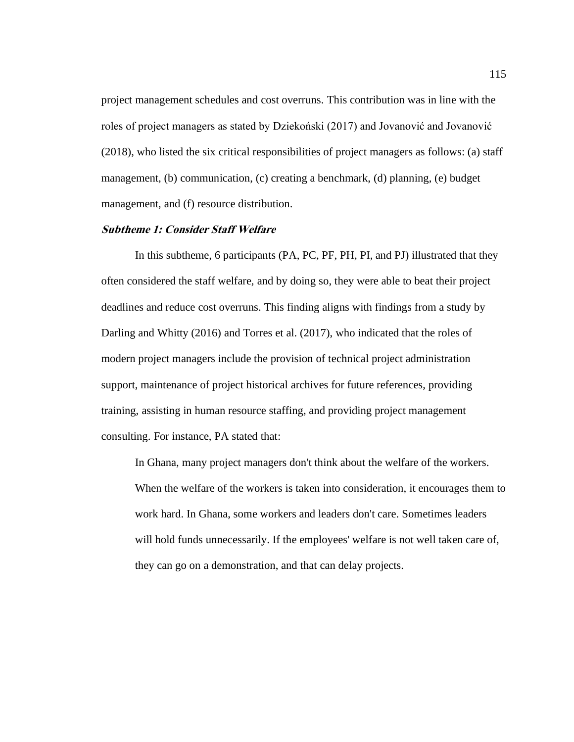project management schedules and cost overruns. This contribution was in line with the roles of project managers as stated by Dziekoński (2017) and Jovanović and Jovanović (2018), who listed the six critical responsibilities of project managers as follows: (a) staff management, (b) communication, (c) creating a benchmark, (d) planning, (e) budget management, and (f) resource distribution.

## **Subtheme 1: Consider Staff Welfare**

In this subtheme, 6 participants (PA, PC, PF, PH, PI, and PJ) illustrated that they often considered the staff welfare, and by doing so, they were able to beat their project deadlines and reduce cost overruns. This finding aligns with findings from a study by Darling and Whitty (2016) and Torres et al. (2017), who indicated that the roles of modern project managers include the provision of technical project administration support, maintenance of project historical archives for future references, providing training, assisting in human resource staffing, and providing project management consulting. For instance, PA stated that:

In Ghana, many project managers don't think about the welfare of the workers. When the welfare of the workers is taken into consideration, it encourages them to work hard. In Ghana, some workers and leaders don't care. Sometimes leaders will hold funds unnecessarily. If the employees' welfare is not well taken care of, they can go on a demonstration, and that can delay projects.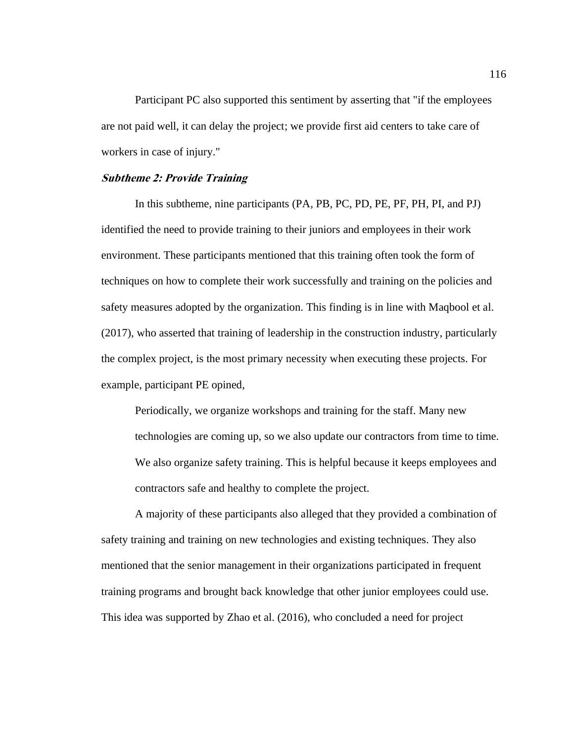Participant PC also supported this sentiment by asserting that "if the employees are not paid well, it can delay the project; we provide first aid centers to take care of workers in case of injury."

#### **Subtheme 2: Provide Training**

In this subtheme, nine participants (PA, PB, PC, PD, PE, PF, PH, PI, and PJ) identified the need to provide training to their juniors and employees in their work environment. These participants mentioned that this training often took the form of techniques on how to complete their work successfully and training on the policies and safety measures adopted by the organization. This finding is in line with Maqbool et al. (2017), who asserted that training of leadership in the construction industry, particularly the complex project, is the most primary necessity when executing these projects. For example, participant PE opined,

Periodically, we organize workshops and training for the staff. Many new technologies are coming up, so we also update our contractors from time to time. We also organize safety training. This is helpful because it keeps employees and contractors safe and healthy to complete the project.

A majority of these participants also alleged that they provided a combination of safety training and training on new technologies and existing techniques. They also mentioned that the senior management in their organizations participated in frequent training programs and brought back knowledge that other junior employees could use. This idea was supported by Zhao et al. (2016), who concluded a need for project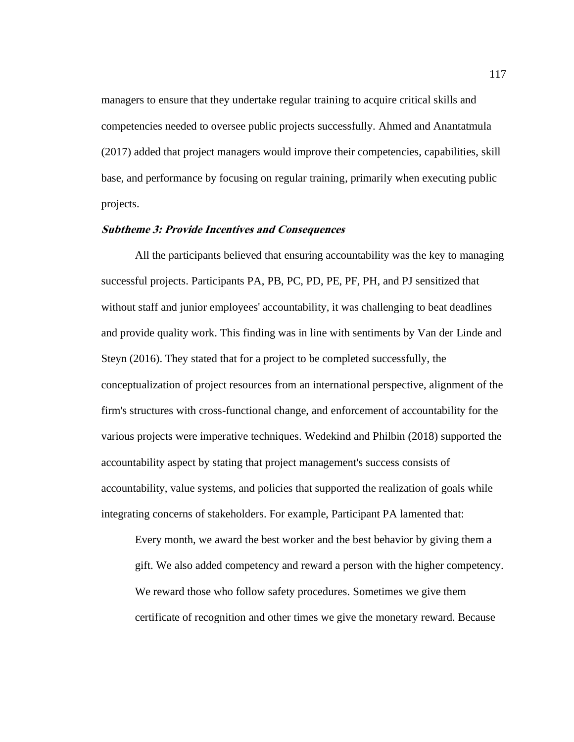managers to ensure that they undertake regular training to acquire critical skills and competencies needed to oversee public projects successfully. Ahmed and Anantatmula (2017) added that project managers would improve their competencies, capabilities, skill base, and performance by focusing on regular training, primarily when executing public projects.

## **Subtheme 3: Provide Incentives and Consequences**

All the participants believed that ensuring accountability was the key to managing successful projects. Participants PA, PB, PC, PD, PE, PF, PH, and PJ sensitized that without staff and junior employees' accountability, it was challenging to beat deadlines and provide quality work. This finding was in line with sentiments by Van der Linde and Steyn (2016). They stated that for a project to be completed successfully, the conceptualization of project resources from an international perspective, alignment of the firm's structures with cross-functional change, and enforcement of accountability for the various projects were imperative techniques. Wedekind and Philbin (2018) supported the accountability aspect by stating that project management's success consists of accountability, value systems, and policies that supported the realization of goals while integrating concerns of stakeholders. For example, Participant PA lamented that:

Every month, we award the best worker and the best behavior by giving them a gift. We also added competency and reward a person with the higher competency. We reward those who follow safety procedures. Sometimes we give them certificate of recognition and other times we give the monetary reward. Because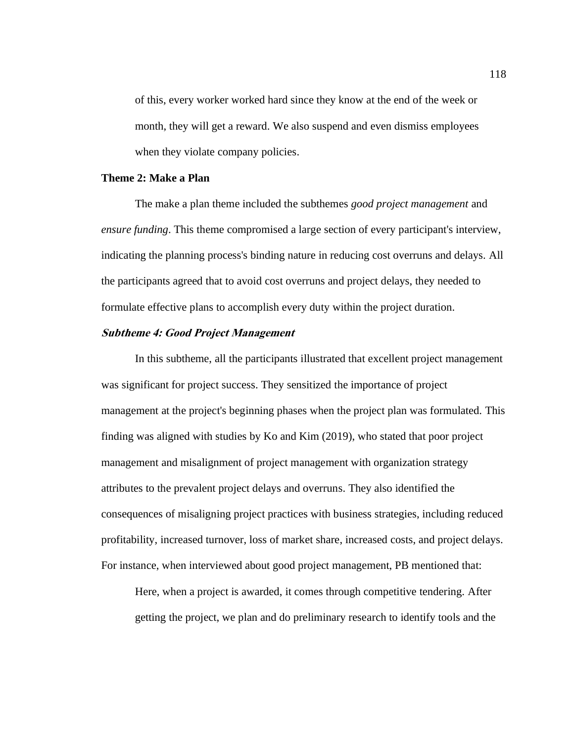of this, every worker worked hard since they know at the end of the week or month, they will get a reward. We also suspend and even dismiss employees when they violate company policies.

# **Theme 2: Make a Plan**

The make a plan theme included the subthemes *good project management* and *ensure funding*. This theme compromised a large section of every participant's interview, indicating the planning process's binding nature in reducing cost overruns and delays. All the participants agreed that to avoid cost overruns and project delays, they needed to formulate effective plans to accomplish every duty within the project duration.

## **Subtheme 4: Good Project Management**

In this subtheme, all the participants illustrated that excellent project management was significant for project success. They sensitized the importance of project management at the project's beginning phases when the project plan was formulated. This finding was aligned with studies by Ko and Kim (2019), who stated that poor project management and misalignment of project management with organization strategy attributes to the prevalent project delays and overruns. They also identified the consequences of misaligning project practices with business strategies, including reduced profitability, increased turnover, loss of market share, increased costs, and project delays. For instance, when interviewed about good project management, PB mentioned that:

Here, when a project is awarded, it comes through competitive tendering. After getting the project, we plan and do preliminary research to identify tools and the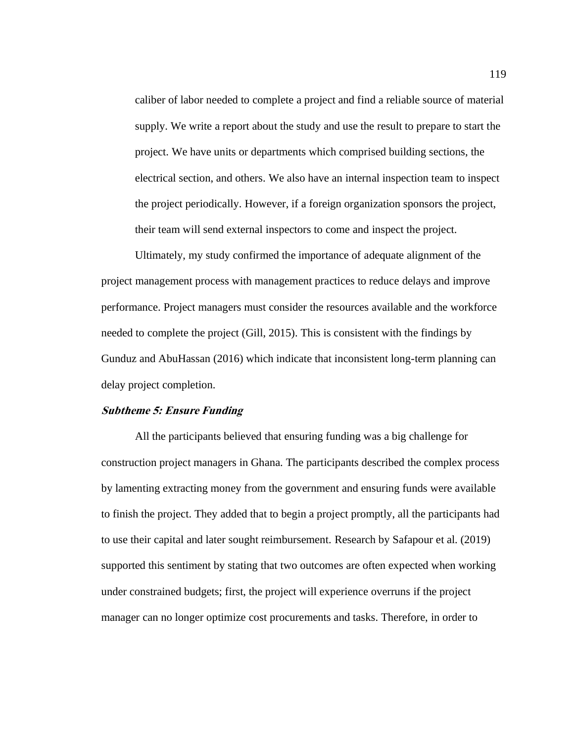caliber of labor needed to complete a project and find a reliable source of material supply. We write a report about the study and use the result to prepare to start the project. We have units or departments which comprised building sections, the electrical section, and others. We also have an internal inspection team to inspect the project periodically. However, if a foreign organization sponsors the project, their team will send external inspectors to come and inspect the project.

Ultimately, my study confirmed the importance of adequate alignment of the project management process with management practices to reduce delays and improve performance. Project managers must consider the resources available and the workforce needed to complete the project (Gill, 2015). This is consistent with the findings by Gunduz and AbuHassan (2016) which indicate that inconsistent long-term planning can delay project completion.

#### **Subtheme 5: Ensure Funding**

All the participants believed that ensuring funding was a big challenge for construction project managers in Ghana. The participants described the complex process by lamenting extracting money from the government and ensuring funds were available to finish the project. They added that to begin a project promptly, all the participants had to use their capital and later sought reimbursement. Research by Safapour et al. (2019) supported this sentiment by stating that two outcomes are often expected when working under constrained budgets; first, the project will experience overruns if the project manager can no longer optimize cost procurements and tasks. Therefore, in order to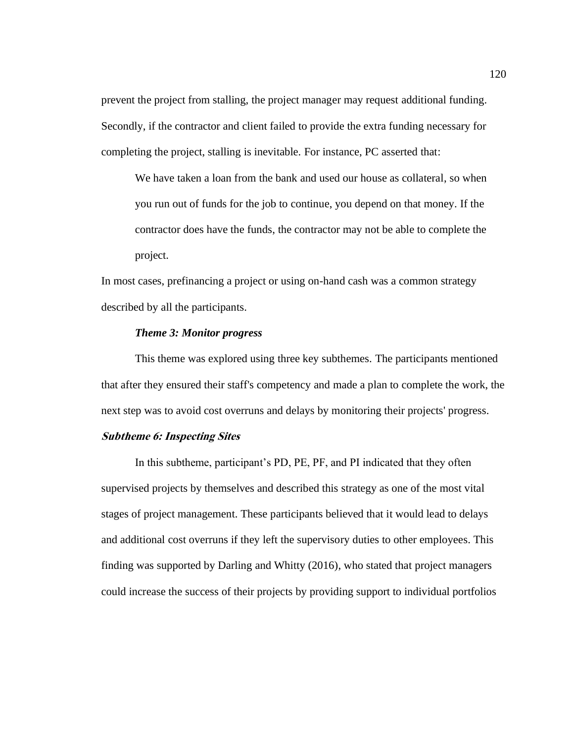prevent the project from stalling, the project manager may request additional funding. Secondly, if the contractor and client failed to provide the extra funding necessary for completing the project, stalling is inevitable. For instance, PC asserted that:

We have taken a loan from the bank and used our house as collateral, so when you run out of funds for the job to continue, you depend on that money. If the contractor does have the funds, the contractor may not be able to complete the project.

In most cases, prefinancing a project or using on-hand cash was a common strategy described by all the participants.

#### *Theme 3: Monitor progress*

This theme was explored using three key subthemes. The participants mentioned that after they ensured their staff's competency and made a plan to complete the work, the next step was to avoid cost overruns and delays by monitoring their projects' progress.

# **Subtheme 6: Inspecting Sites**

In this subtheme, participant's PD, PE, PF, and PI indicated that they often supervised projects by themselves and described this strategy as one of the most vital stages of project management. These participants believed that it would lead to delays and additional cost overruns if they left the supervisory duties to other employees. This finding was supported by Darling and Whitty (2016), who stated that project managers could increase the success of their projects by providing support to individual portfolios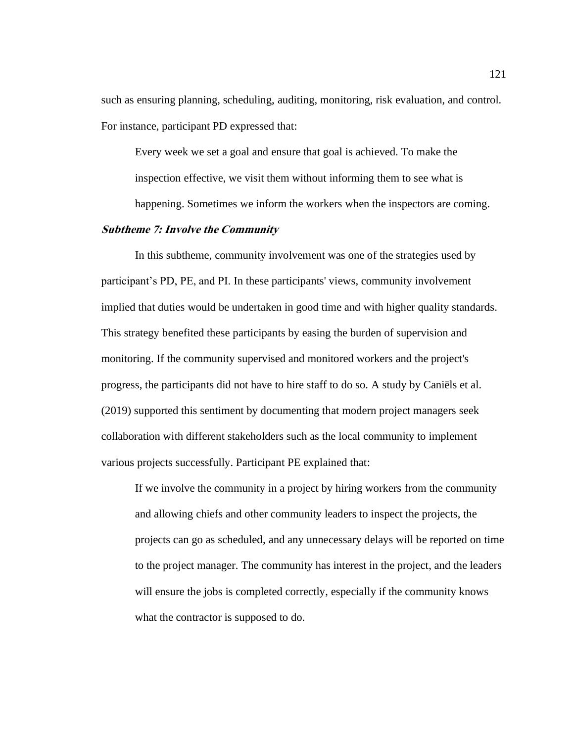such as ensuring planning, scheduling, auditing, monitoring, risk evaluation, and control. For instance, participant PD expressed that:

Every week we set a goal and ensure that goal is achieved. To make the inspection effective, we visit them without informing them to see what is

happening. Sometimes we inform the workers when the inspectors are coming.

# **Subtheme 7: Involve the Community**

In this subtheme, community involvement was one of the strategies used by participant's PD, PE, and PI. In these participants' views, community involvement implied that duties would be undertaken in good time and with higher quality standards. This strategy benefited these participants by easing the burden of supervision and monitoring. If the community supervised and monitored workers and the project's progress, the participants did not have to hire staff to do so. A study by Caniëls et al. (2019) supported this sentiment by documenting that modern project managers seek collaboration with different stakeholders such as the local community to implement various projects successfully. Participant PE explained that:

If we involve the community in a project by hiring workers from the community and allowing chiefs and other community leaders to inspect the projects, the projects can go as scheduled, and any unnecessary delays will be reported on time to the project manager. The community has interest in the project, and the leaders will ensure the jobs is completed correctly, especially if the community knows what the contractor is supposed to do.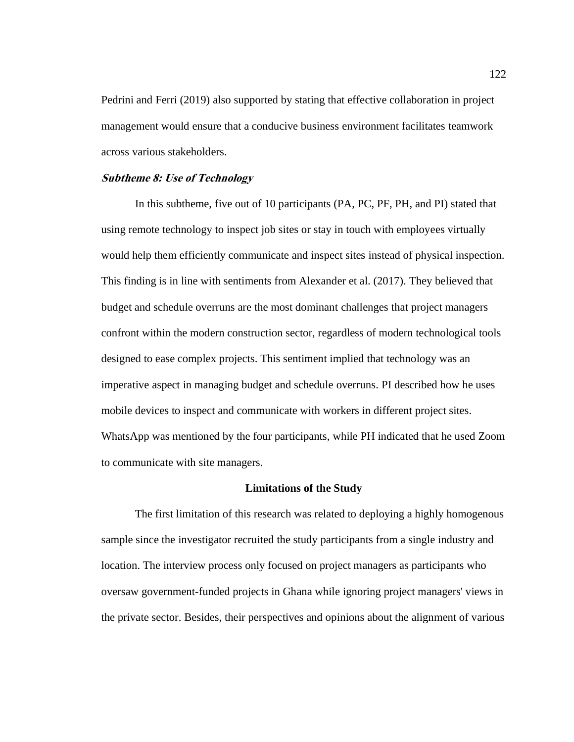Pedrini and Ferri (2019) also supported by stating that effective collaboration in project management would ensure that a conducive business environment facilitates teamwork across various stakeholders.

#### **Subtheme 8: Use of Technology**

In this subtheme, five out of 10 participants (PA, PC, PF, PH, and PI) stated that using remote technology to inspect job sites or stay in touch with employees virtually would help them efficiently communicate and inspect sites instead of physical inspection. This finding is in line with sentiments from Alexander et al. (2017). They believed that budget and schedule overruns are the most dominant challenges that project managers confront within the modern construction sector, regardless of modern technological tools designed to ease complex projects. This sentiment implied that technology was an imperative aspect in managing budget and schedule overruns. PI described how he uses mobile devices to inspect and communicate with workers in different project sites. WhatsApp was mentioned by the four participants, while PH indicated that he used Zoom to communicate with site managers.

#### **Limitations of the Study**

The first limitation of this research was related to deploying a highly homogenous sample since the investigator recruited the study participants from a single industry and location. The interview process only focused on project managers as participants who oversaw government-funded projects in Ghana while ignoring project managers' views in the private sector. Besides, their perspectives and opinions about the alignment of various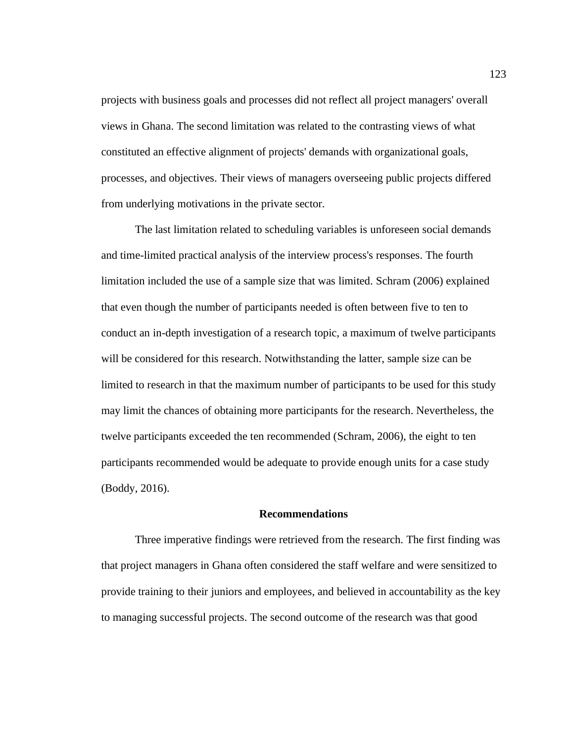projects with business goals and processes did not reflect all project managers' overall views in Ghana. The second limitation was related to the contrasting views of what constituted an effective alignment of projects' demands with organizational goals, processes, and objectives. Their views of managers overseeing public projects differed from underlying motivations in the private sector.

The last limitation related to scheduling variables is unforeseen social demands and time-limited practical analysis of the interview process's responses. The fourth limitation included the use of a sample size that was limited. Schram (2006) explained that even though the number of participants needed is often between five to ten to conduct an in-depth investigation of a research topic, a maximum of twelve participants will be considered for this research. Notwithstanding the latter, sample size can be limited to research in that the maximum number of participants to be used for this study may limit the chances of obtaining more participants for the research. Nevertheless, the twelve participants exceeded the ten recommended (Schram, 2006), the eight to ten participants recommended would be adequate to provide enough units for a case study (Boddy, 2016).

#### **Recommendations**

Three imperative findings were retrieved from the research. The first finding was that project managers in Ghana often considered the staff welfare and were sensitized to provide training to their juniors and employees, and believed in accountability as the key to managing successful projects. The second outcome of the research was that good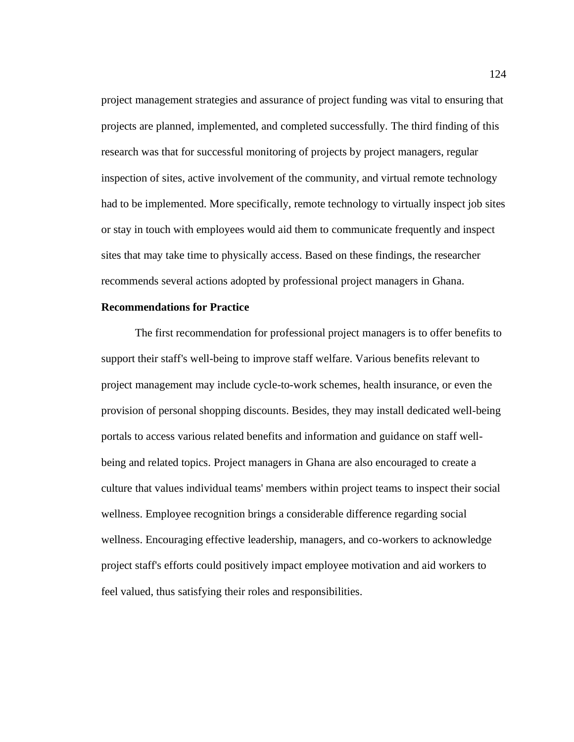project management strategies and assurance of project funding was vital to ensuring that projects are planned, implemented, and completed successfully. The third finding of this research was that for successful monitoring of projects by project managers, regular inspection of sites, active involvement of the community, and virtual remote technology had to be implemented. More specifically, remote technology to virtually inspect job sites or stay in touch with employees would aid them to communicate frequently and inspect sites that may take time to physically access. Based on these findings, the researcher recommends several actions adopted by professional project managers in Ghana.

## **Recommendations for Practice**

The first recommendation for professional project managers is to offer benefits to support their staff's well-being to improve staff welfare. Various benefits relevant to project management may include cycle-to-work schemes, health insurance, or even the provision of personal shopping discounts. Besides, they may install dedicated well-being portals to access various related benefits and information and guidance on staff wellbeing and related topics. Project managers in Ghana are also encouraged to create a culture that values individual teams' members within project teams to inspect their social wellness. Employee recognition brings a considerable difference regarding social wellness. Encouraging effective leadership, managers, and co-workers to acknowledge project staff's efforts could positively impact employee motivation and aid workers to feel valued, thus satisfying their roles and responsibilities.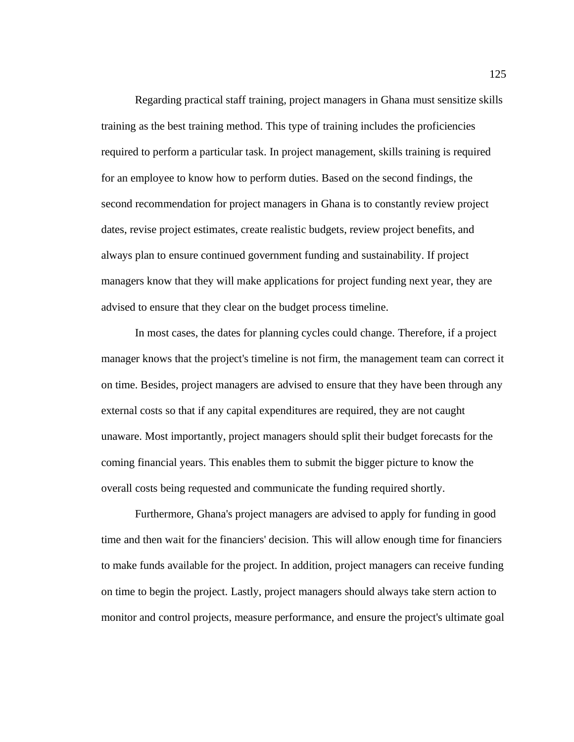Regarding practical staff training, project managers in Ghana must sensitize skills training as the best training method. This type of training includes the proficiencies required to perform a particular task. In project management, skills training is required for an employee to know how to perform duties. Based on the second findings, the second recommendation for project managers in Ghana is to constantly review project dates, revise project estimates, create realistic budgets, review project benefits, and always plan to ensure continued government funding and sustainability. If project managers know that they will make applications for project funding next year, they are advised to ensure that they clear on the budget process timeline.

In most cases, the dates for planning cycles could change. Therefore, if a project manager knows that the project's timeline is not firm, the management team can correct it on time. Besides, project managers are advised to ensure that they have been through any external costs so that if any capital expenditures are required, they are not caught unaware. Most importantly, project managers should split their budget forecasts for the coming financial years. This enables them to submit the bigger picture to know the overall costs being requested and communicate the funding required shortly.

Furthermore, Ghana's project managers are advised to apply for funding in good time and then wait for the financiers' decision. This will allow enough time for financiers to make funds available for the project. In addition, project managers can receive funding on time to begin the project. Lastly, project managers should always take stern action to monitor and control projects, measure performance, and ensure the project's ultimate goal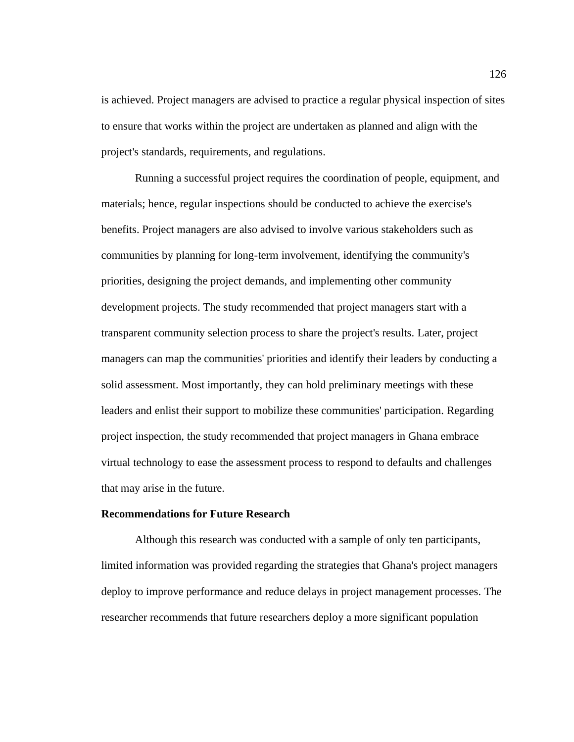is achieved. Project managers are advised to practice a regular physical inspection of sites to ensure that works within the project are undertaken as planned and align with the project's standards, requirements, and regulations.

Running a successful project requires the coordination of people, equipment, and materials; hence, regular inspections should be conducted to achieve the exercise's benefits. Project managers are also advised to involve various stakeholders such as communities by planning for long-term involvement, identifying the community's priorities, designing the project demands, and implementing other community development projects. The study recommended that project managers start with a transparent community selection process to share the project's results. Later, project managers can map the communities' priorities and identify their leaders by conducting a solid assessment. Most importantly, they can hold preliminary meetings with these leaders and enlist their support to mobilize these communities' participation. Regarding project inspection, the study recommended that project managers in Ghana embrace virtual technology to ease the assessment process to respond to defaults and challenges that may arise in the future.

#### **Recommendations for Future Research**

Although this research was conducted with a sample of only ten participants, limited information was provided regarding the strategies that Ghana's project managers deploy to improve performance and reduce delays in project management processes. The researcher recommends that future researchers deploy a more significant population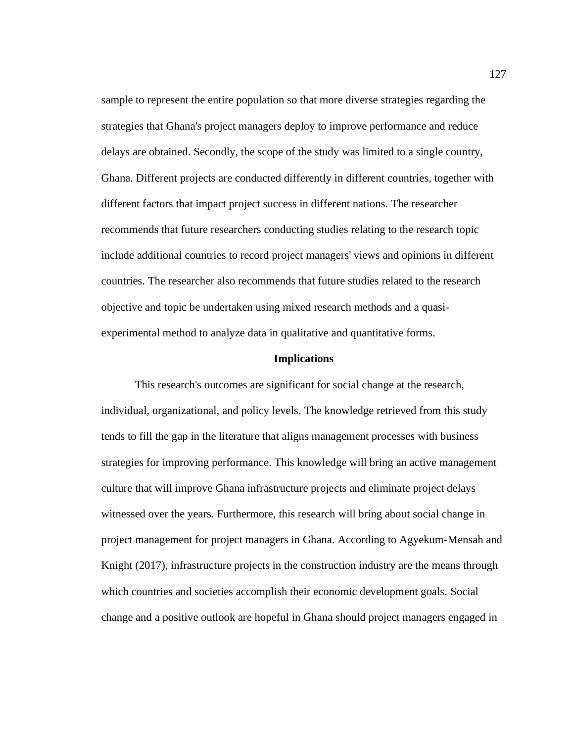sample to represent the entire population so that more diverse strategies regarding the strategies that Ghana's project managers deploy to improve performance and reduce delays are obtained. Secondly, the scope of the study was limited to a single country, Ghana. Different projects are conducted differently in different countries, together with different factors that impact project success in different nations. The researcher recommends that future researchers conducting studies relating to the research topic include additional countries to record project managers' views and opinions in different countries. The researcher also recommends that future studies related to the research objective and topic be undertaken using mixed research methods and a quasiexperimental method to analyze data in qualitative and quantitative forms.

#### **Implications**

This research's outcomes are significant for social change at the research, individual, organizational, and policy levels. The knowledge retrieved from this study tends to fill the gap in the literature that aligns management processes with business strategies for improving performance. This knowledge will bring an active management culture that will improve Ghana infrastructure projects and eliminate project delays witnessed over the years. Furthermore, this research will bring about social change in project management for project managers in Ghana. According to Agyekum-Mensah and Knight (2017), infrastructure projects in the construction industry are the means through which countries and societies accomplish their economic development goals. Social change and a positive outlook are hopeful in Ghana should project managers engaged in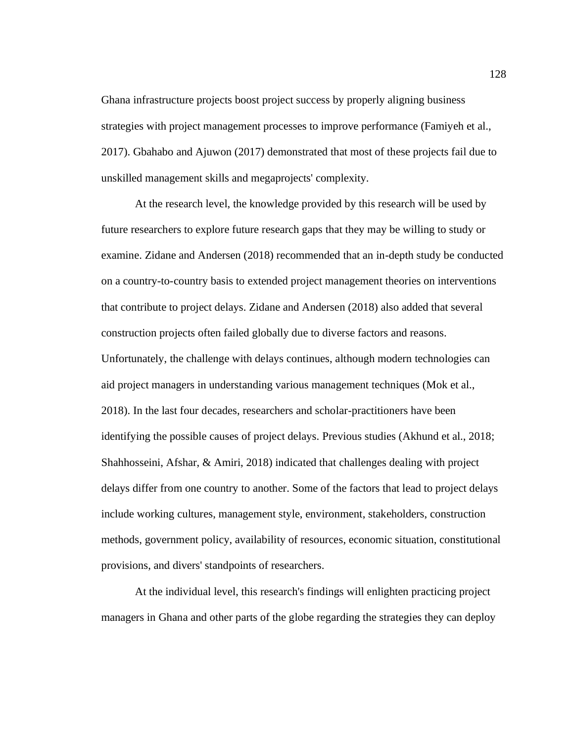Ghana infrastructure projects boost project success by properly aligning business strategies with project management processes to improve performance (Famiyeh et al., 2017). Gbahabo and Ajuwon (2017) demonstrated that most of these projects fail due to unskilled management skills and megaprojects' complexity.

At the research level, the knowledge provided by this research will be used by future researchers to explore future research gaps that they may be willing to study or examine. Zidane and Andersen (2018) recommended that an in-depth study be conducted on a country-to-country basis to extended project management theories on interventions that contribute to project delays. Zidane and Andersen (2018) also added that several construction projects often failed globally due to diverse factors and reasons. Unfortunately, the challenge with delays continues, although modern technologies can aid project managers in understanding various management techniques (Mok et al., 2018). In the last four decades, researchers and scholar-practitioners have been identifying the possible causes of project delays. Previous studies (Akhund et al., 2018; Shahhosseini, Afshar, & Amiri, 2018) indicated that challenges dealing with project delays differ from one country to another. Some of the factors that lead to project delays include working cultures, management style, environment, stakeholders, construction methods, government policy, availability of resources, economic situation, constitutional provisions, and divers' standpoints of researchers.

At the individual level, this research's findings will enlighten practicing project managers in Ghana and other parts of the globe regarding the strategies they can deploy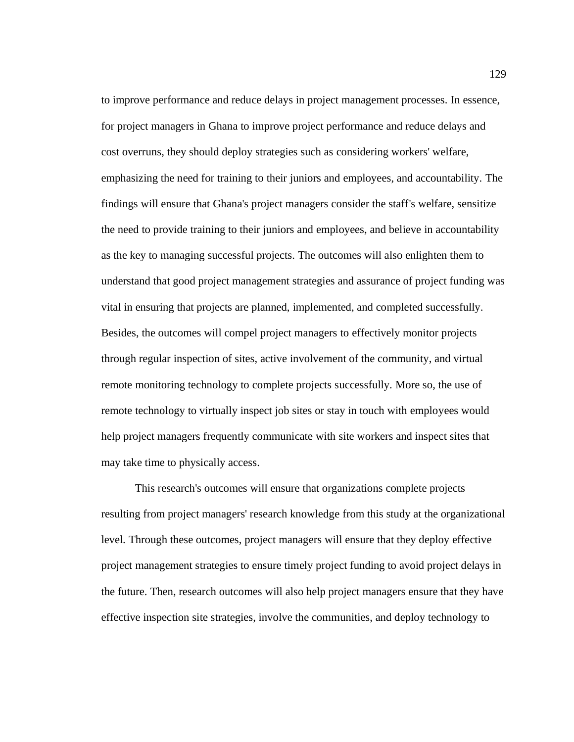to improve performance and reduce delays in project management processes. In essence, for project managers in Ghana to improve project performance and reduce delays and cost overruns, they should deploy strategies such as considering workers' welfare, emphasizing the need for training to their juniors and employees, and accountability. The findings will ensure that Ghana's project managers consider the staff's welfare, sensitize the need to provide training to their juniors and employees, and believe in accountability as the key to managing successful projects. The outcomes will also enlighten them to understand that good project management strategies and assurance of project funding was vital in ensuring that projects are planned, implemented, and completed successfully. Besides, the outcomes will compel project managers to effectively monitor projects through regular inspection of sites, active involvement of the community, and virtual remote monitoring technology to complete projects successfully. More so, the use of remote technology to virtually inspect job sites or stay in touch with employees would help project managers frequently communicate with site workers and inspect sites that may take time to physically access.

This research's outcomes will ensure that organizations complete projects resulting from project managers' research knowledge from this study at the organizational level. Through these outcomes, project managers will ensure that they deploy effective project management strategies to ensure timely project funding to avoid project delays in the future. Then, research outcomes will also help project managers ensure that they have effective inspection site strategies, involve the communities, and deploy technology to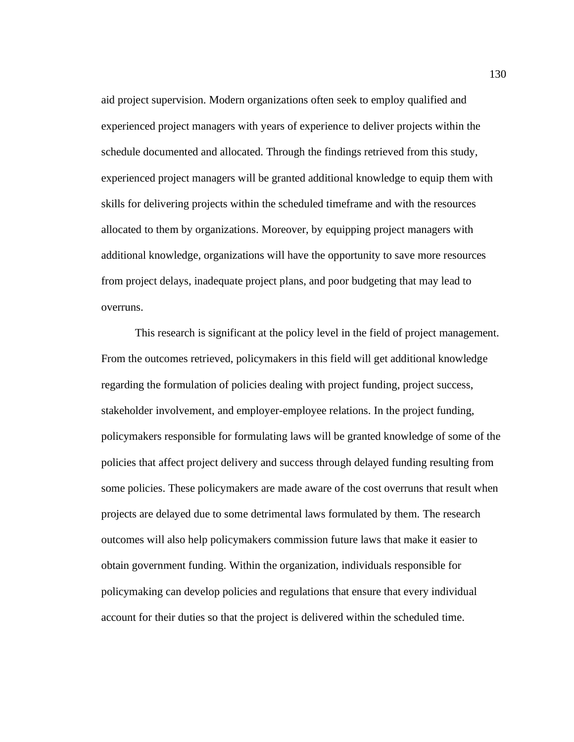aid project supervision. Modern organizations often seek to employ qualified and experienced project managers with years of experience to deliver projects within the schedule documented and allocated. Through the findings retrieved from this study, experienced project managers will be granted additional knowledge to equip them with skills for delivering projects within the scheduled timeframe and with the resources allocated to them by organizations. Moreover, by equipping project managers with additional knowledge, organizations will have the opportunity to save more resources from project delays, inadequate project plans, and poor budgeting that may lead to overruns.

This research is significant at the policy level in the field of project management. From the outcomes retrieved, policymakers in this field will get additional knowledge regarding the formulation of policies dealing with project funding, project success, stakeholder involvement, and employer-employee relations. In the project funding, policymakers responsible for formulating laws will be granted knowledge of some of the policies that affect project delivery and success through delayed funding resulting from some policies. These policymakers are made aware of the cost overruns that result when projects are delayed due to some detrimental laws formulated by them. The research outcomes will also help policymakers commission future laws that make it easier to obtain government funding. Within the organization, individuals responsible for policymaking can develop policies and regulations that ensure that every individual account for their duties so that the project is delivered within the scheduled time.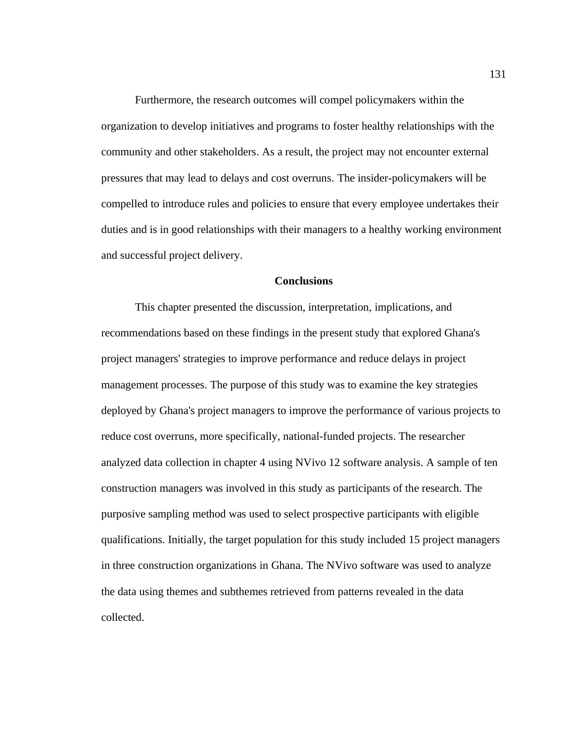Furthermore, the research outcomes will compel policymakers within the organization to develop initiatives and programs to foster healthy relationships with the community and other stakeholders. As a result, the project may not encounter external pressures that may lead to delays and cost overruns. The insider-policymakers will be compelled to introduce rules and policies to ensure that every employee undertakes their duties and is in good relationships with their managers to a healthy working environment and successful project delivery.

## **Conclusions**

This chapter presented the discussion, interpretation, implications, and recommendations based on these findings in the present study that explored Ghana's project managers' strategies to improve performance and reduce delays in project management processes. The purpose of this study was to examine the key strategies deployed by Ghana's project managers to improve the performance of various projects to reduce cost overruns, more specifically, national-funded projects. The researcher analyzed data collection in chapter 4 using NVivo 12 software analysis. A sample of ten construction managers was involved in this study as participants of the research. The purposive sampling method was used to select prospective participants with eligible qualifications. Initially, the target population for this study included 15 project managers in three construction organizations in Ghana. The NVivo software was used to analyze the data using themes and subthemes retrieved from patterns revealed in the data collected.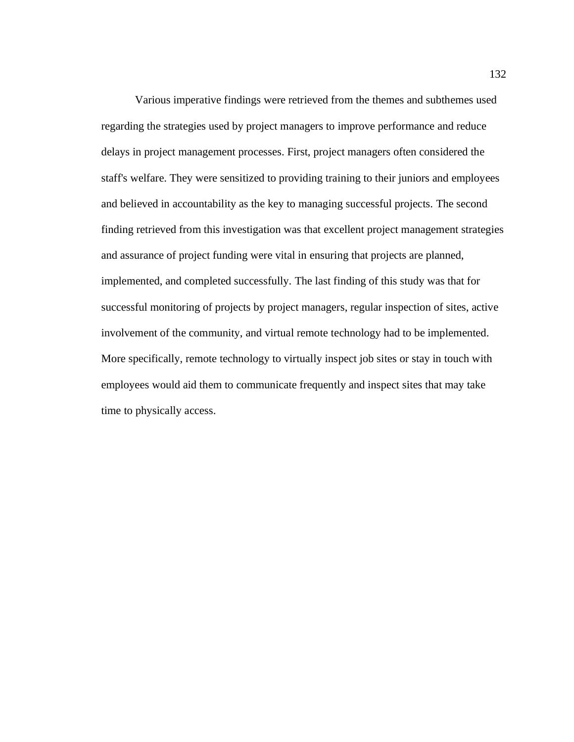Various imperative findings were retrieved from the themes and subthemes used regarding the strategies used by project managers to improve performance and reduce delays in project management processes. First, project managers often considered the staff's welfare. They were sensitized to providing training to their juniors and employees and believed in accountability as the key to managing successful projects. The second finding retrieved from this investigation was that excellent project management strategies and assurance of project funding were vital in ensuring that projects are planned, implemented, and completed successfully. The last finding of this study was that for successful monitoring of projects by project managers, regular inspection of sites, active involvement of the community, and virtual remote technology had to be implemented. More specifically, remote technology to virtually inspect job sites or stay in touch with employees would aid them to communicate frequently and inspect sites that may take time to physically access.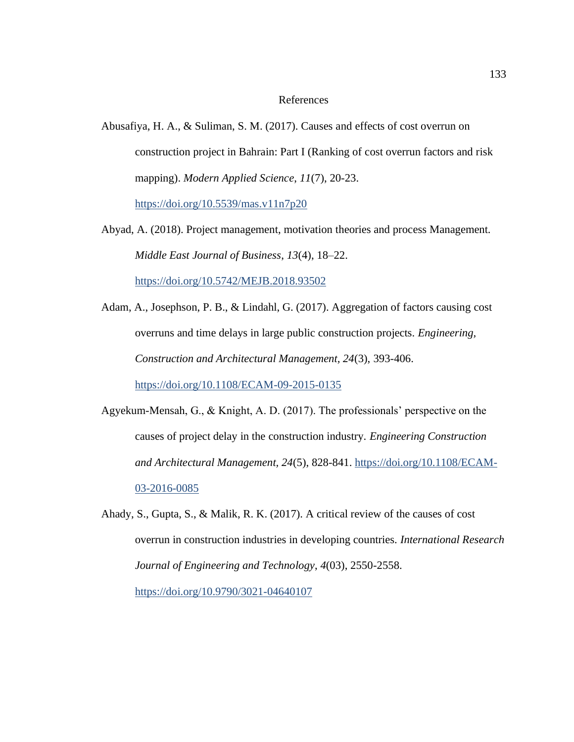## References

Abusafiya, H. A., & Suliman, S. M. (2017). Causes and effects of cost overrun on construction project in Bahrain: Part I (Ranking of cost overrun factors and risk mapping). *Modern Applied Science*, *11*(7), 20-23.

<https://doi.org/10.5539/mas.v11n7p20>

Abyad, A. (2018). Project management, motivation theories and process Management. *Middle East Journal of Business*, *13*(4), 18–22. <https://doi.org/10.5742/MEJB.2018.93502>

Adam, A., Josephson, P. B., & Lindahl, G. (2017). Aggregation of factors causing cost overruns and time delays in large public construction projects. *Engineering, Construction and Architectural Management, 24*(3), 393-406.

<https://doi.org/10.1108/ECAM-09-2015-0135>

- Agyekum-Mensah, G., & Knight, A. D. (2017). The professionals' perspective on the causes of project delay in the construction industry. *Engineering Construction and Architectural Management, 24*(5), 828-841. [https://doi.org/10.1108/ECAM-](https://doi.org/10.1108/ECAM-03-2016-0085)[03-2016-0085](https://doi.org/10.1108/ECAM-03-2016-0085)
- Ahady, S., Gupta, S., & Malik, R. K. (2017). A critical review of the causes of cost overrun in construction industries in developing countries. *International Research Journal of Engineering and Technology*, *4*(03), 2550-2558.

<https://doi.org/10.9790/3021-04640107>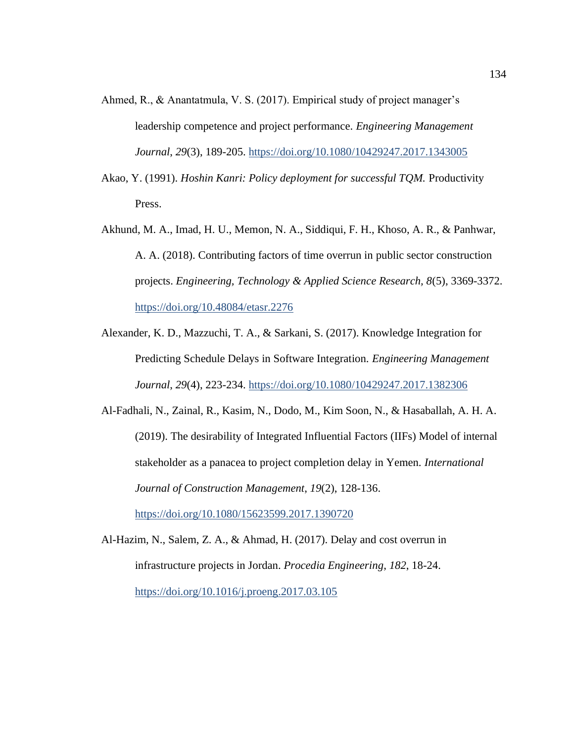- Ahmed, R., & Anantatmula, V. S. (2017). Empirical study of project manager's leadership competence and project performance. *Engineering Management Journal*, *29*(3), 189-205.<https://doi.org/10.1080/10429247.2017.1343005>
- Akao, Y. (1991). *Hoshin Kanri: Policy deployment for successful TQM.* Productivity Press.
- Akhund, M. A., Imad, H. U., Memon, N. A., Siddiqui, F. H., Khoso, A. R., & Panhwar, A. A. (2018). Contributing factors of time overrun in public sector construction projects. *Engineering, Technology & Applied Science Research, 8*(5), 3369-3372. <https://doi.org/10.48084/etasr.2276>
- Alexander, K. D., Mazzuchi, T. A., & Sarkani, S. (2017). Knowledge Integration for Predicting Schedule Delays in Software Integration. *Engineering Management Journal*, *29*(4), 223-234.<https://doi.org/10.1080/10429247.2017.1382306>
- Al-Fadhali, N., Zainal, R., Kasim, N., Dodo, M., Kim Soon, N., & Hasaballah, A. H. A. (2019). The desirability of Integrated Influential Factors (IIFs) Model of internal stakeholder as a panacea to project completion delay in Yemen. *International Journal of Construction Management*, *19*(2), 128-136.

<https://doi.org/10.1080/15623599.2017.1390720>

Al-Hazim, N., Salem, Z. A., & Ahmad, H. (2017). Delay and cost overrun in infrastructure projects in Jordan. *Procedia Engineering*, *182*, 18-24. <https://doi.org/10.1016/j.proeng.2017.03.105>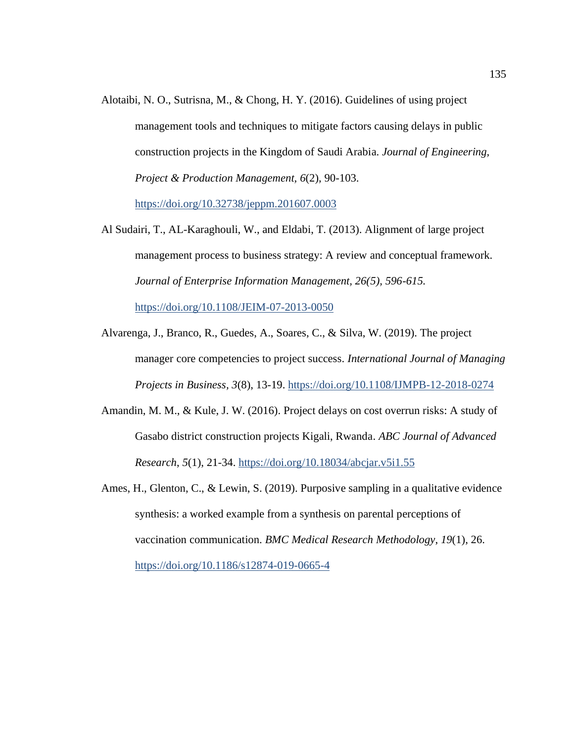Alotaibi, N. O., Sutrisna, M., & Chong, H. Y. (2016). Guidelines of using project management tools and techniques to mitigate factors causing delays in public construction projects in the Kingdom of Saudi Arabia. *Journal of Engineering, Project & Production Management, 6*(2), 90-103.

<https://doi.org/10.32738/jeppm.201607.0003>

Al Sudairi, T., AL-Karaghouli, W., and Eldabi, T. (2013). Alignment of large project management process to business strategy: A review and conceptual framework. *Journal of Enterprise Information Management, 26(5), 596-615.*

<https://doi.org/10.1108/JEIM-07-2013-0050>

- Alvarenga, J., Branco, R., Guedes, A., Soares, C., & Silva, W. (2019). The project manager core competencies to project success. *International Journal of Managing Projects in Business, 3*(8), 13-19.<https://doi.org/10.1108/IJMPB-12-2018-0274>
- Amandin, M. M., & Kule, J. W. (2016). Project delays on cost overrun risks: A study of Gasabo district construction projects Kigali, Rwanda. *ABC Journal of Advanced Research*, *5*(1), 21-34. <https://doi.org/10.18034/abcjar.v5i1.55>
- Ames, H., Glenton, C., & Lewin, S. (2019). Purposive sampling in a qualitative evidence synthesis: a worked example from a synthesis on parental perceptions of vaccination communication. *BMC Medical Research Methodology*, *19*(1), 26. <https://doi.org/10.1186/s12874-019-0665-4>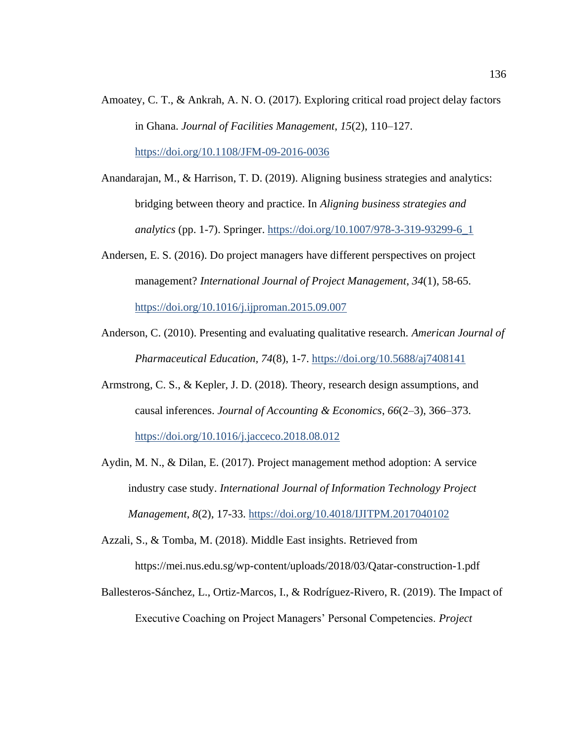- Amoatey, C. T., & Ankrah, A. N. O. (2017). Exploring critical road project delay factors in Ghana. *Journal of Facilities Management*, *15*(2), 110–127. <https://doi.org/10.1108/JFM-09-2016-0036>
- Anandarajan, M., & Harrison, T. D. (2019). Aligning business strategies and analytics: bridging between theory and practice. In *Aligning business strategies and analytics* (pp. 1-7). Springer. [https://doi.org/10.1007/978-3-319-93299-6\\_1](https://doi.org/10.1007/978-3-319-93299-6_1)
- Andersen, E. S. (2016). Do project managers have different perspectives on project management? *International Journal of Project Management*, *34*(1), 58-65. <https://doi.org/10.1016/j.ijproman.2015.09.007>
- Anderson, C. (2010). Presenting and evaluating qualitative research. *American Journal of Pharmaceutical Education, 74*(8), 1-7.<https://doi.org/10.5688/aj7408141>
- Armstrong, C. S., & Kepler, J. D. (2018). Theory, research design assumptions, and causal inferences. *Journal of Accounting & Economics*, *66*(2–3), 366–373. <https://doi.org/10.1016/j.jacceco.2018.08.012>
- Aydin, M. N., & Dilan, E. (2017). Project management method adoption: A service industry case study. *International Journal of Information Technology Project Management*, *8*(2), 17-33. <https://doi.org/10.4018/IJITPM.2017040102>
- Azzali, S., & Tomba, M. (2018). Middle East insights. Retrieved from https://mei.nus.edu.sg/wp-content/uploads/2018/03/Qatar-construction-1.pdf
- Ballesteros-Sánchez, L., Ortiz-Marcos, I., & Rodríguez-Rivero, R. (2019). The Impact of Executive Coaching on Project Managers' Personal Competencies. *Project*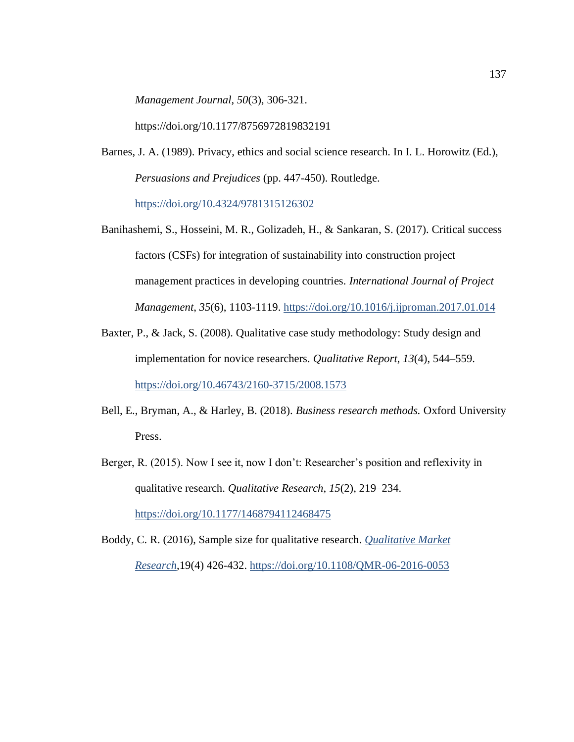*Management Journal*, *50*(3), 306-321.

https://doi.org/10.1177/8756972819832191

Barnes, J. A. (1989). Privacy, ethics and social science research. In I. L. Horowitz (Ed.), *Persuasions and Prejudices* (pp. 447-450). Routledge.

<https://doi.org/10.4324/9781315126302>

- Banihashemi, S., Hosseini, M. R., Golizadeh, H., & Sankaran, S. (2017). Critical success factors (CSFs) for integration of sustainability into construction project management practices in developing countries. *International Journal of Project Management*, *35*(6), 1103-1119.<https://doi.org/10.1016/j.ijproman.2017.01.014>
- Baxter, P., & Jack, S. (2008). Qualitative case study methodology: Study design and implementation for novice researchers. *Qualitative Report*, *13*(4), 544–559. <https://doi.org/10.46743/2160-3715/2008.1573>
- Bell, E., Bryman, A., & Harley, B. (2018). *Business research methods.* Oxford University Press.
- Berger, R. (2015). Now I see it, now I don't: Researcher's position and reflexivity in qualitative research. *Qualitative Research*, *15*(2), 219–234. <https://doi.org/10.1177/1468794112468475>
- [Boddy, C. R.](https://www.emerald.com/insight/search?q=Clive%20Roland%20Boddy) (2016), Sample size for qualitative research. *[Qualitative Market](file:///C:/Users/degraftgyan/Downloads/Qualitative%20Market%20Research)  [Research](file:///C:/Users/degraftgyan/Downloads/Qualitative%20Market%20Research)*,19(4) 426-432.<https://doi.org/10.1108/QMR-06-2016-0053>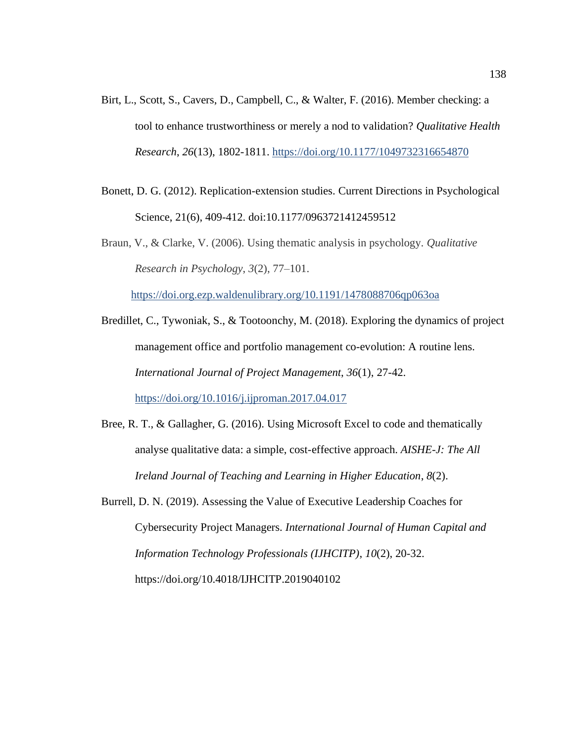- Birt, L., Scott, S., Cavers, D., Campbell, C., & Walter, F. (2016). Member checking: a tool to enhance trustworthiness or merely a nod to validation? *Qualitative Health Research*, *26*(13), 1802-1811.<https://doi.org/10.1177/1049732316654870>
- Bonett, D. G. (2012). Replication-extension studies. Current Directions in Psychological Science, 21(6), 409-412. doi:10.1177/0963721412459512
- Braun, V., & Clarke, V. (2006). Using thematic analysis in psychology. *Qualitative Research in Psychology*, *3*(2), 77–101.

<https://doi.org.ezp.waldenulibrary.org/10.1191/1478088706qp063oa>

- Bredillet, C., Tywoniak, S., & Tootoonchy, M. (2018). Exploring the dynamics of project management office and portfolio management co-evolution: A routine lens. *International Journal of Project Management*, *36*(1), 27-42. <https://doi.org/10.1016/j.ijproman.2017.04.017>
- Bree, R. T., & Gallagher, G. (2016). Using Microsoft Excel to code and thematically analyse qualitative data: a simple, cost-effective approach. *AISHE-J: The All Ireland Journal of Teaching and Learning in Higher Education*, *8*(2).
- Burrell, D. N. (2019). Assessing the Value of Executive Leadership Coaches for Cybersecurity Project Managers. *International Journal of Human Capital and Information Technology Professionals (IJHCITP)*, *10*(2), 20-32. https://doi.org/10.4018/IJHCITP.2019040102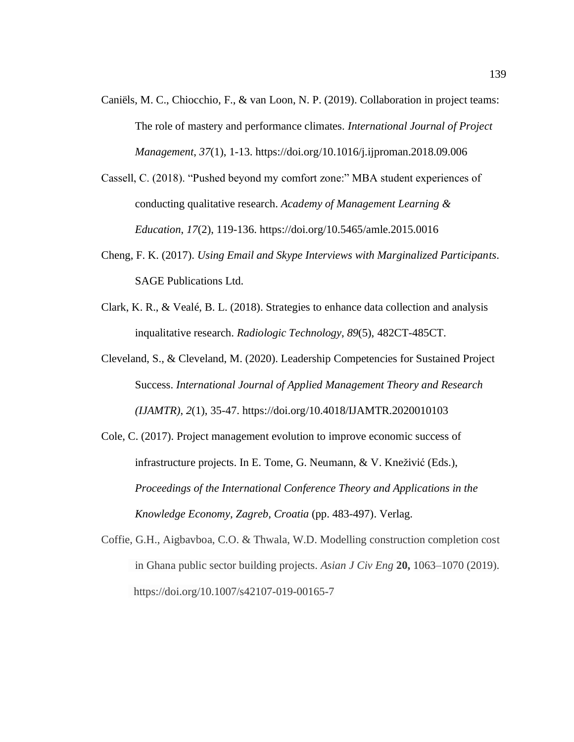- Caniëls, M. C., Chiocchio, F., & van Loon, N. P. (2019). Collaboration in project teams: The role of mastery and performance climates. *International Journal of Project Management*, *37*(1), 1-13. https://doi.org/10.1016/j.ijproman.2018.09.006
- Cassell, C. (2018). "Pushed beyond my comfort zone:" MBA student experiences of conducting qualitative research. *Academy of Management Learning & Education*, *17*(2), 119-136. https://doi.org/10.5465/amle.2015.0016
- Cheng, F. K. (2017). *Using Email and Skype Interviews with Marginalized Participants*. SAGE Publications Ltd.
- Clark, K. R., & Vealé, B. L. (2018). Strategies to enhance data collection and analysis inqualitative research. *Radiologic Technology*, *89*(5), 482CT-485CT.
- Cleveland, S., & Cleveland, M. (2020). Leadership Competencies for Sustained Project Success. *International Journal of Applied Management Theory and Research (IJAMTR)*, *2*(1), 35-47. https://doi.org/10.4018/IJAMTR.2020010103
- Cole, C. (2017). Project management evolution to improve economic success of infrastructure projects. In E. Tome, G. Neumann, & V. Kneživić (Eds.), *Proceedings of the International Conference Theory and Applications in the Knowledge Economy, Zagreb, Croatia* (pp. 483-497). Verlag.
- Coffie, G.H., Aigbavboa, C.O. & Thwala, W.D. Modelling construction completion cost in Ghana public sector building projects. *Asian J Civ Eng* **20,** 1063–1070 (2019). https://doi.org/10.1007/s42107-019-00165-7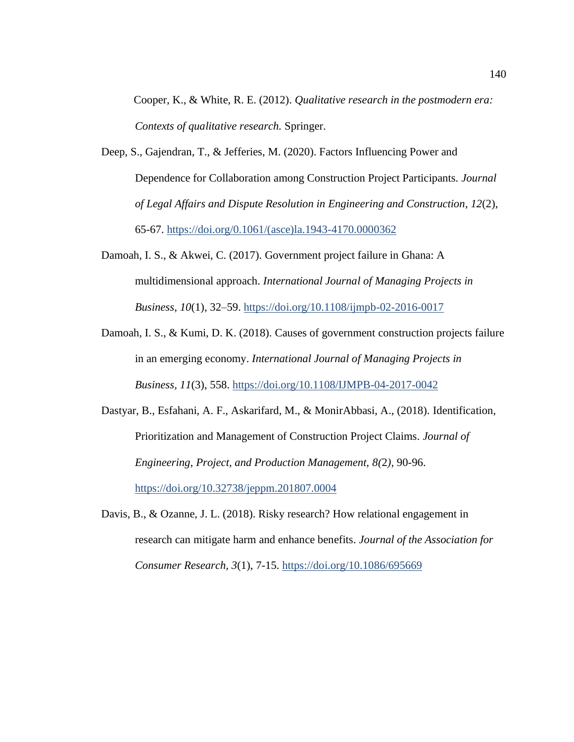Cooper, K., & White, R. E. (2012). *Qualitative research in the postmodern era: Contexts of qualitative research.* Springer.

- Deep, S., Gajendran, T., & Jefferies, M. (2020). Factors Influencing Power and Dependence for Collaboration among Construction Project Participants. *Journal of Legal Affairs and Dispute Resolution in Engineering and Construction*, *12*(2), 65-67. [https://doi.org/0.1061/\(asce\)la.1943-4170.0000362](https://doi.org/0.1061/(asce)la.1943-4170.0000362)
- Damoah, I. S., & Akwei, C. (2017). Government project failure in Ghana: A multidimensional approach. *International Journal of Managing Projects in Business*, *10*(1), 32–59. <https://doi.org/10.1108/ijmpb-02-2016-0017>
- Damoah, I. S., & Kumi, D. K. (2018). Causes of government construction projects failure in an emerging economy. *International Journal of Managing Projects in Business, 11*(3), 558.<https://doi.org/10.1108/IJMPB-04-2017-0042>
- Dastyar, B., Esfahani, A. F., Askarifard, M., & MonirAbbasi, A., (2018). Identification, Prioritization and Management of Construction Project Claims. *Journal of Engineering, Project, and Production Management, 8(*2*),* 90-96. <https://doi.org/10.32738/jeppm.201807.0004>
- Davis, B., & Ozanne, J. L. (2018). Risky research? How relational engagement in research can mitigate harm and enhance benefits. *Journal of the Association for Consumer Research, 3*(1), 7-15.<https://doi.org/10.1086/695669>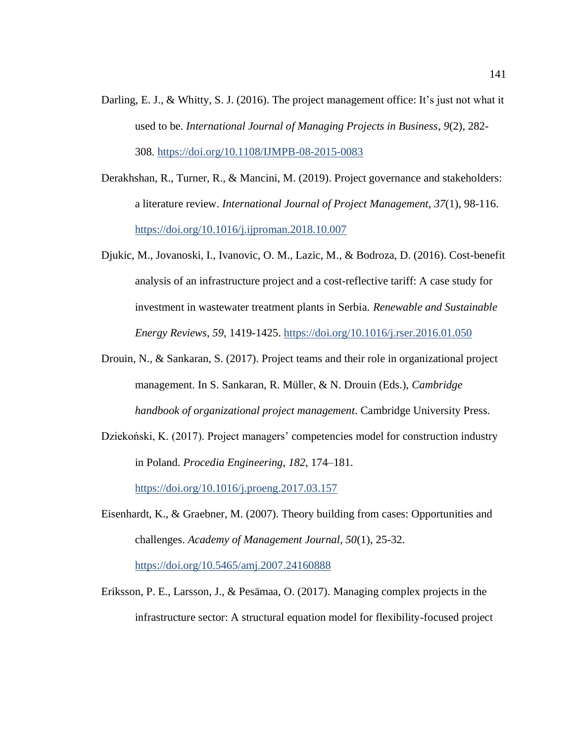- Darling, E. J., & Whitty, S. J. (2016). The project management office: It's just not what it used to be. *International Journal of Managing Projects in Business*, *9*(2), 282- 308. <https://doi.org/10.1108/IJMPB-08-2015-0083>
- Derakhshan, R., Turner, R., & Mancini, M. (2019). Project governance and stakeholders: a literature review. *International Journal of Project Management*, *37*(1), 98-116. <https://doi.org/10.1016/j.ijproman.2018.10.007>
- Djukic, M., Jovanoski, I., Ivanovic, O. M., Lazic, M., & Bodroza, D. (2016). Cost-benefit analysis of an infrastructure project and a cost-reflective tariff: A case study for investment in wastewater treatment plants in Serbia. *Renewable and Sustainable Energy Reviews, 59,* 1419-1425.<https://doi.org/10.1016/j.rser.2016.01.050>
- Drouin, N., & Sankaran, S. (2017). Project teams and their role in organizational project management. In S. Sankaran, R. Müller, & N. Drouin (Eds.), *Cambridge handbook of organizational project management*. Cambridge University Press.
- Dziekoński, K. (2017). Project managers' competencies model for construction industry in Poland. *Procedia Engineering*, *182*, 174–181.

<https://doi.org/10.1016/j.proeng.2017.03.157>

- Eisenhardt, K., & Graebner, M. (2007). Theory building from cases: Opportunities and challenges. *Academy of Management Journal, 50*(1), 25-32. <https://doi.org/10.5465/amj.2007.24160888>
- Eriksson, P. E., Larsson, J., & Pesämaa, O. (2017). Managing complex projects in the infrastructure sector: A structural equation model for flexibility-focused project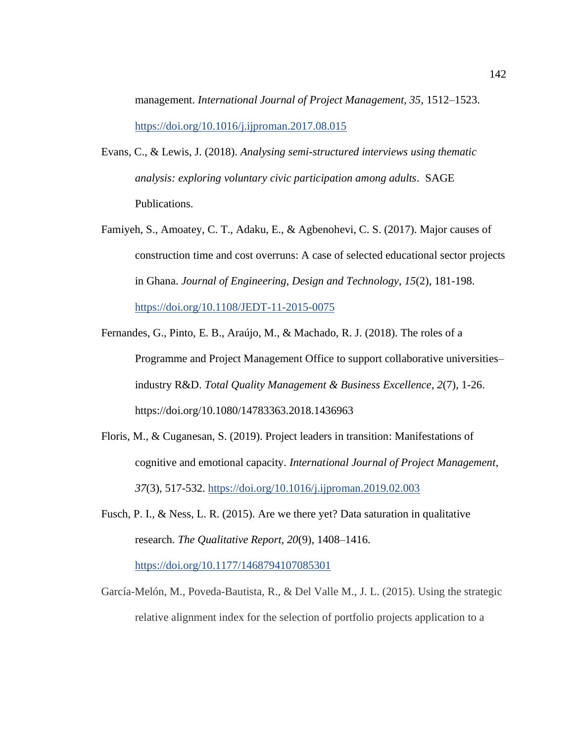management. *International Journal of Project Management, 35,* 1512–1523. <https://doi.org/10.1016/j.ijproman.2017.08.015>

- Evans, C., & Lewis, J. (2018). *Analysing semi-structured interviews using thematic analysis: exploring voluntary civic participation among adults*. SAGE Publications.
- Famiyeh, S., Amoatey, C. T., Adaku, E., & Agbenohevi, C. S. (2017). Major causes of construction time and cost overruns: A case of selected educational sector projects in Ghana. *Journal of Engineering, Design and Technology*, *15*(2), 181-198. <https://doi.org/10.1108/JEDT-11-2015-0075>
- Fernandes, G., Pinto, E. B., Araújo, M., & Machado, R. J. (2018). The roles of a Programme and Project Management Office to support collaborative universities– industry R&D. *Total Quality Management & Business Excellence*, *2*(7), 1-26. https://doi.org/10.1080/14783363.2018.1436963
- Floris, M., & Cuganesan, S. (2019). Project leaders in transition: Manifestations of cognitive and emotional capacity. *International Journal of Project Management*, *37*(3), 517-532.<https://doi.org/10.1016/j.ijproman.2019.02.003>
- Fusch, P. I., & Ness, L. R. (2015). Are we there yet? Data saturation in qualitative research. *The Qualitative Report, 20*(9), 1408–1416. <https://doi.org/10.1177/1468794107085301>
- García-Melón, M., Poveda-Bautista, R., & Del Valle M., J. L. (2015). Using the strategic relative alignment index for the selection of portfolio projects application to a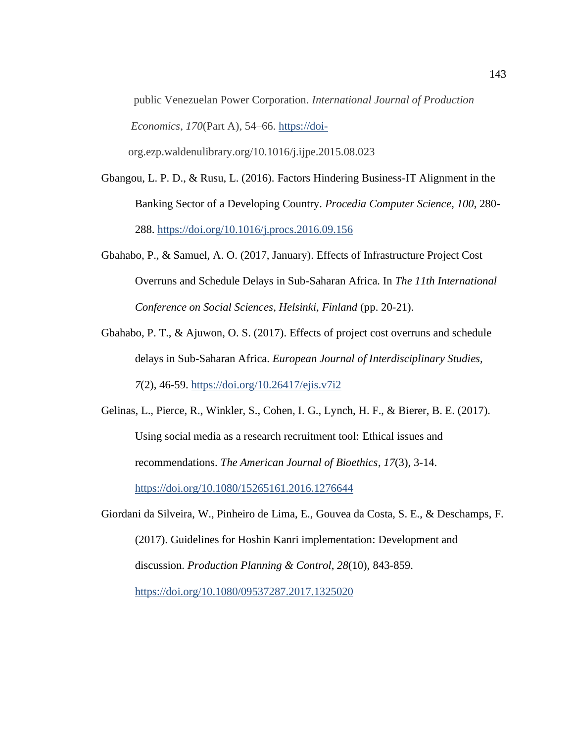public Venezuelan Power Corporation. *International Journal of Production Economics*, *170*(Part A), 54–66. [https://doi-](https://doi-/)

org.ezp.waldenulibrary.org/10.1016/j.ijpe.2015.08.023

- Gbangou, L. P. D., & Rusu, L. (2016). Factors Hindering Business-IT Alignment in the Banking Sector of a Developing Country. *Procedia Computer Science*, *100*, 280- 288. <https://doi.org/10.1016/j.procs.2016.09.156>
- Gbahabo, P., & Samuel, A. O. (2017, January). Effects of Infrastructure Project Cost Overruns and Schedule Delays in Sub-Saharan Africa. In *The 11th International Conference on Social Sciences, Helsinki, Finland* (pp. 20-21).
- Gbahabo, P. T., & Ajuwon, O. S. (2017). Effects of project cost overruns and schedule delays in Sub-Saharan Africa. *European Journal of Interdisciplinary Studies, 7*(2), 46-59.<https://doi.org/10.26417/ejis.v7i2>
- Gelinas, L., Pierce, R., Winkler, S., Cohen, I. G., Lynch, H. F., & Bierer, B. E. (2017). Using social media as a research recruitment tool: Ethical issues and recommendations. *The American Journal of Bioethics*, *17*(3), 3-14. <https://doi.org/10.1080/15265161.2016.1276644>
- Giordani da Silveira, W., Pinheiro de Lima, E., Gouvea da Costa, S. E., & Deschamps, F. (2017). Guidelines for Hoshin Kanri implementation: Development and discussion. *Production Planning & Control*, *28*(10), 843-859.

<https://doi.org/10.1080/09537287.2017.1325020>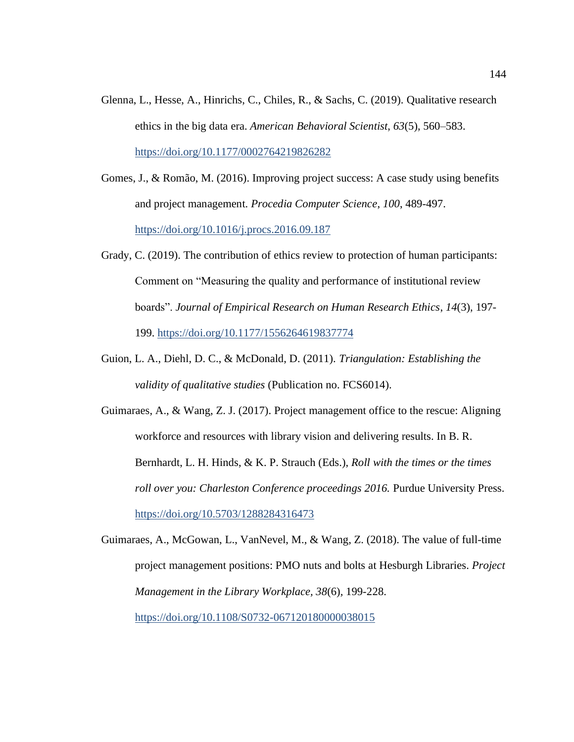- Glenna, L., Hesse, A., Hinrichs, C., Chiles, R., & Sachs, C. (2019). Qualitative research ethics in the big data era. *American Behavioral Scientist*, *63*(5), 560–583. <https://doi.org/10.1177/0002764219826282>
- Gomes, J., & Romão, M. (2016). Improving project success: A case study using benefits and project management. *Procedia Computer Science*, *100*, 489-497. <https://doi.org/10.1016/j.procs.2016.09.187>
- Grady, C. (2019). The contribution of ethics review to protection of human participants: Comment on "Measuring the quality and performance of institutional review boards". *Journal of Empirical Research on Human Research Ethics*, *14*(3), 197- 199.<https://doi.org/10.1177/1556264619837774>
- Guion, L. A., Diehl, D. C., & McDonald, D. (2011). *Triangulation: Establishing the validity of qualitative studies* (Publication no. FCS6014).
- Guimaraes, A., & Wang, Z. J. (2017). Project management office to the rescue: Aligning workforce and resources with library vision and delivering results. In B. R. Bernhardt, L. H. Hinds, & K. P. Strauch (Eds.), *Roll with the times or the times roll over you: Charleston Conference proceedings 2016.* Purdue University Press. <https://doi.org/10.5703/1288284316473>
- Guimaraes, A., McGowan, L., VanNevel, M., & Wang, Z. (2018). The value of full-time project management positions: PMO nuts and bolts at Hesburgh Libraries. *Project Management in the Library Workplace, 38*(6)*,* 199-228. <https://doi.org/10.1108/S0732-067120180000038015>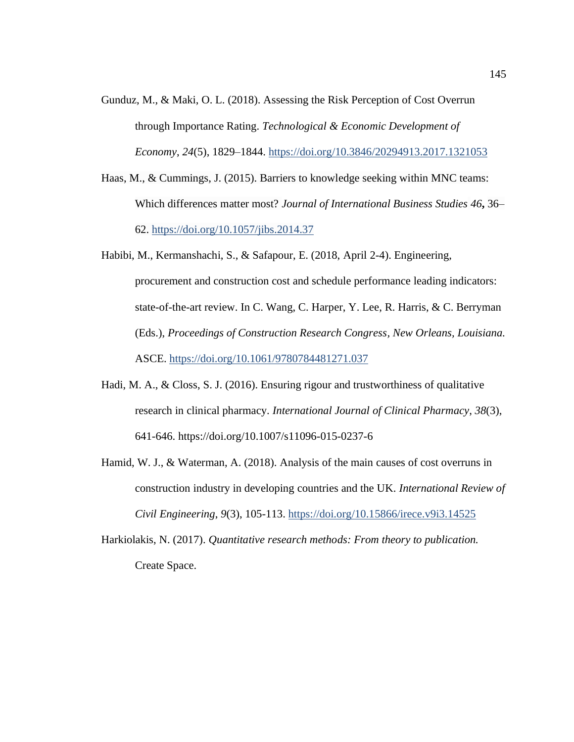- Gunduz, M., & Maki, O. L. (2018). Assessing the Risk Perception of Cost Overrun through Importance Rating. *Technological & Economic Development of Economy*, *24*(5), 1829–1844.<https://doi.org/10.3846/20294913.2017.1321053>
- Haas, M., & Cummings, J. (2015). Barriers to knowledge seeking within MNC teams: Which differences matter most? *Journal of International Business Studies 46***,** 36– 62.<https://doi.org/10.1057/jibs.2014.37>
- Habibi, M., Kermanshachi, S., & Safapour, E. (2018, April 2-4). Engineering, procurement and construction cost and schedule performance leading indicators: state-of-the-art review. In C. Wang, C. Harper, Y. Lee, R. Harris, & C. Berryman (Eds.), *Proceedings of Construction Research Congress, New Orleans, Louisiana.* ASCE. <https://doi.org/10.1061/9780784481271.037>
- Hadi, M. A., & Closs, S. J. (2016). Ensuring rigour and trustworthiness of qualitative research in clinical pharmacy. *International Journal of Clinical Pharmacy*, *38*(3), 641-646. https://doi.org/10.1007/s11096-015-0237-6
- Hamid, W. J., & Waterman, A. (2018). Analysis of the main causes of cost overruns in construction industry in developing countries and the UK. *International Review of Civil Engineering*, *9*(3), 105-113. <https://doi.org/10.15866/irece.v9i3.14525>
- Harkiolakis, N. (2017). *Quantitative research methods: From theory to publication.* Create Space.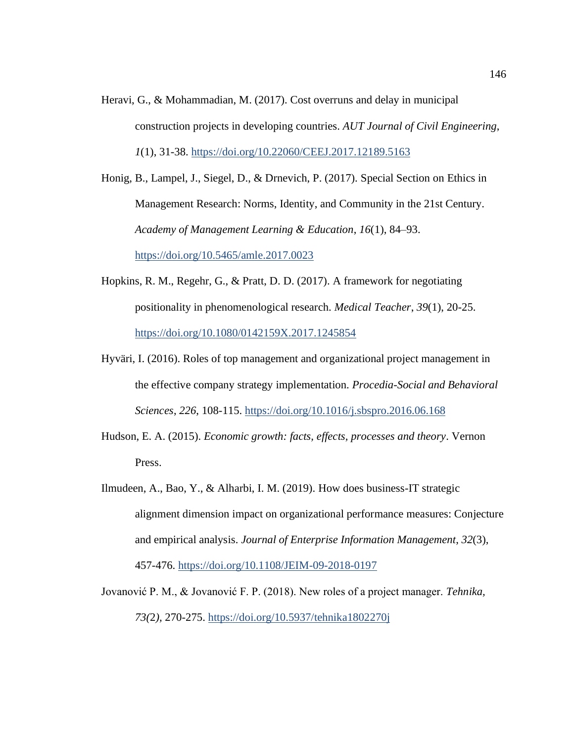Heravi, G., & Mohammadian, M. (2017). Cost overruns and delay in municipal construction projects in developing countries. *AUT Journal of Civil Engineering*, *1*(1), 31-38. <https://doi.org/10.22060/CEEJ.2017.12189.5163>

Honig, B., Lampel, J., Siegel, D., & Drnevich, P. (2017). Special Section on Ethics in Management Research: Norms, Identity, and Community in the 21st Century. *Academy of Management Learning & Education*, *16*(1), 84–93. <https://doi.org/10.5465/amle.2017.0023>

- Hopkins, R. M., Regehr, G., & Pratt, D. D. (2017). A framework for negotiating positionality in phenomenological research. *Medical Teacher*, *39*(1), 20-25. <https://doi.org/10.1080/0142159X.2017.1245854>
- Hyväri, I. (2016). Roles of top management and organizational project management in the effective company strategy implementation. *Procedia-Social and Behavioral Sciences*, *226*, 108-115. <https://doi.org/10.1016/j.sbspro.2016.06.168>
- Hudson, E. A. (2015). *Economic growth: facts, effects, processes and theory*. Vernon Press.
- Ilmudeen, A., Bao, Y., & Alharbi, I. M. (2019). How does business-IT strategic alignment dimension impact on organizational performance measures: Conjecture and empirical analysis. *Journal of Enterprise Information Management*, *32*(3), 457-476.<https://doi.org/10.1108/JEIM-09-2018-0197>
- Jovanović P. M., & Jovanović F. P. (2018). New roles of a project manager. *Tehnika, 73(*2*),* 270-275.<https://doi.org/10.5937/tehnika1802270j>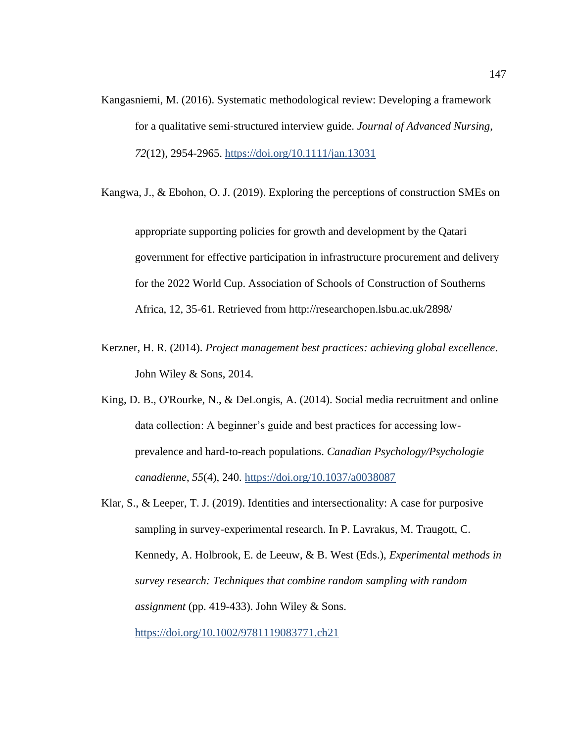Kangasniemi, M. (2016). Systematic methodological review: Developing a framework for a qualitative semi‐structured interview guide. *Journal of Advanced Nursing*, *72*(12), 2954-2965.<https://doi.org/10.1111/jan.13031>

Kangwa, J., & Ebohon, O. J. (2019). Exploring the perceptions of construction SMEs on

appropriate supporting policies for growth and development by the Qatari government for effective participation in infrastructure procurement and delivery for the 2022 World Cup. Association of Schools of Construction of Southerns Africa, 12, 35-61. Retrieved from http://researchopen.lsbu.ac.uk/2898/

- Kerzner, H. R. (2014). *Project management best practices: achieving global excellence*. John Wiley & Sons, 2014.
- King, D. B., O'Rourke, N., & DeLongis, A. (2014). Social media recruitment and online data collection: A beginner's guide and best practices for accessing lowprevalence and hard-to-reach populations. *Canadian Psychology/Psychologie canadienne*, *55*(4), 240. <https://doi.org/10.1037/a0038087>

Klar, S., & Leeper, T. J. (2019). Identities and intersectionality: A case for purposive sampling in survey-experimental research. In P. Lavrakus, M. Traugott, C. Kennedy, A. Holbrook, E. de Leeuw, & B. West (Eds.), *Experimental methods in survey research: Techniques that combine random sampling with random assignment* (pp. 419-433). John Wiley & Sons. <https://doi.org/10.1002/9781119083771.ch21>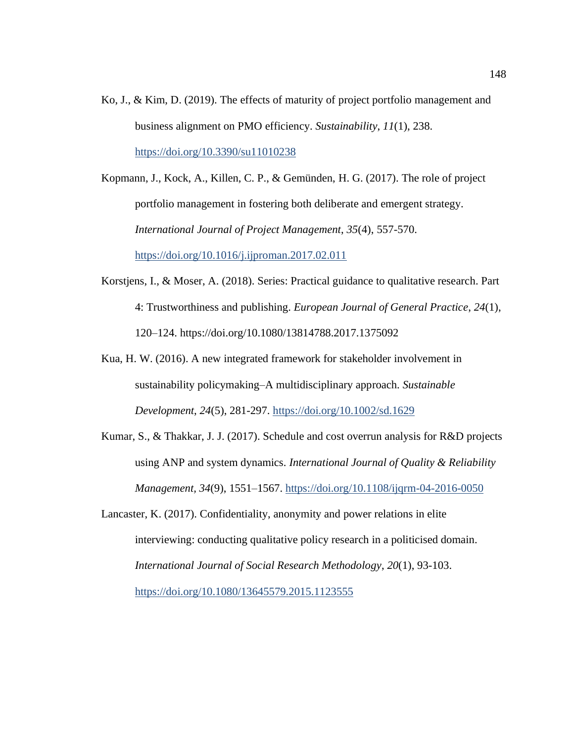Ko, J., & Kim, D. (2019). The effects of maturity of project portfolio management and business alignment on PMO efficiency. *Sustainability*, *11*(1), 238. <https://doi.org/10.3390/su11010238>

Kopmann, J., Kock, A., Killen, C. P., & Gemünden, H. G. (2017). The role of project portfolio management in fostering both deliberate and emergent strategy. *International Journal of Project Management*, *35*(4), 557-570. <https://doi.org/10.1016/j.ijproman.2017.02.011>

- Korstjens, I., & Moser, A. (2018). Series: Practical guidance to qualitative research. Part 4: Trustworthiness and publishing. *European Journal of General Practice*, *24*(1), 120–124. [https://doi.org/10.1080/13814788.2017.1375092](https://doi-org.ezp.waldenulibrary.org/10.1080/13814788.2017.1375092)
- Kua, H. W. (2016). A new integrated framework for stakeholder involvement in sustainability policymaking–A multidisciplinary approach. *Sustainable Development*, *24*(5), 281-297.<https://doi.org/10.1002/sd.1629>
- Kumar, S., & Thakkar, J. J. (2017). Schedule and cost overrun analysis for R&D projects using ANP and system dynamics. *International Journal of Quality & Reliability Management, 34*(9), 1551–1567. <https://doi.org/10.1108/ijqrm-04-2016-0050>
- Lancaster, K. (2017). Confidentiality, anonymity and power relations in elite interviewing: conducting qualitative policy research in a politicised domain. *International Journal of Social Research Methodology*, *20*(1), 93-103.

<https://doi.org/10.1080/13645579.2015.1123555>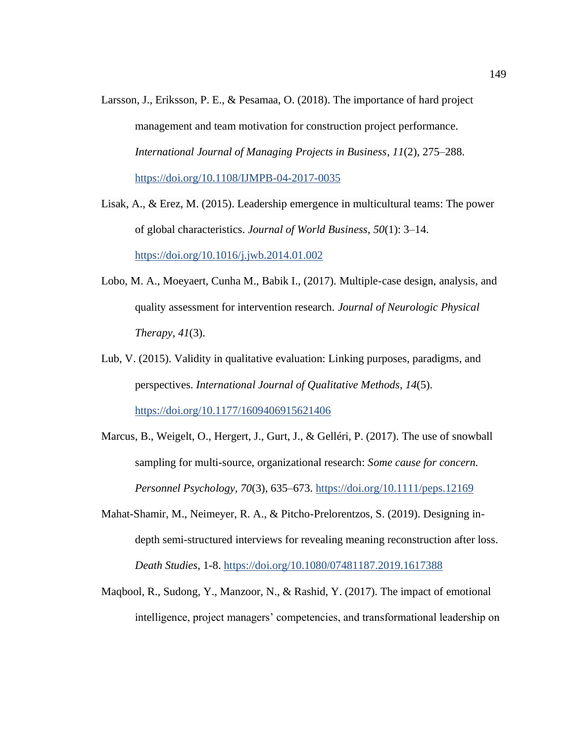- Larsson, J., Eriksson, P. E., & Pesamaa, O. (2018). The importance of hard project management and team motivation for construction project performance. *International Journal of Managing Projects in Business*, *11*(2), 275–288. <https://doi.org/10.1108/IJMPB-04-2017-0035>
- Lisak, A., & Erez, M. (2015). Leadership emergence in multicultural teams: The power of global characteristics. *Journal of World Business, 50*(1): 3–14. <https://doi.org/10.1016/j.jwb.2014.01.002>
- Lobo, M. A., Moeyaert, Cunha M., Babik I., (2017). Multiple-case design, analysis, and quality assessment for intervention research. *Journal of Neurologic Physical Therapy, 41*(3).
- Lub, V. (2015). Validity in qualitative evaluation: Linking purposes, paradigms, and perspectives. *International Journal of Qualitative Methods*, *14*(5). <https://doi.org/10.1177/1609406915621406>
- Marcus, B., Weigelt, O., Hergert, J., Gurt, J., & Gelléri, P. (2017). The use of snowball sampling for multi-source, organizational research: *Some cause for concern. Personnel Psychology, 70*(3), 635–673. <https://doi.org/10.1111/peps.12169>
- Mahat-Shamir, M., Neimeyer, R. A., & Pitcho-Prelorentzos, S. (2019). Designing indepth semi-structured interviews for revealing meaning reconstruction after loss. *Death Studies*, 1-8.<https://doi.org/10.1080/07481187.2019.1617388>
- Maqbool, R., Sudong, Y., Manzoor, N., & Rashid, Y. (2017). The impact of emotional intelligence, project managers' competencies, and transformational leadership on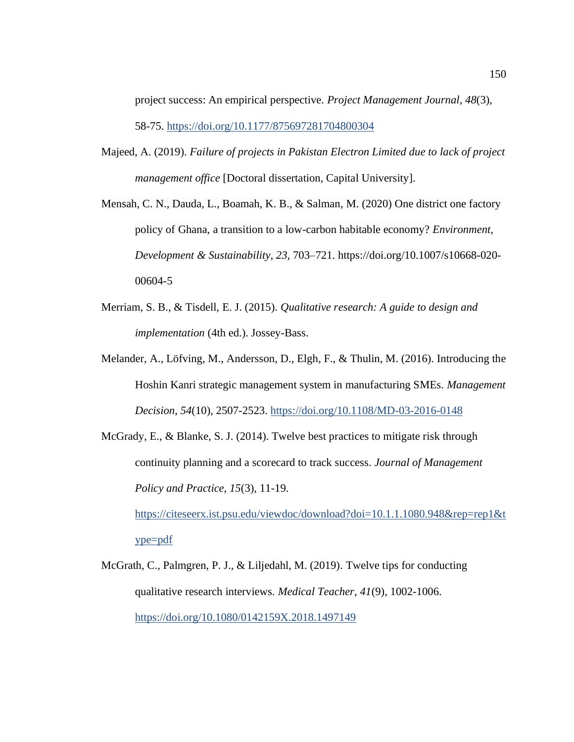project success: An empirical perspective. *Project Management Journal*, *48*(3), 58-75.<https://doi.org/10.1177/875697281704800304>

- Majeed, A. (2019). *Failure of projects in Pakistan Electron Limited due to lack of project management office* [Doctoral dissertation, Capital University].
- Mensah, C. N., Dauda, L., Boamah, K. B., & Salman, M. (2020) One district one factory policy of Ghana, a transition to a low-carbon habitable economy? *Environment, Development & Sustainability, 23,* 703–721. [https://doi.org/10.1007/s10668-020-](https://doi.org/10.1007/s10668-020-00604-5) [00604-5](https://doi.org/10.1007/s10668-020-00604-5)
- Merriam, S. B., & Tisdell, E. J. (2015). *Qualitative research: A guide to design and implementation* (4th ed.). Jossey-Bass.
- Melander, A., Löfving, M., Andersson, D., Elgh, F., & Thulin, M. (2016). Introducing the Hoshin Kanri strategic management system in manufacturing SMEs. *Management Decision*, *54*(10), 2507-2523.<https://doi.org/10.1108/MD-03-2016-0148>
- McGrady, E., & Blanke, S. J. (2014). Twelve best practices to mitigate risk through continuity planning and a scorecard to track success. *Journal of Management Policy and Practice, 15*(3), 11-19.

[https://citeseerx.ist.psu.edu/viewdoc/download?doi=10.1.1.1080.948&rep=rep1&t](https://citeseerx.ist.psu.edu/viewdoc/download?doi=10.1.1.1080.948&rep=rep1&type=pdf) [ype=pdf](https://citeseerx.ist.psu.edu/viewdoc/download?doi=10.1.1.1080.948&rep=rep1&type=pdf)

McGrath, C., Palmgren, P. J., & Liljedahl, M. (2019). Twelve tips for conducting qualitative research interviews. *Medical Teacher*, *41*(9), 1002-1006. <https://doi.org/10.1080/0142159X.2018.1497149>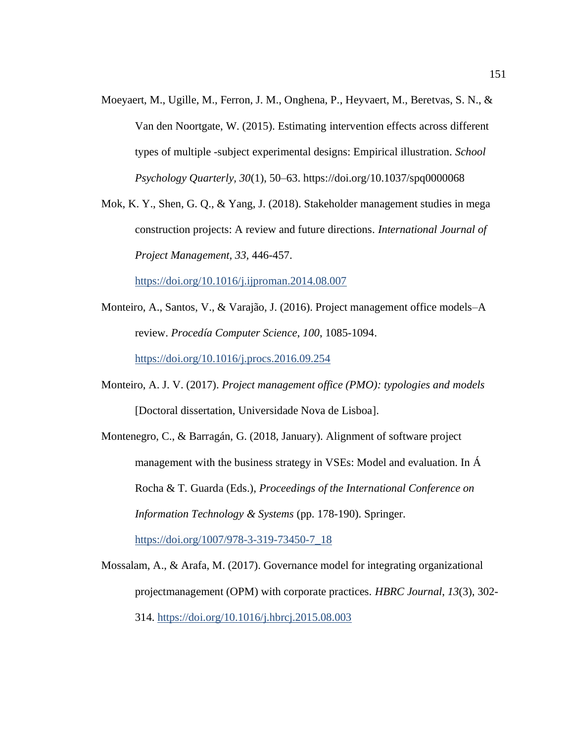- Moeyaert, M., Ugille, M., Ferron, J. M., Onghena, P., Heyvaert, M., Beretvas, S. N., & Van den Noortgate, W. (2015). Estimating intervention effects across different types of multiple -subject experimental designs: Empirical illustration. *School Psychology Quarterly, 30*(1), 50–63. [https://doi.org/10.1037/spq0000068](https://psycnet.apa.org/doi/10.1037/spq0000068)
- Mok, K. Y., Shen, G. Q., & Yang, J. (2018). Stakeholder management studies in mega construction projects: A review and future directions. *International Journal of Project Management, 33,* 446-457.

<https://doi.org/10.1016/j.ijproman.2014.08.007>

- Monteiro, A., Santos, V., & Varajão, J. (2016). Project management office models–A review. *Procedía Computer Science*, *100*, 1085-1094. <https://doi.org/10.1016/j.procs.2016.09.254>
- Monteiro, A. J. V. (2017). *Project management office (PMO): typologies and models* [Doctoral dissertation, Universidade Nova de Lisboa].
- Montenegro, C., & Barragán, G. (2018, January). Alignment of software project management with the business strategy in VSEs: Model and evaluation. In Á Rocha & T. Guarda (Eds.), *Proceedings of the International Conference on Information Technology & Systems* (pp. 178-190). Springer. [https://doi.org/1007/978-3-319-73450-7\\_18](https://doi.org/1007/978-3-319-73450-7_18)
- Mossalam, A., & Arafa, M. (2017). Governance model for integrating organizational projectmanagement (OPM) with corporate practices. *HBRC Journal*, *13*(3), 302- 314. <https://doi.org/10.1016/j.hbrcj.2015.08.003>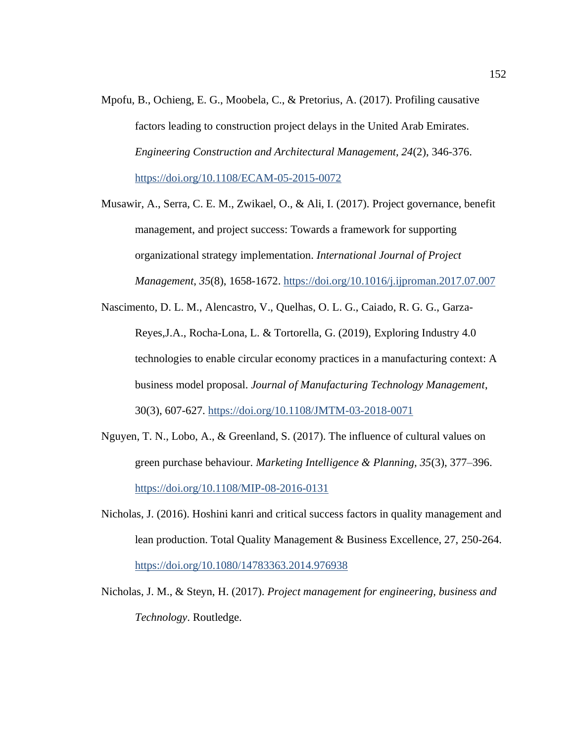- Mpofu, B., Ochieng, E. G., Moobela, C., & Pretorius, A. (2017). Profiling causative factors leading to construction project delays in the United Arab Emirates. *Engineering Construction and Architectural Management, 24*(2), 346-376. <https://doi.org/10.1108/ECAM-05-2015-0072>
- Musawir, A., Serra, C. E. M., Zwikael, O., & Ali, I. (2017). Project governance, benefit management, and project success: Towards a framework for supporting organizational strategy implementation. *International Journal of Project Management*, *35*(8), 1658-1672. <https://doi.org/10.1016/j.ijproman.2017.07.007>
- Nascimento, D. L. M., Alencastro, V., Quelhas, O. L. G., Caiado, R. G. G., Garza-Reyes,J.A., Rocha-Lona, L. & Tortorella, G. (2019), Exploring Industry 4.0 technologies to enable circular economy practices in a manufacturing context: A business model proposal. *Journal of Manufacturing Technology Management*, 30(3), 607-627. <https://doi.org/10.1108/JMTM-03-2018-0071>
- Nguyen, T. N., Lobo, A., & Greenland, S. (2017). The influence of cultural values on green purchase behaviour. *Marketing Intelligence & Planning, 35*(3), 377–396. <https://doi.org/10.1108/MIP-08-2016-0131>
- Nicholas, J. (2016). Hoshini kanri and critical success factors in quality management and lean production. Total Quality Management & Business Excellence, 27, 250-264. <https://doi.org/10.1080/14783363.2014.976938>
- Nicholas, J. M., & Steyn, H. (2017). *Project management for engineering, business and Technology*. Routledge.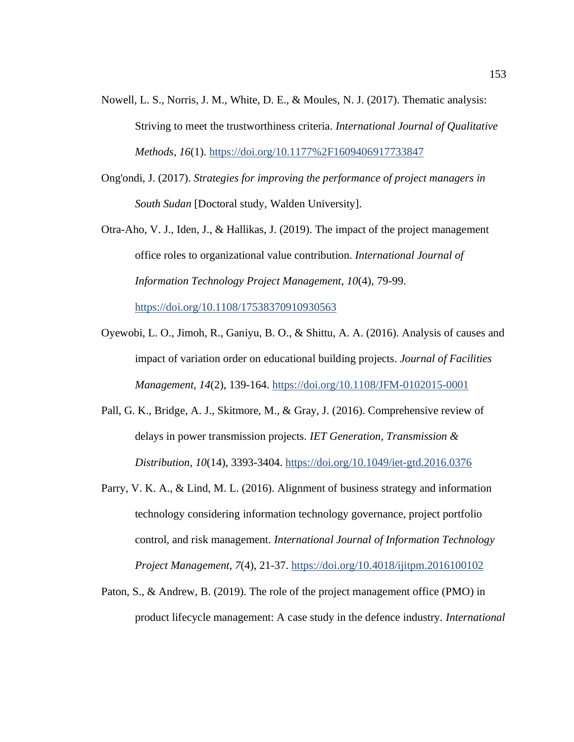- Nowell, L. S., Norris, J. M., White, D. E., & Moules, N. J. (2017). Thematic analysis: Striving to meet the trustworthiness criteria. *International Journal of Qualitative Methods*, *16*(1).<https://doi.org/10.1177%2F1609406917733847>
- Ong'ondi, J. (2017). *Strategies for improving the performance of project managers in South Sudan* [Doctoral study, Walden University].
- Otra-Aho, V. J., Iden, J., & Hallikas, J. (2019). The impact of the project management office roles to organizational value contribution. *International Journal of Information Technology Project Management*, *10*(4), 79-99.

<https://doi.org/10.1108/17538370910930563>

- Oyewobi, L. O., Jimoh, R., Ganiyu, B. O., & Shittu, A. A. (2016). Analysis of causes and impact of variation order on educational building projects. *Journal of Facilities Management, 14*(2), 139-164.<https://doi.org/10.1108/JFM-0102015-0001>
- Pall, G. K., Bridge, A. J., Skitmore, M., & Gray, J. (2016). Comprehensive review of delays in power transmission projects. *IET Generation, Transmission & Distribution*, *10*(14), 3393-3404. <https://doi.org/10.1049/iet-gtd.2016.0376>
- Parry, V. K. A., & Lind, M. L. (2016). Alignment of business strategy and information technology considering information technology governance, project portfolio control, and risk management. *International Journal of Information Technology Project Management*, *7*(4), 21-37.<https://doi.org/10.4018/ijitpm.2016100102>
- Paton, S., & Andrew, B. (2019). The role of the project management office (PMO) in product lifecycle management: A case study in the defence industry. *International*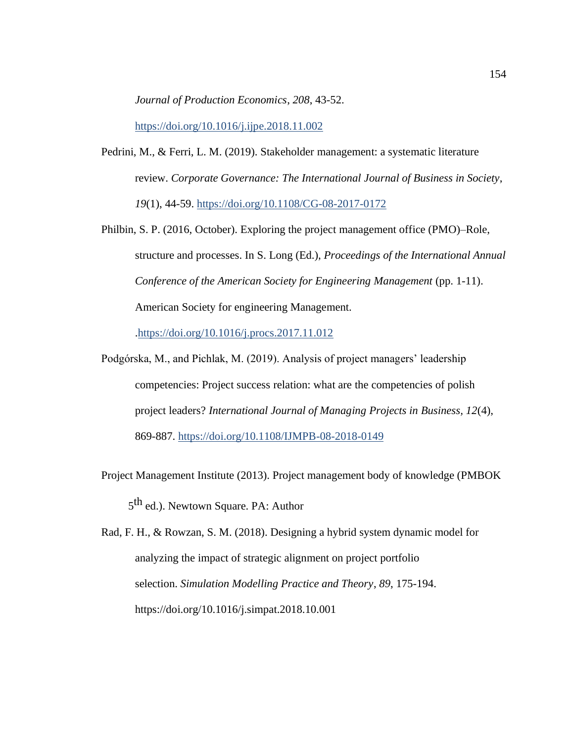*Journal of Production Economics*, *208*, 43-52.

<https://doi.org/10.1016/j.ijpe.2018.11.002>

- Pedrini, M., & Ferri, L. M. (2019). Stakeholder management: a systematic literature review. *Corporate Governance: The International Journal of Business in Society*, *19*(1), 44-59.<https://doi.org/10.1108/CG-08-2017-0172>
- Philbin, S. P. (2016, October). Exploring the project management office (PMO)–Role, structure and processes. In S. Long (Ed.), *Proceedings of the International Annual Conference of the American Society for Engineering Management* (pp. 1-11). American Society for engineering Management.

[.https://doi.org/10.1016/j.procs.2017.11.012](https://doi.org/10.1016/j.procs.2017.11.012)

- Podgórska, M., and Pichlak, M. (2019). Analysis of project managers' leadership competencies: Project success relation: what are the competencies of polish project leaders? *International Journal of Managing Projects in Business, 12*(4), 869-887. <https://doi.org/10.1108/IJMPB-08-2018-0149>
- Project Management Institute (2013). Project management body of knowledge (PMBOK 5<sup>th</sup> ed.). Newtown Square. PA: Author
- Rad, F. H., & Rowzan, S. M. (2018). Designing a hybrid system dynamic model for analyzing the impact of strategic alignment on project portfolio selection. *Simulation Modelling Practice and Theory*, *89*, 175-194. https://doi.org/10.1016/j.simpat.2018.10.001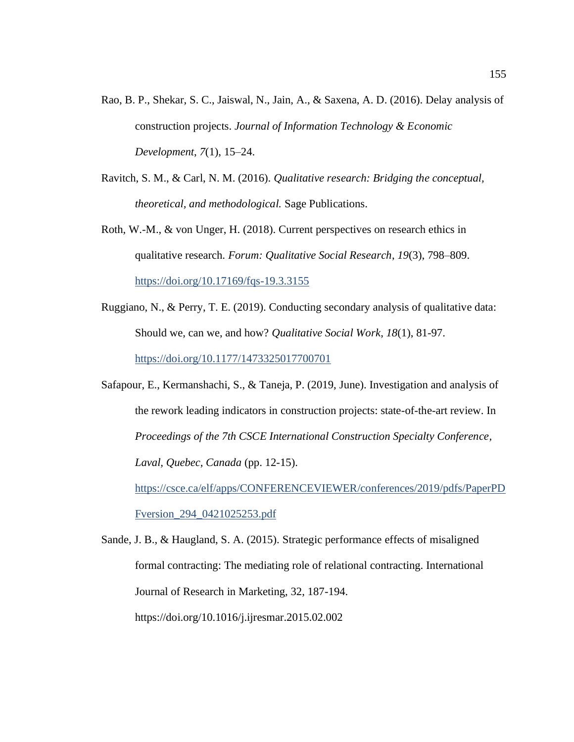- Rao, B. P., Shekar, S. C., Jaiswal, N., Jain, A., & Saxena, A. D. (2016). Delay analysis of construction projects. *Journal of Information Technology & Economic Development*, *7*(1), 15–24.
- Ravitch, S. M., & Carl, N. M. (2016). *Qualitative research: Bridging the conceptual, theoretical, and methodological.* Sage Publications.
- Roth, W.-M., & von Unger, H. (2018). Current perspectives on research ethics in qualitative research. *Forum: Qualitative Social Research*, *19*(3), 798–809. <https://doi.org/10.17169/fqs-19.3.3155>
- Ruggiano, N., & Perry, T. E. (2019). Conducting secondary analysis of qualitative data: Should we, can we, and how? *Qualitative Social Work*, *18*(1), 81-97. <https://doi.org/10.1177/1473325017700701>
- Safapour, E., Kermanshachi, S., & Taneja, P. (2019, June). Investigation and analysis of the rework leading indicators in construction projects: state-of-the-art review. In *Proceedings of the 7th CSCE International Construction Specialty Conference, Laval, Quebec, Canada* (pp. 12-15). [https://csce.ca/elf/apps/CONFERENCEVIEWER/conferences/2019/pdfs/PaperPD](https://csce.ca/elf/apps/CONFERENCEVIEWER/conferences/2019/pdfs/PaperPDFversion_294_0421025253.pdf)

[Fversion\\_294\\_0421025253.pdf](https://csce.ca/elf/apps/CONFERENCEVIEWER/conferences/2019/pdfs/PaperPDFversion_294_0421025253.pdf)

Sande, J. B., & Haugland, S. A. (2015). Strategic performance effects of misaligned formal contracting: The mediating role of relational contracting. International Journal of Research in Marketing, 32, 187-194. https://doi.org/10.1016/j.ijresmar.2015.02.002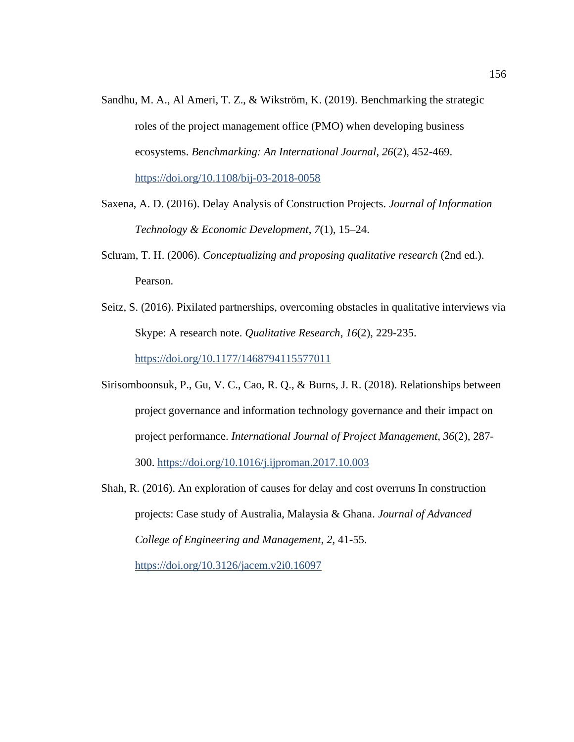- Sandhu, M. A., Al Ameri, T. Z., & Wikström, K. (2019). Benchmarking the strategic roles of the project management office (PMO) when developing business ecosystems. *Benchmarking: An International Journal*, *26*(2), 452-469. <https://doi.org/10.1108/bij-03-2018-0058>
- Saxena, A. D. (2016). Delay Analysis of Construction Projects. *Journal of Information Technology & Economic Development*, *7*(1), 15–24.
- Schram, T. H. (2006). *Conceptualizing and proposing qualitative research* (2nd ed.). Pearson.
- Seitz, S. (2016). Pixilated partnerships, overcoming obstacles in qualitative interviews via Skype: A research note. *Qualitative Research*, *16*(2), 229-235. <https://doi.org/10.1177/1468794115577011>
- Sirisomboonsuk, P., Gu, V. C., Cao, R. Q., & Burns, J. R. (2018). Relationships between project governance and information technology governance and their impact on project performance. *International Journal of Project Management*, *36*(2), 287- 300.<https://doi.org/10.1016/j.ijproman.2017.10.003>
- Shah, R. (2016). An exploration of causes for delay and cost overruns In construction projects: Case study of Australia, Malaysia & Ghana. *Journal of Advanced College of Engineering and Management*, *2*, 41-55. <https://doi.org/10.3126/jacem.v2i0.16097>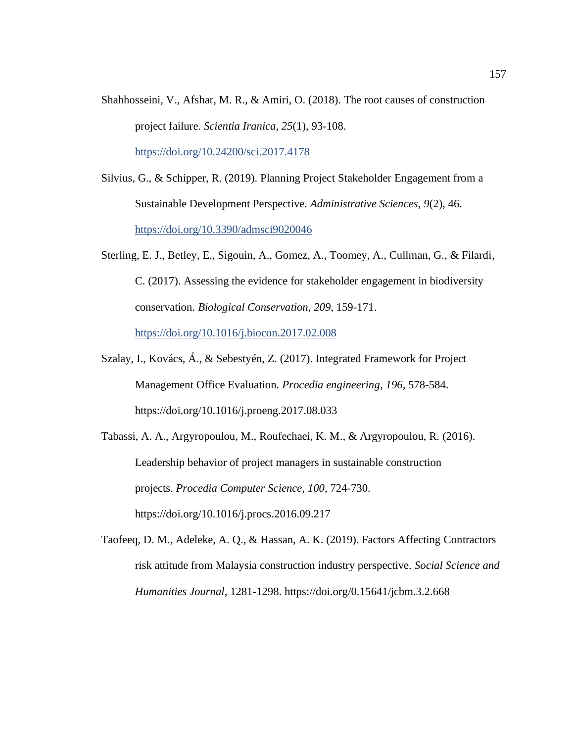Shahhosseini, V., Afshar, M. R., & Amiri, O. (2018). The root causes of construction project failure. *Scientia Iranica, 25*(1), 93-108.

<https://doi.org/10.24200/sci.2017.4178>

- Silvius, G., & Schipper, R. (2019). Planning Project Stakeholder Engagement from a Sustainable Development Perspective. *Administrative Sciences*, *9*(2), 46. <https://doi.org/10.3390/admsci9020046>
- Sterling, E. J., Betley, E., Sigouin, A., Gomez, A., Toomey, A., Cullman, G., & Filardi, C. (2017). Assessing the evidence for stakeholder engagement in biodiversity conservation. *Biological Conservation*, *209*, 159-171.

<https://doi.org/10.1016/j.biocon.2017.02.008>

- Szalay, I., Kovács, Á., & Sebestyén, Z. (2017). Integrated Framework for Project Management Office Evaluation. *Procedia engineering*, *196*, 578-584. https://doi.org/10.1016/j.proeng.2017.08.033
- Tabassi, A. A., Argyropoulou, M., Roufechaei, K. M., & Argyropoulou, R. (2016). Leadership behavior of project managers in sustainable construction projects. *Procedia Computer Science*, *100*, 724-730. https://doi.org/10.1016/j.procs.2016.09.217
- Taofeeq, D. M., Adeleke, A. Q., & Hassan, A. K. (2019). Factors Affecting Contractors risk attitude from Malaysia construction industry perspective. *Social Science and Humanities Journal*, 1281-1298. https://doi.org/0.15641/jcbm.3.2.668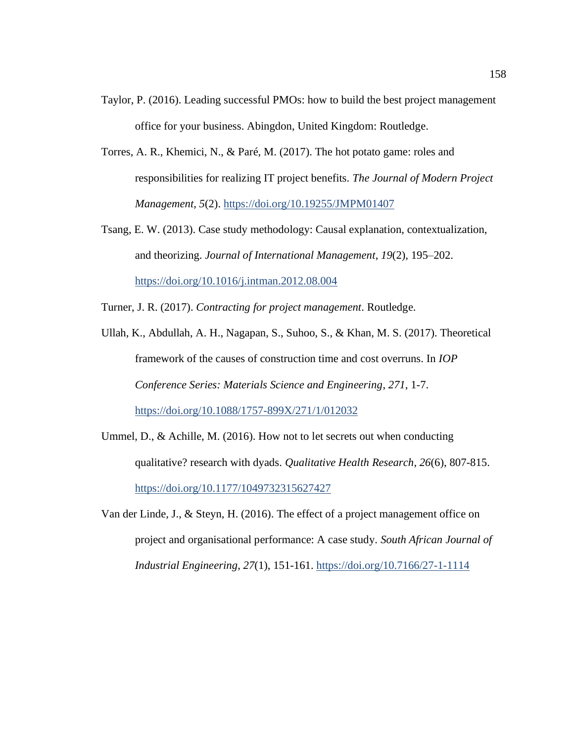- Taylor, P. (2016). Leading successful PMOs: how to build the best project management office for your business. Abingdon, United Kingdom: Routledge.
- Torres, A. R., Khemici, N., & Paré, M. (2017). The hot potato game: roles and responsibilities for realizing IT project benefits. *The Journal of Modern Project Management*, *5*(2).<https://doi.org/10.19255/JMPM01407>
- Tsang, E. W. (2013). Case study methodology: Causal explanation, contextualization, and theorizing. *Journal of International Management*, *19*(2)*,* 195–202. <https://doi.org/10.1016/j.intman.2012.08.004>
- Turner, J. R. (2017). *Contracting for project management*. Routledge.
- Ullah, K., Abdullah, A. H., Nagapan, S., Suhoo, S., & Khan, M. S. (2017). Theoretical framework of the causes of construction time and cost overruns. In *IOP Conference Series: Materials Science and Engineering*, *271*, 1-7. <https://doi.org/10.1088/1757-899X/271/1/012032>
- Ummel, D., & Achille, M. (2016). How not to let secrets out when conducting qualitative? research with dyads. *Qualitative Health Research*, *26*(6), 807-815. <https://doi.org/10.1177/1049732315627427>
- Van der Linde, J., & Steyn, H. (2016). The effect of a project management office on project and organisational performance: A case study. *South African Journal of Industrial Engineering*, *27*(1), 151-161.<https://doi.org/10.7166/27-1-1114>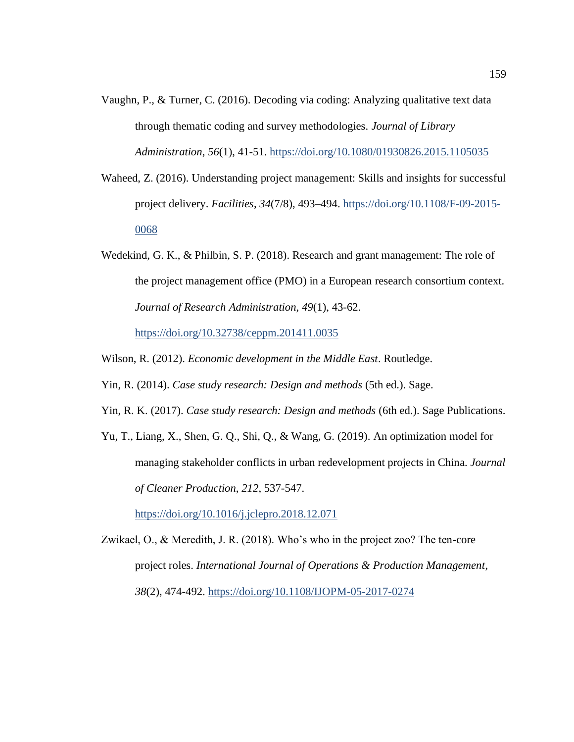- Vaughn, P., & Turner, C. (2016). Decoding via coding: Analyzing qualitative text data through thematic coding and survey methodologies. *Journal of Library Administration*, *56*(1), 41-51.<https://doi.org/10.1080/01930826.2015.1105035>
- Waheed, Z. (2016). Understanding project management: Skills and insights for successful project delivery. *Facilities*, *34*(7/8), 493–494. [https://doi.org/10.1108/F-09-2015-](https://doi.org/10.1108/F-09-2015-0068) [0068](https://doi.org/10.1108/F-09-2015-0068)
- Wedekind, G. K., & Philbin, S. P. (2018). Research and grant management: The role of the project management office (PMO) in a European research consortium context. *Journal of Research Administration*, *49*(1), 43-62.

<https://doi.org/10.32738/ceppm.201411.0035>

Wilson, R. (2012). *Economic development in the Middle East*. Routledge.

- Yin, R. (2014). *Case study research: Design and methods* (5th ed.). Sage.
- Yin, R. K. (2017). *Case study research: Design and methods* (6th ed.). Sage Publications.
- Yu, T., Liang, X., Shen, G. Q., Shi, Q., & Wang, G. (2019). An optimization model for managing stakeholder conflicts in urban redevelopment projects in China. *Journal of Cleaner Production*, *212*, 537-547.

<https://doi.org/10.1016/j.jclepro.2018.12.071>

Zwikael, O., & Meredith, J. R. (2018). Who's who in the project zoo? The ten-core project roles. *International Journal of Operations & Production Management*, *38*(2), 474-492. <https://doi.org/10.1108/IJOPM-05-2017-0274>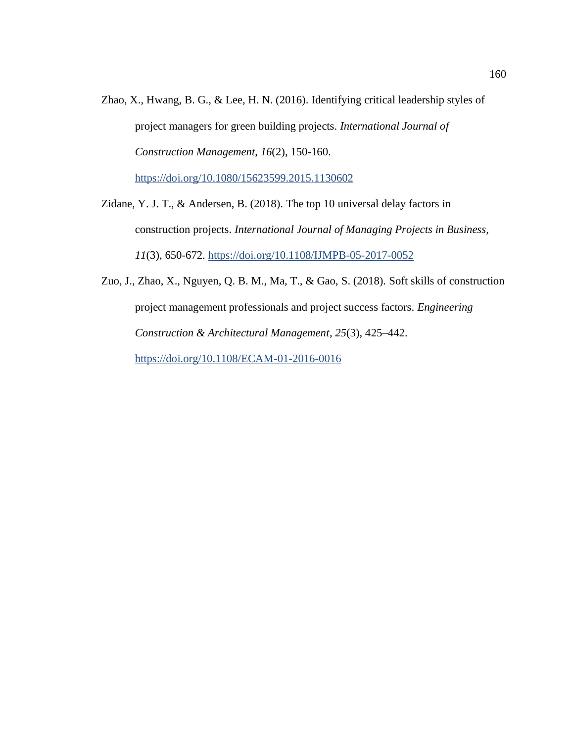- Zhao, X., Hwang, B. G., & Lee, H. N. (2016). Identifying critical leadership styles of project managers for green building projects. *International Journal of Construction Management*, *16*(2), 150-160. <https://doi.org/10.1080/15623599.2015.1130602>
- Zidane, Y. J. T., & Andersen, B. (2018). The top 10 universal delay factors in construction projects. *International Journal of Managing Projects in Business, 11*(3), 650-672.<https://doi.org/10.1108/IJMPB-05-2017-0052>
- Zuo, J., Zhao, X., Nguyen, Q. B. M., Ma, T., & Gao, S. (2018). Soft skills of construction project management professionals and project success factors. *Engineering Construction & Architectural Management*, *25*(3), 425–442. <https://doi.org/10.1108/ECAM-01-2016-0016>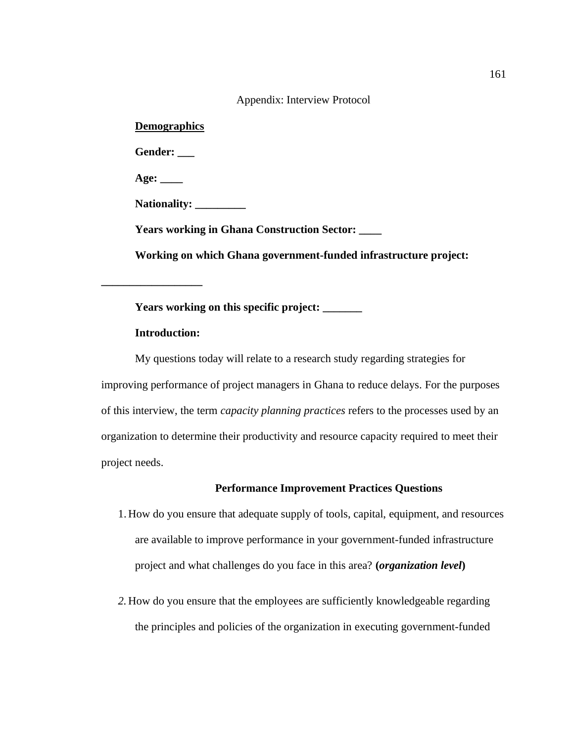| Appendix: Interview Protocol                                     |
|------------------------------------------------------------------|
| <b>Demographics</b>                                              |
| Gender:                                                          |
| Age: $\_\_$                                                      |
| Nationality:                                                     |
| <b>Years working in Ghana Construction Sector:</b>               |
| Working on which Ghana government-funded infrastructure project: |
|                                                                  |

**Years working on this specific project: \_\_\_\_\_\_\_** 

## **Introduction:**

My questions today will relate to a research study regarding strategies for improving performance of project managers in Ghana to reduce delays. For the purposes of this interview, the term *capacity planning practices* refers to the processes used by an organization to determine their productivity and resource capacity required to meet their project needs.

## **Performance Improvement Practices Questions**

- 1. How do you ensure that adequate supply of tools, capital, equipment, and resources are available to improve performance in your government-funded infrastructure project and what challenges do you face in this area? **(***organization level***)**
- *2.* How do you ensure that the employees are sufficiently knowledgeable regarding the principles and policies of the organization in executing government-funded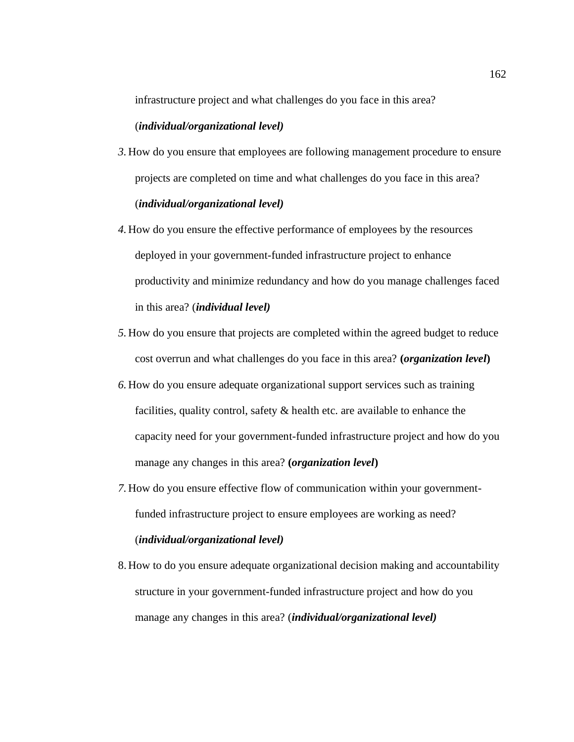infrastructure project and what challenges do you face in this area?

## (*individual/organizational level)*

- *3.* How do you ensure that employees are following management procedure to ensure projects are completed on time and what challenges do you face in this area? (*individual/organizational level)*
- *4.* How do you ensure the effective performance of employees by the resources deployed in your government-funded infrastructure project to enhance productivity and minimize redundancy and how do you manage challenges faced in this area? (*individual level)*
- *5.* How do you ensure that projects are completed within the agreed budget to reduce cost overrun and what challenges do you face in this area? **(***organization level***)**
- *6.* How do you ensure adequate organizational support services such as training facilities, quality control, safety & health etc. are available to enhance the capacity need for your government-funded infrastructure project and how do you manage any changes in this area? **(***organization level***)**
- *7.* How do you ensure effective flow of communication within your governmentfunded infrastructure project to ensure employees are working as need? (*individual/organizational level)*
- 8. How to do you ensure adequate organizational decision making and accountability structure in your government-funded infrastructure project and how do you manage any changes in this area? (*individual/organizational level)*